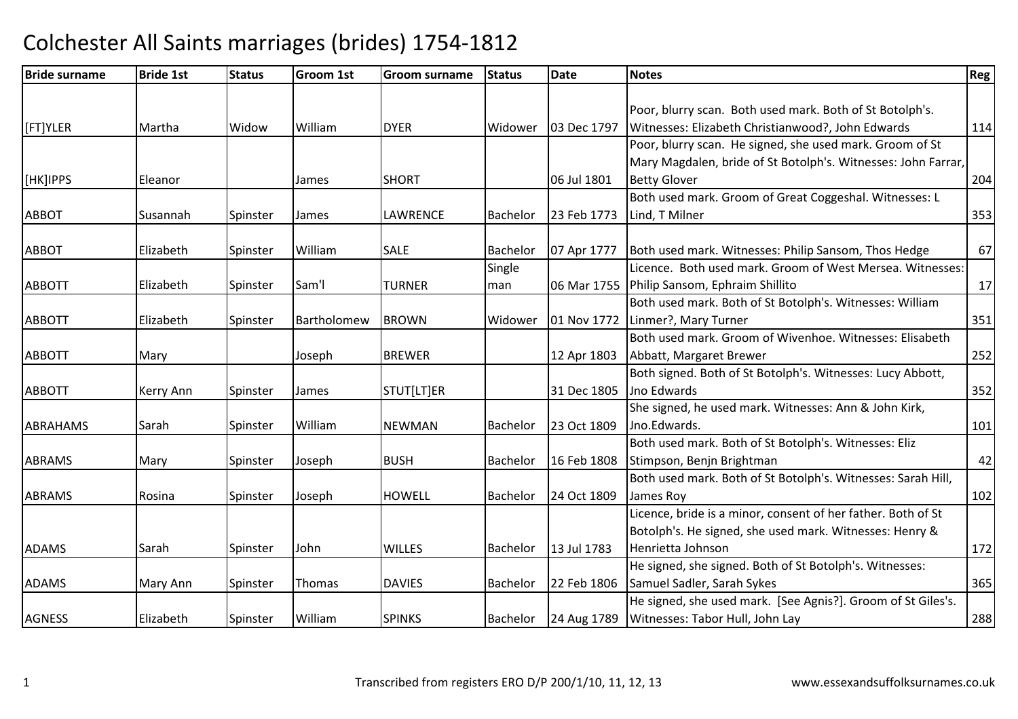| <b>Bride surname</b> | <b>Bride 1st</b> | <b>Status</b> | Groom 1st   | <b>Groom surname</b> | <b>Status</b>   | <b>Date</b> | <b>Notes</b>                                                  | <b>Reg</b> |
|----------------------|------------------|---------------|-------------|----------------------|-----------------|-------------|---------------------------------------------------------------|------------|
|                      |                  |               |             |                      |                 |             |                                                               |            |
|                      |                  |               |             |                      |                 |             | Poor, blurry scan. Both used mark. Both of St Botolph's.      |            |
| [FT]YLER             | Martha           | Widow         | William     | <b>DYER</b>          | Widower         | 03 Dec 1797 | Witnesses: Elizabeth Christianwood?, John Edwards             | 114        |
|                      |                  |               |             |                      |                 |             | Poor, blurry scan. He signed, she used mark. Groom of St      |            |
|                      |                  |               |             |                      |                 |             | Mary Magdalen, bride of St Botolph's. Witnesses: John Farrar, |            |
| [HK]IPPS             | Eleanor          |               | James       | <b>SHORT</b>         |                 | 06 Jul 1801 | <b>Betty Glover</b>                                           | 204        |
|                      |                  |               |             |                      |                 |             | Both used mark. Groom of Great Coggeshal. Witnesses: L        |            |
| <b>ABBOT</b>         | Susannah         | Spinster      | James       | <b>LAWRENCE</b>      | Bachelor        | 23 Feb 1773 | Lind, T Milner                                                | 353        |
|                      |                  |               |             |                      |                 |             |                                                               |            |
| <b>ABBOT</b>         | Elizabeth        | Spinster      | William     | <b>SALE</b>          | <b>Bachelor</b> | 07 Apr 1777 | Both used mark. Witnesses: Philip Sansom, Thos Hedge          | 67         |
|                      |                  |               |             |                      | Single          |             | Licence. Both used mark. Groom of West Mersea. Witnesses:     |            |
| <b>ABBOTT</b>        | Elizabeth        | Spinster      | Sam'l       | <b>TURNER</b>        | man             | 06 Mar 1755 | Philip Sansom, Ephraim Shillito                               | 17         |
|                      |                  |               |             |                      |                 |             | Both used mark. Both of St Botolph's. Witnesses: William      |            |
| <b>ABBOTT</b>        | Elizabeth        | Spinster      | Bartholomew | <b>BROWN</b>         | Widower         | 01 Nov 1772 | Linmer?, Mary Turner                                          | 351        |
|                      |                  |               |             |                      |                 |             | Both used mark. Groom of Wivenhoe. Witnesses: Elisabeth       |            |
| <b>ABBOTT</b>        | Mary             |               | Joseph      | <b>BREWER</b>        |                 | 12 Apr 1803 | Abbatt, Margaret Brewer                                       | 252        |
|                      |                  |               |             |                      |                 |             | Both signed. Both of St Botolph's. Witnesses: Lucy Abbott,    |            |
| <b>ABBOTT</b>        | Kerry Ann        | Spinster      | James       | STUT[LT]ER           |                 | 31 Dec 1805 | Jno Edwards                                                   | 352        |
|                      |                  |               |             |                      |                 |             | She signed, he used mark. Witnesses: Ann & John Kirk,         |            |
| ABRAHAMS             | Sarah            | Spinster      | William     | <b>NEWMAN</b>        | Bachelor        | 23 Oct 1809 | Jno.Edwards.                                                  | 101        |
|                      |                  |               |             |                      |                 |             | Both used mark. Both of St Botolph's. Witnesses: Eliz         |            |
| <b>ABRAMS</b>        | Mary             | Spinster      | Joseph      | <b>BUSH</b>          | Bachelor        | 16 Feb 1808 | Stimpson, Benjn Brightman                                     | 42         |
|                      |                  |               |             |                      |                 |             | Both used mark. Both of St Botolph's. Witnesses: Sarah Hill,  |            |
| <b>ABRAMS</b>        | Rosina           | Spinster      | Joseph      | <b>HOWELL</b>        | <b>Bachelor</b> | 24 Oct 1809 | James Roy                                                     | 102        |
|                      |                  |               |             |                      |                 |             | Licence, bride is a minor, consent of her father. Both of St  |            |
|                      |                  |               |             |                      |                 |             | Botolph's. He signed, she used mark. Witnesses: Henry &       |            |
| <b>ADAMS</b>         | Sarah            | Spinster      | John        | <b>WILLES</b>        | Bachelor        | 13 Jul 1783 | Henrietta Johnson                                             | 172        |
|                      |                  |               |             |                      |                 |             | He signed, she signed. Both of St Botolph's. Witnesses:       |            |
| <b>ADAMS</b>         | Mary Ann         | Spinster      | Thomas      | <b>DAVIES</b>        | Bachelor        | 22 Feb 1806 | Samuel Sadler, Sarah Sykes                                    | 365        |
|                      |                  |               |             |                      |                 |             | He signed, she used mark. [See Agnis?]. Groom of St Giles's.  |            |
| <b>AGNESS</b>        | Elizabeth        | Spinster      | William     | <b>SPINKS</b>        | Bachelor        | 24 Aug 1789 | Witnesses: Tabor Hull, John Lay                               | 288        |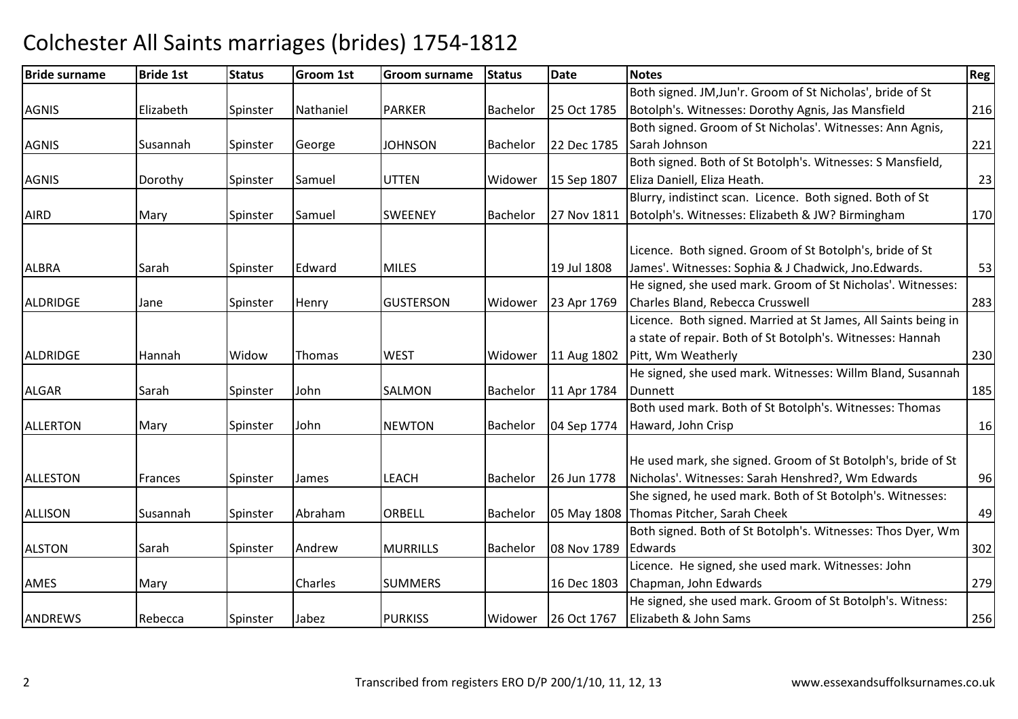#### Bride surnamee Bride 1st Status Groom 1st Groom surname Status Date Notes Region Contract Region Regional Region Region Reg AGNISS **Elizabeth** Spinster Nathaniel PARKER PARKER Bachelor 25 Oct 1785 Both signed. JM,Jun'r. Groom of St Nicholas', bride of St Botolph's. Witnesses: Dorothy Agnis, Jas Mansfield <sup>216</sup> AGNISS Sannah Spinster George JOHNSON JOHNSON Bachelor 22 Dec 1785 Both signed. Groom of St Nicholas'. Witnesses: Ann Agnis,Sarah Johnsonn 221 AGNISS **S** Dorothy Spinster Samuel UTTEN UTTEN | Widower | 15 Sep 1807 Both signed. Both of St Botolph's. Witnesses: S Mansfield, Eliza Daniell, Eliza Heath. 23AIRDD Mary Spinster Samuel SWEENEY Bachelor 27 Nov 1811 Blurry, indistinct scan. Licence. Both signed. Both of St Botolph's. Witnesses: Elizabeth & JW? Birminghamm 170 ALBRAA Sarah Spinster Edward MILES 19 Jul 1808 Licence. Both signed. Groom of St Botolph's, bride of St James'. Witnesses: Sophia & J Chadwick, Jno.Edwards. 53ALDRIDGEE Jane Spinster Henry GUSTERSON GUSTERSON Widower 23 Apr 1769 He signed, she used mark. Groom of St Nicholas'. Witnesses: Charles Bland, Rebecca Crusswell 283ALDRIDGEE Hannah Widow Thomas WEST Widower 11 Aug 1802 Licence. Both signed. Married at St James, All Saints being in a state of repair. Both of St Botolph's. Witnesses: Hannah Pitt, Wm Weatherlyy 230 ALGARR Sarah Spinster John SALMON SALMON Bachelor 11 Apr 1784 He signed, she used mark. Witnesses: Willm Bland, Susannah**Dunnett** t 185 ALLERTONN Mary Spinster John NEWTON Bachelor 04 Sep 1774 Both used mark. Both of St Botolph's. Witnesses: Thomas Haward, John Crispp 16 ALLESTONN Frances Spinster James LEACH Bachelor 26 Jun 1778 He used mark, she signed. Groom of St Botolph's, bride of St Nicholas'. Witnesses: Sarah Henshred?, Wm Edwards <sup>96</sup>ALLISON Susannah Spinster Abrahamm **ORBELL Bachelor 05 May 1808 Thomas Pitcher, Sarah Cheek**<br>The same of the same of the same of the same of the same of the same of the same of the same of the same of the She signed, he used mark. Both of St Botolph's. Witnesses: k 19 ALSTONN Sarah Spinster Andrew Andrew MURRILLS Bachelor 08 Nov 1789 Both signed. Both of St Botolph's. Witnesses: Thos Dyer, Wm **Edwards**  $\sim$  302 AMESS Mary Charles SUMMERS 16 Dec 1803 Licence. He signed, she used mark. Witnesses: John Chapman, John Edwardss 279 ANDREWSS Rebecca Spinster Jabez PURKISS Widower 26 Oct 1767 He signed, she used mark. Groom of St Botolph's. Witness:Elizabeth & John Samss 256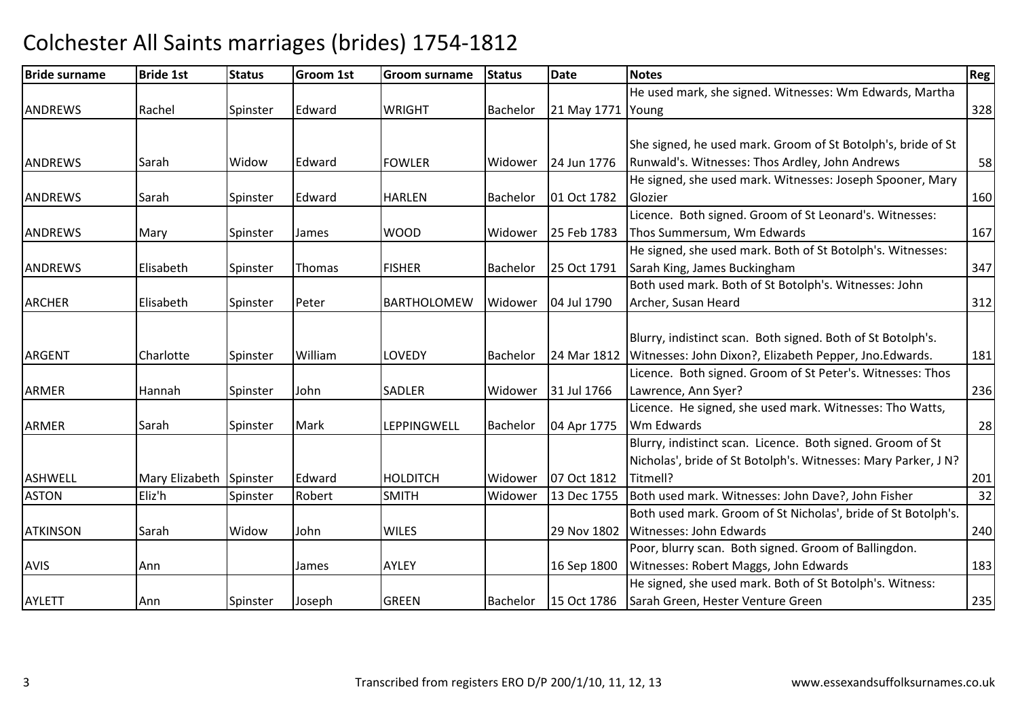#### Bride surnamee Bride 1st Status Groom 1st Groom surname Status Date Notes Region Contract Region Regional Region Region Reg **ANDREWS** Rachel Spinster Edward d WRIGHT Bachelor 21 May 1771 Young He used mark, she signed. Witnesses: Wm Edwards, Martha g 328 ANDREWSSarah Widow Edward (1993) Edward **IFOWLER** Widower 124 Jun 1776 She signed, he used mark. Groom of St Botolph's, bride of St Runwald's. Witnesses: Thos Ardley, John Andrews <sup>58</sup>ANDREWSISarah **Spinster** Edward HARLENBachelor 101 Oct 1782 He signed, she used mark. Witnesses: Joseph Spooner, Mary **Glozier** r 160 ANDREWSS Mary Spinster James WOOD WOOD Widower 125 Feb 1783 Licence. Both signed. Groom of St Leonard's. Witnesses:Thos Summersum, Wm Edwardss and  $\boxed{167}$ ANDREWSS Elisabeth Spinster Thomas FISHER FISHER |Bachelor | 25 Oct 1791 He signed, she used mark. Both of St Botolph's. Witnesses:Sarah King, James Buckingham <sup>347</sup> Both used mark. Both of St Botolph's. Witnesses: John ARCHER Elisabeth Spinster Peter BARTHOLOMEWWidower 04 Jul 1790 Archer, Susan Heardd 312 ARGENTCharlotte Spinster William m LOVEDY Bachelor 24 Mar 1812 Witnesses: John Dixon?, Elizabeth Pepper, Jno.Edwards. 181<br>181 Blurry, indistinct scan. Both signed. Both of St Botolph's. ARMERR MER Hannah Spinster John SADLER Widower 31 Jul 1766 Licence. Both signed. Groom of St Peter's. Witnesses: Thos Lawrence, Ann Syer?<u>236 Parameters</u> ARMERR Sarah Spinster Mark LEPPINGWELL Bachelor 04 Apr 1775 Licence. He signed, she used mark. Witnesses: Tho Watts, Wm Edwardss and  $\sim$  28 ASHWELLMary Elizabeth Spinster Edward<br>Fliz'h Spinster Robert HOLDITCH Widower 07 Oct 1812<br>Widower 13 Dec 1755 Blurry, indistinct scan. Licence. Both signed. Groom of St Nicholas', bride of St Botolph's. Witnesses: Mary Parker, J N? Titmell?<u>2013 - Francisco III (b. 1914)</u><br>1920 - Johann British, politica italian (b. 1915)<br>1920 - Johann British, politica italian (b. 1916)  $\overline{32}$ ASTON Eliz'h Spinster Robert SMITH Widower 13 Dec 1755 Both used mark. Witnesses: John Dave?, John Fisher <sup>32</sup> ATKINSONN Sarah Widow John WILES 29 Nov 1802 Both used mark. Groom of St Nicholas', bride of St Botolph's. Witnesses: John Edwardss 240 AVIS Ann James AYLEY 16 Sep 1800Poor, blurry scan. Both signed. Groom of Ballingdon.Witnesses: Robert Maggs, John Edwards 183 AYLETT Ann Spinster Joseph GREEN Bachelor 15 Oct 1786 He signed, she used mark. Both of St Botolph's. Witness: Sarah Green, Hester Venture Greenn 235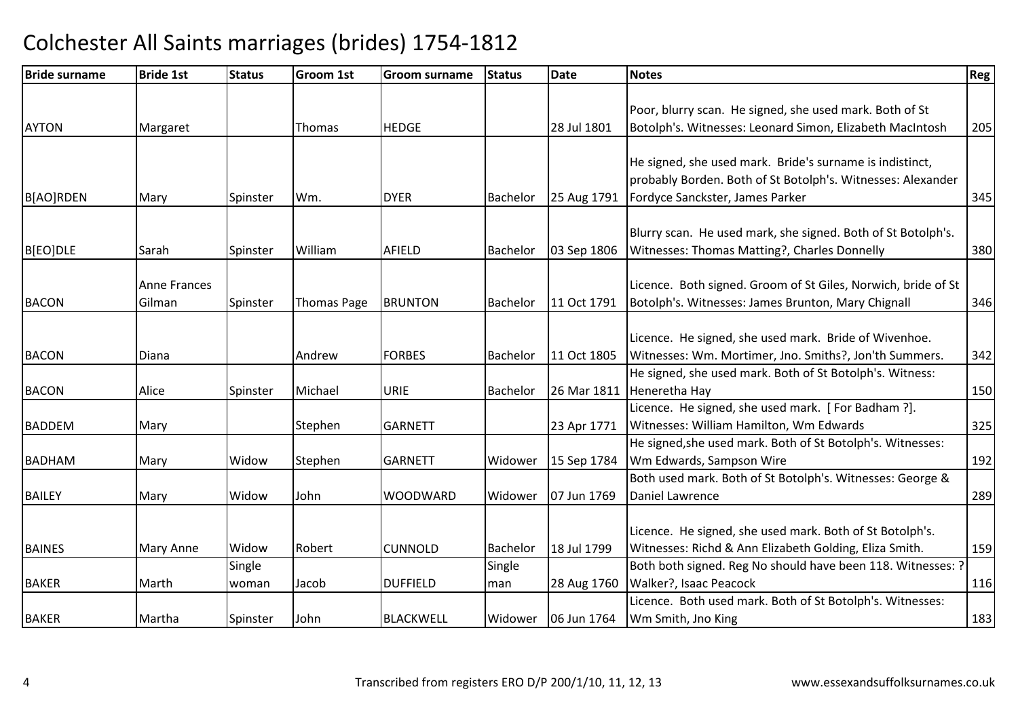| <b>Bride surname</b> | <b>Bride 1st</b> | <b>Status</b> | <b>Groom 1st</b> | Groom surname    | <b>Status</b>   | <b>Date</b> | <b>Notes</b>                                                  | Reg |
|----------------------|------------------|---------------|------------------|------------------|-----------------|-------------|---------------------------------------------------------------|-----|
|                      |                  |               |                  |                  |                 |             |                                                               |     |
|                      |                  |               |                  |                  |                 |             | Poor, blurry scan. He signed, she used mark. Both of St       |     |
| <b>AYTON</b>         | Margaret         |               | Thomas           | <b>HEDGE</b>     |                 | 28 Jul 1801 | Botolph's. Witnesses: Leonard Simon, Elizabeth MacIntosh      | 205 |
|                      |                  |               |                  |                  |                 |             |                                                               |     |
|                      |                  |               |                  |                  |                 |             | He signed, she used mark. Bride's surname is indistinct,      |     |
|                      |                  |               |                  |                  |                 |             | probably Borden. Both of St Botolph's. Witnesses: Alexander   |     |
| B[AO]RDEN            | Mary             | Spinster      | Wm.              | <b>DYER</b>      | Bachelor        | 25 Aug 1791 | Fordyce Sanckster, James Parker                               | 345 |
|                      |                  |               |                  |                  |                 |             |                                                               |     |
|                      |                  |               |                  |                  |                 |             | Blurry scan. He used mark, she signed. Both of St Botolph's.  |     |
| B[EO]DLE             | Sarah            | Spinster      | William          | AFIELD           | Bachelor        | 03 Sep 1806 | Witnesses: Thomas Matting?, Charles Donnelly                  | 380 |
|                      |                  |               |                  |                  |                 |             |                                                               |     |
|                      | Anne Frances     |               |                  |                  |                 |             | Licence. Both signed. Groom of St Giles, Norwich, bride of St |     |
| <b>BACON</b>         | Gilman           | Spinster      | Thomas Page      | <b>BRUNTON</b>   | Bachelor        | 11 Oct 1791 | Botolph's. Witnesses: James Brunton, Mary Chignall            | 346 |
|                      |                  |               |                  |                  |                 |             |                                                               |     |
|                      |                  |               |                  |                  |                 |             | Licence. He signed, she used mark. Bride of Wivenhoe.         |     |
| <b>BACON</b>         | Diana            |               | Andrew           | <b>FORBES</b>    | Bachelor        | 11 Oct 1805 | Witnesses: Wm. Mortimer, Jno. Smiths?, Jon'th Summers.        | 342 |
|                      |                  |               |                  |                  |                 |             | He signed, she used mark. Both of St Botolph's. Witness:      |     |
| <b>BACON</b>         | Alice            | Spinster      | Michael          | <b>URIE</b>      | <b>Bachelor</b> | 26 Mar 1811 | Heneretha Hay                                                 | 150 |
|                      |                  |               |                  |                  |                 |             | Licence. He signed, she used mark. [For Badham ?].            |     |
| <b>BADDEM</b>        | Mary             |               | Stephen          | <b>GARNETT</b>   |                 | 23 Apr 1771 | Witnesses: William Hamilton, Wm Edwards                       | 325 |
|                      |                  |               |                  |                  |                 |             | He signed, she used mark. Both of St Botolph's. Witnesses:    |     |
| <b>BADHAM</b>        | Mary             | Widow         | Stephen          | <b>GARNETT</b>   | Widower         | 15 Sep 1784 | Wm Edwards, Sampson Wire                                      | 192 |
|                      |                  |               |                  |                  |                 |             | Both used mark. Both of St Botolph's. Witnesses: George &     |     |
| <b>BAILEY</b>        | Mary             | Widow         | John             | <b>WOODWARD</b>  | Widower         | 07 Jun 1769 | Daniel Lawrence                                               | 289 |
|                      |                  |               |                  |                  |                 |             |                                                               |     |
|                      |                  |               |                  |                  |                 |             | Licence. He signed, she used mark. Both of St Botolph's.      |     |
| <b>BAINES</b>        | Mary Anne        | Widow         | Robert           | <b>CUNNOLD</b>   | Bachelor        | 18 Jul 1799 | Witnesses: Richd & Ann Elizabeth Golding, Eliza Smith.        | 159 |
|                      |                  | Single        |                  |                  | Single          |             | Both both signed. Reg No should have been 118. Witnesses: ?   |     |
| <b>BAKER</b>         | Marth            | woman         | Jacob            | <b>DUFFIELD</b>  | man             | 28 Aug 1760 | Walker?, Isaac Peacock                                        | 116 |
|                      |                  |               |                  |                  |                 |             | Licence. Both used mark. Both of St Botolph's. Witnesses:     |     |
| <b>BAKER</b>         | Martha           | Spinster      | John             | <b>BLACKWELL</b> | Widower         | 06 Jun 1764 | Wm Smith, Jno King                                            | 183 |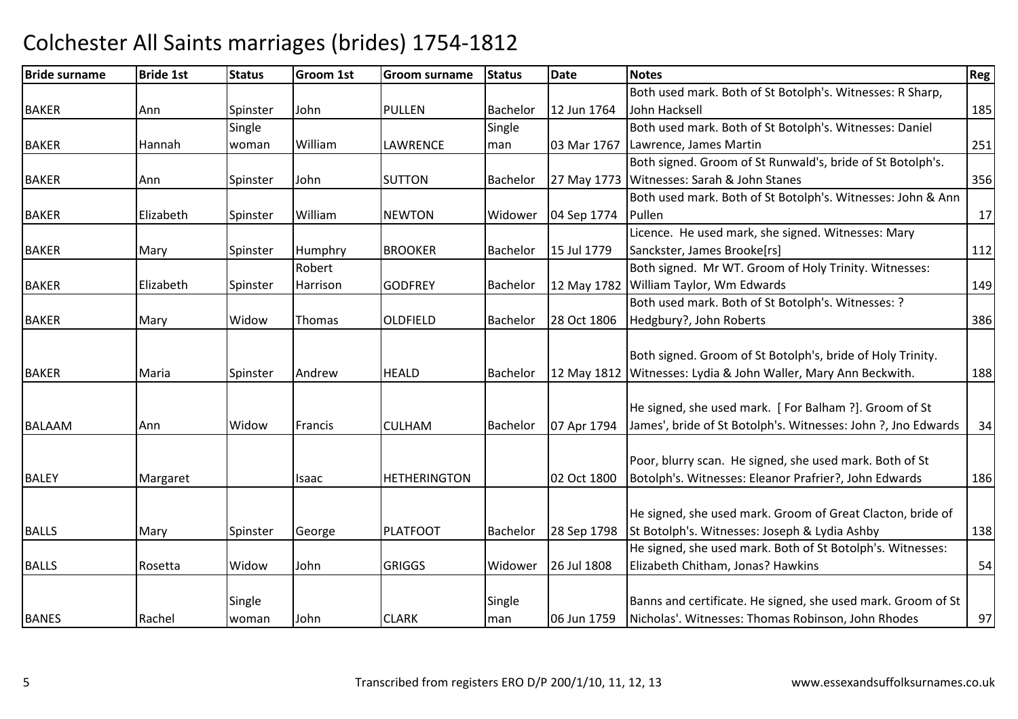#### Bride surnamee Bride 1st Status Groom 1st Groom surname Status Date Notes Region Contract Region Regional Region Region Reg BAKERR MANN Spinster John PULLEN PULLEN Bachelor 12 Jun 1764 Both used mark. Both of St Botolph's. Witnesses: R Sharp, John Hacksell185 BAKER Hannah **Single** woman William LAWRENCE Single man 03 Mar 1767 Both used mark. Both of St Botolph's. Witnesses: Daniel Lawrence, James Martinn 251 BAKERR MANN Spinster John SUTTON N Bachelor 27 May 1773 Witnesses: Sarah & John Stanes Both signed. Groom of St Runwald's, bride of St Botolph's. s 356 BAKER Elizabeth Spinster WilliamNEWTON Widower 104 Sep 1774 Both used mark. Both of St Botolph's. Witnesses: John & Ann Pullenn 17 BAKERR Mary Spinster Humphry BROOKER Bachelor 15 Jul 1779 Licence. He used mark, she signed. Witnesses: Mary Sanckster, James Brooke[rs]| 112 BAKERlElizabeth **Spinster** Robert **Harrison** n GODFREY Bachelor 12 May 1782 William Taylor, Wm Edwards Both signed. Mr WT. Groom of Holy Trinity. Witnesses: s 149 BAKERR Mary Widow Thomas OLDFIELD OLDFIELD Bachelor 28 Oct 1806 Both used mark. Both of St Botolph's. Witnesses: ? Hedgbury?, John Roberts $\sim$  386 BAKERR Maria Spinster Andrew w HEALD Bachelor 12 May 1812 | Witnesses: Lydia & John Waller, Mary Ann Beckwith. 188 Both signed. Groom of St Botolph's, bride of Holy Trinity. BALAAM Ann Widow Francis CULHAM Bachelor 07 Apr 1794 He signed, she used mark. [ For Balham ?]. Groom of St James', bride of St Botolph's. Witnesses: John ?, Jno Edwards <sup>34</sup>BALEYY Margaret Isaac HETHERINGTON 02 Oct 1800 Poor, blurry scan. He signed, she used mark. Both of St Botolph's. Witnesses: Eleanor Prafrier?, John Edwards <sup>186</sup>BALLSS 1798 Mary Spinster George PLATFOOT Bachelor 28 Sep 1798 He signed, she used mark. Groom of Great Clacton, bride of 28 Sep 1798 St Botolph's. Witnesses: Joseph & Lydia Ashby <sup>138</sup>BALLS Rosetta Widow JohnJohn **GRIGGS** Widower 26 Jul 1808 He signed, she used mark. Both of St Botolph's. Witnesses:Elizabeth Chitham, Jonas? Hawkins $\sim$  54 BANES Rachel **Single** woman John CLARK**Single** man 06 Jun 1759 Banns and certificate. He signed, she used mark. Groom of St Nicholas'. Witnesses: Thomas Robinson, John Rhodes<sup>97</sup>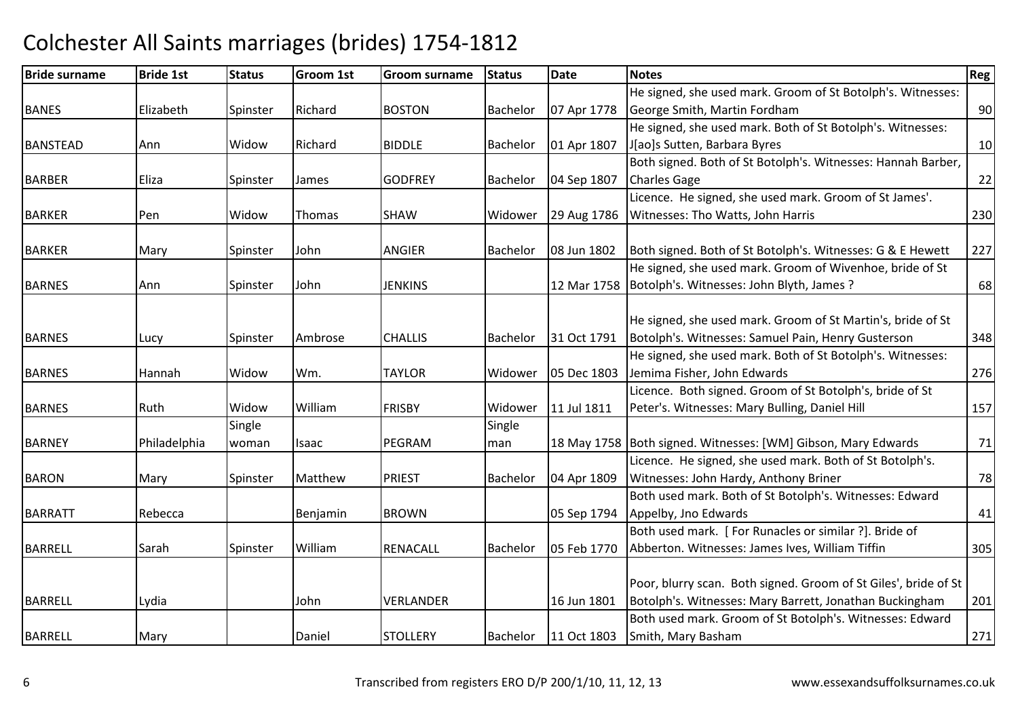#### Bride surnamee Bride 1st Status Groom 1st Groom surname Status Date Notes Region Contract Region Regional Region Region Reg BANES Elizabeth Spinster Richard BOSTONBachelor | 07 Apr 1778 He signed, she used mark. Groom of St Botolph's. Witnesses: George Smith, Martin Fordham <sup>90</sup> He signed, she used mark. Both of St Botolph's. Witnesses:BANSTEADD Ann Widow Richard BIDDLE Bachelor 01 Apr 1807 J[ao]s Sutten, Barbara Byress and  $\vert$  10 BARBERR Caliza Spinster James GODFREY Bachelor 04 Sep 1807 Both signed. Both of St Botolph's. Witnesses: Hannah Barber, Charles Gagee 22 BARKERR Pen Widow Thomas SHAW SHAW Widower 29 Aug 1786 Licence. He signed, she used mark. Groom of St James'.Witnesses: Tho Watts, John Harriss 230 BARKER Mary Spinster John ANGIER Bachelor 08 Jun 1802 Both signed. Both of St Botolph's. Witnesses: G & E Hewett <sup>227</sup> BARNES Ann Spinster John JENKINS 12 Mar 1758 Botolph's. Witnesses: John Blyth, James ?He signed, she used mark. Groom of Wivenhoe, bride of St <u>?</u> 68 BARNESS 1991 Lucy Spinster Ambrose CHALLIS Bachelor 31 Oct 1791 He signed, she used mark. Groom of St Martin's, bride of St Botolph's. Witnesses: Samuel Pain, Henry Gusterson <sup>348</sup> **BARNES** S Hannah Widow Wm. TAYLOR TAYLOR | Widower | 05 Dec 1803 He signed, she used mark. Both of St Botolph's. Witnesses:Jemima Fisher, John Edwardss 276 BARNES Ruth Widow WilliamWilliam **FRISBY** Widower 11 Jul 1811 Licence. Both signed. Groom of St Botolph's, bride of St Peter's. Witnesses: Mary Bulling, Daniel Hill 157**BARNEY**  Philadelphia **Single** woman Isaac **IPEGRAM** Single man18 May 1758 Both signed. Witnesses: [WM] Gibson, Mary Edwards | 71 BARONN Mary Spinster Matthew Matthew | PRIEST | Bachelor | 04 Apr 1809 Licence. He signed, she used mark. Both of St Botolph's. Witnesses: John Hardy, Anthony Brinerr 78 BARRATTRebecca **I** Benjamin BROWN | 05 Sep 1794 Both used mark. Both of St Botolph's. Witnesses: Edward Appelby, Jno Edwardss and  $41$ BARRELLL Sarah Spinster William William RENACALL Bachelor 05 Feb 1770 Both used mark. [ For Runacles or similar ?]. Bride of Abberton. Witnesses: James Ives, William Tiffin <sup>305</sup> BARRELL Lydia John VERLANDER 16 Jun 1801 Poor, blurry scan. Both signed. Groom of St Giles', bride of St Botolph's. Witnesses: Mary Barrett, Jonathan Buckingham <sup>201</sup> BARRELLL Mary | Daniel |STOLLERY |Bachelor |11 Oct 1803 Both used mark. Groom of St Botolph's. Witnesses: EdwardSmith, Mary Bashamm 271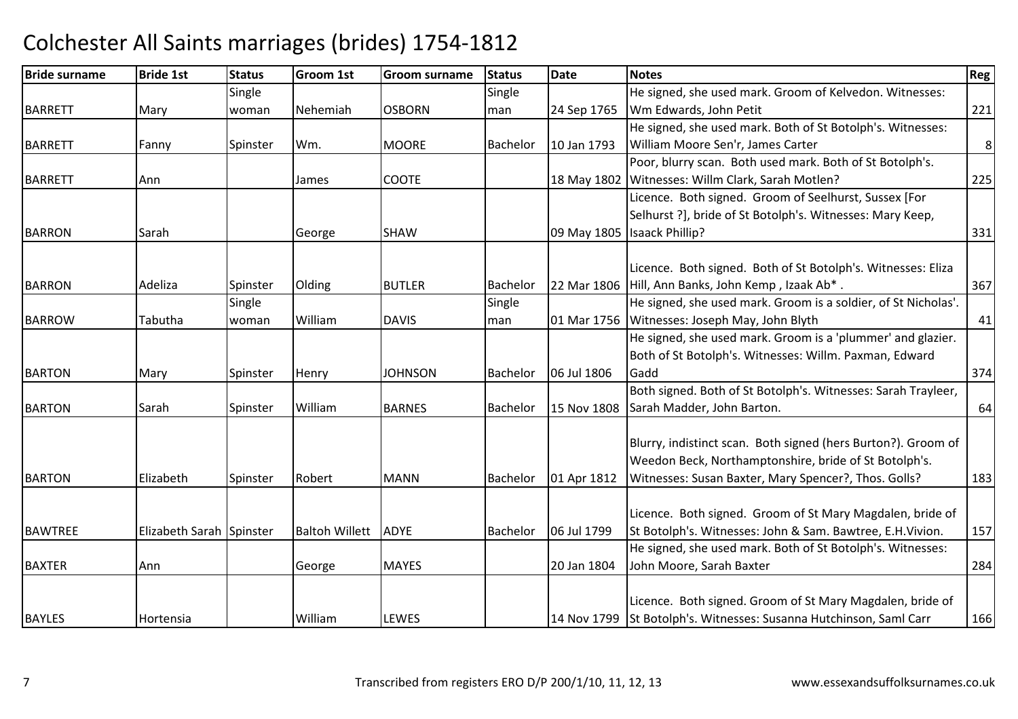| <b>Bride surname</b> | <b>Bride 1st</b>         | <b>Status</b> | <b>Groom 1st</b>      | Groom surname  | <b>Status</b> | Date        | <b>Notes</b>                                                       | Reg            |
|----------------------|--------------------------|---------------|-----------------------|----------------|---------------|-------------|--------------------------------------------------------------------|----------------|
|                      |                          | Single        |                       |                | Single        |             | He signed, she used mark. Groom of Kelvedon. Witnesses:            |                |
| <b>BARRETT</b>       | Mary                     | woman         | Nehemiah              | <b>OSBORN</b>  | man           | 24 Sep 1765 | Wm Edwards, John Petit                                             | 221            |
|                      |                          |               |                       |                |               |             | He signed, she used mark. Both of St Botolph's. Witnesses:         |                |
| <b>BARRETT</b>       | Fanny                    | Spinster      | Wm.                   | <b>MOORE</b>   | Bachelor      | 10 Jan 1793 | William Moore Sen'r, James Carter                                  | 8 <sup>1</sup> |
|                      |                          |               |                       |                |               |             | Poor, blurry scan. Both used mark. Both of St Botolph's.           |                |
| <b>BARRETT</b>       | Ann                      |               | James                 | <b>COOTE</b>   |               | 18 May 1802 | Witnesses: Willm Clark, Sarah Motlen?                              | 225            |
|                      |                          |               |                       |                |               |             | Licence. Both signed. Groom of Seelhurst, Sussex [For              |                |
|                      |                          |               |                       |                |               |             | Selhurst ?], bride of St Botolph's. Witnesses: Mary Keep,          |                |
| <b>BARRON</b>        | Sarah                    |               | George                | <b>SHAW</b>    |               | 09 May 1805 | <b>Isaack Phillip?</b>                                             | 331            |
|                      |                          |               |                       |                |               |             |                                                                    |                |
|                      |                          |               |                       |                |               |             | Licence. Both signed. Both of St Botolph's. Witnesses: Eliza       |                |
| <b>BARRON</b>        | Adeliza                  | Spinster      | Olding                | <b>BUTLER</b>  | Bachelor      | 22 Mar 1806 | Hill, Ann Banks, John Kemp, Izaak Ab*.                             | 367            |
|                      |                          | Single        |                       |                | Single        |             | He signed, she used mark. Groom is a soldier, of St Nicholas'.     |                |
| <b>BARROW</b>        | Tabutha                  | woman         | William               | <b>DAVIS</b>   | man           | 01 Mar 1756 | Witnesses: Joseph May, John Blyth                                  | 41             |
|                      |                          |               |                       |                |               |             | He signed, she used mark. Groom is a 'plummer' and glazier.        |                |
|                      |                          |               |                       |                |               |             | Both of St Botolph's. Witnesses: Willm. Paxman, Edward             |                |
| <b>BARTON</b>        | Mary                     | Spinster      | Henry                 | <b>JOHNSON</b> | Bachelor      | 06 Jul 1806 | Gadd                                                               | 374            |
|                      |                          |               |                       |                |               |             | Both signed. Both of St Botolph's. Witnesses: Sarah Trayleer,      |                |
| <b>BARTON</b>        | Sarah                    | Spinster      | William               | <b>BARNES</b>  | Bachelor      | 15 Nov 1808 | Sarah Madder, John Barton.                                         | 64             |
|                      |                          |               |                       |                |               |             |                                                                    |                |
|                      |                          |               |                       |                |               |             | Blurry, indistinct scan. Both signed (hers Burton?). Groom of      |                |
|                      |                          |               |                       |                |               |             | Weedon Beck, Northamptonshire, bride of St Botolph's.              |                |
| <b>BARTON</b>        | Elizabeth                | Spinster      | Robert                | <b>MANN</b>    | Bachelor      | 01 Apr 1812 | Witnesses: Susan Baxter, Mary Spencer?, Thos. Golls?               | 183            |
|                      |                          |               |                       |                |               |             |                                                                    |                |
|                      |                          |               |                       |                |               |             | Licence. Both signed. Groom of St Mary Magdalen, bride of          |                |
| <b>BAWTREE</b>       | Elizabeth Sarah Spinster |               | <b>Baltoh Willett</b> | <b>ADYE</b>    | Bachelor      | 06 Jul 1799 | St Botolph's. Witnesses: John & Sam. Bawtree, E.H. Vivion.         | 157            |
|                      |                          |               |                       |                |               |             | He signed, she used mark. Both of St Botolph's. Witnesses:         |                |
| <b>BAXTER</b>        | Ann                      |               | George                | <b>MAYES</b>   |               | 20 Jan 1804 | John Moore, Sarah Baxter                                           | 284            |
|                      |                          |               |                       |                |               |             | Licence. Both signed. Groom of St Mary Magdalen, bride of          |                |
|                      |                          |               |                       |                |               |             |                                                                    |                |
| <b>BAYLES</b>        | Hortensia                |               | William               | LEWES          |               |             | 14 Nov 1799 St Botolph's. Witnesses: Susanna Hutchinson, Saml Carr | 166            |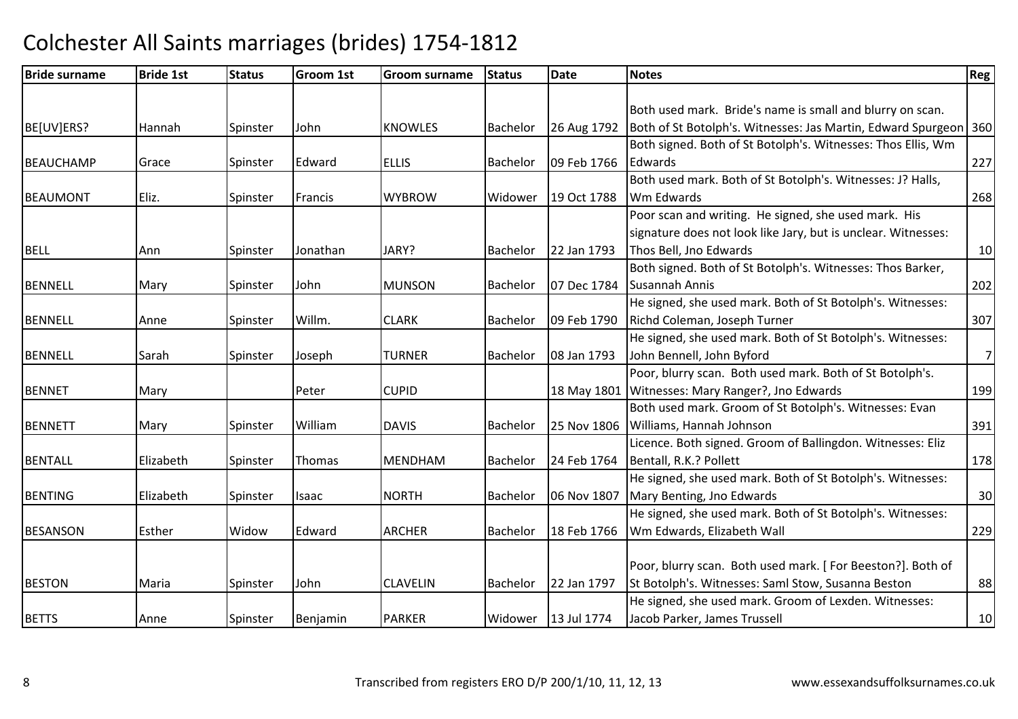| <b>Bride surname</b> | <b>Bride 1st</b> | <b>Status</b> | <b>Groom 1st</b> | Groom surname   | <b>Status</b>   | <b>Date</b>           | <b>Notes</b>                                                     | Reg !          |
|----------------------|------------------|---------------|------------------|-----------------|-----------------|-----------------------|------------------------------------------------------------------|----------------|
|                      |                  |               |                  |                 |                 |                       |                                                                  |                |
|                      |                  |               |                  |                 |                 |                       | Both used mark. Bride's name is small and blurry on scan.        |                |
| BE[UV]ERS?           | Hannah           | Spinster      | John             | <b>KNOWLES</b>  | Bachelor        | 26 Aug 1792           | Both of St Botolph's. Witnesses: Jas Martin, Edward Spurgeon 360 |                |
|                      |                  |               |                  |                 |                 |                       | Both signed. Both of St Botolph's. Witnesses: Thos Ellis, Wm     |                |
| <b>BEAUCHAMP</b>     | Grace            | Spinster      | Edward           | <b>ELLIS</b>    | Bachelor        | 09 Feb 1766           | Edwards                                                          | 227            |
|                      |                  |               |                  |                 |                 |                       | Both used mark. Both of St Botolph's. Witnesses: J? Halls,       |                |
| <b>BEAUMONT</b>      | Eliz.            | Spinster      | Francis          | <b>WYBROW</b>   | Widower         | 19 Oct 1788           | Wm Edwards                                                       | 268            |
|                      |                  |               |                  |                 |                 |                       | Poor scan and writing. He signed, she used mark. His             |                |
|                      |                  |               |                  |                 |                 |                       | signature does not look like Jary, but is unclear. Witnesses:    |                |
| <b>BELL</b>          | Ann              | Spinster      | Jonathan         | JARY?           | Bachelor        | 22 Jan 1793           | Thos Bell, Jno Edwards                                           | 10             |
|                      |                  |               |                  |                 |                 |                       | Both signed. Both of St Botolph's. Witnesses: Thos Barker,       |                |
| <b>BENNELL</b>       | Mary             | Spinster      | John             | <b>MUNSON</b>   | Bachelor        | 07 Dec 1784           | Susannah Annis                                                   | 202            |
|                      |                  |               |                  |                 |                 |                       | He signed, she used mark. Both of St Botolph's. Witnesses:       |                |
| <b>BENNELL</b>       | Anne             | Spinster      | Willm.           | <b>CLARK</b>    | Bachelor        | 09 Feb 1790           | Richd Coleman, Joseph Turner                                     | 307            |
|                      |                  |               |                  |                 |                 |                       | He signed, she used mark. Both of St Botolph's. Witnesses:       |                |
| <b>BENNELL</b>       | Sarah            | Spinster      | Joseph           | <b>TURNER</b>   | Bachelor        | 08 Jan 1793           | John Bennell, John Byford                                        | $7\overline{}$ |
|                      |                  |               |                  |                 |                 |                       | Poor, blurry scan. Both used mark. Both of St Botolph's.         |                |
| <b>BENNET</b>        | Mary             |               | Peter            | <b>CUPID</b>    |                 | 18 May 1801           | Witnesses: Mary Ranger?, Jno Edwards                             | 199            |
|                      |                  |               |                  |                 |                 |                       | Both used mark. Groom of St Botolph's. Witnesses: Evan           |                |
| <b>BENNETT</b>       | Mary             | Spinster      | William          | <b>DAVIS</b>    | Bachelor        | 25 Nov 1806           | Williams, Hannah Johnson                                         | 391            |
|                      |                  |               |                  |                 |                 |                       | Licence. Both signed. Groom of Ballingdon. Witnesses: Eliz       |                |
| <b>BENTALL</b>       | Elizabeth        | Spinster      | Thomas           | <b>MENDHAM</b>  | Bachelor        | 24 Feb 1764           | Bentall, R.K.? Pollett                                           | 178            |
|                      |                  |               |                  |                 |                 |                       | He signed, she used mark. Both of St Botolph's. Witnesses:       |                |
| <b>BENTING</b>       | Elizabeth        | Spinster      | Isaac            | <b>NORTH</b>    | Bachelor        | 06 Nov 1807           | Mary Benting, Jno Edwards                                        | 30             |
|                      |                  |               |                  |                 |                 |                       | He signed, she used mark. Both of St Botolph's. Witnesses:       |                |
| <b>BESANSON</b>      | Esther           | Widow         | Edward           | <b>ARCHER</b>   | Bachelor        | 18 Feb 1766           | Wm Edwards, Elizabeth Wall                                       | 229            |
|                      |                  |               |                  |                 |                 |                       |                                                                  |                |
|                      |                  |               |                  |                 |                 |                       | Poor, blurry scan. Both used mark. [For Beeston?]. Both of       |                |
| <b>BESTON</b>        | Maria            | Spinster      | John             | <b>CLAVELIN</b> | <b>Bachelor</b> | 22 Jan 1797           | St Botolph's. Witnesses: Saml Stow, Susanna Beston               | 88             |
|                      |                  |               |                  |                 |                 |                       | He signed, she used mark. Groom of Lexden. Witnesses:            |                |
| <b>BETTS</b>         | Anne             | Spinster      | Benjamin         | <b>PARKER</b>   |                 | Widower   13 Jul 1774 | Jacob Parker, James Trussell                                     | 10             |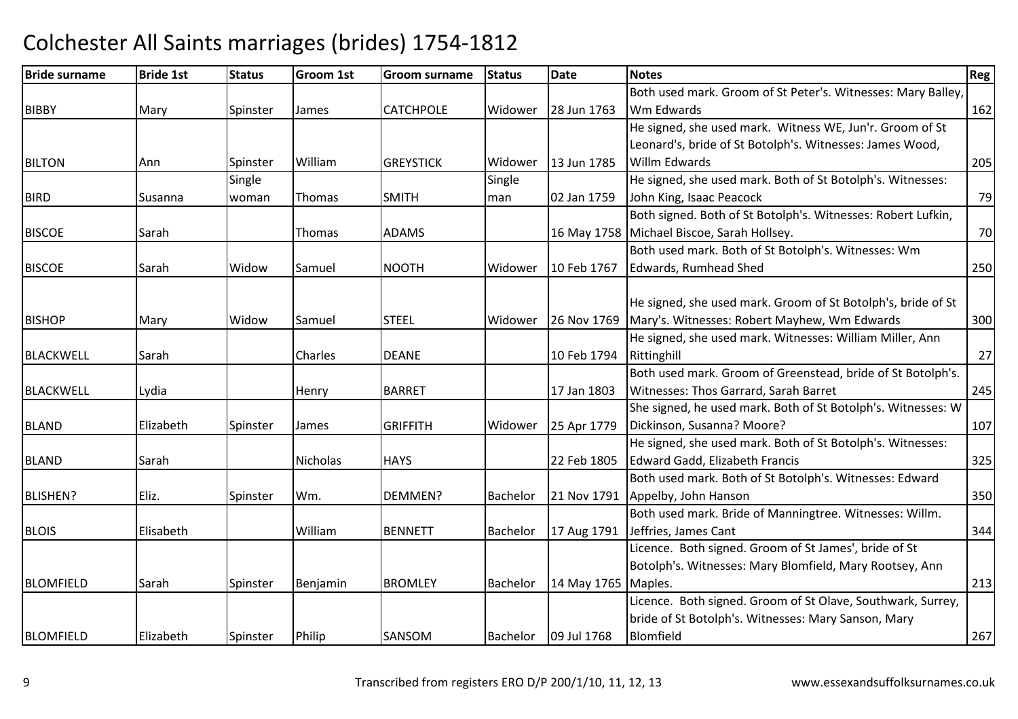#### Bride surnamee Bride 1st Status Groom 1st Groom surname Status Date Notes Region Contract Region Regional Region Region Reg BIBBYY Mary Spinster James CATCHPOLE Widower 28 Jun 1763 Both used mark. Groom of St Peter's. Witnesses: Mary Balley, Wm Edwardss and  $\sim$  162 BILTONN Ann Spinster William GREYSTICK Widower 13 Jun 1785 He signed, she used mark. Witness WE, Jun'r. Groom of St Leonard's, bride of St Botolph's. Witnesses: James Wood, Willm Edwardss 205 BIRD Susanna Single woman Thomas SMITH Single man 02 Jan 1759 He signed, she used mark. Both of St Botolph's. Witnesses:John King, Isaac Peacockk 79 **BISCOE** E Sarah Thomas ADAMS 16 May 1758 Both signed. Both of St Botolph's. Witnesses: Robert Lufkin, 16 May 1758 Michael Biscoe, Sarah Hollsey. 70 BISCOEE Sarah Widow Samuel NOOTH NOOTH Widower 10 Feb 1767 Both used mark. Both of St Botolph's. Witnesses: Wm Edwards, Rumhead Shedd 250 BISHOPP Mary Widow Samuel STEEL Widower 26 Nov 1769 He signed, she used mark. Groom of St Botolph's, bride of St 26 Nov 1769 Mary's. Witnesses: Robert Mayhew, Wm Edwards <sup>300</sup>BLACKWELLL Sarah Charles DEANE 10 Feb 1794 He signed, she used mark. Witnesses: William Miller, Ann Rittinghill $\begin{array}{|c|c|c|c|c|c|c|c|c|}\n\hline\n\text{27} & \text{27} \end{array}$ BLACKWELLL Lydia Henry BARRET 17 Jan 1803 Both used mark. Groom of Greenstead, bride of St Botolph's. Witnesses: Thos Garrard, Sarah Barret 245BLANDD Elizabeth Spinster James GRIFFITH GRIFFITH Widower 25 Apr 1779 She signed, he used mark. Both of St Botolph's. Witnesses: W Dickinson, Susanna? Moore?<u>2</u> 107 BLAND Sarah Nicholas HAYS 22 Feb 1805 He signed, she used mark. Both of St Botolph's. Witnesses:Edward Gadd, Elizabeth Franciss 325 BLISHEN?P The Eliz. Spinster Wm. DEMMEN? Bachelor 21 Nov 1791 Both used mark. Both of St Botolph's. Witnesses: Edward 21 Nov 1791 Appelby, John Hanson n 350 BLOIS Elisabeth Williamm BENNETT Bachelor 17 Aug 1791 Jeffries, James Cant Both used mark. Bride of Manningtree. Witnesses: Willm.t  $\sim$  344 BLOMFIELDD Sarah Spinster Benjamin BROMLEY Bachelor 14 May 1765 Licence. Both signed. Groom of St James', bride of St Botolph's. Witnesses: Mary Blomfield, Mary Rootsey, Ann 14 May 1765 | Maples. 213 BLOMFIELDD Elizabeth Spinster Philip SANSOM SANSOM Bachelor 09 Jul 1768 Licence. Both signed. Groom of St Olave, Southwark, Surrey, bride of St Botolph's. Witnesses: Mary Sanson, Mary Blomfieldd 267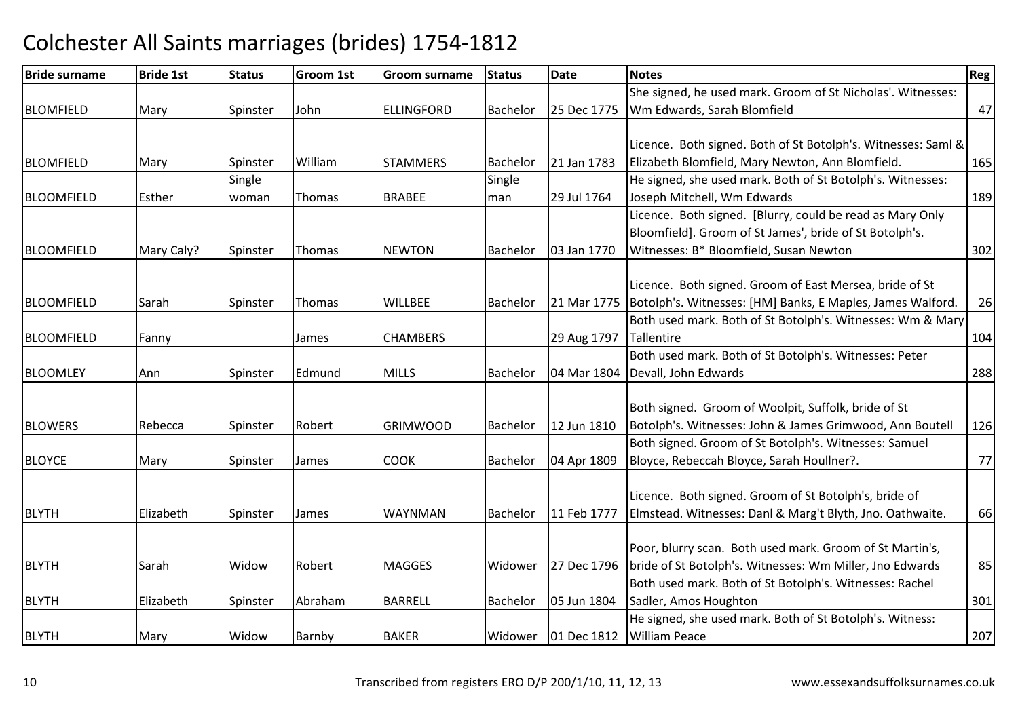#### Bride surnamee Bride 1st Status Groom 1st Groom surname Status Date Notes Region Contract Region Regional Region Region Reg BLOMFIELDD Mary Spinster John ELLINGFORD Bachelor 25 Dec 1775 She signed, he used mark. Groom of St Nicholas'. Witnesses: Wm Edwards, Sarah Blomfieldd 47 BLOMFIELDMary Spinster William STAMMERS Bachelor 21 Jan 1783 Licence. Both signed. Both of St Botolph's. Witnesses: Saml & Elizabeth Blomfield, Mary Newton, Ann Blomfield. 165BLOOMFIELD Esther Single woman Thomas IBRABEE **Single** man 29 Jul 1764 He signed, she used mark. Both of St Botolph's. Witnesses:Joseph Mitchell, Wm Edwardss 189 BLOOMFIELD|Mary Caly? | Spinster | Thomas | NEWTON Bachelor 03 Jan 1770 Licence. Both signed. [Blurry, could be read as Mary Only Bloomfield]. Groom of St James', bride of St Botolph's. Witnesses: B\* Bloomfield, Susan Newtonn 302 BLOOMFIELDD Sarah Spinster Thomas WILLBEE Bachelor 21 Mar 1775 Licence. Both signed. Groom of East Mersea, bride of St 21 Mar 1775 | Botolph's. Witnesses: [HM] Banks, E Maples, James Walford. 26BLOOMFIELDD Fanny James CHAMBERS 29 Aug 1797 Both used mark. Both of St Botolph's. Witnesses: Wm & Mary **Tallentire** e 104 BLOOMLEYAnn Spinster Edmund MILLS Bachelor 04 Mar 1804 Devall, John EdwardsBoth used mark. Both of St Botolph's. Witnesses: Peter s 288 BLOWERS Rebecca Spinster Robert GRIMWOOD Bachelor 12 Jun 1810 Both signed. Groom of Woolpit, Suffolk, bride of StBotolph's. Witnesses: John & James Grimwood, Ann Boutell 126BLOYCEE Mary Spinster James COOK COOK |Bachelor |04 Apr 1809 Both signed. Groom of St Botolph's. Witnesses: Samuel Bloyce, Rebeccah Bloyce, Sarah Houllner?. 77BLYTHH Elizabeth Spinster James WAYNMAN WAYNMAN |Bachelor | 11 Feb 1777 Licence. Both signed. Groom of St Botolph's, bride of Elmstead. Witnesses: Danl & Marg't Blyth, Jno. Oathwaite. 66BLYTHH Sarah Widow Robert MAGGES Widower 27 Dec 1796 Poor, blurry scan. Both used mark. Groom of St Martin's, bride of St Botolph's. Witnesses: Wm Miller, Jno Edwards <sup>85</sup>BLYTHH Elizabeth Spinster Abraham Abraham | BARRELL | Bachelor | 05 Jun 1804 Both used mark. Both of St Botolph's. Witnesses: Rachel Sadler, Amos Houghtonn 301 BLYTHH Mary Widow Barnby BAKER Widower 01 Dec 1812 He signed, she used mark. Both of St Botolph's. Witness: William Peacee 207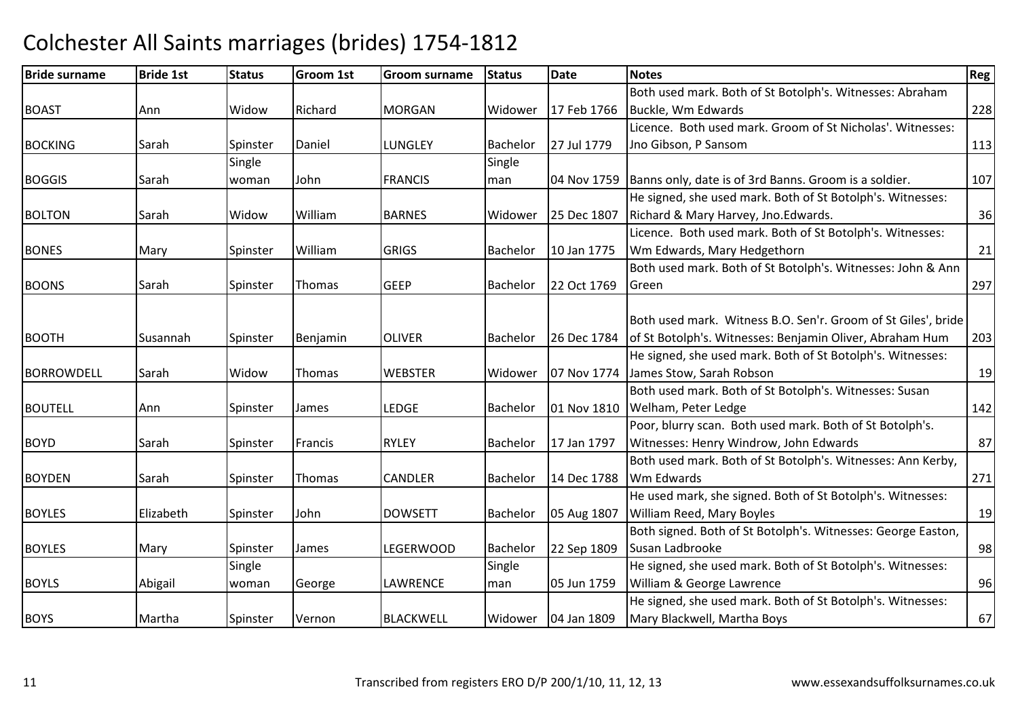#### Bride surnamee Bride 1st Status Groom 1st Groom surname Status Date Notes Region Contract Region Regional Region Region Reg BOASTT Ann Widow Richard Richard MORGAN Widower 17 Feb 1766 Both used mark. Both of St Botolph's. Witnesses: AbrahamBuckle, Wm Edwards $\sim$  228 BOCKING Sarah Spinster Daniel LUNGLEY Bachelor 27 Jul 1779 Licence. Both used mark. Groom of St Nicholas'. Witnesses: Jno Gibson, P Sansomm 113 BOGGIS Sarah**Single** woman John FRANCIS **Single** man 04 Nov 1759 Banns only, date is of 3rd Banns. Groom is a soldier. <sup>107</sup> BOLTONN Sarah Widow William William BARNES Widower 25 Dec 1807 He signed, she used mark. Both of St Botolph's. Witnesses:Richard & Mary Harvey, Jno.Edwards. 26 and 2012 136 **BONES** S Mary Spinster William William (GRIGS Bachelor 10 Jan 1775 Licence. Both used mark. Both of St Botolph's. Witnesses: Wm Edwards, Mary Hedgethornn 21 BOONSSarah Sarah Spinster Thomas GEEP GEEP |Bachelor |22 Oct 1769 Both used mark. Both of St Botolph's. Witnesses: John & Ann Greenn 297 BOOTHH Susannah Spinster Benjamin OLIVER Bachelor 26 Dec 1784 Both used mark. Witness B.O. Sen'r. Groom of St Giles', bride of St Botolph's. Witnesses: Benjamin Oliver, Abraham Hum He signed, she used mark. Both of St Botolph's. Witnesses: <sup>203</sup> **BORROWDFLL** L Sarah | Widow | Thomas | WEBSTER R **Widower | 07 Nov 1774 | James Stow, Sarah Robson** n 19 BOUTELLL Mann Spinster James LEDGE Bachelor 01 Nov 1810 Both used mark. Both of St Botolph's. Witnesses: Susan 01 Nov 1810 Welham, Peter Ledge e 142 BOYDD Sarah Spinster Francis RYLEY Bachelor 17 Jan 1797 Poor, blurry scan. Both used mark. Both of St Botolph's. Witnesses: Henry Windrow, John Edwardss 87 BOYDENN Sarah Spinster Thomas CANDLER Bachelor 14 Dec 1788 Both used mark. Both of St Botolph's. Witnesses: Ann Kerby, Wm Edwardss 271 BOYLES Elizabeth Spinster JohnDOWSETT Bachelor 05 Aug 1807 He used mark, she signed. Both of St Botolph's. Witnesses:William Reed, Mary Boyless and  $\vert$  19 BOYLESMary Spinster James LEGERWOOD Bachelor 22 Sep 1809 Both signed. Both of St Botolph's. Witnesses: George Easton, Susan Ladbrookee 98 BOYLS Abigail **Single** woman George LAWRENCE Single man 05 Jun 1759 He signed, she used mark. Both of St Botolph's. Witnesses:William & George Lawrencee 96 BOYSMartha Spinster Vernon BLACKWELL Widower 04 Jan 1809 He signed, she used mark. Both of St Botolph's. Witnesses:Mary Blackwell, Martha Boyss 67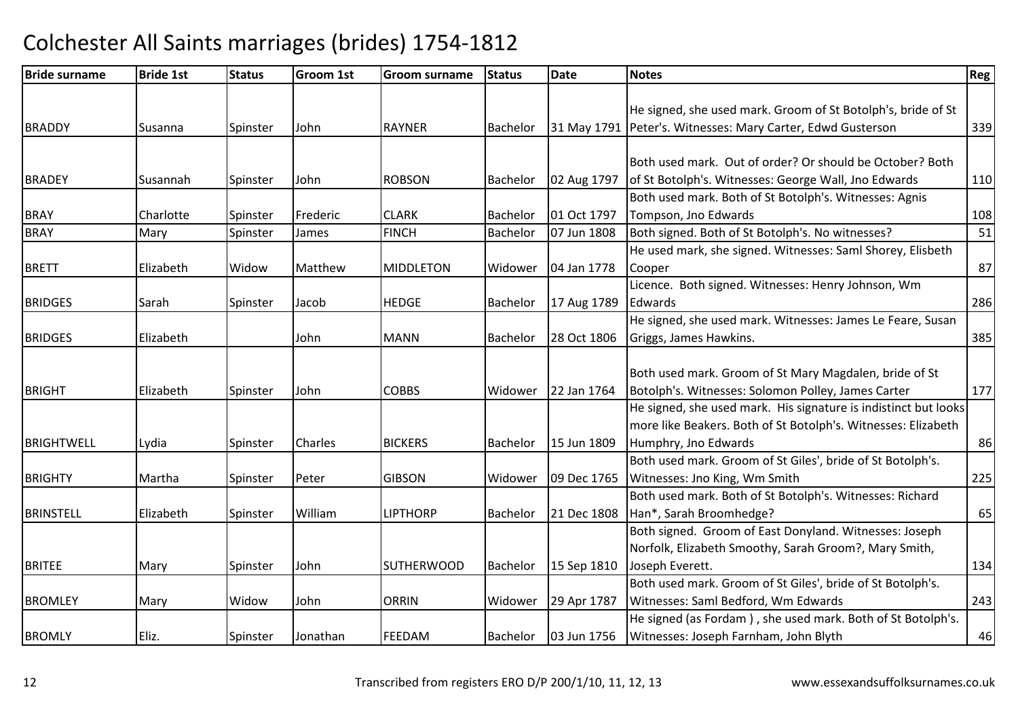| <b>Bride surname</b> | <b>Bride 1st</b> | <b>Status</b> | <b>Groom 1st</b> | <b>Groom surname</b> | <b>Status</b>   | <b>Date</b> | <b>Notes</b>                                                    | <b>Reg</b> |
|----------------------|------------------|---------------|------------------|----------------------|-----------------|-------------|-----------------------------------------------------------------|------------|
|                      |                  |               |                  |                      |                 |             |                                                                 |            |
|                      |                  |               |                  |                      |                 |             | He signed, she used mark. Groom of St Botolph's, bride of St    |            |
| <b>BRADDY</b>        | Susanna          | Spinster      | John             | <b>RAYNER</b>        | Bachelor        |             | 31 May 1791 Peter's. Witnesses: Mary Carter, Edwd Gusterson     | 339        |
|                      |                  |               |                  |                      |                 |             |                                                                 |            |
|                      |                  |               |                  |                      |                 |             | Both used mark. Out of order? Or should be October? Both        |            |
| <b>BRADEY</b>        | Susannah         | Spinster      | John             | <b>ROBSON</b>        | Bachelor        | 02 Aug 1797 | of St Botolph's. Witnesses: George Wall, Jno Edwards            | 110        |
|                      |                  |               |                  |                      |                 |             | Both used mark. Both of St Botolph's. Witnesses: Agnis          |            |
| <b>BRAY</b>          | Charlotte        | Spinster      | Frederic         | <b>CLARK</b>         | Bachelor        | 01 Oct 1797 | Tompson, Jno Edwards                                            | 108        |
| <b>BRAY</b>          | Mary             | Spinster      | James            | <b>FINCH</b>         | Bachelor        | 07 Jun 1808 | Both signed. Both of St Botolph's. No witnesses?                | 51         |
|                      |                  |               |                  |                      |                 |             | He used mark, she signed. Witnesses: Saml Shorey, Elisbeth      |            |
| <b>BRETT</b>         | Elizabeth        | Widow         | Matthew          | <b>MIDDLETON</b>     | Widower         | 04 Jan 1778 | Cooper                                                          | 87         |
|                      |                  |               |                  |                      |                 |             | Licence. Both signed. Witnesses: Henry Johnson, Wm              |            |
| <b>BRIDGES</b>       | Sarah            | Spinster      | Jacob            | <b>HEDGE</b>         | Bachelor        | 17 Aug 1789 | Edwards                                                         | 286        |
|                      |                  |               |                  |                      |                 |             | He signed, she used mark. Witnesses: James Le Feare, Susan      |            |
| <b>BRIDGES</b>       | Elizabeth        |               | John             | <b>MANN</b>          | <b>Bachelor</b> | 28 Oct 1806 | Griggs, James Hawkins.                                          | 385        |
|                      |                  |               |                  |                      |                 |             |                                                                 |            |
|                      |                  |               |                  |                      |                 |             | Both used mark. Groom of St Mary Magdalen, bride of St          |            |
| <b>BRIGHT</b>        | Elizabeth        | Spinster      | John             | <b>COBBS</b>         | Widower         | 22 Jan 1764 | Botolph's. Witnesses: Solomon Polley, James Carter              | 177        |
|                      |                  |               |                  |                      |                 |             | He signed, she used mark. His signature is indistinct but looks |            |
|                      |                  |               |                  |                      |                 |             | more like Beakers. Both of St Botolph's. Witnesses: Elizabeth   |            |
| <b>BRIGHTWELL</b>    | Lydia            | Spinster      | Charles          | <b>BICKERS</b>       | Bachelor        | 15 Jun 1809 | Humphry, Jno Edwards                                            | 86         |
|                      |                  |               |                  |                      |                 |             | Both used mark. Groom of St Giles', bride of St Botolph's.      |            |
| <b>BRIGHTY</b>       | Martha           | Spinster      | Peter            | <b>GIBSON</b>        | Widower         | 09 Dec 1765 | Witnesses: Jno King, Wm Smith                                   | 225        |
|                      |                  |               |                  |                      |                 |             | Both used mark. Both of St Botolph's. Witnesses: Richard        |            |
| <b>BRINSTELL</b>     | Elizabeth        | Spinster      | William          | <b>LIPTHORP</b>      | Bachelor        | 21 Dec 1808 | Han*, Sarah Broomhedge?                                         | 65         |
|                      |                  |               |                  |                      |                 |             | Both signed. Groom of East Donyland. Witnesses: Joseph          |            |
|                      |                  |               |                  |                      |                 |             | Norfolk, Elizabeth Smoothy, Sarah Groom?, Mary Smith,           |            |
| <b>BRITEE</b>        | Mary             | Spinster      | John             | <b>SUTHERWOOD</b>    | Bachelor        | 15 Sep 1810 | Joseph Everett.                                                 | 134        |
|                      |                  |               |                  |                      |                 |             | Both used mark. Groom of St Giles', bride of St Botolph's.      |            |
| <b>BROMLEY</b>       | Mary             | Widow         | John             | <b>ORRIN</b>         | Widower         | 29 Apr 1787 | Witnesses: Saml Bedford, Wm Edwards                             | 243        |
|                      |                  |               |                  |                      |                 |             | He signed (as Fordam), she used mark. Both of St Botolph's.     |            |
| <b>BROMLY</b>        | Eliz.            | Spinster      | Jonathan         | <b>FEEDAM</b>        | Bachelor        | 03 Jun 1756 | Witnesses: Joseph Farnham, John Blyth                           | 46         |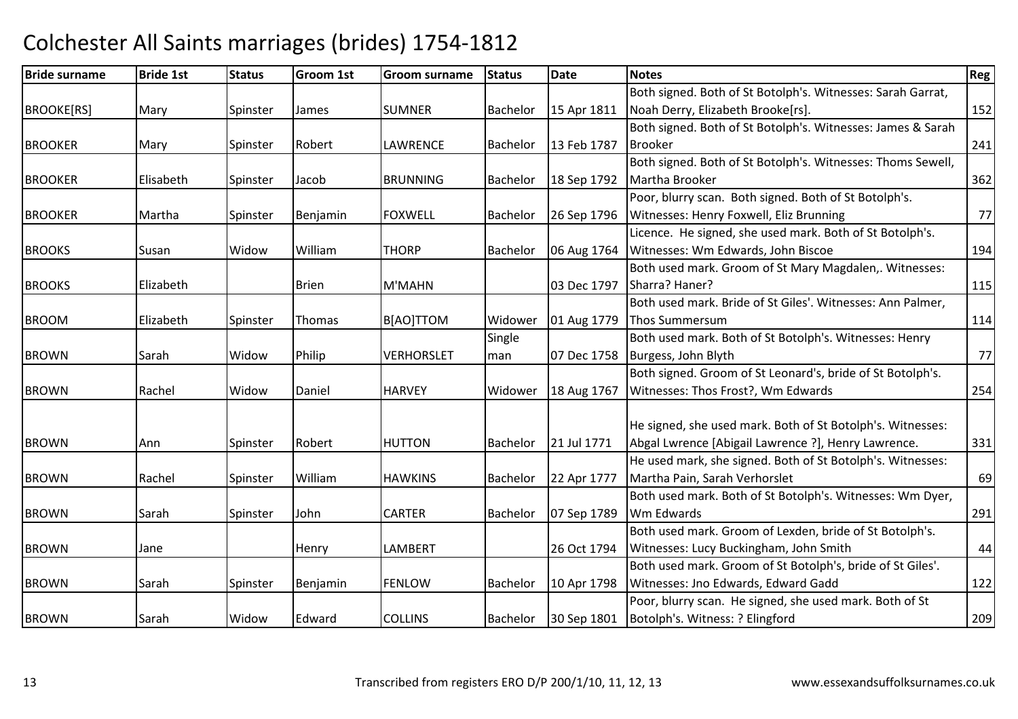#### Bride surnamee Bride 1st Status Groom 1st Groom surname Status Date Notes Region Contract Region Regional Region Region Reg BROOKE[RS]] Mary Spinster James SUMNER SUMNER Bachelor 15 Apr 1811 Both signed. Both of St Botolph's. Witnesses: Sarah Garrat, Noah Derry, Elizabeth Brooke[rs]. 152 BROOKERR Mary Spinster Robert LAWRENCE Bachelor 13 Feb 1787 Both signed. Both of St Botolph's. Witnesses: James & Sarah Brookerr 1241 BROOKERR Elisabeth Spinster Jacob BRUNNING BRUNNING Bachelor 18 Sep 1792 Both signed. Both of St Botolph's. Witnesses: Thoms Sewell, Martha Brooker<u>r</u> 362 **BROOKER** R Martha Spinster Benjamin FOXWELL Bachelor 26 Sep 1796 Poor, blurry scan. Both signed. Both of St Botolph's.Witnesses: Henry Foxwell, Eliz Brunningg 77 **BROOKS**  Susan Widow WilliamWilliam THORP |Bachelor |06 Aug 1764 Licence. He signed, she used mark. Both of St Botolph's. Witnesses: Wm Edwards, John Biscoee 194 **BROOKS**  Elizabeth Brien M'MAHN 03 Dec 1797 Both used mark. Groom of St Mary Magdalen,. Witnesses: Sharra? Haner? <sup>115</sup>BROOMM Blizabeth Spinster Thomas B[AO]TTOM Widower 01 Aug 1779 Both used mark. Bride of St Giles'. Witnesses: Ann Palmer, Thos Summersum <sup>114</sup> Both used mark. Both of St Botolph's. Witnesses: Henry BROWNN Sarah Widow Philip VERHORSLET **Single** man 07 Dec 1758 Burgess, John Blythh 77 BROWNN Rachel Widow Daniel HARVEY Widower 18 Aug 1767 Both signed. Groom of St Leonard's, bride of St Botolph's. Witnesses: Thos Frost?, Wm Edwardss 254 BROWNN MANN Ann Spinster Robert HUTTON Bachelor 21 Jul 1771 He signed, she used mark. Both of St Botolph's. Witnesses:Abgal Lwrence [Abigail Lawrence ?], Henry Lawrence. 331BROWNN Rachel Spinster William William | HAWKINS | Bachelor | 22 Apr 1777 He used mark, she signed. Both of St Botolph's. Witnesses:Martha Pain, Sarah Verhorslett 69 BROWNN Sarah Spinster John CARTER Bachelor 07 Sep 1789 Both used mark. Both of St Botolph's. Witnesses: Wm Dyer, Wm Edwardss 291 BROWNN Jane Henry LAMBERT 26 Oct 1794 Both used mark. Groom of Lexden, bride of St Botolph's. Witnesses: Lucy Buckingham, John Smithh 44 BROWNN Sarah Spinster Benjamin FENLOW FENLOW Bachelor 10 Apr 1798 Both used mark. Groom of St Botolph's, bride of St Giles'. Witnesses: Jno Edwards, Edward Gaddd 122 BROWN Sarah Widow Edward COLLINS Bachelor 30 Sep 1801 Poor, blurry scan. He signed, she used mark. Both of St Botolph's. Witness: ? Elingfordd 209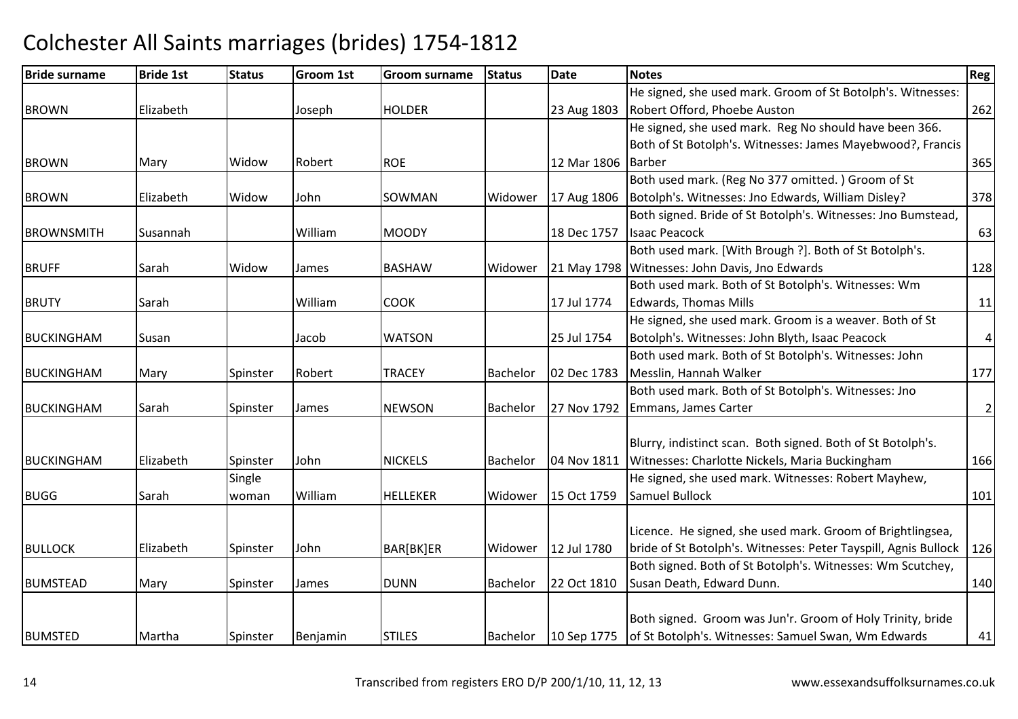| <b>Bride surname</b> | <b>Bride 1st</b> | <b>Status</b> | <b>Groom 1st</b> | Groom surname   | <b>Status</b> | <b>Date</b> | <b>Notes</b>                                                    | Reg            |
|----------------------|------------------|---------------|------------------|-----------------|---------------|-------------|-----------------------------------------------------------------|----------------|
|                      |                  |               |                  |                 |               |             | He signed, she used mark. Groom of St Botolph's. Witnesses:     |                |
| <b>BROWN</b>         | Elizabeth        |               | Joseph           | <b>HOLDER</b>   |               | 23 Aug 1803 | Robert Offord, Phoebe Auston                                    | 262            |
|                      |                  |               |                  |                 |               |             | He signed, she used mark. Reg No should have been 366.          |                |
|                      |                  |               |                  |                 |               |             | Both of St Botolph's. Witnesses: James Mayebwood?, Francis      |                |
| <b>BROWN</b>         | Mary             | Widow         | Robert           | <b>ROE</b>      |               | 12 Mar 1806 | <b>Barber</b>                                                   | 365            |
|                      |                  |               |                  |                 |               |             | Both used mark. (Reg No 377 omitted.) Groom of St               |                |
| <b>BROWN</b>         | Elizabeth        | Widow         | John             | SOWMAN          | Widower       | 17 Aug 1806 | Botolph's. Witnesses: Jno Edwards, William Disley?              | 378            |
|                      |                  |               |                  |                 |               |             | Both signed. Bride of St Botolph's. Witnesses: Jno Bumstead,    |                |
| <b>BROWNSMITH</b>    | Susannah         |               | William          | <b>MOODY</b>    |               | 18 Dec 1757 | <b>Isaac Peacock</b>                                            | 63             |
|                      |                  |               |                  |                 |               |             | Both used mark. [With Brough ?]. Both of St Botolph's.          |                |
| <b>BRUFF</b>         | Sarah            | Widow         | James            | <b>BASHAW</b>   | Widower       | 21 May 1798 | Witnesses: John Davis, Jno Edwards                              | 128            |
|                      |                  |               |                  |                 |               |             | Both used mark. Both of St Botolph's. Witnesses: Wm             |                |
| <b>BRUTY</b>         | Sarah            |               | William          | <b>COOK</b>     |               | 17 Jul 1774 | <b>Edwards, Thomas Mills</b>                                    | 11             |
|                      |                  |               |                  |                 |               |             | He signed, she used mark. Groom is a weaver. Both of St         |                |
| <b>BUCKINGHAM</b>    | Susan            |               | Jacob            | <b>WATSON</b>   |               | 25 Jul 1754 | Botolph's. Witnesses: John Blyth, Isaac Peacock                 | $\overline{a}$ |
|                      |                  |               |                  |                 |               |             | Both used mark. Both of St Botolph's. Witnesses: John           |                |
| <b>BUCKINGHAM</b>    | Mary             | Spinster      | Robert           | <b>TRACEY</b>   | Bachelor      | 02 Dec 1783 | Messlin, Hannah Walker                                          | 177            |
|                      |                  |               |                  |                 |               |             | Both used mark. Both of St Botolph's. Witnesses: Jno            |                |
| <b>BUCKINGHAM</b>    | Sarah            | Spinster      | James            | <b>NEWSON</b>   | Bachelor      | 27 Nov 1792 | Emmans, James Carter                                            | $\overline{2}$ |
|                      |                  |               |                  |                 |               |             |                                                                 |                |
|                      |                  |               |                  |                 |               |             | Blurry, indistinct scan. Both signed. Both of St Botolph's.     |                |
| <b>BUCKINGHAM</b>    | Elizabeth        | Spinster      | John             | <b>NICKELS</b>  | Bachelor      | 04 Nov 1811 | Witnesses: Charlotte Nickels, Maria Buckingham                  | 166            |
|                      |                  | Single        |                  |                 |               |             | He signed, she used mark. Witnesses: Robert Mayhew,             |                |
| <b>BUGG</b>          | Sarah            | woman         | William          | <b>HELLEKER</b> | Widower       | 15 Oct 1759 | Samuel Bullock                                                  | 101            |
|                      |                  |               |                  |                 |               |             |                                                                 |                |
|                      |                  |               |                  |                 |               |             | Licence. He signed, she used mark. Groom of Brightlingsea,      |                |
| <b>BULLOCK</b>       | Elizabeth        | Spinster      | John             | BAR[BK]ER       | Widower       | 12 Jul 1780 | bride of St Botolph's. Witnesses: Peter Tayspill, Agnis Bullock | 126            |
|                      |                  |               |                  |                 |               |             | Both signed. Both of St Botolph's. Witnesses: Wm Scutchey,      |                |
| <b>BUMSTEAD</b>      | Mary             | Spinster      | James            | <b>DUNN</b>     | Bachelor      | 22 Oct 1810 | Susan Death, Edward Dunn.                                       | 140            |
|                      |                  |               |                  |                 |               |             |                                                                 |                |
|                      |                  |               |                  |                 |               |             | Both signed. Groom was Jun'r. Groom of Holy Trinity, bride      |                |
| <b>BUMSTED</b>       | Martha           | Spinster      | Benjamin         | <b>STILES</b>   | Bachelor      | 10 Sep 1775 | of St Botolph's. Witnesses: Samuel Swan, Wm Edwards             | 41             |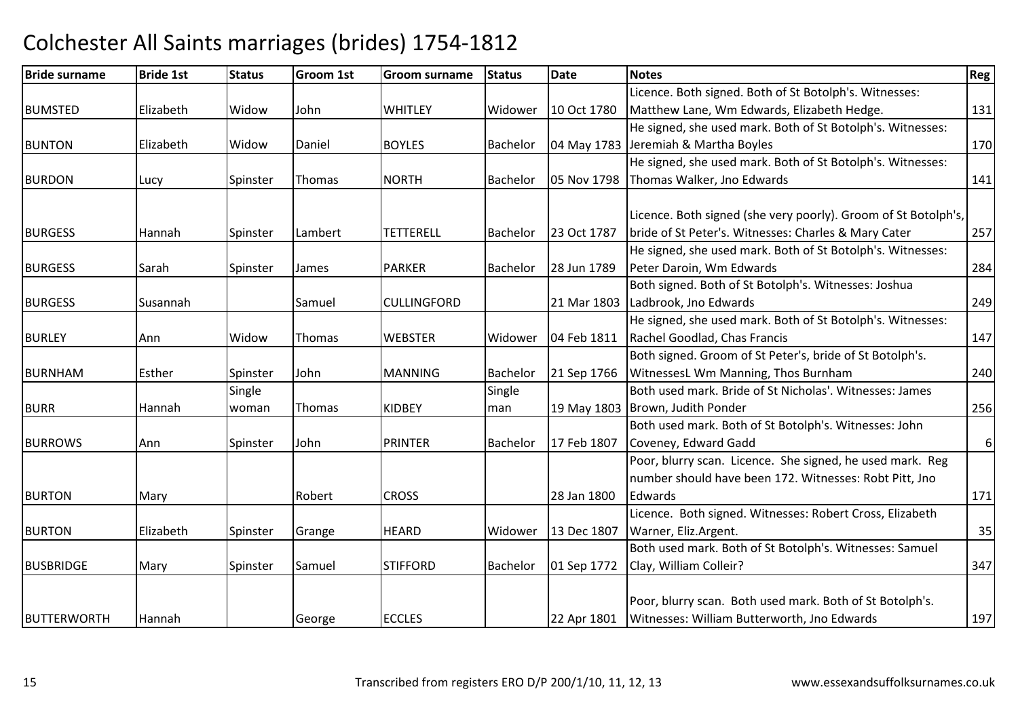#### Bride surnamee Bride 1st Status Groom 1st Groom surname Status Date Notes Region Contract Region Regional Region Region Reg BUMSTED Elizabeth Widow John WHITLEY Widower 10 Oct 1780 Licence. Both signed. Both of St Botolph's. Witnesses: Matthew Lane, Wm Edwards, Elizabeth Hedge. 131 BUNTONN Elizabeth Widow Daniel BOYLES Bachelor 04 May 1783 He signed, she used mark. Both of St Botolph's. Witnesses:04 May 1783 Jeremiah & Martha Boyles s 170 BURDONN Lucy Spinster Thomas NORTH Bachelor 05 Nov 1798 He signed, she used mark. Both of St Botolph's. Witnesses:Thomas Walker, Jno Edwardss 141 BURGESSS 1993 Hannah Spinster Lambert TETTERELL Bachelor 23 Oct 1787 Licence. Both signed (she very poorly). Groom of St Botolph's, bride of St Peter's. Witnesses: Charles & Mary Cater <sup>257</sup>BURGESSS Sarah Spinster James PARKER PARKER Bachelor 28 Jun 1789 He signed, she used mark. Both of St Botolph's. Witnesses:Peter Daroin, Wm Edwards $\sim$  284 **BURGESS** S Susannah Susannah Samuel CULLINGFORD 21 Mar 1803 Both signed. Both of St Botolph's. Witnesses: Joshua 21 Mar 1803 Ladbrook, Jno Edwards  $\sim$  249 BURLEYY 1988 | Ann 1988 | Widow | Thomas | WEBSTER WEBSTER | Widower | 04 Feb 1811 He signed, she used mark. Both of St Botolph's. Witnesses:Rachel Goodlad, Chas Franciss 147 BURNHAMM Esther Spinster John MANNING Bachelor 21 Sep 1766 Both signed. Groom of St Peter's, bride of St Botolph's. 21 Sep 1766 | WitnessesL Wm Manning, Thos Burnham <sup>240</sup> Both used mark. Bride of St Nicholas'. Witnesses: James BURR Hannah **Single** woman Thomas KIDBEY Single man 19 May 1803 Brown, Judith Ponder<u>and 256</u> **BURROWS**  Ann Spinster John PRINTERBachelor 17 Feb 1807 Both used mark. Both of St Botolph's. Witnesses: John Coveney, Edward Gadd Poor, blurry scan. Licence. She signed, he used mark. Reg 6BURTONN Mary Robert CROSS 28 Jan 1800 number should have been 172. Witnesses: Robt Pitt, Jno **Edwards** s and the contract of the contract of the contract of the contract of the contract of the contract of the contract of the contract of the contract of the contract of the contract of the contract of the contract of the cont BURTONN Elizabeth Spinster Grange HEARD Widower 13 Dec 1807 Licence. Both signed. Witnesses: Robert Cross, ElizabethWarner, Eliz.Argent. 35BUSBRIDGEE Mary Spinster Samuel STIFFORD STIFFORD | Bachelor | 01 Sep 1772 Both used mark. Both of St Botolph's. Witnesses: Samuel Clay, William Colleir?<u>347 (a)</u> BUTTERWORTHH |Hannah | George |ECCLES | 22 Apr 1801 Poor, blurry scan. Both used mark. Both of St Botolph's. Witnesses: William Butterworth, Jno Edwards<sup>197</sup>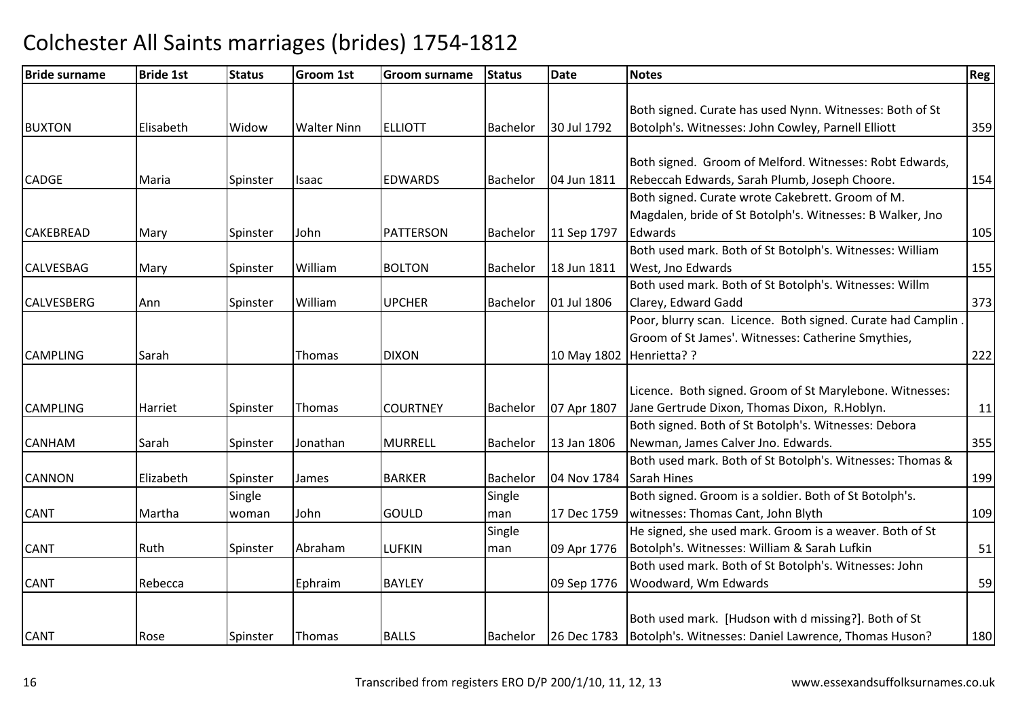| <b>Bride surname</b> | <b>Bride 1st</b> | <b>Status</b> | <b>Groom 1st</b>   | <b>Groom surname</b> | <b>Status</b>   | <b>Date</b>              | <b>Notes</b>                                                       | Reg <sup>1</sup> |
|----------------------|------------------|---------------|--------------------|----------------------|-----------------|--------------------------|--------------------------------------------------------------------|------------------|
|                      |                  |               |                    |                      |                 |                          |                                                                    |                  |
|                      |                  |               |                    |                      |                 |                          | Both signed. Curate has used Nynn. Witnesses: Both of St           |                  |
| <b>BUXTON</b>        | Elisabeth        | Widow         | <b>Walter Ninn</b> | <b>ELLIOTT</b>       | <b>Bachelor</b> | 30 Jul 1792              | Botolph's. Witnesses: John Cowley, Parnell Elliott                 | 359              |
|                      |                  |               |                    |                      |                 |                          |                                                                    |                  |
|                      |                  |               |                    |                      |                 |                          | Both signed. Groom of Melford. Witnesses: Robt Edwards,            |                  |
| <b>CADGE</b>         | Maria            | Spinster      | <b>Isaac</b>       | <b>EDWARDS</b>       | <b>Bachelor</b> | 04 Jun 1811              | Rebeccah Edwards, Sarah Plumb, Joseph Choore.                      | 154              |
|                      |                  |               |                    |                      |                 |                          | Both signed. Curate wrote Cakebrett. Groom of M.                   |                  |
|                      |                  |               |                    |                      |                 |                          | Magdalen, bride of St Botolph's. Witnesses: B Walker, Jno          |                  |
| <b>CAKEBREAD</b>     | Mary             | Spinster      | John               | <b>PATTERSON</b>     | Bachelor        | 11 Sep 1797              | Edwards                                                            | 105              |
|                      |                  |               |                    |                      |                 |                          | Both used mark. Both of St Botolph's. Witnesses: William           |                  |
| <b>CALVESBAG</b>     | Mary             | Spinster      | William            | <b>BOLTON</b>        | <b>Bachelor</b> | 18 Jun 1811              | West, Jno Edwards                                                  | 155              |
|                      |                  |               |                    |                      |                 |                          | Both used mark. Both of St Botolph's. Witnesses: Willm             |                  |
| <b>CALVESBERG</b>    | Ann              | Spinster      | William            | <b>UPCHER</b>        | Bachelor        | 01 Jul 1806              | Clarey, Edward Gadd                                                | 373              |
|                      |                  |               |                    |                      |                 |                          | Poor, blurry scan. Licence. Both signed. Curate had Camplin        |                  |
|                      |                  |               |                    |                      |                 |                          | Groom of St James'. Witnesses: Catherine Smythies,                 |                  |
| <b>CAMPLING</b>      | Sarah            |               | <b>Thomas</b>      | <b>DIXON</b>         |                 | 10 May 1802 Henrietta? ? |                                                                    | 222              |
|                      |                  |               |                    |                      |                 |                          |                                                                    |                  |
|                      |                  |               |                    |                      |                 |                          | Licence. Both signed. Groom of St Marylebone. Witnesses:           |                  |
| <b>CAMPLING</b>      | Harriet          | Spinster      | Thomas             | <b>COURTNEY</b>      | Bachelor        | 07 Apr 1807              | Jane Gertrude Dixon, Thomas Dixon, R.Hoblyn.                       | 11               |
|                      |                  |               |                    |                      |                 |                          | Both signed. Both of St Botolph's. Witnesses: Debora               |                  |
| <b>CANHAM</b>        | Sarah            | Spinster      | Jonathan           | <b>MURRELL</b>       | Bachelor        | 13 Jan 1806              | Newman, James Calver Jno. Edwards.                                 | 355              |
|                      |                  |               |                    |                      |                 |                          | Both used mark. Both of St Botolph's. Witnesses: Thomas &          |                  |
| <b>CANNON</b>        | Elizabeth        | Spinster      | James              | <b>BARKER</b>        | Bachelor        | 04 Nov 1784              | Sarah Hines                                                        | 199              |
|                      |                  | Single        |                    |                      | Single          |                          | Both signed. Groom is a soldier. Both of St Botolph's.             |                  |
| <b>CANT</b>          | Martha           | woman         | John               | GOULD                | man             | 17 Dec 1759              | witnesses: Thomas Cant, John Blyth                                 | 109              |
|                      |                  |               |                    |                      | Single          |                          | He signed, she used mark. Groom is a weaver. Both of St            |                  |
| <b>CANT</b>          | Ruth             | Spinster      | Abraham            | <b>LUFKIN</b>        | man             | 09 Apr 1776              | Botolph's. Witnesses: William & Sarah Lufkin                       | 51               |
|                      |                  |               |                    |                      |                 |                          | Both used mark. Both of St Botolph's. Witnesses: John              |                  |
| <b>CANT</b>          | Rebecca          |               | Ephraim            | <b>BAYLEY</b>        |                 | 09 Sep 1776              | Woodward, Wm Edwards                                               | 59               |
|                      |                  |               |                    |                      |                 |                          |                                                                    |                  |
|                      |                  |               |                    |                      |                 |                          | Both used mark. [Hudson with d missing?]. Both of St               |                  |
| <b>CANT</b>          | Rose             | Spinster      | Thomas             | <b>BALLS</b>         | Bachelor        |                          | 26 Dec 1783   Botolph's. Witnesses: Daniel Lawrence, Thomas Huson? | 180              |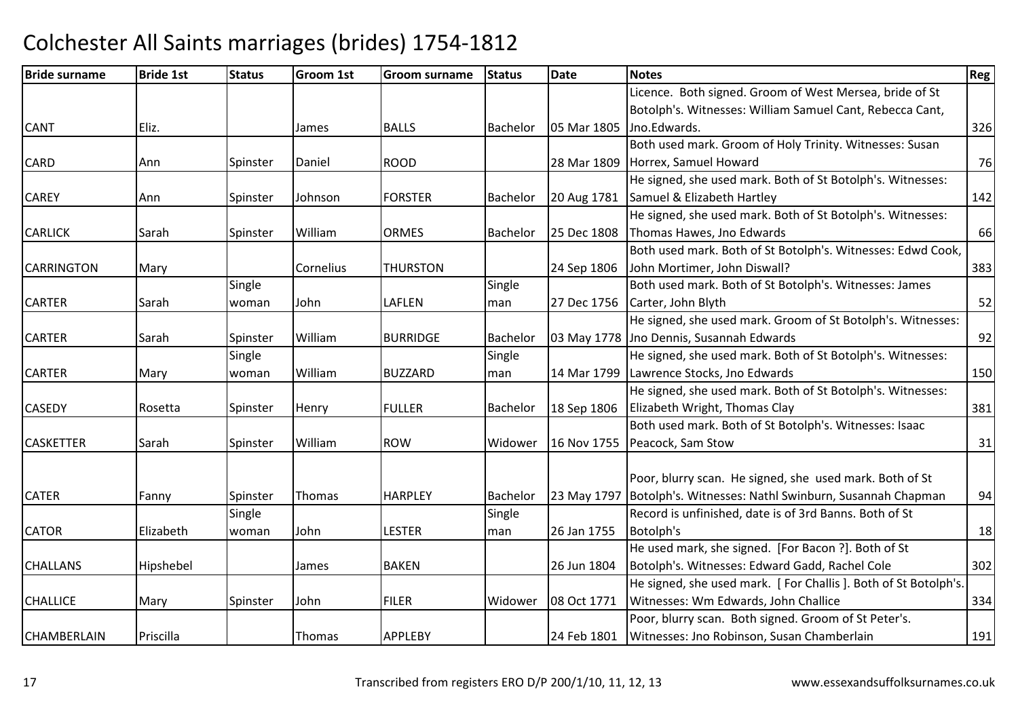| <b>Bride surname</b> | <b>Bride 1st</b> | <b>Status</b> | <b>Groom 1st</b> | <b>Groom surname</b> | <b>Status</b> | <b>Date</b> | <b>Notes</b>                                                   | Reg |
|----------------------|------------------|---------------|------------------|----------------------|---------------|-------------|----------------------------------------------------------------|-----|
|                      |                  |               |                  |                      |               |             | Licence. Both signed. Groom of West Mersea, bride of St        |     |
|                      |                  |               |                  |                      |               |             | Botolph's. Witnesses: William Samuel Cant, Rebecca Cant,       |     |
| <b>CANT</b>          | Eliz.            |               | James            | <b>BALLS</b>         | Bachelor      | 05 Mar 1805 | Jno.Edwards.                                                   | 326 |
|                      |                  |               |                  |                      |               |             | Both used mark. Groom of Holy Trinity. Witnesses: Susan        |     |
| <b>CARD</b>          | Ann              | Spinster      | Daniel           | <b>ROOD</b>          |               | 28 Mar 1809 | Horrex, Samuel Howard                                          | 76  |
|                      |                  |               |                  |                      |               |             | He signed, she used mark. Both of St Botolph's. Witnesses:     |     |
| <b>CAREY</b>         | Ann              | Spinster      | Johnson          | <b>FORSTER</b>       | Bachelor      | 20 Aug 1781 | Samuel & Elizabeth Hartley                                     | 142 |
|                      |                  |               |                  |                      |               |             | He signed, she used mark. Both of St Botolph's. Witnesses:     |     |
| <b>CARLICK</b>       | Sarah            | Spinster      | William          | <b>ORMES</b>         | Bachelor      | 25 Dec 1808 | Thomas Hawes, Jno Edwards                                      | 66  |
|                      |                  |               |                  |                      |               |             | Both used mark. Both of St Botolph's. Witnesses: Edwd Cook,    |     |
| <b>CARRINGTON</b>    | Mary             |               | Cornelius        | <b>THURSTON</b>      |               | 24 Sep 1806 | John Mortimer, John Diswall?                                   | 383 |
|                      |                  | Single        |                  |                      | Single        |             | Both used mark. Both of St Botolph's. Witnesses: James         |     |
| <b>CARTER</b>        | Sarah            | woman         | John             | LAFLEN               | man           | 27 Dec 1756 | Carter, John Blyth                                             | 52  |
|                      |                  |               |                  |                      |               |             | He signed, she used mark. Groom of St Botolph's. Witnesses:    |     |
| <b>CARTER</b>        | Sarah            | Spinster      | William          | <b>BURRIDGE</b>      | Bachelor      |             | 03 May 1778 Jno Dennis, Susannah Edwards                       | 92  |
|                      |                  | Single        |                  |                      | Single        |             | He signed, she used mark. Both of St Botolph's. Witnesses:     |     |
| <b>CARTER</b>        | Mary             | woman         | William          | <b>BUZZARD</b>       | man           | 14 Mar 1799 | Lawrence Stocks, Jno Edwards                                   | 150 |
|                      |                  |               |                  |                      |               |             | He signed, she used mark. Both of St Botolph's. Witnesses:     |     |
| <b>CASEDY</b>        | Rosetta          | Spinster      | Henry            | <b>FULLER</b>        | Bachelor      | 18 Sep 1806 | Elizabeth Wright, Thomas Clay                                  | 381 |
|                      |                  |               |                  |                      |               |             | Both used mark. Both of St Botolph's. Witnesses: Isaac         |     |
| <b>CASKETTER</b>     | Sarah            | Spinster      | William          | <b>ROW</b>           | Widower       | 16 Nov 1755 | Peacock, Sam Stow                                              | 31  |
|                      |                  |               |                  |                      |               |             |                                                                |     |
|                      |                  |               |                  |                      |               |             | Poor, blurry scan. He signed, she used mark. Both of St        |     |
| <b>CATER</b>         | Fanny            | Spinster      | Thomas           | <b>HARPLEY</b>       | Bachelor      | 23 May 1797 | Botolph's. Witnesses: Nathl Swinburn, Susannah Chapman         | 94  |
|                      |                  | Single        |                  |                      | Single        |             | Record is unfinished, date is of 3rd Banns. Both of St         |     |
| <b>CATOR</b>         | Elizabeth        | woman         | John             | <b>LESTER</b>        | man           | 26 Jan 1755 | Botolph's                                                      | 18  |
|                      |                  |               |                  |                      |               |             | He used mark, she signed. [For Bacon ?]. Both of St            |     |
| <b>CHALLANS</b>      | Hipshebel        |               | James            | <b>BAKEN</b>         |               | 26 Jun 1804 | Botolph's. Witnesses: Edward Gadd, Rachel Cole                 | 302 |
|                      |                  |               |                  |                      |               |             | He signed, she used mark. [For Challis]. Both of St Botolph's. |     |
| <b>CHALLICE</b>      | Mary             | Spinster      | John             | <b>FILER</b>         | Widower       | 08 Oct 1771 | Witnesses: Wm Edwards, John Challice                           | 334 |
|                      |                  |               |                  |                      |               |             | Poor, blurry scan. Both signed. Groom of St Peter's.           |     |
| <b>CHAMBERLAIN</b>   | Priscilla        |               | Thomas           | <b>APPLEBY</b>       |               | 24 Feb 1801 | Witnesses: Jno Robinson, Susan Chamberlain                     | 191 |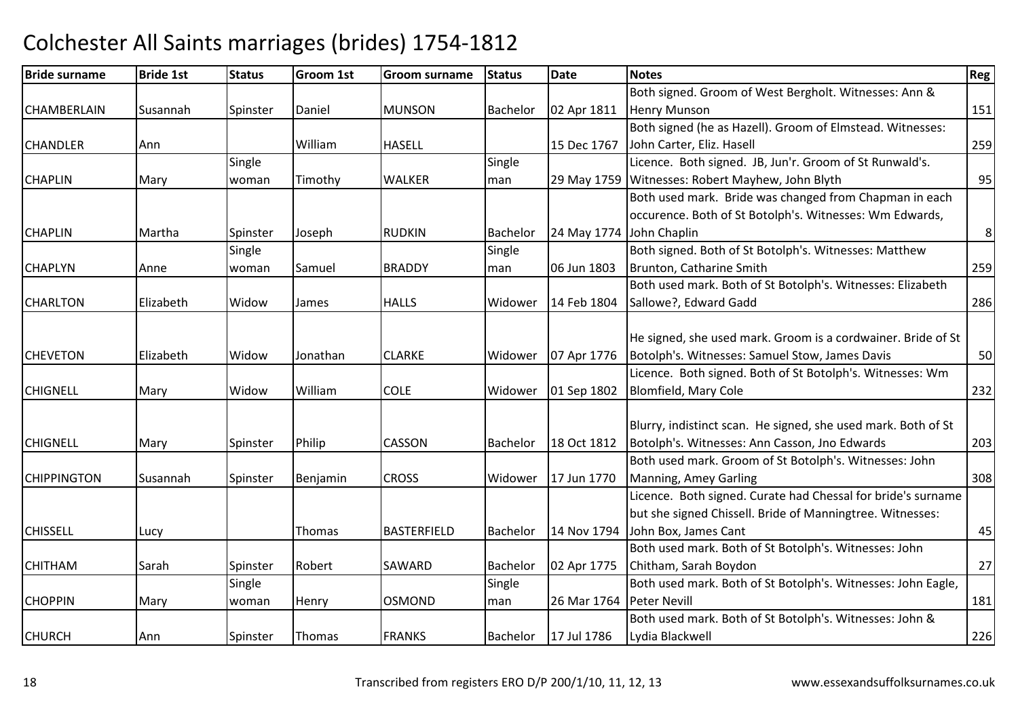| <b>Bride surname</b> | <b>Bride 1st</b> | <b>Status</b> | <b>Groom 1st</b> | <b>Groom surname</b> | <b>Status</b>   | Date        | <b>Notes</b>                                                  | Reg |
|----------------------|------------------|---------------|------------------|----------------------|-----------------|-------------|---------------------------------------------------------------|-----|
|                      |                  |               |                  |                      |                 |             | Both signed. Groom of West Bergholt. Witnesses: Ann &         |     |
| <b>CHAMBERLAIN</b>   | Susannah         | Spinster      | Daniel           | <b>MUNSON</b>        | Bachelor        | 02 Apr 1811 | <b>Henry Munson</b>                                           | 151 |
|                      |                  |               |                  |                      |                 |             | Both signed (he as Hazell). Groom of Elmstead. Witnesses:     |     |
| <b>CHANDLER</b>      | Ann              |               | William          | <b>HASELL</b>        |                 | 15 Dec 1767 | John Carter, Eliz. Hasell                                     | 259 |
|                      |                  | Single        |                  |                      | Single          |             | Licence. Both signed. JB, Jun'r. Groom of St Runwald's.       |     |
| <b>CHAPLIN</b>       | Mary             | woman         | Timothy          | <b>WALKER</b>        | man             | 29 May 1759 | Witnesses: Robert Mayhew, John Blyth                          | 95  |
|                      |                  |               |                  |                      |                 |             | Both used mark. Bride was changed from Chapman in each        |     |
|                      |                  |               |                  |                      |                 |             | occurence. Both of St Botolph's. Witnesses: Wm Edwards,       |     |
| <b>CHAPLIN</b>       | Martha           | Spinster      | Joseph           | <b>RUDKIN</b>        | Bachelor        | 24 May 1774 | John Chaplin                                                  | 8   |
|                      |                  | Single        |                  |                      | Single          |             | Both signed. Both of St Botolph's. Witnesses: Matthew         |     |
| <b>CHAPLYN</b>       | Anne             | woman         | Samuel           | <b>BRADDY</b>        | man             | 06 Jun 1803 | Brunton, Catharine Smith                                      | 259 |
|                      |                  |               |                  |                      |                 |             | Both used mark. Both of St Botolph's. Witnesses: Elizabeth    |     |
| <b>CHARLTON</b>      | Elizabeth        | Widow         | James            | <b>HALLS</b>         | Widower         | 14 Feb 1804 | Sallowe?, Edward Gadd                                         | 286 |
|                      |                  |               |                  |                      |                 |             |                                                               |     |
|                      |                  |               |                  |                      |                 |             | He signed, she used mark. Groom is a cordwainer. Bride of St  |     |
| <b>CHEVETON</b>      | Elizabeth        | Widow         | Jonathan         | <b>CLARKE</b>        | Widower         | 07 Apr 1776 | Botolph's. Witnesses: Samuel Stow, James Davis                | 50  |
|                      |                  |               |                  |                      |                 |             | Licence. Both signed. Both of St Botolph's. Witnesses: Wm     |     |
| <b>CHIGNELL</b>      | Mary             | Widow         | William          | <b>COLE</b>          | Widower         | 01 Sep 1802 | Blomfield, Mary Cole                                          | 232 |
|                      |                  |               |                  |                      |                 |             |                                                               |     |
|                      |                  |               |                  |                      |                 |             | Blurry, indistinct scan. He signed, she used mark. Both of St |     |
| <b>CHIGNELL</b>      | Mary             | Spinster      | Philip           | <b>CASSON</b>        | <b>Bachelor</b> | 18 Oct 1812 | Botolph's. Witnesses: Ann Casson, Jno Edwards                 | 203 |
|                      |                  |               |                  |                      |                 |             | Both used mark. Groom of St Botolph's. Witnesses: John        |     |
| <b>CHIPPINGTON</b>   | Susannah         | Spinster      | Benjamin         | <b>CROSS</b>         | Widower         | 17 Jun 1770 | Manning, Amey Garling                                         | 308 |
|                      |                  |               |                  |                      |                 |             | Licence. Both signed. Curate had Chessal for bride's surname  |     |
|                      |                  |               |                  |                      |                 |             | but she signed Chissell. Bride of Manningtree. Witnesses:     |     |
| <b>CHISSELL</b>      | Lucy             |               | Thomas           | <b>BASTERFIELD</b>   | Bachelor        | 14 Nov 1794 | John Box, James Cant                                          | 45  |
|                      |                  |               |                  |                      |                 |             | Both used mark. Both of St Botolph's. Witnesses: John         |     |
| <b>CHITHAM</b>       | Sarah            | Spinster      | Robert           | SAWARD               | Bachelor        | 02 Apr 1775 | Chitham, Sarah Boydon                                         | 27  |
|                      |                  | Single        |                  |                      | Single          |             | Both used mark. Both of St Botolph's. Witnesses: John Eagle,  |     |
| <b>CHOPPIN</b>       | Mary             | woman         | Henry            | <b>OSMOND</b>        | man             | 26 Mar 1764 | <b>Peter Nevill</b>                                           | 181 |
|                      |                  |               |                  |                      |                 |             | Both used mark. Both of St Botolph's. Witnesses: John &       |     |
| <b>CHURCH</b>        | Ann              | Spinster      | Thomas           | <b>FRANKS</b>        | Bachelor        | 17 Jul 1786 | Lydia Blackwell                                               | 226 |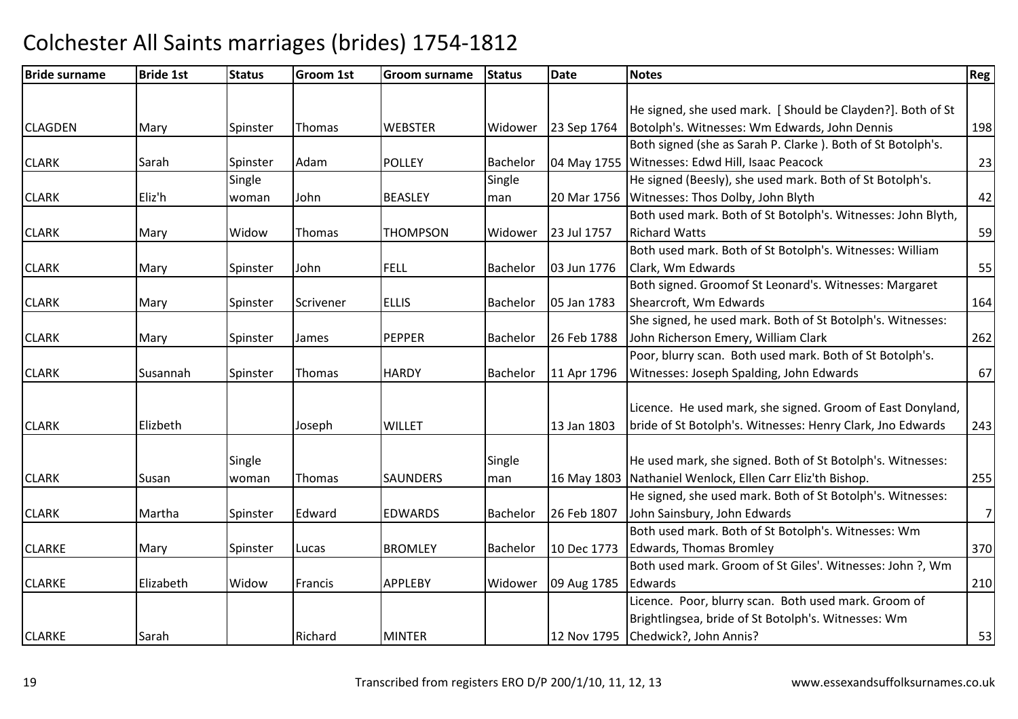| <b>Bride surname</b> | <b>Bride 1st</b> | <b>Status</b> | <b>Groom 1st</b> | Groom surname   | <b>Status</b>   | <b>Date</b> | <b>Notes</b>                                                 | Reg            |
|----------------------|------------------|---------------|------------------|-----------------|-----------------|-------------|--------------------------------------------------------------|----------------|
|                      |                  |               |                  |                 |                 |             |                                                              |                |
|                      |                  |               |                  |                 |                 |             | He signed, she used mark. [Should be Clayden?]. Both of St   |                |
| <b>CLAGDEN</b>       | Mary             | Spinster      | <b>Thomas</b>    | <b>WEBSTER</b>  | Widower         | 23 Sep 1764 | Botolph's. Witnesses: Wm Edwards, John Dennis                | 198            |
|                      |                  |               |                  |                 |                 |             | Both signed (she as Sarah P. Clarke). Both of St Botolph's.  |                |
| <b>CLARK</b>         | Sarah            | Spinster      | Adam             | <b>POLLEY</b>   | Bachelor        |             | 04 May 1755 Witnesses: Edwd Hill, Isaac Peacock              | 23             |
|                      |                  | Single        |                  |                 | Single          |             | He signed (Beesly), she used mark. Both of St Botolph's.     |                |
| <b>CLARK</b>         | Eliz'h           | woman         | John             | <b>BEASLEY</b>  | man             |             | 20 Mar 1756 Witnesses: Thos Dolby, John Blyth                | 42             |
|                      |                  |               |                  |                 |                 |             | Both used mark. Both of St Botolph's. Witnesses: John Blyth, |                |
| <b>CLARK</b>         | Mary             | Widow         | Thomas           | <b>THOMPSON</b> | Widower         | 23 Jul 1757 | <b>Richard Watts</b>                                         | 59             |
|                      |                  |               |                  |                 |                 |             | Both used mark. Both of St Botolph's. Witnesses: William     |                |
| <b>CLARK</b>         | Mary             | Spinster      | John             | <b>FELL</b>     | <b>Bachelor</b> | 03 Jun 1776 | Clark, Wm Edwards                                            | 55             |
|                      |                  |               |                  |                 |                 |             | Both signed. Groomof St Leonard's. Witnesses: Margaret       |                |
| <b>CLARK</b>         | Mary             | Spinster      | Scrivener        | <b>ELLIS</b>    | Bachelor        | 05 Jan 1783 | Shearcroft, Wm Edwards                                       | 164            |
|                      |                  |               |                  |                 |                 |             | She signed, he used mark. Both of St Botolph's. Witnesses:   |                |
| <b>CLARK</b>         | Mary             | Spinster      | James            | <b>PEPPER</b>   | Bachelor        | 26 Feb 1788 | John Richerson Emery, William Clark                          | 262            |
|                      |                  |               |                  |                 |                 |             | Poor, blurry scan. Both used mark. Both of St Botolph's.     |                |
| <b>CLARK</b>         | Susannah         | Spinster      | Thomas           | <b>HARDY</b>    | <b>Bachelor</b> | 11 Apr 1796 | Witnesses: Joseph Spalding, John Edwards                     | 67             |
|                      |                  |               |                  |                 |                 |             |                                                              |                |
|                      |                  |               |                  |                 |                 |             | Licence. He used mark, she signed. Groom of East Donyland,   |                |
| <b>CLARK</b>         | Elizbeth         |               | Joseph           | <b>WILLET</b>   |                 | 13 Jan 1803 | bride of St Botolph's. Witnesses: Henry Clark, Jno Edwards   | 243            |
|                      |                  |               |                  |                 |                 |             |                                                              |                |
|                      |                  | Single        |                  |                 | Single          |             | He used mark, she signed. Both of St Botolph's. Witnesses:   |                |
| <b>CLARK</b>         | Susan            | woman         | Thomas           | SAUNDERS        | man             |             | 16 May 1803 Nathaniel Wenlock, Ellen Carr Eliz'th Bishop.    | 255            |
|                      |                  |               |                  |                 |                 |             | He signed, she used mark. Both of St Botolph's. Witnesses:   |                |
| <b>CLARK</b>         | Martha           | Spinster      | Edward           | <b>EDWARDS</b>  | <b>Bachelor</b> | 26 Feb 1807 | John Sainsbury, John Edwards                                 | $\overline{7}$ |
|                      |                  |               |                  |                 |                 |             | Both used mark. Both of St Botolph's. Witnesses: Wm          |                |
| <b>CLARKE</b>        | Mary             | Spinster      | Lucas            | <b>BROMLEY</b>  | Bachelor        | 10 Dec 1773 | Edwards, Thomas Bromley                                      | 370            |
|                      |                  |               |                  |                 |                 |             | Both used mark. Groom of St Giles'. Witnesses: John ?, Wm    |                |
| <b>CLARKE</b>        | Elizabeth        | Widow         | Francis          | APPLEBY         | Widower         | 09 Aug 1785 | Edwards                                                      | 210            |
|                      |                  |               |                  |                 |                 |             | Licence. Poor, blurry scan. Both used mark. Groom of         |                |
|                      |                  |               |                  |                 |                 |             | Brightlingsea, bride of St Botolph's. Witnesses: Wm          |                |
| <b>CLARKE</b>        | Sarah            |               | Richard          | <b>MINTER</b>   |                 |             | 12 Nov 1795 Chedwick?, John Annis?                           | 53             |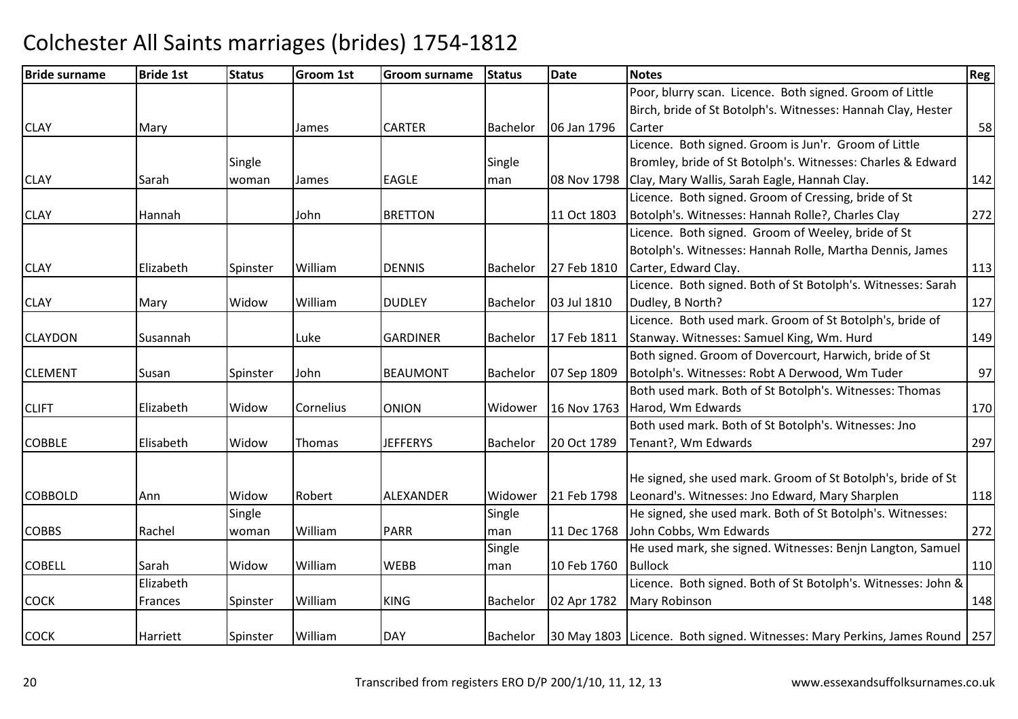| <b>Bride surname</b> | <b>Bride 1st</b> | <b>Status</b> | <b>Groom 1st</b> | <b>Groom surname</b> | <b>Status</b>   | Date        | <b>Notes</b>                                                           | Reg |
|----------------------|------------------|---------------|------------------|----------------------|-----------------|-------------|------------------------------------------------------------------------|-----|
|                      |                  |               |                  |                      |                 |             | Poor, blurry scan. Licence. Both signed. Groom of Little               |     |
|                      |                  |               |                  |                      |                 |             | Birch, bride of St Botolph's. Witnesses: Hannah Clay, Hester           |     |
| <b>CLAY</b>          | Mary             |               | James            | <b>CARTER</b>        | Bachelor        | 06 Jan 1796 | Carter                                                                 | 58  |
|                      |                  |               |                  |                      |                 |             | Licence. Both signed. Groom is Jun'r. Groom of Little                  |     |
|                      |                  | Single        |                  |                      | Single          |             | Bromley, bride of St Botolph's. Witnesses: Charles & Edward            |     |
| <b>CLAY</b>          | Sarah            | woman         | James            | <b>EAGLE</b>         | man             | 08 Nov 1798 | Clay, Mary Wallis, Sarah Eagle, Hannah Clay.                           | 142 |
|                      |                  |               |                  |                      |                 |             | Licence. Both signed. Groom of Cressing, bride of St                   |     |
| <b>CLAY</b>          | Hannah           |               | John             | <b>BRETTON</b>       |                 | 11 Oct 1803 | Botolph's. Witnesses: Hannah Rolle?, Charles Clay                      | 272 |
|                      |                  |               |                  |                      |                 |             | Licence. Both signed. Groom of Weeley, bride of St                     |     |
|                      |                  |               |                  |                      |                 |             | Botolph's. Witnesses: Hannah Rolle, Martha Dennis, James               |     |
| <b>CLAY</b>          | Elizabeth        | Spinster      | William          | <b>DENNIS</b>        | Bachelor        | 27 Feb 1810 | Carter, Edward Clay.                                                   | 113 |
|                      |                  |               |                  |                      |                 |             | Licence. Both signed. Both of St Botolph's. Witnesses: Sarah           |     |
| <b>CLAY</b>          | Mary             | Widow         | William          | <b>DUDLEY</b>        | Bachelor        | 03 Jul 1810 | Dudley, B North?                                                       | 127 |
|                      |                  |               |                  |                      |                 |             | Licence. Both used mark. Groom of St Botolph's, bride of               |     |
| <b>CLAYDON</b>       | Susannah         |               | Luke             | <b>GARDINER</b>      | Bachelor        | 17 Feb 1811 | Stanway. Witnesses: Samuel King, Wm. Hurd                              | 149 |
|                      |                  |               |                  |                      |                 |             | Both signed. Groom of Dovercourt, Harwich, bride of St                 |     |
| <b>CLEMENT</b>       | Susan            | Spinster      | John             | <b>BEAUMONT</b>      | Bachelor        | 07 Sep 1809 | Botolph's. Witnesses: Robt A Derwood, Wm Tuder                         | 97  |
|                      |                  |               |                  |                      |                 |             | Both used mark. Both of St Botolph's. Witnesses: Thomas                |     |
| <b>CLIFT</b>         | Elizabeth        | Widow         | Cornelius        | <b>ONION</b>         | Widower         | 16 Nov 1763 | Harod, Wm Edwards                                                      | 170 |
|                      |                  |               |                  |                      |                 |             | Both used mark. Both of St Botolph's. Witnesses: Jno                   |     |
| <b>COBBLE</b>        | Elisabeth        | Widow         | Thomas           | <b>JEFFERYS</b>      | Bachelor        | 20 Oct 1789 | Tenant?, Wm Edwards                                                    | 297 |
|                      |                  |               |                  |                      |                 |             |                                                                        |     |
|                      |                  |               |                  |                      |                 |             | He signed, she used mark. Groom of St Botolph's, bride of St           |     |
| <b>COBBOLD</b>       | Ann              | Widow         | Robert           | ALEXANDER            | Widower         | 21 Feb 1798 | Leonard's. Witnesses: Jno Edward, Mary Sharplen                        | 118 |
|                      |                  | Single        |                  |                      | Single          |             | He signed, she used mark. Both of St Botolph's. Witnesses:             |     |
| <b>COBBS</b>         | Rachel           | woman         | William          | <b>PARR</b>          | man             | 11 Dec 1768 | John Cobbs, Wm Edwards                                                 | 272 |
|                      |                  |               |                  |                      | Single          |             | He used mark, she signed. Witnesses: Benjn Langton, Samuel             |     |
| <b>COBELL</b>        | Sarah            | Widow         | William          | <b>WEBB</b>          | man             | 10 Feb 1760 | <b>Bullock</b>                                                         | 110 |
|                      | Elizabeth        |               |                  |                      |                 |             | Licence. Both signed. Both of St Botolph's. Witnesses: John &          |     |
| <b>COCK</b>          | Frances          | Spinster      | William          | <b>KING</b>          | <b>Bachelor</b> | 02 Apr 1782 | <b>Mary Robinson</b>                                                   | 148 |
|                      |                  |               |                  |                      |                 |             |                                                                        |     |
| <b>COCK</b>          | Harriett         | Spinster      | William          | <b>DAY</b>           | Bachelor        |             | 30 May 1803 Licence. Both signed. Witnesses: Mary Perkins, James Round | 257 |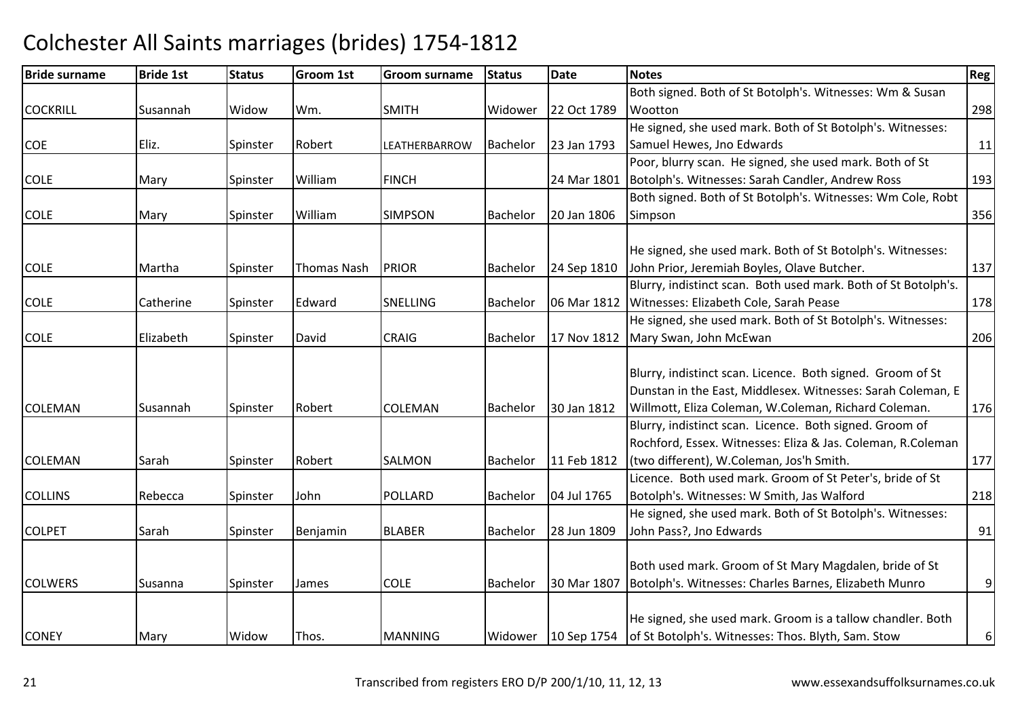#### Bride surnamee Bride 1st Status Groom 1st Groom surname Status Date Notes Region Contract Region Regional Region Region Reg **COCKRILL** L Susannah Widow Wm. SMITH SMITH Widower 22 Oct 1789 Both signed. Both of St Botolph's. Witnesses: Wm & Susan **Wootton** n 298 **COE** Eliz. Spinster Robert | LEATHERBARROW Bachelor 23 Jan 1793 He signed, she used mark. Both of St Botolph's. Witnesses:Samuel Hewes, Jno Edwardss and  $\vert$  11 COLEMary Spinster William FINCH 24 Mar 1801 Poor, blurry scan. He signed, she used mark. Both of St Botolph's. Witnesses: Sarah Candler, Andrew Ross <sup>193</sup>COLEE Mary Spinster William SIMPSON Bachelor 20 Jan 1806 Both signed. Both of St Botolph's. Witnesses: Wm Cole, Robt Simpsonn 356 COLE Martha Spinster Thomas Nash PRIORBachelor 24 Sep 1810 He signed, she used mark. Both of St Botolph's. Witnesses:John Prior, Jeremiah Boyles, Olave Butcher. 137COLECatherine Spinster Edward SNELLINGBachelor | 06 Mar 1812 Blurry, indistinct scan. Both used mark. Both of St Botolph's. Witnesses: Elizabeth Cole, Sarah Peasee 178 COLE Elizabeth Spinster David**CRAIG**  Bachelor 17 Nov 1812 Mary Swan, John McEwanHe signed, she used mark. Both of St Botolph's. Witnesses:n 206 COLEMANN Susannah Spinster Robert COLEMAN Bachelor 30 Jan 1812 Blurry, indistinct scan. Licence. Both signed. Groom of St Dunstan in the East, Middlesex. Witnesses: Sarah Coleman, E Willmott, Eliza Coleman, W.Coleman, Richard Coleman. 176COLEMANN Sarah Spinster Robert SALMON Bachelor 11 Feb 1812 Blurry, indistinct scan. Licence. Both signed. Groom of Rochford, Essex. Witnesses: Eliza & Jas. Coleman, R.Coleman (two different), W.Coleman, Jos'h Smith. 177COLLINSRebecca Spinster John POLLARDBachelor | 04 Jul 1765 Licence. Both used mark. Groom of St Peter's, bride of St Botolph's. Witnesses: W Smith, Jas Walfordd 218 COLPETSarah Spinster Benjamin BLABERBachelor 28 Jun 1809 He signed, she used mark. Both of St Botolph's. Witnesses:John Pass?, Jno Edwardss and  $91$ **COLWERS** S Since Susanna Spinster James COLE Bachelor 30 Mar 1807 Both used mark. Groom of St Mary Magdalen, bride of St Botolph's. Witnesses: Charles Barnes, Elizabeth Munro9**CONEY**  Mary Widow Thos. MANNINGMANNING Widower 10 Sep 1754 He signed, she used mark. Groom is a tallow chandler. Both of St Botolph's. Witnesses: Thos. Blyth, Sam. Stow6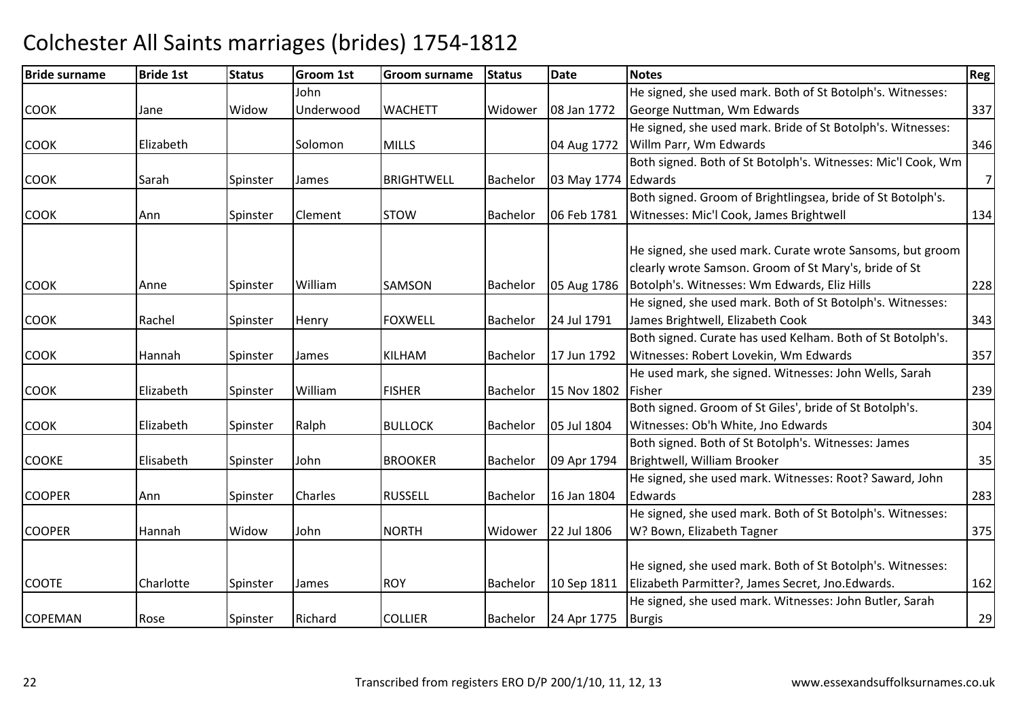| <b>Bride surname</b> | <b>Bride 1st</b> | <b>Status</b> | <b>Groom 1st</b> | Groom surname     | <b>Status</b>   | Date                | <b>Notes</b>                                                                                                       | Reg            |
|----------------------|------------------|---------------|------------------|-------------------|-----------------|---------------------|--------------------------------------------------------------------------------------------------------------------|----------------|
|                      |                  |               | John             |                   |                 |                     | He signed, she used mark. Both of St Botolph's. Witnesses:                                                         |                |
| <b>COOK</b>          | Jane             | Widow         | Underwood        | <b>WACHETT</b>    | Widower         | 08 Jan 1772         | George Nuttman, Wm Edwards                                                                                         | 337            |
|                      |                  |               |                  |                   |                 |                     | He signed, she used mark. Bride of St Botolph's. Witnesses:                                                        |                |
| <b>COOK</b>          | Elizabeth        |               | Solomon          | <b>MILLS</b>      |                 | 04 Aug 1772         | Willm Parr, Wm Edwards                                                                                             | 346            |
|                      |                  |               |                  |                   |                 |                     | Both signed. Both of St Botolph's. Witnesses: Mic'l Cook, Wm                                                       |                |
| <b>COOK</b>          | Sarah            | Spinster      | James            | <b>BRIGHTWELL</b> | Bachelor        | 03 May 1774 Edwards |                                                                                                                    | $\overline{7}$ |
|                      |                  |               |                  |                   |                 |                     | Both signed. Groom of Brightlingsea, bride of St Botolph's.                                                        |                |
| <b>COOK</b>          | Ann              | Spinster      | Clement          | <b>STOW</b>       | <b>Bachelor</b> | 06 Feb 1781         | Witnesses: Mic'l Cook, James Brightwell                                                                            | 134            |
|                      |                  |               | William          |                   |                 |                     | He signed, she used mark. Curate wrote Sansoms, but groom<br>clearly wrote Samson. Groom of St Mary's, bride of St | 228            |
| <b>COOK</b>          | Anne             | Spinster      |                  | SAMSON            | Bachelor        | 05 Aug 1786         | Botolph's. Witnesses: Wm Edwards, Eliz Hills                                                                       |                |
| <b>COOK</b>          | Rachel           |               |                  | <b>FOXWELL</b>    | Bachelor        | 24 Jul 1791         | He signed, she used mark. Both of St Botolph's. Witnesses:<br>James Brightwell, Elizabeth Cook                     | 343            |
|                      |                  | Spinster      | Henry            |                   |                 |                     | Both signed. Curate has used Kelham. Both of St Botolph's.                                                         |                |
| <b>COOK</b>          | Hannah           | Spinster      | James            | <b>KILHAM</b>     | Bachelor        | 17 Jun 1792         | Witnesses: Robert Lovekin, Wm Edwards                                                                              | 357            |
|                      |                  |               |                  |                   |                 |                     | He used mark, she signed. Witnesses: John Wells, Sarah                                                             |                |
| <b>COOK</b>          | Elizabeth        | Spinster      | William          | <b>FISHER</b>     | Bachelor        | 15 Nov 1802         | Fisher                                                                                                             | 239            |
|                      |                  |               |                  |                   |                 |                     | Both signed. Groom of St Giles', bride of St Botolph's.                                                            |                |
| <b>COOK</b>          | Elizabeth        | Spinster      | Ralph            | <b>BULLOCK</b>    | Bachelor        | 05 Jul 1804         | Witnesses: Ob'h White, Jno Edwards                                                                                 | 304            |
|                      |                  |               |                  |                   |                 |                     | Both signed. Both of St Botolph's. Witnesses: James                                                                |                |
| <b>COOKE</b>         | Elisabeth        | Spinster      | John             | <b>BROOKER</b>    | Bachelor        | 09 Apr 1794         | Brightwell, William Brooker                                                                                        | 35             |
|                      |                  |               |                  |                   |                 |                     | He signed, she used mark. Witnesses: Root? Saward, John                                                            |                |
| <b>COOPER</b>        | Ann              | Spinster      | <b>Charles</b>   | <b>RUSSELL</b>    | Bachelor        | 16 Jan 1804         | Edwards                                                                                                            | 283            |
|                      |                  |               |                  |                   |                 |                     | He signed, she used mark. Both of St Botolph's. Witnesses:                                                         |                |
| <b>COOPER</b>        | Hannah           | Widow         | John             | <b>NORTH</b>      | Widower         | 22 Jul 1806         | W? Bown, Elizabeth Tagner                                                                                          | 375            |
|                      |                  |               |                  |                   |                 |                     |                                                                                                                    |                |
|                      |                  |               |                  |                   |                 |                     | He signed, she used mark. Both of St Botolph's. Witnesses:                                                         |                |
| <b>COOTE</b>         | Charlotte        | Spinster      | James            | <b>ROY</b>        | <b>Bachelor</b> | 10 Sep 1811         | Elizabeth Parmitter?, James Secret, Jno.Edwards.                                                                   | 162            |
|                      |                  |               |                  |                   |                 |                     | He signed, she used mark. Witnesses: John Butler, Sarah                                                            |                |
| <b>COPEMAN</b>       | Rose             | Spinster      | Richard          | <b>COLLIER</b>    | Bachelor        | 24 Apr 1775         | Burgis                                                                                                             | 29             |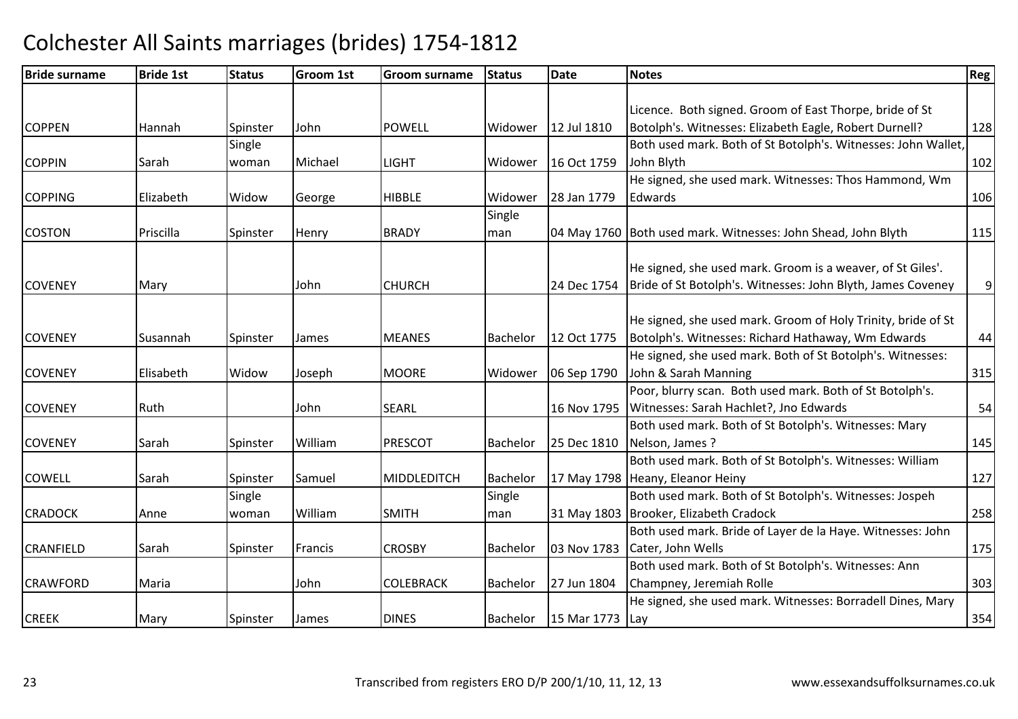| <b>Bride surname</b> | <b>Bride 1st</b> | <b>Status</b> | <b>Groom 1st</b> | <b>Groom surname</b> | <b>Status</b> | Date        | <b>Notes</b>                                                                                    | Reg |
|----------------------|------------------|---------------|------------------|----------------------|---------------|-------------|-------------------------------------------------------------------------------------------------|-----|
|                      |                  |               |                  |                      |               |             |                                                                                                 |     |
|                      |                  |               |                  |                      |               |             | Licence. Both signed. Groom of East Thorpe, bride of St                                         |     |
| <b>COPPEN</b>        | Hannah           | Spinster      | John             | <b>POWELL</b>        | Widower       | 12 Jul 1810 | Botolph's. Witnesses: Elizabeth Eagle, Robert Durnell?                                          | 128 |
|                      |                  | Single        |                  |                      |               |             | Both used mark. Both of St Botolph's. Witnesses: John Wallet,                                   |     |
| <b>COPPIN</b>        | Sarah            | woman         | Michael          | <b>LIGHT</b>         | Widower       | 16 Oct 1759 | John Blyth                                                                                      | 102 |
|                      |                  |               |                  |                      |               |             | He signed, she used mark. Witnesses: Thos Hammond, Wm                                           |     |
| <b>COPPING</b>       | Elizabeth        | Widow         | George           | <b>HIBBLE</b>        | Widower       | 28 Jan 1779 | Edwards                                                                                         | 106 |
|                      |                  |               |                  |                      | Single        |             |                                                                                                 |     |
| <b>COSTON</b>        | Priscilla        | Spinster      | Henry            | <b>BRADY</b>         | man           |             | 04 May 1760 Both used mark. Witnesses: John Shead, John Blyth                                   | 115 |
|                      |                  |               |                  |                      |               |             |                                                                                                 |     |
|                      |                  |               |                  |                      |               |             | He signed, she used mark. Groom is a weaver, of St Giles'.                                      |     |
| <b>COVENEY</b>       | Mary             |               | John             | <b>CHURCH</b>        |               | 24 Dec 1754 | Bride of St Botolph's. Witnesses: John Blyth, James Coveney                                     | 9   |
|                      |                  |               |                  |                      |               |             | He signed, she used mark. Groom of Holy Trinity, bride of St                                    |     |
|                      |                  |               |                  | <b>MEANES</b>        | Bachelor      | 12 Oct 1775 | Botolph's. Witnesses: Richard Hathaway, Wm Edwards                                              |     |
| <b>COVENEY</b>       | Susannah         | Spinster      | James            |                      |               |             | He signed, she used mark. Both of St Botolph's. Witnesses:                                      | 44  |
| <b>COVENEY</b>       | Elisabeth        | Widow         |                  | <b>MOORE</b>         | Widower       |             |                                                                                                 |     |
|                      |                  |               | Joseph           |                      |               | 06 Sep 1790 | John & Sarah Manning<br>Poor, blurry scan. Both used mark. Both of St Botolph's.                | 315 |
|                      | Ruth             |               |                  |                      |               |             |                                                                                                 |     |
| <b>COVENEY</b>       |                  |               | John             | <b>SEARL</b>         |               | 16 Nov 1795 | Witnesses: Sarah Hachlet?, Jno Edwards<br>Both used mark. Both of St Botolph's. Witnesses: Mary | 54  |
|                      |                  |               |                  |                      |               |             |                                                                                                 |     |
| <b>COVENEY</b>       | Sarah            | Spinster      | William          | <b>PRESCOT</b>       | Bachelor      | 25 Dec 1810 | Nelson, James?                                                                                  | 145 |
|                      |                  |               |                  |                      |               |             | Both used mark. Both of St Botolph's. Witnesses: William                                        |     |
| <b>COWELL</b>        | Sarah            | Spinster      | Samuel           | MIDDLEDITCH          | Bachelor      |             | 17 May 1798 Heany, Eleanor Heiny                                                                | 127 |
|                      |                  | Single        |                  |                      | Single        |             | Both used mark. Both of St Botolph's. Witnesses: Jospeh                                         |     |
| <b>CRADOCK</b>       | Anne             | woman         | William          | <b>SMITH</b>         | man           |             | 31 May 1803 Brooker, Elizabeth Cradock                                                          | 258 |
|                      |                  |               |                  |                      |               |             | Both used mark. Bride of Layer de la Haye. Witnesses: John                                      |     |
| <b>CRANFIELD</b>     | Sarah            | Spinster      | Francis          | <b>CROSBY</b>        | Bachelor      | 03 Nov 1783 | Cater, John Wells                                                                               | 175 |
|                      |                  |               |                  |                      |               |             | Both used mark. Both of St Botolph's. Witnesses: Ann                                            |     |
| <b>CRAWFORD</b>      | Maria            |               | John             | <b>COLEBRACK</b>     | Bachelor      | 27 Jun 1804 | Champney, Jeremiah Rolle                                                                        | 303 |
|                      |                  |               |                  |                      |               |             | He signed, she used mark. Witnesses: Borradell Dines, Mary                                      |     |
| <b>CREEK</b>         | Mary             | Spinster      | <b>James</b>     | <b>DINES</b>         | Bachelor      | 15 Mar 1773 | Lay                                                                                             | 354 |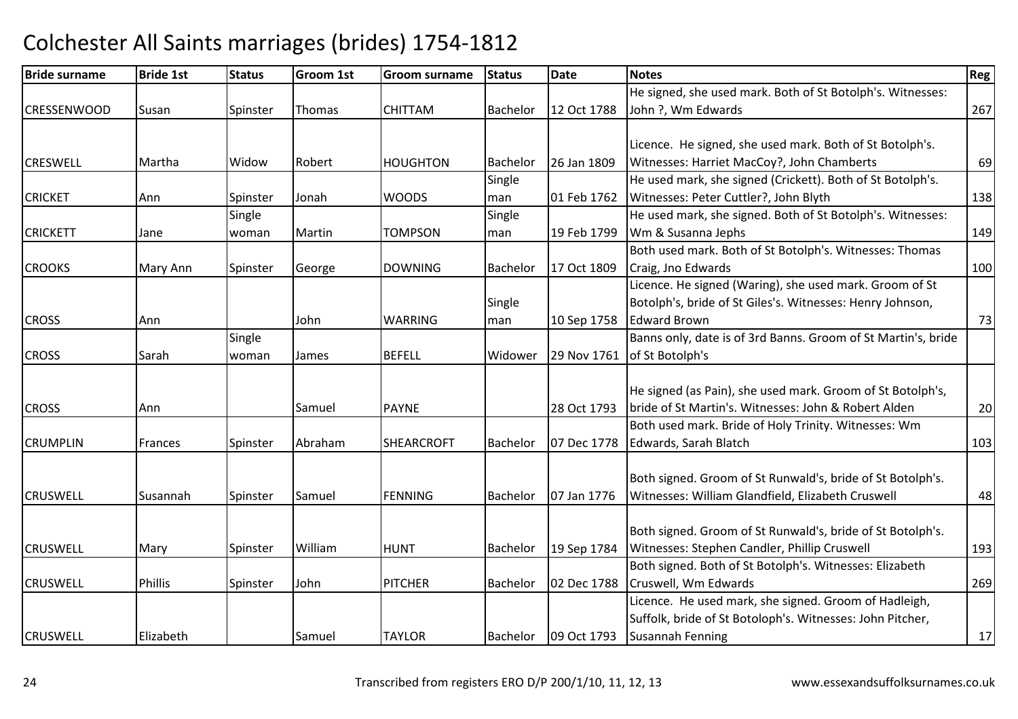#### Bride surnamee Bride 1st Status Groom 1st Groom surname Status Date Notes Region Contract Region Regional Region Region Reg CRESSENWOODD Susan Spinster Thomas CHITTAM Bachelor 12 Oct 1788 He signed, she used mark. Both of St Botolph's. Witnesses:John ?, Wm Edwards $\sim$  267 **CRESWELL** L |Martha |Widow |Robert |HOUGHTON HOUGHTON Bachelor 26 Jan 1809 Licence. He signed, she used mark. Both of St Botolph's. Witnesses: Harriet MacCoy?, John Chambertss 69 CRICKET Ann Spinster Jonah WOODS **Single** man 01 Feb 1762 He used mark, she signed (Crickett). Both of St Botolph's. Witnesses: Peter Cuttler?, John Blythh 138 **CRICKETT**  JaneSingle woman Martin**TOMPSON** Single man 19 Feb 1799 He used mark, she signed. Both of St Botolph's. Witnesses:Wm & Susanna Jephss and the contract of the contract of the contract of the contract of the contract of the contract of the contract of the contract of the contract of the contract of the contract of the contract of the contract of the cont **CROOKS** S Mary Ann Spinster George DOWNING DOWNING Bachelor 17 Oct 1809 Both used mark. Both of St Botolph's. Witnesses: Thomas Craig, Jno Edwardss and the set of  $\sim$  100 CROSS Ann JohnJohn WARRING Single man 10 Sep 1758 Licence. He signed (Waring), she used mark. Groom of St Botolph's, bride of St Giles's. Witnesses: Henry Johnson, Edward Brownn 73 **CROSS**  Sarah**Single** woman James BEFELL Widower 29 Nov 1761 of St Botolph's Banns only, date is of 3rd Banns. Groom of St Martin's, bride **CROSS** S Ann Ann Samuel PAYNE 28 Oct 1793 He signed (as Pain), she used mark. Groom of St Botolph's, bride of St Martin's. Witnesses: John & Robert Alden <sup>20</sup> **CRUMPLIN** N Frances Spinster Abraham Abraham ISHEARCROFT IBachelor 107 Dec 1778 Both used mark. Bride of Holy Trinity. Witnesses: Wm Edwards, Sarah Blatchh 103 **CRUSWELL** L Susannah Spinster Samuel FENNING Bachelor 07 Jan 1776 Both signed. Groom of St Runwald's, bride of St Botolph's. Witnesses: William Glandfield, Elizabeth Cruswell 48CRUSWELLMary Spinster William HUNT Bachelor 19 Sep 1784 Both signed. Groom of St Runwald's, bride of St Botolph's. Witnesses: Stephen Candler, Phillip Cruswell 193**CRUSWELL**  Phillis Spinster John PITCHERBachelor | 02 Dec 1788 Both signed. Both of St Botolph's. Witnesses: Elizabeth Cruswell, Wm Edwardss 269 CRUSWELLL Elizabeth Samuel TAYLOR Bachelor 09 Oct 1793 Licence. He used mark, she signed. Groom of Hadleigh,Suffolk, bride of St Botoloph's. Witnesses: John Pitcher, Susannah Fenningg 17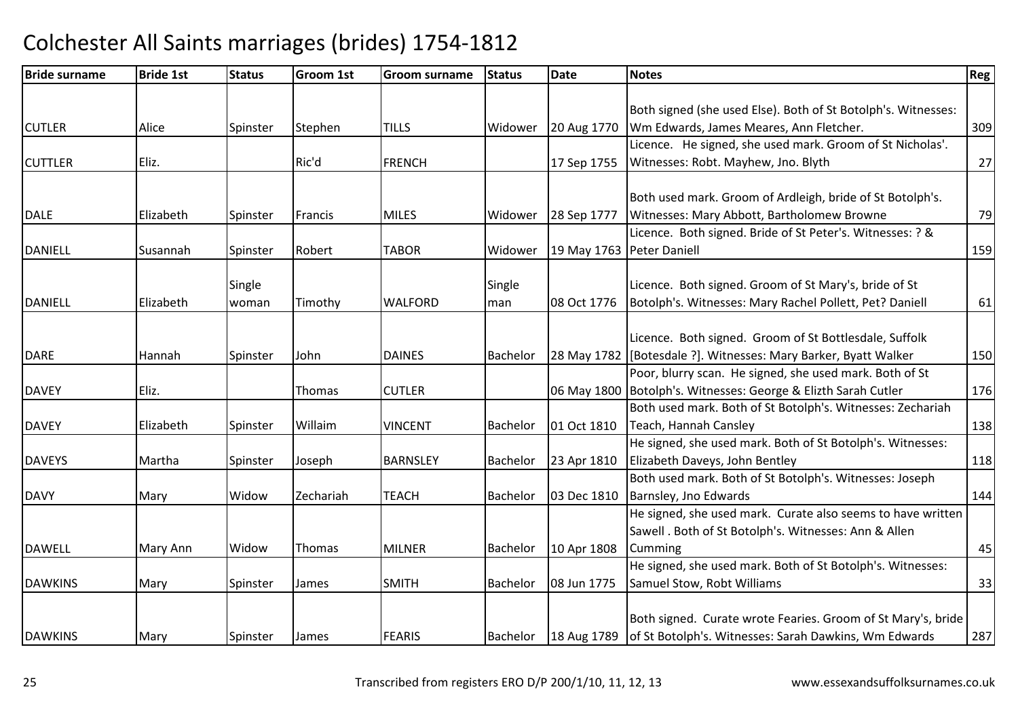| <b>Bride surname</b> | <b>Bride 1st</b> | <b>Status</b> | <b>Groom 1st</b> | Groom surname   | <b>Status</b> | <b>Date</b>               | <b>Notes</b>                                                      | Reg |
|----------------------|------------------|---------------|------------------|-----------------|---------------|---------------------------|-------------------------------------------------------------------|-----|
|                      |                  |               |                  |                 |               |                           |                                                                   |     |
|                      |                  |               |                  |                 |               |                           | Both signed (she used Else). Both of St Botolph's. Witnesses:     |     |
| <b>CUTLER</b>        | Alice            | Spinster      | Stephen          | <b>TILLS</b>    | Widower       | 20 Aug 1770               | Wm Edwards, James Meares, Ann Fletcher.                           | 309 |
|                      |                  |               |                  |                 |               |                           | Licence. He signed, she used mark. Groom of St Nicholas'.         |     |
| <b>CUTTLER</b>       | Eliz.            |               | Ric'd            | <b>FRENCH</b>   |               | 17 Sep 1755               | Witnesses: Robt. Mayhew, Jno. Blyth                               | 27  |
|                      |                  |               |                  |                 |               |                           |                                                                   |     |
|                      |                  |               |                  |                 |               |                           | Both used mark. Groom of Ardleigh, bride of St Botolph's.         |     |
| <b>DALE</b>          | Elizabeth        | Spinster      | Francis          | <b>MILES</b>    | Widower       | 28 Sep 1777               | Witnesses: Mary Abbott, Bartholomew Browne                        | 79  |
|                      |                  |               |                  |                 |               |                           | Licence. Both signed. Bride of St Peter's. Witnesses: ? &         |     |
| <b>DANIELL</b>       | Susannah         | Spinster      | Robert           | <b>TABOR</b>    | Widower       | 19 May 1763 Peter Daniell |                                                                   | 159 |
|                      |                  |               |                  |                 |               |                           |                                                                   |     |
|                      |                  | Single        |                  |                 | Single        |                           | Licence. Both signed. Groom of St Mary's, bride of St             |     |
| DANIELL              | Elizabeth        | woman         | Timothy          | <b>WALFORD</b>  | man           | 08 Oct 1776               | Botolph's. Witnesses: Mary Rachel Pollett, Pet? Daniell           | 61  |
|                      |                  |               |                  |                 |               |                           |                                                                   |     |
|                      |                  |               |                  |                 |               |                           | Licence. Both signed. Groom of St Bottlesdale, Suffolk            |     |
| <b>DARE</b>          | Hannah           | Spinster      | John             | <b>DAINES</b>   | Bachelor      |                           | 28 May 1782 [Botesdale ?]. Witnesses: Mary Barker, Byatt Walker   | 150 |
|                      |                  |               |                  |                 |               |                           | Poor, blurry scan. He signed, she used mark. Both of St           |     |
| <b>DAVEY</b>         | Eliz.            |               | Thomas           | <b>CUTLER</b>   |               |                           | 06 May 1800 Botolph's. Witnesses: George & Elizth Sarah Cutler    | 176 |
|                      |                  |               |                  |                 |               |                           | Both used mark. Both of St Botolph's. Witnesses: Zechariah        |     |
| <b>DAVEY</b>         | Elizabeth        | Spinster      | Willaim          | <b>VINCENT</b>  | Bachelor      | 01 Oct 1810               | Teach, Hannah Cansley                                             | 138 |
|                      |                  |               |                  |                 |               |                           | He signed, she used mark. Both of St Botolph's. Witnesses:        |     |
| <b>DAVEYS</b>        | Martha           | Spinster      | Joseph           | <b>BARNSLEY</b> | Bachelor      | 23 Apr 1810               | Elizabeth Daveys, John Bentley                                    | 118 |
|                      |                  |               |                  |                 |               |                           | Both used mark. Both of St Botolph's. Witnesses: Joseph           |     |
| <b>DAVY</b>          | Mary             | Widow         | Zechariah        | <b>TEACH</b>    | Bachelor      | 03 Dec 1810               | Barnsley, Jno Edwards                                             | 144 |
|                      |                  |               |                  |                 |               |                           | He signed, she used mark. Curate also seems to have written       |     |
|                      |                  |               |                  |                 |               |                           | Sawell . Both of St Botolph's. Witnesses: Ann & Allen             |     |
| <b>DAWELL</b>        | Mary Ann         | Widow         | Thomas           | <b>MILNER</b>   | Bachelor      | 10 Apr 1808               | Cumming                                                           | 45  |
|                      |                  |               |                  |                 |               |                           | He signed, she used mark. Both of St Botolph's. Witnesses:        |     |
| <b>DAWKINS</b>       | Mary             | Spinster      | James            | <b>SMITH</b>    | Bachelor      | 08 Jun 1775               | Samuel Stow, Robt Williams                                        | 33  |
|                      |                  |               |                  |                 |               |                           |                                                                   |     |
|                      |                  |               |                  |                 |               |                           | Both signed. Curate wrote Fearies. Groom of St Mary's, bride      |     |
| <b>DAWKINS</b>       | Mary             | Spinster      | James            | <b>FEARIS</b>   | Bachelor      |                           | 18 Aug 1789 of St Botolph's. Witnesses: Sarah Dawkins, Wm Edwards | 287 |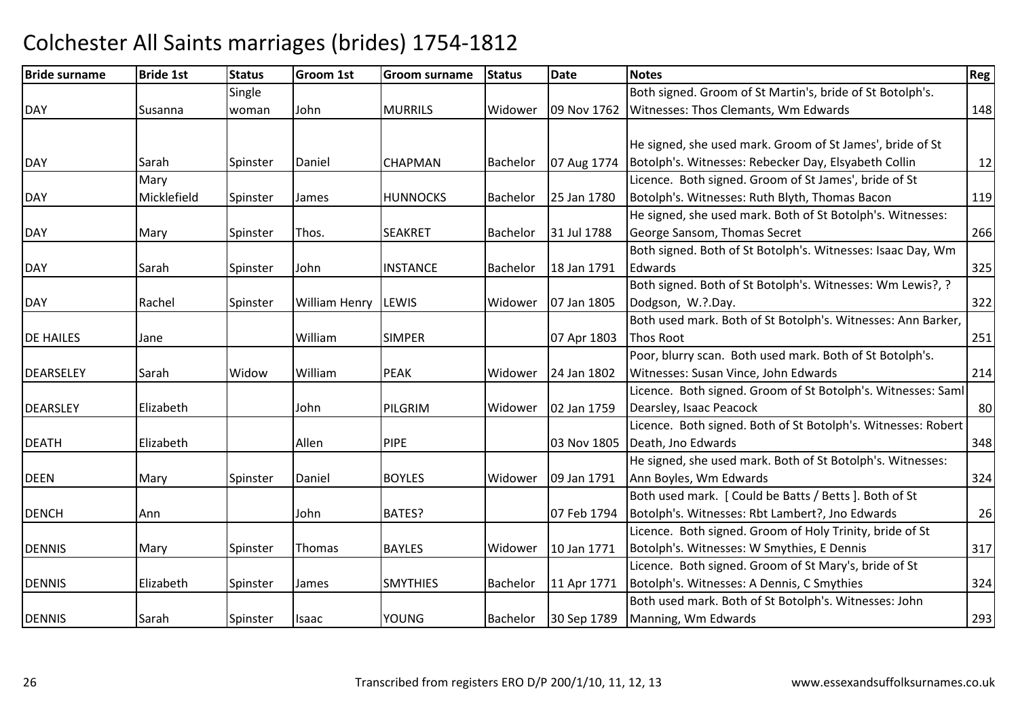#### Bride surnamee Bride 1st Status Groom 1st Groom surname Status Date Notes Region Contract Region Regional Region Region Reg DAY Susanna **Single** woman Johnn MURRILS Widower | 09 Nov 1762 | Witnesses: Thos Clemants, Wm Edwards Both signed. Groom of St Martin's, bride of St Botolph's. s 148 DAYY Sarah Spinster Daniel CHAPMAN CHAPMAN Bachelor 07 Aug 1774 He signed, she used mark. Groom of St James', bride of St Botolph's. Witnesses: Rebecker Day, Elsyabeth Collin <sup>12</sup> DAY**Mary** Micklefield Spinster James HUNNOCKS Bachelor 25 Jan 1780 Licence. Both signed. Groom of St James', bride of St Botolph's. Witnesses: Ruth Blyth, Thomas Bacon <sup>119</sup> DAYY Mary Spinster Thos. SEAKRET Bachelor 31 Jul 1788 He signed, she used mark. Both of St Botolph's. Witnesses:George Sansom, Thomas Secrett 266 DAYSarah Spinster John INSTANCE Bachelor 18 Jan 1791 Both signed. Both of St Botolph's. Witnesses: Isaac Day, Wm **Edwards**  $\sim$  325 DAYY 1991 Rachel Spinster William Henry LEWIS 1975 Widower 107 Jan 1805 Both signed. Both of St Botolph's. Witnesses: Wm Lewis?, ? Dodgson, W.?.Day. 322 DE HAILESS Jane William William SIMPER | 07 Apr 1803 Both used mark. Both of St Botolph's. Witnesses: Ann Barker, Thos Roott 251 **DEARSFLEY** Y Sarah Widow William William PEAK Widower 24 Jan 1802 Poor, blurry scan. Both used mark. Both of St Botolph's. Witnesses: Susan Vince, John Edwardss  $\vert$  214 DEARSLEY Elizabeth John PILGRIMWidower 102 Jan 1759 Licence. Both signed. Groom of St Botolph's. Witnesses: Saml Dearsley, Isaac Peacockk 80 DEATHH Elizabeth Allen PIPE (03 Nov 1805 Licence. Both signed. Both of St Botolph's. Witnesses: Robert Death, Jno Edwards $\sim$  348 DEENN Mary Spinster Daniel BOYLES Widower 09 Jan 1791 He signed, she used mark. Both of St Botolph's. Witnesses:Ann Boyles, Wm Edwardss  $\vert$  324 DENCHH Ann John BATES? 07 Feb 1794 Both used mark. [ Could be Batts / Betts ]. Both of St Botolph's. Witnesses: Rbt Lambert?, Jno Edwards <sup>26</sup>DENNISS 10 Mary Spinster Thomas BAYLES Widower 10 Jan 1771 Licence. Both signed. Groom of Holy Trinity, bride of St Botolph's. Witnesses: W Smythies, E Dennis <sup>317</sup>DENNISS 1991 Elizabeth Spinster James SMYTHIES Bachelor 11 Apr 1771 Licence. Both signed. Groom of St Mary's, bride of St Botolph's. Witnesses: A Dennis, C Smythiess 324 DENNIS Sarah Spinster Isaac YOUNGYOUNG Bachelor 30 Sep 1789 Both used mark. Both of St Botolph's. Witnesses: John Manning, Wm Edwardss 293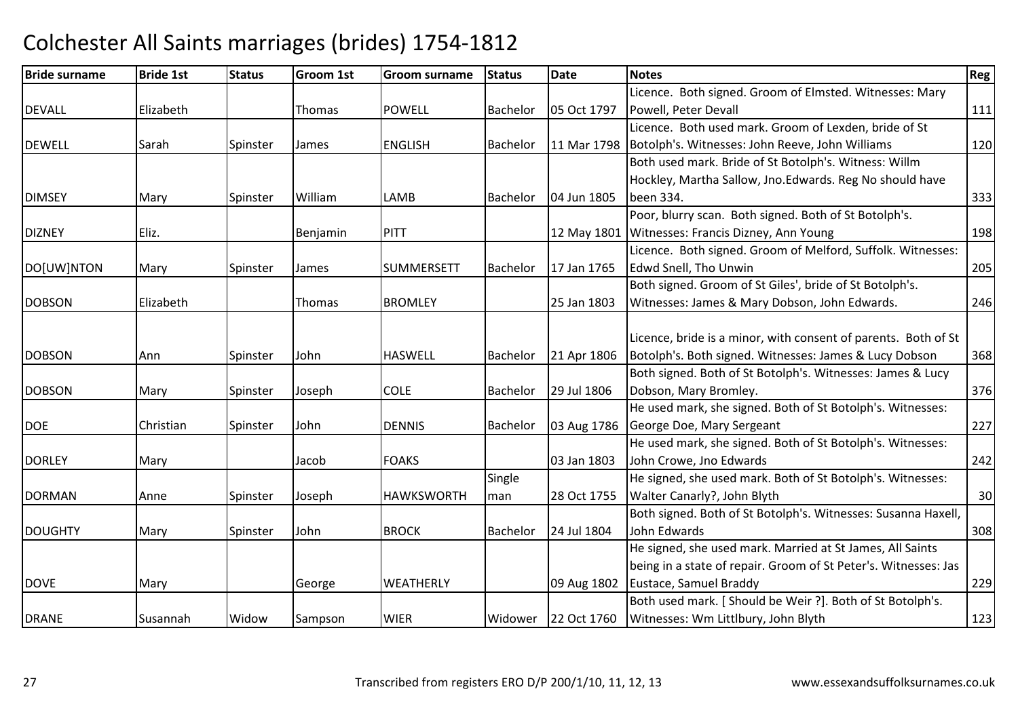| <b>Bride surname</b> | <b>Bride 1st</b> | <b>Status</b> | <b>Groom 1st</b> | Groom surname     | <b>Status</b>   | Date        | <b>Notes</b>                                                    | Reg |
|----------------------|------------------|---------------|------------------|-------------------|-----------------|-------------|-----------------------------------------------------------------|-----|
|                      |                  |               |                  |                   |                 |             | Licence. Both signed. Groom of Elmsted. Witnesses: Mary         |     |
| <b>DEVALL</b>        | Elizabeth        |               | Thomas           | <b>POWELL</b>     | Bachelor        | 05 Oct 1797 | Powell, Peter Devall                                            | 111 |
|                      |                  |               |                  |                   |                 |             | Licence. Both used mark. Groom of Lexden, bride of St           |     |
| <b>DEWELL</b>        | Sarah            | Spinster      | James            | <b>ENGLISH</b>    | Bachelor        | 11 Mar 1798 | Botolph's. Witnesses: John Reeve, John Williams                 | 120 |
|                      |                  |               |                  |                   |                 |             | Both used mark. Bride of St Botolph's. Witness: Willm           |     |
|                      |                  |               |                  |                   |                 |             | Hockley, Martha Sallow, Jno. Edwards. Reg No should have        |     |
| <b>DIMSEY</b>        | Mary             | Spinster      | William          | LAMB              | Bachelor        | 04 Jun 1805 | been 334.                                                       | 333 |
|                      |                  |               |                  |                   |                 |             | Poor, blurry scan. Both signed. Both of St Botolph's.           |     |
| <b>DIZNEY</b>        | Eliz.            |               | Benjamin         | PITT              |                 | 12 May 1801 | Witnesses: Francis Dizney, Ann Young                            | 198 |
|                      |                  |               |                  |                   |                 |             | Licence. Both signed. Groom of Melford, Suffolk. Witnesses:     |     |
| DO[UW]NTON           | Mary             | Spinster      | James            | <b>SUMMERSETT</b> | Bachelor        | 17 Jan 1765 | Edwd Snell, Tho Unwin                                           | 205 |
|                      |                  |               |                  |                   |                 |             | Both signed. Groom of St Giles', bride of St Botolph's.         |     |
| <b>DOBSON</b>        | Elizabeth        |               | Thomas           | <b>BROMLEY</b>    |                 | 25 Jan 1803 | Witnesses: James & Mary Dobson, John Edwards.                   | 246 |
|                      |                  |               |                  |                   |                 |             |                                                                 |     |
|                      |                  |               |                  |                   |                 |             | Licence, bride is a minor, with consent of parents. Both of St  |     |
| <b>DOBSON</b>        | Ann              | Spinster      | John             | <b>HASWELL</b>    | Bachelor        | 21 Apr 1806 | Botolph's. Both signed. Witnesses: James & Lucy Dobson          | 368 |
|                      |                  |               |                  |                   |                 |             | Both signed. Both of St Botolph's. Witnesses: James & Lucy      |     |
| <b>DOBSON</b>        | Mary             | Spinster      | Joseph           | <b>COLE</b>       | Bachelor        | 29 Jul 1806 | Dobson, Mary Bromley.                                           | 376 |
|                      |                  |               |                  |                   |                 |             | He used mark, she signed. Both of St Botolph's. Witnesses:      |     |
| <b>DOE</b>           | Christian        | Spinster      | John             | <b>DENNIS</b>     | <b>Bachelor</b> | 03 Aug 1786 | George Doe, Mary Sergeant                                       | 227 |
|                      |                  |               |                  |                   |                 |             | He used mark, she signed. Both of St Botolph's. Witnesses:      |     |
| <b>DORLEY</b>        | Mary             |               | Jacob            | <b>FOAKS</b>      |                 | 03 Jan 1803 | John Crowe, Jno Edwards                                         | 242 |
|                      |                  |               |                  |                   | Single          |             | He signed, she used mark. Both of St Botolph's. Witnesses:      |     |
| <b>DORMAN</b>        | Anne             | Spinster      | Joseph           | <b>HAWKSWORTH</b> | man             | 28 Oct 1755 | Walter Canarly?, John Blyth                                     | 30  |
|                      |                  |               |                  |                   |                 |             | Both signed. Both of St Botolph's. Witnesses: Susanna Haxell,   |     |
| <b>DOUGHTY</b>       | Mary             | Spinster      | John             | <b>BROCK</b>      | Bachelor        | 24 Jul 1804 | John Edwards                                                    | 308 |
|                      |                  |               |                  |                   |                 |             | He signed, she used mark. Married at St James, All Saints       |     |
|                      |                  |               |                  |                   |                 |             | being in a state of repair. Groom of St Peter's. Witnesses: Jas |     |
| <b>DOVE</b>          | Mary             |               | George           | WEATHERLY         |                 | 09 Aug 1802 | Eustace, Samuel Braddy                                          | 229 |
|                      |                  |               |                  |                   |                 |             | Both used mark. [ Should be Weir ?]. Both of St Botolph's.      |     |
| <b>DRANE</b>         | Susannah         | Widow         | Sampson          | <b>WIER</b>       | Widower         | 22 Oct 1760 | Witnesses: Wm Littlbury, John Blyth                             | 123 |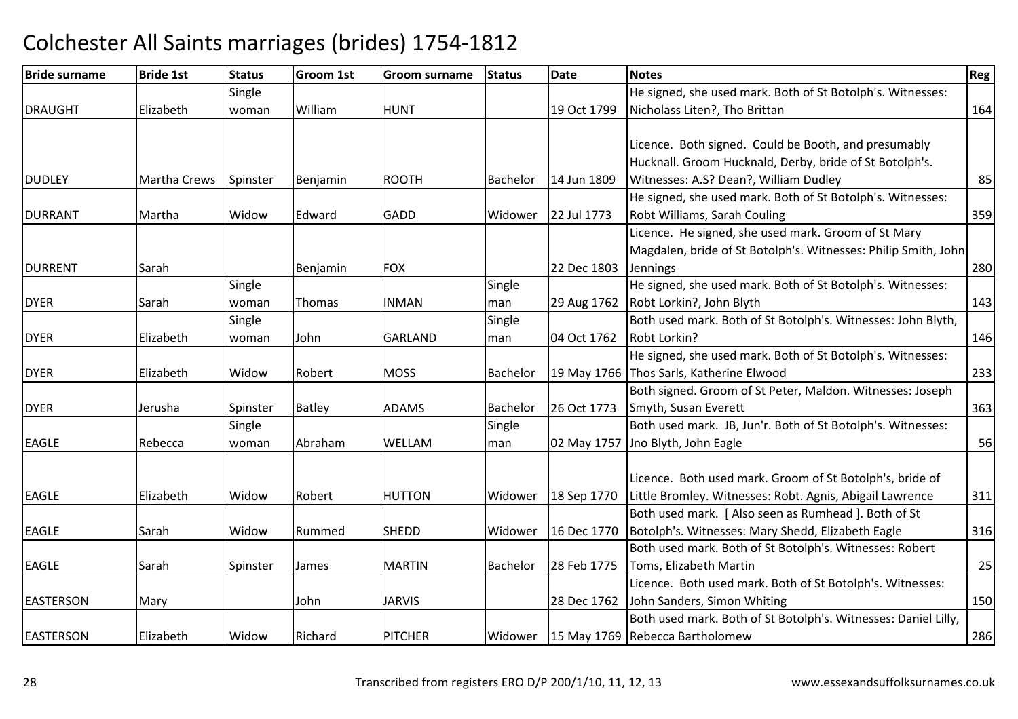| <b>Bride surname</b> | <b>Bride 1st</b>    | <b>Status</b> | <b>Groom 1st</b> | <b>Groom surname</b> | <b>Status</b> | Date        | <b>Notes</b>                                                   | Reg |
|----------------------|---------------------|---------------|------------------|----------------------|---------------|-------------|----------------------------------------------------------------|-----|
|                      |                     | Single        |                  |                      |               |             | He signed, she used mark. Both of St Botolph's. Witnesses:     |     |
| <b>DRAUGHT</b>       | Elizabeth           | woman         | William          | <b>HUNT</b>          |               | 19 Oct 1799 | Nicholass Liten?, Tho Brittan                                  | 164 |
|                      |                     |               |                  |                      |               |             |                                                                |     |
|                      |                     |               |                  |                      |               |             | Licence. Both signed. Could be Booth, and presumably           |     |
|                      |                     |               |                  |                      |               |             | Hucknall. Groom Hucknald, Derby, bride of St Botolph's.        |     |
| <b>DUDLEY</b>        | <b>Martha Crews</b> | Spinster      | Benjamin         | <b>ROOTH</b>         | Bachelor      | 14 Jun 1809 | Witnesses: A.S? Dean?, William Dudley                          | 85  |
|                      |                     |               |                  |                      |               |             | He signed, she used mark. Both of St Botolph's. Witnesses:     |     |
| <b>DURRANT</b>       | Martha              | Widow         | Edward           | <b>GADD</b>          | Widower       | 22 Jul 1773 | Robt Williams, Sarah Couling                                   | 359 |
|                      |                     |               |                  |                      |               |             | Licence. He signed, she used mark. Groom of St Mary            |     |
|                      |                     |               |                  |                      |               |             | Magdalen, bride of St Botolph's. Witnesses: Philip Smith, John |     |
| <b>DURRENT</b>       | Sarah               |               | Benjamin         | <b>FOX</b>           |               | 22 Dec 1803 | <b>Jennings</b>                                                | 280 |
|                      |                     | Single        |                  |                      | Single        |             | He signed, she used mark. Both of St Botolph's. Witnesses:     |     |
| <b>DYER</b>          | Sarah               | woman         | Thomas           | <b>INMAN</b>         | man           | 29 Aug 1762 | Robt Lorkin?, John Blyth                                       | 143 |
|                      |                     | Single        |                  |                      | Single        |             | Both used mark. Both of St Botolph's. Witnesses: John Blyth,   |     |
| <b>DYER</b>          | Elizabeth           | woman         | John             | <b>GARLAND</b>       | man           | 04 Oct 1762 | Robt Lorkin?                                                   | 146 |
|                      |                     |               |                  |                      |               |             | He signed, she used mark. Both of St Botolph's. Witnesses:     |     |
| <b>DYER</b>          | Elizabeth           | Widow         | Robert           | <b>MOSS</b>          | Bachelor      |             | 19 May 1766 Thos Sarls, Katherine Elwood                       | 233 |
|                      |                     |               |                  |                      |               |             | Both signed. Groom of St Peter, Maldon. Witnesses: Joseph      |     |
| <b>DYER</b>          | Jerusha             | Spinster      | <b>Batley</b>    | <b>ADAMS</b>         | Bachelor      | 26 Oct 1773 | Smyth, Susan Everett                                           | 363 |
|                      |                     | Single        |                  |                      | Single        |             | Both used mark. JB, Jun'r. Both of St Botolph's. Witnesses:    |     |
| <b>EAGLE</b>         | Rebecca             | woman         | Abraham          | WELLAM               | man           | 02 May 1757 | Jno Blyth, John Eagle                                          | 56  |
|                      |                     |               |                  |                      |               |             |                                                                |     |
|                      |                     |               |                  |                      |               |             | Licence. Both used mark. Groom of St Botolph's, bride of       |     |
| <b>EAGLE</b>         | Elizabeth           | Widow         | Robert           | <b>HUTTON</b>        | Widower       | 18 Sep 1770 | Little Bromley. Witnesses: Robt. Agnis, Abigail Lawrence       | 311 |
|                      |                     |               |                  |                      |               |             | Both used mark. [Also seen as Rumhead]. Both of St             |     |
| <b>EAGLE</b>         | Sarah               | Widow         | Rummed           | <b>SHEDD</b>         | Widower       | 16 Dec 1770 | Botolph's. Witnesses: Mary Shedd, Elizabeth Eagle              | 316 |
|                      |                     |               |                  |                      |               |             | Both used mark. Both of St Botolph's. Witnesses: Robert        |     |
| <b>EAGLE</b>         | Sarah               | Spinster      | James            | <b>MARTIN</b>        | Bachelor      | 28 Feb 1775 | Toms, Elizabeth Martin                                         | 25  |
|                      |                     |               |                  |                      |               |             | Licence. Both used mark. Both of St Botolph's. Witnesses:      |     |
| <b>EASTERSON</b>     | Mary                |               | John             | <b>JARVIS</b>        |               | 28 Dec 1762 | John Sanders, Simon Whiting                                    | 150 |
|                      |                     |               |                  |                      |               |             | Both used mark. Both of St Botolph's. Witnesses: Daniel Lilly, |     |
| <b>EASTERSON</b>     | Elizabeth           | Widow         | Richard          | <b>PITCHER</b>       |               |             | Widower   15 May 1769   Rebecca Bartholomew                    | 286 |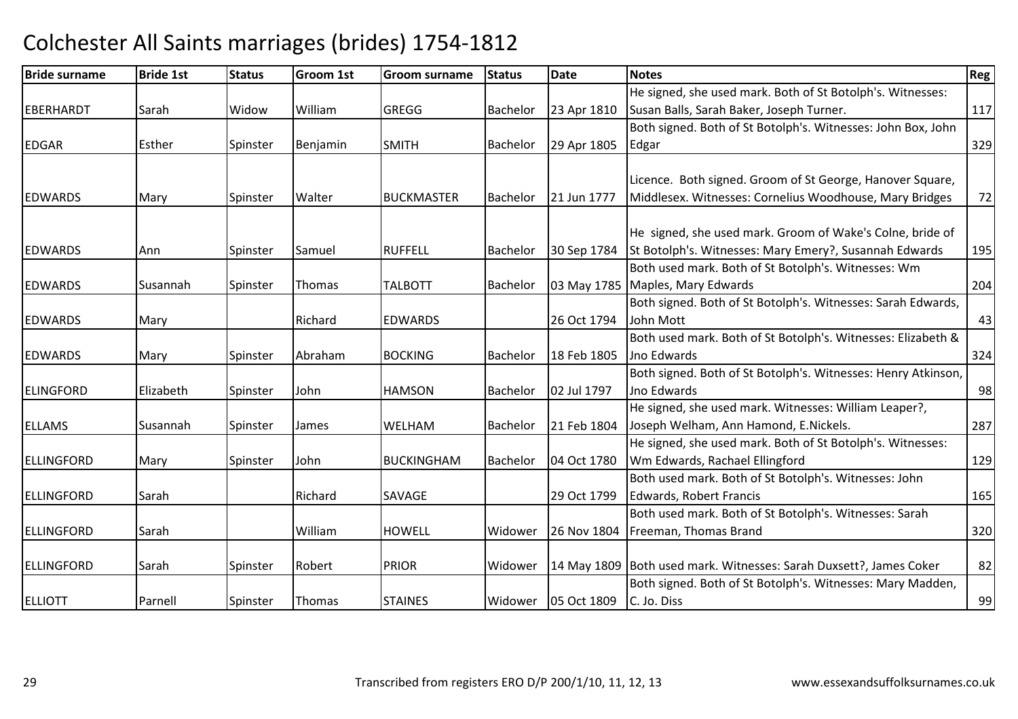| <b>Bride surname</b> | <b>Bride 1st</b> | <b>Status</b> | <b>Groom 1st</b> | <b>Groom surname</b> | <b>Status</b>   | <b>Date</b> | <b>Notes</b>                                                       | <b>Reg</b> |
|----------------------|------------------|---------------|------------------|----------------------|-----------------|-------------|--------------------------------------------------------------------|------------|
|                      |                  |               |                  |                      |                 |             | He signed, she used mark. Both of St Botolph's. Witnesses:         |            |
| EBERHARDT            | Sarah            | Widow         | William          | <b>GREGG</b>         | <b>Bachelor</b> | 23 Apr 1810 | Susan Balls, Sarah Baker, Joseph Turner.                           | 117        |
|                      |                  |               |                  |                      |                 |             | Both signed. Both of St Botolph's. Witnesses: John Box, John       |            |
| <b>EDGAR</b>         | Esther           | Spinster      | Benjamin         | <b>SMITH</b>         | Bachelor        | 29 Apr 1805 | Edgar                                                              | 329        |
|                      |                  |               |                  |                      |                 |             |                                                                    |            |
|                      |                  |               |                  |                      |                 |             | Licence. Both signed. Groom of St George, Hanover Square,          |            |
| <b>EDWARDS</b>       | Mary             | Spinster      | Walter           | <b>BUCKMASTER</b>    | <b>Bachelor</b> | 21 Jun 1777 | Middlesex. Witnesses: Cornelius Woodhouse, Mary Bridges            | 72         |
|                      |                  |               |                  |                      |                 |             |                                                                    |            |
|                      |                  |               |                  |                      |                 |             | He signed, she used mark. Groom of Wake's Colne, bride of          |            |
| <b>EDWARDS</b>       | Ann              | Spinster      | Samuel           | <b>RUFFELL</b>       | Bachelor        | 30 Sep 1784 | St Botolph's. Witnesses: Mary Emery?, Susannah Edwards             | 195        |
|                      |                  |               |                  |                      |                 |             | Both used mark. Both of St Botolph's. Witnesses: Wm                |            |
| <b>EDWARDS</b>       | Susannah         | Spinster      | Thomas           | <b>TALBOTT</b>       | <b>Bachelor</b> |             | 03 May 1785   Maples, Mary Edwards                                 | 204        |
|                      |                  |               |                  |                      |                 |             | Both signed. Both of St Botolph's. Witnesses: Sarah Edwards,       |            |
| <b>EDWARDS</b>       | Mary             |               | Richard          | <b>EDWARDS</b>       |                 | 26 Oct 1794 | John Mott                                                          | 43         |
|                      |                  |               |                  |                      |                 |             | Both used mark. Both of St Botolph's. Witnesses: Elizabeth &       |            |
| <b>EDWARDS</b>       | Mary             | Spinster      | Abraham          | <b>BOCKING</b>       | <b>Bachelor</b> | 18 Feb 1805 | Jno Edwards                                                        | 324        |
|                      |                  |               |                  |                      |                 |             | Both signed. Both of St Botolph's. Witnesses: Henry Atkinson,      |            |
| ELINGFORD            | Elizabeth        | Spinster      | John             | <b>HAMSON</b>        | Bachelor        | 02 Jul 1797 | <b>Jno Edwards</b>                                                 | 98         |
|                      |                  |               |                  |                      |                 |             | He signed, she used mark. Witnesses: William Leaper?,              |            |
| <b>ELLAMS</b>        | Susannah         | Spinster      | James            | WELHAM               | <b>Bachelor</b> | 21 Feb 1804 | Joseph Welham, Ann Hamond, E.Nickels.                              | 287        |
|                      |                  |               |                  |                      |                 |             | He signed, she used mark. Both of St Botolph's. Witnesses:         |            |
| ELLINGFORD           | Mary             | Spinster      | John             | <b>BUCKINGHAM</b>    | Bachelor        | 04 Oct 1780 | Wm Edwards, Rachael Ellingford                                     | 129        |
|                      |                  |               |                  |                      |                 |             | Both used mark. Both of St Botolph's. Witnesses: John              |            |
| ELLINGFORD           | Sarah            |               | Richard          | SAVAGE               |                 | 29 Oct 1799 | Edwards, Robert Francis                                            | 165        |
|                      |                  |               |                  |                      |                 |             | Both used mark. Both of St Botolph's. Witnesses: Sarah             |            |
| ELLINGFORD           | Sarah            |               | William          | <b>HOWELL</b>        | Widower         | 26 Nov 1804 | Freeman, Thomas Brand                                              | 320        |
|                      |                  |               |                  |                      |                 |             |                                                                    |            |
| ELLINGFORD           | Sarah            | Spinster      | Robert           | <b>PRIOR</b>         | Widower         |             | 14 May 1809 Both used mark. Witnesses: Sarah Duxsett?, James Coker | 82         |
|                      |                  |               |                  |                      |                 |             | Both signed. Both of St Botolph's. Witnesses: Mary Madden,         |            |
| <b>ELLIOTT</b>       | Parnell          | Spinster      | Thomas           | <b>STAINES</b>       | Widower         | 05 Oct 1809 | C. Jo. Diss                                                        | 99         |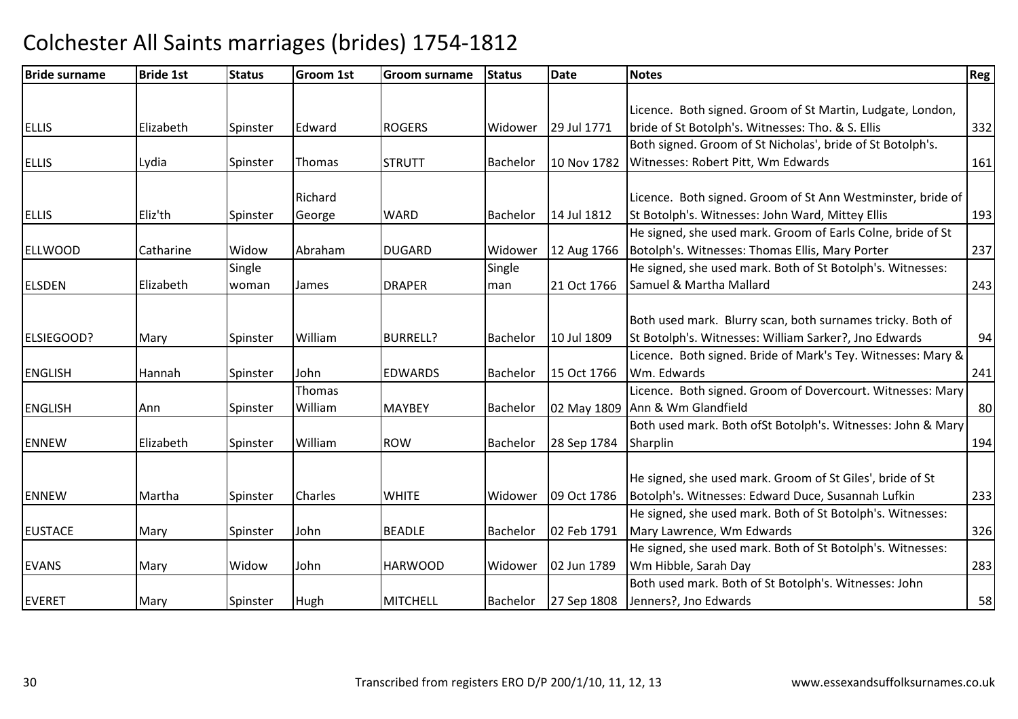| <b>Bride surname</b> | <b>Bride 1st</b> | <b>Status</b> | <b>Groom 1st</b> | <b>Groom surname</b> | <b>Status</b>   | <b>Date</b> | <b>Notes</b>                                                 | Reg |
|----------------------|------------------|---------------|------------------|----------------------|-----------------|-------------|--------------------------------------------------------------|-----|
|                      |                  |               |                  |                      |                 |             |                                                              |     |
|                      |                  |               |                  |                      |                 |             | Licence. Both signed. Groom of St Martin, Ludgate, London,   |     |
| <b>ELLIS</b>         | Elizabeth        | Spinster      | Edward           | <b>ROGERS</b>        | Widower         | 29 Jul 1771 | bride of St Botolph's. Witnesses: Tho. & S. Ellis            | 332 |
|                      |                  |               |                  |                      |                 |             | Both signed. Groom of St Nicholas', bride of St Botolph's.   |     |
| <b>ELLIS</b>         | Lydia            | Spinster      | Thomas           | <b>STRUTT</b>        | Bachelor        | 10 Nov 1782 | Witnesses: Robert Pitt, Wm Edwards                           | 161 |
|                      |                  |               | Richard          |                      |                 |             | Licence. Both signed. Groom of St Ann Westminster, bride of  |     |
| <b>ELLIS</b>         | Eliz'th          |               |                  | <b>WARD</b>          | Bachelor        | 14 Jul 1812 | St Botolph's. Witnesses: John Ward, Mittey Ellis             | 193 |
|                      |                  | Spinster      | George           |                      |                 |             | He signed, she used mark. Groom of Earls Colne, bride of St  |     |
|                      |                  |               |                  |                      |                 |             |                                                              |     |
| <b>ELLWOOD</b>       | Catharine        | Widow         | Abraham          | <b>DUGARD</b>        | Widower         | 12 Aug 1766 | Botolph's. Witnesses: Thomas Ellis, Mary Porter              | 237 |
|                      |                  | Single        |                  |                      | Single          |             | He signed, she used mark. Both of St Botolph's. Witnesses:   |     |
| <b>ELSDEN</b>        | Elizabeth        | woman         | James            | <b>DRAPER</b>        | man             | 21 Oct 1766 | Samuel & Martha Mallard                                      | 243 |
|                      |                  |               |                  |                      |                 |             |                                                              |     |
|                      |                  |               |                  |                      |                 |             | Both used mark. Blurry scan, both surnames tricky. Both of   |     |
| <b>ELSIEGOOD?</b>    | Mary             | Spinster      | William          | <b>BURRELL?</b>      | Bachelor        | 10 Jul 1809 | St Botolph's. Witnesses: William Sarker?, Jno Edwards        | 94  |
|                      |                  |               |                  |                      |                 |             | Licence. Both signed. Bride of Mark's Tey. Witnesses: Mary & |     |
| <b>ENGLISH</b>       | Hannah           | Spinster      | John             | <b>EDWARDS</b>       | Bachelor        | 15 Oct 1766 | Wm. Edwards                                                  | 241 |
|                      |                  |               | Thomas           |                      |                 |             | Licence. Both signed. Groom of Dovercourt. Witnesses: Mary   |     |
| <b>ENGLISH</b>       | Ann              | Spinster      | William          | <b>MAYBEY</b>        | Bachelor        |             | 02 May 1809 Ann & Wm Glandfield                              | 80  |
|                      |                  |               |                  |                      |                 |             | Both used mark. Both ofSt Botolph's. Witnesses: John & Mary  |     |
| <b>ENNEW</b>         | Elizabeth        | Spinster      | William          | <b>ROW</b>           | <b>Bachelor</b> | 28 Sep 1784 | Sharplin                                                     | 194 |
|                      |                  |               |                  |                      |                 |             |                                                              |     |
|                      |                  |               |                  |                      |                 |             | He signed, she used mark. Groom of St Giles', bride of St    |     |
| <b>ENNEW</b>         | Martha           | Spinster      | <b>Charles</b>   | <b>WHITE</b>         | Widower         | 09 Oct 1786 | Botolph's. Witnesses: Edward Duce, Susannah Lufkin           | 233 |
|                      |                  |               |                  |                      |                 |             | He signed, she used mark. Both of St Botolph's. Witnesses:   |     |
| <b>EUSTACE</b>       | Mary             | Spinster      | John             | <b>BEADLE</b>        | Bachelor        | 02 Feb 1791 | Mary Lawrence, Wm Edwards                                    | 326 |
|                      |                  |               |                  |                      |                 |             | He signed, she used mark. Both of St Botolph's. Witnesses:   |     |
| <b>EVANS</b>         | Mary             | Widow         | John             | <b>HARWOOD</b>       | Widower         | 02 Jun 1789 | Wm Hibble, Sarah Day                                         | 283 |
|                      |                  |               |                  |                      |                 |             | Both used mark. Both of St Botolph's. Witnesses: John        |     |
| <b>EVERET</b>        | Mary             | Spinster      | Hugh             | <b>MITCHELL</b>      | Bachelor        | 27 Sep 1808 | Jenners?, Jno Edwards                                        | 58  |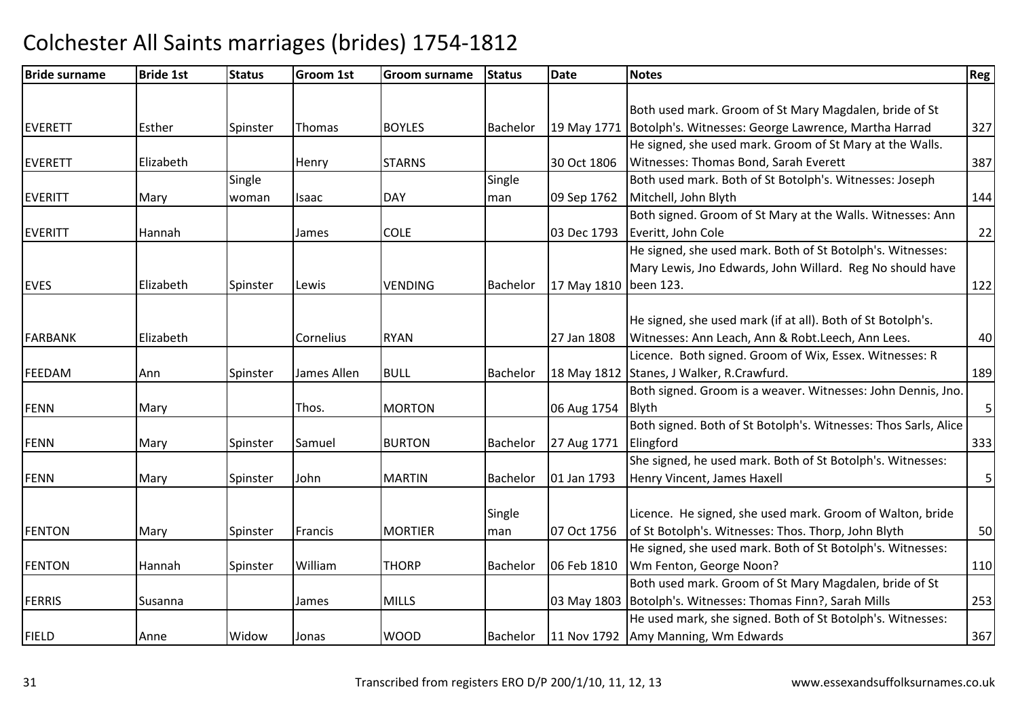| <b>Bride surname</b> | <b>Bride 1st</b> | <b>Status</b> | <b>Groom 1st</b> | <b>Groom surname</b> | <b>Status</b> | Date        | <b>Notes</b>                                                       | Reg                     |
|----------------------|------------------|---------------|------------------|----------------------|---------------|-------------|--------------------------------------------------------------------|-------------------------|
|                      |                  |               |                  |                      |               |             |                                                                    |                         |
|                      |                  |               |                  |                      |               |             | Both used mark. Groom of St Mary Magdalen, bride of St             |                         |
| <b>EVERETT</b>       | Esther           | Spinster      | Thomas           | <b>BOYLES</b>        | Bachelor      |             | 19 May 1771   Botolph's. Witnesses: George Lawrence, Martha Harrad | 327                     |
|                      |                  |               |                  |                      |               |             | He signed, she used mark. Groom of St Mary at the Walls.           |                         |
| <b>EVERETT</b>       | Elizabeth        |               | <b>Henry</b>     | <b>STARNS</b>        |               | 30 Oct 1806 | Witnesses: Thomas Bond, Sarah Everett                              | 387                     |
|                      |                  | Single        |                  |                      | Single        |             | Both used mark. Both of St Botolph's. Witnesses: Joseph            |                         |
| <b>EVERITT</b>       | Mary             | woman         | Isaac            | <b>DAY</b>           | man           | 09 Sep 1762 | Mitchell, John Blyth                                               | 144                     |
|                      |                  |               |                  |                      |               |             | Both signed. Groom of St Mary at the Walls. Witnesses: Ann         |                         |
| <b>EVERITT</b>       | Hannah           |               | James            | <b>COLE</b>          |               | 03 Dec 1793 | Everitt, John Cole                                                 | 22                      |
|                      |                  |               |                  |                      |               |             | He signed, she used mark. Both of St Botolph's. Witnesses:         |                         |
|                      |                  |               |                  |                      |               |             | Mary Lewis, Jno Edwards, John Willard. Reg No should have          |                         |
| <b>EVES</b>          | Elizabeth        | Spinster      | Lewis            | <b>VENDING</b>       | Bachelor      | 17 May 1810 | been 123.                                                          | 122                     |
|                      |                  |               |                  |                      |               |             |                                                                    |                         |
|                      |                  |               |                  |                      |               |             | He signed, she used mark (if at all). Both of St Botolph's.        |                         |
| <b>FARBANK</b>       | Elizabeth        |               | Cornelius        | <b>RYAN</b>          |               | 27 Jan 1808 | Witnesses: Ann Leach, Ann & Robt.Leech, Ann Lees.                  | 40                      |
|                      |                  |               |                  |                      |               |             | Licence. Both signed. Groom of Wix, Essex. Witnesses: R            |                         |
| FEEDAM               | Ann              | Spinster      | James Allen      | <b>BULL</b>          | Bachelor      |             | 18 May 1812 Stanes, J Walker, R.Crawfurd.                          | 189                     |
|                      |                  |               |                  |                      |               |             | Both signed. Groom is a weaver. Witnesses: John Dennis, Jno.       |                         |
| <b>FENN</b>          | Mary             |               | Thos.            | <b>MORTON</b>        |               | 06 Aug 1754 | Blyth                                                              | $\overline{\mathbf{5}}$ |
|                      |                  |               |                  |                      |               |             | Both signed. Both of St Botolph's. Witnesses: Thos Sarls, Alice    |                         |
| <b>FENN</b>          | Mary             | Spinster      | Samuel           | <b>BURTON</b>        | Bachelor      | 27 Aug 1771 | Elingford                                                          | 333                     |
|                      |                  |               |                  |                      |               |             | She signed, he used mark. Both of St Botolph's. Witnesses:         |                         |
| FENN                 | Mary             | Spinster      | John             | <b>MARTIN</b>        | Bachelor      | 01 Jan 1793 | Henry Vincent, James Haxell                                        | $\mathsf S$             |
|                      |                  |               |                  |                      |               |             |                                                                    |                         |
|                      |                  |               |                  |                      | Single        |             | Licence. He signed, she used mark. Groom of Walton, bride          |                         |
| <b>FENTON</b>        | Mary             | Spinster      | Francis          | <b>MORTIER</b>       | man           | 07 Oct 1756 | of St Botolph's. Witnesses: Thos. Thorp, John Blyth                | 50                      |
|                      |                  |               |                  |                      |               |             | He signed, she used mark. Both of St Botolph's. Witnesses:         |                         |
| <b>FENTON</b>        | Hannah           | Spinster      | William          | <b>THORP</b>         | Bachelor      | 06 Feb 1810 | Wm Fenton, George Noon?                                            | 110                     |
|                      |                  |               |                  |                      |               |             | Both used mark. Groom of St Mary Magdalen, bride of St             |                         |
| <b>FERRIS</b>        | Susanna          |               | James            | <b>MILLS</b>         |               |             | 03 May 1803   Botolph's. Witnesses: Thomas Finn?, Sarah Mills      | 253                     |
|                      |                  |               |                  |                      |               |             | He used mark, she signed. Both of St Botolph's. Witnesses:         |                         |
| <b>FIELD</b>         | Anne             | Widow         | Jonas            | <b>WOOD</b>          | Bachelor      |             | 11 Nov 1792 Amy Manning, Wm Edwards                                | 367                     |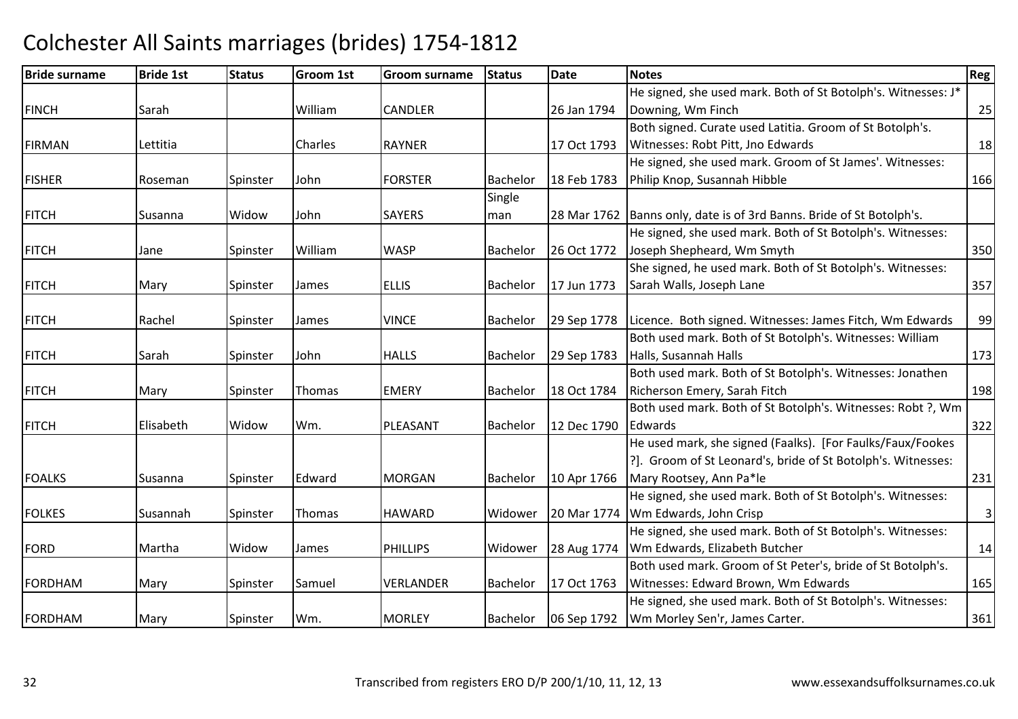| <b>Bride surname</b> | <b>Bride 1st</b> | <b>Status</b> | <b>Groom 1st</b> | Groom surname   | <b>Status</b> | <b>Date</b> | <b>Notes</b>                                                         | <b>Reg</b>     |
|----------------------|------------------|---------------|------------------|-----------------|---------------|-------------|----------------------------------------------------------------------|----------------|
|                      |                  |               |                  |                 |               |             | He signed, she used mark. Both of St Botolph's. Witnesses: J*        |                |
| <b>FINCH</b>         | Sarah            |               | William          | <b>CANDLER</b>  |               | 26 Jan 1794 | Downing, Wm Finch                                                    | 25             |
|                      |                  |               |                  |                 |               |             | Both signed. Curate used Latitia. Groom of St Botolph's.             |                |
| <b>FIRMAN</b>        | Lettitia         |               | Charles          | <b>RAYNER</b>   |               | 17 Oct 1793 | Witnesses: Robt Pitt, Jno Edwards                                    | 18             |
|                      |                  |               |                  |                 |               |             | He signed, she used mark. Groom of St James'. Witnesses:             |                |
| <b>FISHER</b>        | Roseman          | Spinster      | John             | <b>FORSTER</b>  | Bachelor      | 18 Feb 1783 | Philip Knop, Susannah Hibble                                         | 166            |
|                      |                  |               |                  |                 | Single        |             |                                                                      |                |
| <b>FITCH</b>         | Susanna          | Widow         | John             | <b>SAYERS</b>   | man           |             | 28 Mar 1762 Banns only, date is of 3rd Banns. Bride of St Botolph's. |                |
|                      |                  |               |                  |                 |               |             | He signed, she used mark. Both of St Botolph's. Witnesses:           |                |
| <b>FITCH</b>         | Jane             | Spinster      | William          | <b>WASP</b>     | Bachelor      | 26 Oct 1772 | Joseph Shepheard, Wm Smyth                                           | 350            |
|                      |                  |               |                  |                 |               |             | She signed, he used mark. Both of St Botolph's. Witnesses:           |                |
| <b>FITCH</b>         | Mary             | Spinster      | James            | <b>ELLIS</b>    | Bachelor      | 17 Jun 1773 | Sarah Walls, Joseph Lane                                             | 357            |
|                      |                  |               |                  |                 |               |             |                                                                      |                |
| <b>FITCH</b>         | Rachel           | Spinster      | James            | <b>VINCE</b>    | Bachelor      | 29 Sep 1778 | Licence. Both signed. Witnesses: James Fitch, Wm Edwards             | 99             |
|                      |                  |               |                  |                 |               |             | Both used mark. Both of St Botolph's. Witnesses: William             |                |
| <b>FITCH</b>         | Sarah            | Spinster      | John             | <b>HALLS</b>    | Bachelor      | 29 Sep 1783 | Halls, Susannah Halls                                                | 173            |
|                      |                  |               |                  |                 |               |             | Both used mark. Both of St Botolph's. Witnesses: Jonathen            |                |
| <b>FITCH</b>         | Mary             | Spinster      | Thomas           | <b>EMERY</b>    | Bachelor      | 18 Oct 1784 | Richerson Emery, Sarah Fitch                                         | 198            |
|                      |                  |               |                  |                 |               |             | Both used mark. Both of St Botolph's. Witnesses: Robt ?, Wm          |                |
| <b>FITCH</b>         | Elisabeth        | Widow         | Wm.              | PLEASANT        | Bachelor      | 12 Dec 1790 | Edwards                                                              | 322            |
|                      |                  |               |                  |                 |               |             | He used mark, she signed (Faalks). [For Faulks/Faux/Fookes           |                |
|                      |                  |               |                  |                 |               |             | ?]. Groom of St Leonard's, bride of St Botolph's. Witnesses:         |                |
| <b>FOALKS</b>        | Susanna          | Spinster      | Edward           | <b>MORGAN</b>   | Bachelor      | 10 Apr 1766 | Mary Rootsey, Ann Pa*le                                              | 231            |
|                      |                  |               |                  |                 |               |             | He signed, she used mark. Both of St Botolph's. Witnesses:           |                |
| <b>FOLKES</b>        | Susannah         | Spinster      | Thomas           | <b>HAWARD</b>   | Widower       | 20 Mar 1774 | Wm Edwards, John Crisp                                               | $\overline{3}$ |
|                      |                  |               |                  |                 |               |             | He signed, she used mark. Both of St Botolph's. Witnesses:           |                |
| <b>FORD</b>          | Martha           | Widow         | James            | <b>PHILLIPS</b> | Widower       | 28 Aug 1774 | Wm Edwards, Elizabeth Butcher                                        | 14             |
|                      |                  |               |                  |                 |               |             | Both used mark. Groom of St Peter's, bride of St Botolph's.          |                |
| <b>FORDHAM</b>       | Mary             | Spinster      | Samuel           | VERLANDER       | Bachelor      | 17 Oct 1763 | Witnesses: Edward Brown, Wm Edwards                                  | 165            |
|                      |                  |               |                  |                 |               |             | He signed, she used mark. Both of St Botolph's. Witnesses:           |                |
| FORDHAM              | Mary             | Spinster      | Wm.              | <b>MORLEY</b>   | Bachelor      | 06 Sep 1792 | Wm Morley Sen'r, James Carter.                                       | 361            |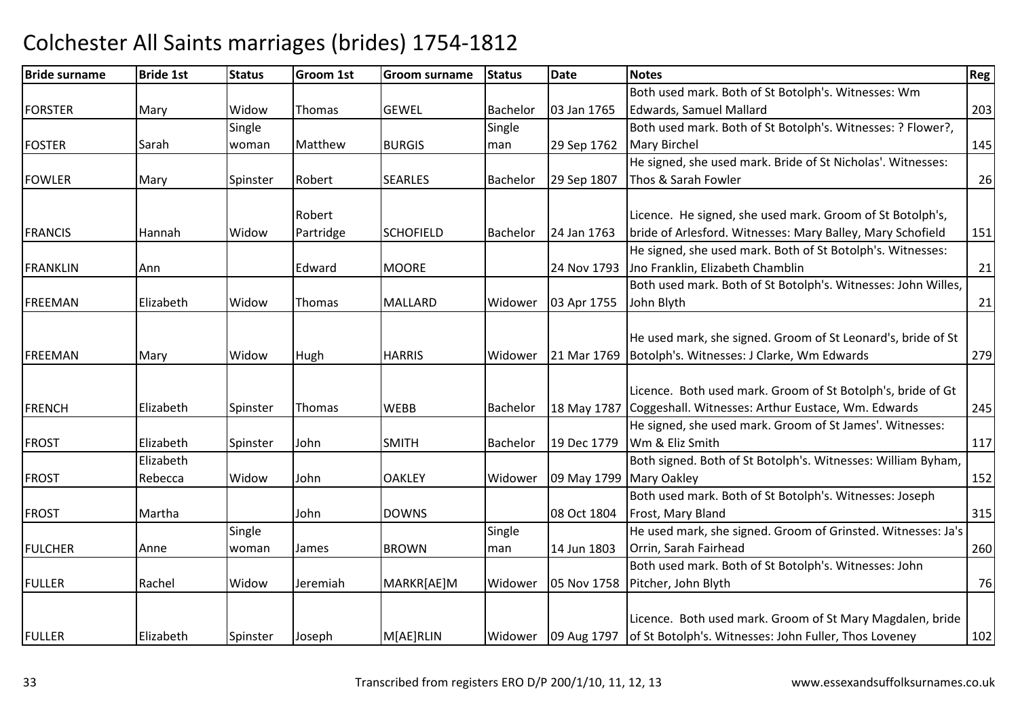#### Bride surnamee Bride 1st Status Groom 1st Groom surname Status Date Notes Region Contract Region Regional Region Region Reg FORSTERR Mary Widow Thomas GEWEL Bachelor 03 Jan 1765 Both used mark. Both of St Botolph's. Witnesses: Wm Edwards, Samuel Mallardd 203 FOSTER Sarah **Single** woman | Matthew BURGIS **Single** man 29 Sep 1762 Both used mark. Both of St Botolph's. Witnesses: ? Flower?, Mary Birchel1<sup>145</sup> FOWLERR Mary Spinster Robert SEARLES Bachelor 29 Sep 1807 He signed, she used mark. Bride of St Nicholas'. Witnesses: Thos & Sarah Fowler $r \hspace{2.5cm} 26$ FRANCIS Hannah WidowRobert Partridge**SCHOFIELD** Bachelor 124 Jan 1763 Licence. He signed, she used mark. Groom of St Botolph's, bride of Arlesford. Witnesses: Mary Balley, Mary Schofield <sup>151</sup> FRANKLINN Ann Boundary Edward MOORE 24 Nov 1793 He signed, she used mark. Both of St Botolph's. Witnesses:24 Nov 1793 Jno Franklin, Elizabeth Chamblin n 21 FREEMANN Elizabeth Widow Thomas MALLARD Widower 03 Apr 1755 Both used mark. Both of St Botolph's. Witnesses: John Willes, John Blythh 21 FREEMANN Mary Widow Hugh HARRIS Widower 21 Mar 1769 He used mark, she signed. Groom of St Leonard's, bride of St 21 Mar 1769 Botolph's. Witnesses: J Clarke, Wm Edwards <sup>279</sup>FRENCH Elizabeth Spinster Thomas WEBB Bachelor 18 May 1787 Licence. Both used mark. Groom of St Botolph's, bride of Gt 18 May 1787 Coggeshall. Witnesses: Arthur Eustace, Wm. Edwards <sup>245</sup>FROST Elizabeth Spinster John SMITHBachelor 19 Dec 1779 He signed, she used mark. Groom of St James'. Witnesses: Wm & Eliz Smithh 117 FROSTElizabeth Rebecca Widow John OAKLEY Widower 09 May 1799 Mary OakleyBoth signed. Both of St Botolph's. Witnesses: William Byham, y 152 FROST Martha John DOWNS 08 Oct 1804 Both used mark. Both of St Botolph's. Witnesses: Joseph Frost, Mary Blandd 315 FULCHER Anne **Single** woman James BROWN Single man 14 Jun 1803 He used mark, she signed. Groom of Grinsted. Witnesses: Ja's Orrin, Sarah Fairheadd 260 FULLER Rachel Widow Jeremiah MARKR[AE]M Widower 05 Nov 1758 Pitcher, John BlythBoth used mark. Both of St Botolph's. Witnesses: John h 76 FULLER Elizabeth Spinster Joseph M[AE]RLINM[AE]RLIN Widower 09 Aug 1797 Licence. Both used mark. Groom of St Mary Magdalen, bride of St Botolph's. Witnesses: John Fuller, Thos Loveney<sup>102</sup>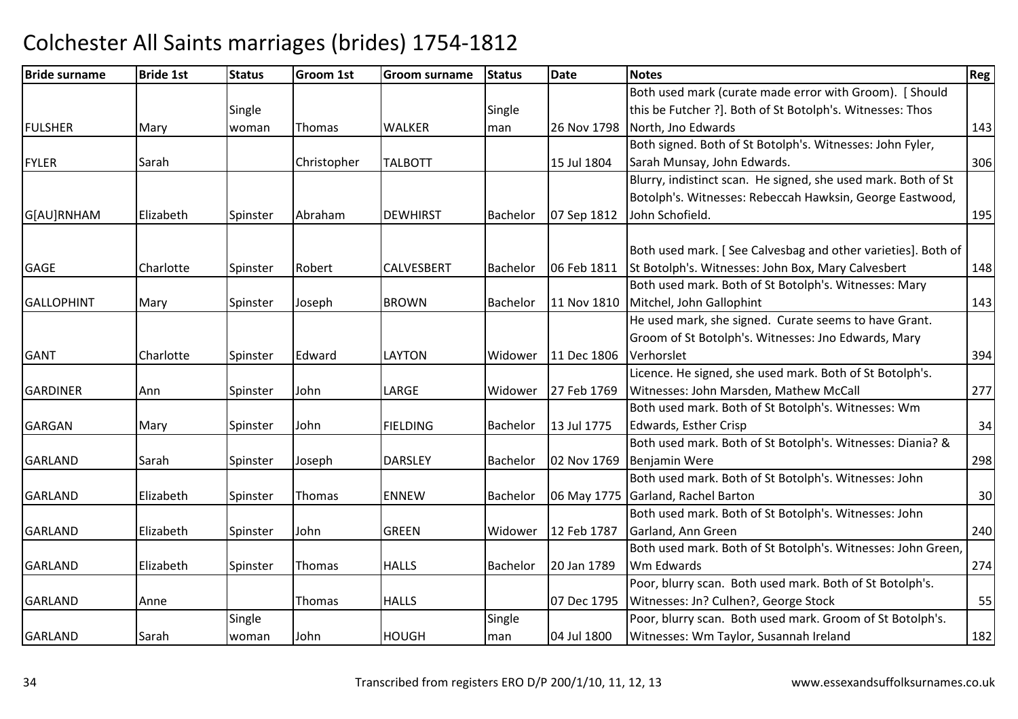| <b>Bride surname</b> | <b>Bride 1st</b> | <b>Status</b> | <b>Groom 1st</b> | <b>Groom surname</b> | <b>Status</b> | Date        | <b>Notes</b>                                                  | Reg |
|----------------------|------------------|---------------|------------------|----------------------|---------------|-------------|---------------------------------------------------------------|-----|
|                      |                  |               |                  |                      |               |             | Both used mark (curate made error with Groom). [Should        |     |
|                      |                  | Single        |                  |                      | Single        |             | this be Futcher ?]. Both of St Botolph's. Witnesses: Thos     |     |
| <b>FULSHER</b>       | Mary             | woman         | Thomas           | <b>WALKER</b>        | man           | 26 Nov 1798 | North, Jno Edwards                                            | 143 |
|                      |                  |               |                  |                      |               |             | Both signed. Both of St Botolph's. Witnesses: John Fyler,     |     |
| <b>FYLER</b>         | Sarah            |               | Christopher      | <b>TALBOTT</b>       |               | 15 Jul 1804 | Sarah Munsay, John Edwards.                                   | 306 |
|                      |                  |               |                  |                      |               |             | Blurry, indistinct scan. He signed, she used mark. Both of St |     |
|                      |                  |               |                  |                      |               |             | Botolph's. Witnesses: Rebeccah Hawksin, George Eastwood,      |     |
| G[AU]RNHAM           | Elizabeth        | Spinster      | Abraham          | <b>DEWHIRST</b>      | Bachelor      | 07 Sep 1812 | John Schofield.                                               | 195 |
|                      |                  |               |                  |                      |               |             | Both used mark. [See Calvesbag and other varieties]. Both of  |     |
| <b>GAGE</b>          | Charlotte        | Spinster      | Robert           | <b>CALVESBERT</b>    | Bachelor      | 06 Feb 1811 | St Botolph's. Witnesses: John Box, Mary Calvesbert            | 148 |
|                      |                  |               |                  |                      |               |             | Both used mark. Both of St Botolph's. Witnesses: Mary         |     |
| <b>GALLOPHINT</b>    | Mary             | Spinster      | Joseph           | <b>BROWN</b>         | Bachelor      | 11 Nov 1810 | Mitchel, John Gallophint                                      | 143 |
|                      |                  |               |                  |                      |               |             | He used mark, she signed. Curate seems to have Grant.         |     |
|                      |                  |               |                  |                      |               |             | Groom of St Botolph's. Witnesses: Jno Edwards, Mary           |     |
| <b>GANT</b>          | Charlotte        | Spinster      | Edward           | <b>LAYTON</b>        | Widower       | 11 Dec 1806 | Verhorslet                                                    | 394 |
|                      |                  |               |                  |                      |               |             | Licence. He signed, she used mark. Both of St Botolph's.      |     |
| <b>GARDINER</b>      | Ann              | Spinster      | John             | LARGE                | Widower       | 27 Feb 1769 | Witnesses: John Marsden, Mathew McCall                        | 277 |
|                      |                  |               |                  |                      |               |             | Both used mark. Both of St Botolph's. Witnesses: Wm           |     |
| <b>GARGAN</b>        | Mary             | Spinster      | John             | <b>FIELDING</b>      | Bachelor      | 13 Jul 1775 | Edwards, Esther Crisp                                         | 34  |
|                      |                  |               |                  |                      |               |             | Both used mark. Both of St Botolph's. Witnesses: Diania? &    |     |
| <b>GARLAND</b>       | Sarah            | Spinster      | Joseph           | <b>DARSLEY</b>       | Bachelor      | 02 Nov 1769 | <b>Benjamin Were</b>                                          | 298 |
|                      |                  |               |                  |                      |               |             | Both used mark. Both of St Botolph's. Witnesses: John         |     |
| <b>GARLAND</b>       | Elizabeth        | Spinster      | Thomas           | <b>ENNEW</b>         | Bachelor      | 06 May 1775 | Garland, Rachel Barton                                        | 30  |
|                      |                  |               |                  |                      |               |             | Both used mark. Both of St Botolph's. Witnesses: John         |     |
| <b>GARLAND</b>       | Elizabeth        | Spinster      | John             | <b>GREEN</b>         | Widower       | 12 Feb 1787 | Garland, Ann Green                                            | 240 |
|                      |                  |               |                  |                      |               |             | Both used mark. Both of St Botolph's. Witnesses: John Green,  |     |
| <b>GARLAND</b>       | Elizabeth        | Spinster      | <b>Thomas</b>    | <b>HALLS</b>         | Bachelor      | 20 Jan 1789 | Wm Edwards                                                    | 274 |
|                      |                  |               |                  |                      |               |             | Poor, blurry scan. Both used mark. Both of St Botolph's.      |     |
| <b>GARLAND</b>       | Anne             |               | <b>Thomas</b>    | <b>HALLS</b>         |               | 07 Dec 1795 | Witnesses: Jn? Culhen?, George Stock                          | 55  |
|                      |                  | Single        |                  |                      | Single        |             | Poor, blurry scan. Both used mark. Groom of St Botolph's.     |     |
| <b>GARLAND</b>       | Sarah            | woman         | John             | <b>HOUGH</b>         | man           | 04 Jul 1800 | Witnesses: Wm Taylor, Susannah Ireland                        | 182 |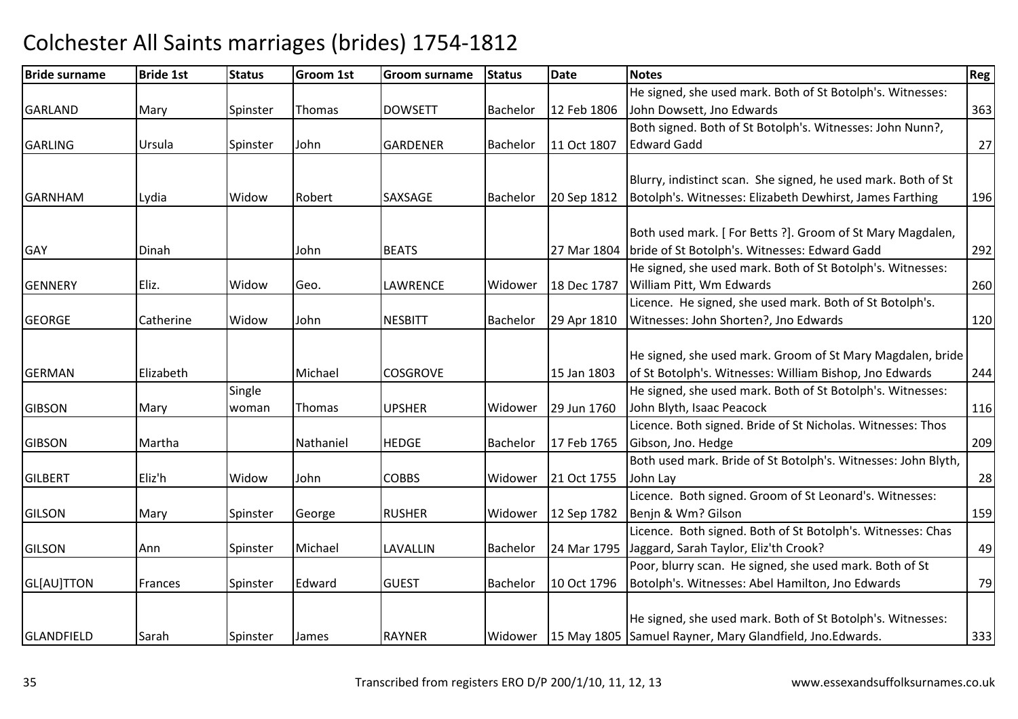| <b>Bride surname</b> | <b>Bride 1st</b> | <b>Status</b> | <b>Groom 1st</b> | <b>Groom surname</b> | <b>Status</b>   | <b>Date</b> | <b>Notes</b>                                                          | Reg |
|----------------------|------------------|---------------|------------------|----------------------|-----------------|-------------|-----------------------------------------------------------------------|-----|
|                      |                  |               |                  |                      |                 |             | He signed, she used mark. Both of St Botolph's. Witnesses:            |     |
| <b>GARLAND</b>       | Mary             | Spinster      | Thomas           | <b>DOWSETT</b>       | Bachelor        | 12 Feb 1806 | John Dowsett, Jno Edwards                                             | 363 |
|                      |                  |               |                  |                      |                 |             | Both signed. Both of St Botolph's. Witnesses: John Nunn?,             |     |
| <b>GARLING</b>       | Ursula           | Spinster      | John             | <b>GARDENER</b>      | Bachelor        | 11 Oct 1807 | <b>Edward Gadd</b>                                                    | 27  |
|                      |                  |               |                  |                      |                 |             |                                                                       |     |
|                      |                  |               |                  |                      |                 |             | Blurry, indistinct scan. She signed, he used mark. Both of St         |     |
| <b>GARNHAM</b>       | Lydia            | Widow         | Robert           | SAXSAGE              | <b>Bachelor</b> | 20 Sep 1812 | Botolph's. Witnesses: Elizabeth Dewhirst, James Farthing              | 196 |
|                      |                  |               |                  |                      |                 |             |                                                                       |     |
|                      |                  |               |                  |                      |                 |             | Both used mark. [For Betts ?]. Groom of St Mary Magdalen,             |     |
| <b>GAY</b>           | Dinah            |               | John             | <b>BEATS</b>         |                 | 27 Mar 1804 | bride of St Botolph's. Witnesses: Edward Gadd                         | 292 |
|                      |                  |               |                  |                      |                 |             | He signed, she used mark. Both of St Botolph's. Witnesses:            |     |
| <b>GENNERY</b>       | Eliz.            | Widow         | Geo.             | LAWRENCE             | Widower         | 18 Dec 1787 | William Pitt, Wm Edwards                                              | 260 |
|                      |                  |               |                  |                      |                 |             | Licence. He signed, she used mark. Both of St Botolph's.              |     |
| <b>GEORGE</b>        | Catherine        | Widow         | John             | <b>NESBITT</b>       | Bachelor        | 29 Apr 1810 | Witnesses: John Shorten?, Jno Edwards                                 | 120 |
|                      |                  |               |                  |                      |                 |             |                                                                       |     |
|                      |                  |               |                  |                      |                 |             | He signed, she used mark. Groom of St Mary Magdalen, bride            |     |
| <b>GERMAN</b>        | Elizabeth        |               | Michael          | <b>COSGROVE</b>      |                 | 15 Jan 1803 | of St Botolph's. Witnesses: William Bishop, Jno Edwards               | 244 |
|                      |                  | Single        |                  |                      |                 |             | He signed, she used mark. Both of St Botolph's. Witnesses:            |     |
| <b>GIBSON</b>        | Mary             | woman         | Thomas           | <b>UPSHER</b>        | Widower         | 29 Jun 1760 | John Blyth, Isaac Peacock                                             | 116 |
|                      |                  |               |                  |                      |                 |             | Licence. Both signed. Bride of St Nicholas. Witnesses: Thos           |     |
| <b>GIBSON</b>        | Martha           |               | Nathaniel        | <b>HEDGE</b>         | Bachelor        | 17 Feb 1765 | Gibson, Jno. Hedge                                                    | 209 |
|                      |                  |               |                  |                      |                 |             | Both used mark. Bride of St Botolph's. Witnesses: John Blyth,         |     |
| <b>GILBERT</b>       | Eliz'h           | Widow         | John             | <b>COBBS</b>         | Widower         | 21 Oct 1755 | John Lay                                                              | 28  |
|                      |                  |               |                  |                      |                 |             | Licence. Both signed. Groom of St Leonard's. Witnesses:               |     |
| <b>GILSON</b>        | Mary             | Spinster      | George           | <b>RUSHER</b>        | Widower         | 12 Sep 1782 | Benjn & Wm? Gilson                                                    | 159 |
|                      |                  |               |                  |                      |                 |             | Licence. Both signed. Both of St Botolph's. Witnesses: Chas           |     |
| <b>GILSON</b>        | Ann              | Spinster      | Michael          | LAVALLIN             | Bachelor        | 24 Mar 1795 | Jaggard, Sarah Taylor, Eliz'th Crook?                                 | 49  |
|                      |                  |               |                  |                      |                 |             | Poor, blurry scan. He signed, she used mark. Both of St               |     |
| GL[AU]TTON           | Frances          | Spinster      | Edward           | <b>GUEST</b>         | <b>Bachelor</b> | 10 Oct 1796 | Botolph's. Witnesses: Abel Hamilton, Jno Edwards                      | 79  |
|                      |                  |               |                  |                      |                 |             |                                                                       |     |
|                      |                  |               |                  |                      |                 |             | He signed, she used mark. Both of St Botolph's. Witnesses:            |     |
| <b>GLANDFIELD</b>    | Sarah            | Spinster      | <b>James</b>     | <b>RAYNER</b>        |                 |             | Widower   15 May 1805   Samuel Rayner, Mary Glandfield, Jno. Edwards. | 333 |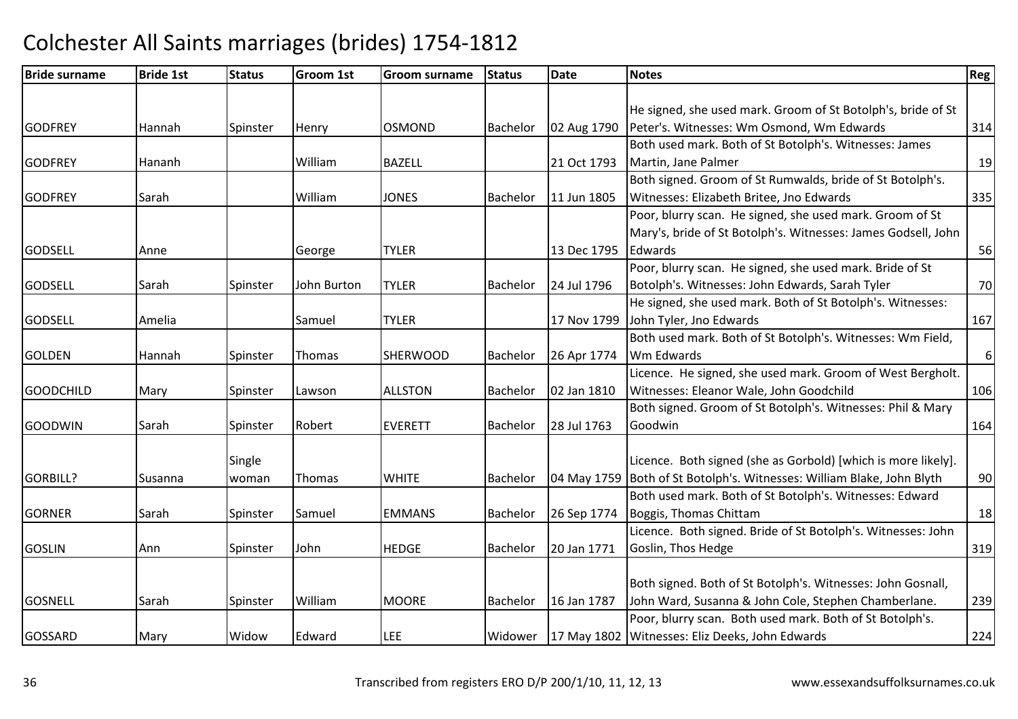| <b>Bride surname</b> | <b>Bride 1st</b> | <b>Status</b> | <b>Groom 1st</b> | Groom surname   | <b>Status</b>   | <b>Date</b> | <b>Notes</b>                                                             | Reg      |
|----------------------|------------------|---------------|------------------|-----------------|-----------------|-------------|--------------------------------------------------------------------------|----------|
|                      |                  |               |                  |                 |                 |             |                                                                          |          |
|                      |                  |               |                  |                 |                 |             | He signed, she used mark. Groom of St Botolph's, bride of St             |          |
| <b>GODFREY</b>       | Hannah           | Spinster      | Henry            | <b>OSMOND</b>   | <b>Bachelor</b> | 02 Aug 1790 | Peter's. Witnesses: Wm Osmond, Wm Edwards                                | 314      |
|                      |                  |               |                  |                 |                 |             | Both used mark. Both of St Botolph's. Witnesses: James                   |          |
| <b>GODFREY</b>       | Hananh           |               | William          | <b>BAZELL</b>   |                 | 21 Oct 1793 | Martin, Jane Palmer                                                      | 19       |
|                      |                  |               |                  |                 |                 |             | Both signed. Groom of St Rumwalds, bride of St Botolph's.                |          |
| <b>GODFREY</b>       | Sarah            |               | William          | <b>JONES</b>    | Bachelor        | 11 Jun 1805 | Witnesses: Elizabeth Britee, Jno Edwards                                 | 335      |
|                      |                  |               |                  |                 |                 |             | Poor, blurry scan. He signed, she used mark. Groom of St                 |          |
|                      |                  |               |                  |                 |                 |             | Mary's, bride of St Botolph's. Witnesses: James Godsell, John            |          |
| <b>GODSELL</b>       | Anne             |               | George           | <b>TYLER</b>    |                 | 13 Dec 1795 | Edwards                                                                  | 56       |
|                      |                  |               |                  |                 |                 |             | Poor, blurry scan. He signed, she used mark. Bride of St                 |          |
| <b>GODSELL</b>       | Sarah            | Spinster      | John Burton      | <b>TYLER</b>    | <b>Bachelor</b> | 24 Jul 1796 | Botolph's. Witnesses: John Edwards, Sarah Tyler                          | 70       |
|                      |                  |               |                  |                 |                 |             | He signed, she used mark. Both of St Botolph's. Witnesses:               |          |
| <b>GODSELL</b>       | Amelia           |               | Samuel           | <b>TYLER</b>    |                 | 17 Nov 1799 | John Tyler, Jno Edwards                                                  | 167      |
|                      |                  |               |                  |                 |                 |             | Both used mark. Both of St Botolph's. Witnesses: Wm Field,               |          |
| <b>GOLDEN</b>        | Hannah           | Spinster      | Thomas           | <b>SHERWOOD</b> | Bachelor        | 26 Apr 1774 | Wm Edwards                                                               | $6 \mid$ |
|                      |                  |               |                  |                 |                 |             | Licence. He signed, she used mark. Groom of West Bergholt.               |          |
| <b>GOODCHILD</b>     | Mary             | Spinster      | Lawson           | <b>ALLSTON</b>  | Bachelor        | 02 Jan 1810 | Witnesses: Eleanor Wale, John Goodchild                                  | 106      |
|                      |                  |               |                  |                 |                 |             | Both signed. Groom of St Botolph's. Witnesses: Phil & Mary               |          |
| <b>GOODWIN</b>       | Sarah            | Spinster      | Robert           | <b>EVERETT</b>  | Bachelor        | 28 Jul 1763 | Goodwin                                                                  | 164      |
|                      |                  |               |                  |                 |                 |             |                                                                          |          |
|                      |                  | Single        |                  |                 |                 |             | Licence. Both signed (she as Gorbold) [which is more likely].            |          |
| <b>GORBILL?</b>      | Susanna          | woman         | Thomas           | <b>WHITE</b>    | <b>Bachelor</b> |             | 04 May 1759   Both of St Botolph's. Witnesses: William Blake, John Blyth | 90       |
|                      |                  |               |                  |                 |                 |             | Both used mark. Both of St Botolph's. Witnesses: Edward                  |          |
| <b>GORNER</b>        | Sarah            | Spinster      | Samuel           | <b>EMMANS</b>   | Bachelor        | 26 Sep 1774 | Boggis, Thomas Chittam                                                   | 18       |
|                      |                  |               |                  |                 |                 |             | Licence. Both signed. Bride of St Botolph's. Witnesses: John             |          |
| <b>GOSLIN</b>        | Ann              | Spinster      | John             | <b>HEDGE</b>    | Bachelor        | 20 Jan 1771 | Goslin, Thos Hedge                                                       | 319      |
|                      |                  |               |                  |                 |                 |             |                                                                          |          |
|                      |                  |               |                  |                 |                 |             | Both signed. Both of St Botolph's. Witnesses: John Gosnall,              |          |
| <b>GOSNELL</b>       | Sarah            | Spinster      | William          | <b>MOORE</b>    | Bachelor        | 16 Jan 1787 | John Ward, Susanna & John Cole, Stephen Chamberlane.                     | 239      |
|                      |                  |               |                  |                 |                 |             | Poor, blurry scan. Both used mark. Both of St Botolph's.                 |          |
| <b>GOSSARD</b>       | Mary             | Widow         | Edward           | LEE             | Widower         |             | 17 May 1802 Witnesses: Eliz Deeks, John Edwards                          | 224      |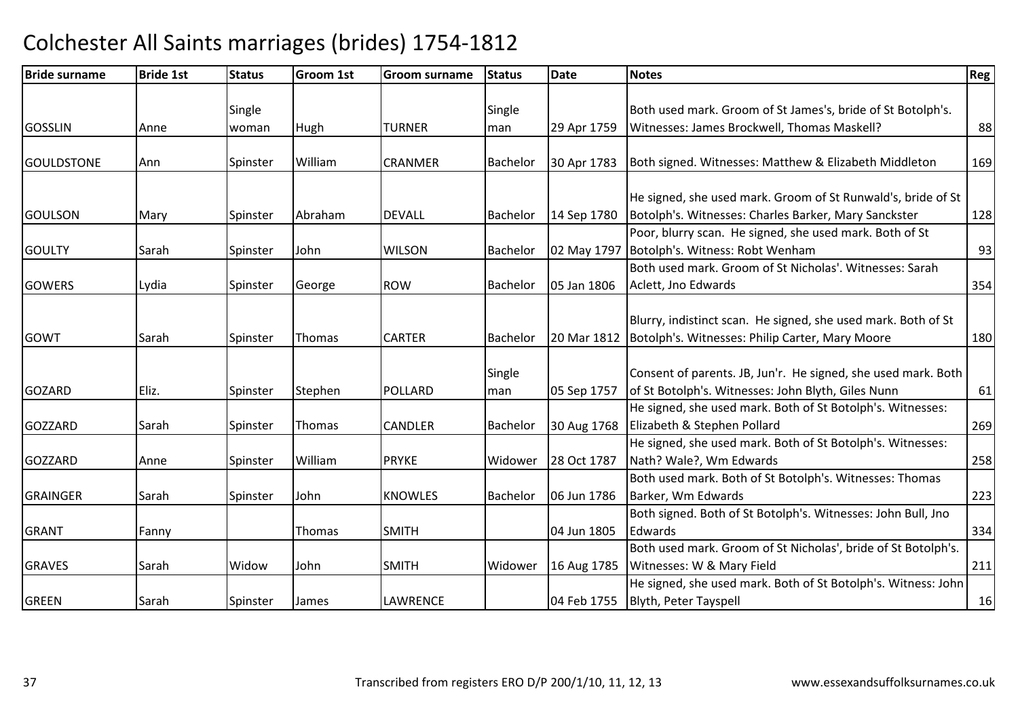| <b>Bride surname</b> | <b>Bride 1st</b> | <b>Status</b> | <b>Groom 1st</b> | <b>Groom surname</b> | <b>Status</b>   | <b>Date</b> | <b>Notes</b>                                                  | Reg |
|----------------------|------------------|---------------|------------------|----------------------|-----------------|-------------|---------------------------------------------------------------|-----|
|                      |                  |               |                  |                      |                 |             |                                                               |     |
|                      |                  | Single        |                  |                      | Single          |             | Both used mark. Groom of St James's, bride of St Botolph's.   |     |
| <b>GOSSLIN</b>       | Anne             | woman         | Hugh             | TURNER               | man             | 29 Apr 1759 | Witnesses: James Brockwell, Thomas Maskell?                   | 88  |
|                      |                  |               |                  |                      |                 |             |                                                               |     |
| <b>GOULDSTONE</b>    | Ann              | Spinster      | William          | <b>CRANMER</b>       | Bachelor        | 30 Apr 1783 | Both signed. Witnesses: Matthew & Elizabeth Middleton         | 169 |
|                      |                  |               |                  |                      |                 |             |                                                               |     |
|                      |                  |               |                  |                      |                 |             | He signed, she used mark. Groom of St Runwald's, bride of St  |     |
| <b>GOULSON</b>       | Mary             | Spinster      | Abraham          | <b>DEVALL</b>        | Bachelor        | 14 Sep 1780 | Botolph's. Witnesses: Charles Barker, Mary Sanckster          | 128 |
|                      |                  |               |                  |                      |                 |             | Poor, blurry scan. He signed, she used mark. Both of St       |     |
| <b>GOULTY</b>        | Sarah            | Spinster      | John             | <b>WILSON</b>        | Bachelor        |             | 02 May 1797 Botolph's. Witness: Robt Wenham                   | 93  |
|                      |                  |               |                  |                      |                 |             | Both used mark. Groom of St Nicholas'. Witnesses: Sarah       |     |
| <b>GOWERS</b>        | Lydia            | Spinster      | George           | <b>ROW</b>           | <b>Bachelor</b> | 05 Jan 1806 | Aclett, Jno Edwards                                           | 354 |
|                      |                  |               |                  |                      |                 |             |                                                               |     |
|                      |                  |               |                  |                      |                 |             | Blurry, indistinct scan. He signed, she used mark. Both of St |     |
| GOWT                 | Sarah            | Spinster      | Thomas           | <b>CARTER</b>        | Bachelor        |             | 20 Mar 1812   Botolph's. Witnesses: Philip Carter, Mary Moore | 180 |
|                      |                  |               |                  |                      |                 |             |                                                               |     |
|                      |                  |               |                  |                      | Single          |             | Consent of parents. JB, Jun'r. He signed, she used mark. Both |     |
| <b>GOZARD</b>        | Eliz.            | Spinster      | Stephen          | <b>POLLARD</b>       | man             | 05 Sep 1757 | of St Botolph's. Witnesses: John Blyth, Giles Nunn            | 61  |
|                      |                  |               |                  |                      |                 |             | He signed, she used mark. Both of St Botolph's. Witnesses:    |     |
| <b>GOZZARD</b>       | Sarah            | Spinster      | Thomas           | <b>CANDLER</b>       | Bachelor        | 30 Aug 1768 | Elizabeth & Stephen Pollard                                   | 269 |
|                      |                  |               |                  |                      |                 |             | He signed, she used mark. Both of St Botolph's. Witnesses:    |     |
| <b>GOZZARD</b>       | Anne             | Spinster      | William          | <b>PRYKE</b>         | Widower         | 28 Oct 1787 | Nath? Wale?, Wm Edwards                                       | 258 |
|                      |                  |               |                  |                      |                 |             | Both used mark. Both of St Botolph's. Witnesses: Thomas       |     |
| <b>GRAINGER</b>      | Sarah            | Spinster      | John             | <b>KNOWLES</b>       | Bachelor        | 06 Jun 1786 | Barker, Wm Edwards                                            | 223 |
|                      |                  |               |                  |                      |                 |             | Both signed. Both of St Botolph's. Witnesses: John Bull, Jno  |     |
| <b>GRANT</b>         | Fanny            |               | Thomas           | <b>SMITH</b>         |                 | 04 Jun 1805 | Edwards                                                       | 334 |
|                      |                  |               |                  |                      |                 |             | Both used mark. Groom of St Nicholas', bride of St Botolph's. |     |
| <b>GRAVES</b>        | Sarah            | Widow         | John             | <b>SMITH</b>         | Widower         | 16 Aug 1785 | Witnesses: W & Mary Field                                     | 211 |
|                      |                  |               |                  |                      |                 |             | He signed, she used mark. Both of St Botolph's. Witness: John |     |
| <b>GREEN</b>         | Sarah            | Spinster      | James            | <b>LAWRENCE</b>      |                 | 04 Feb 1755 | Blyth, Peter Tayspell                                         | 16  |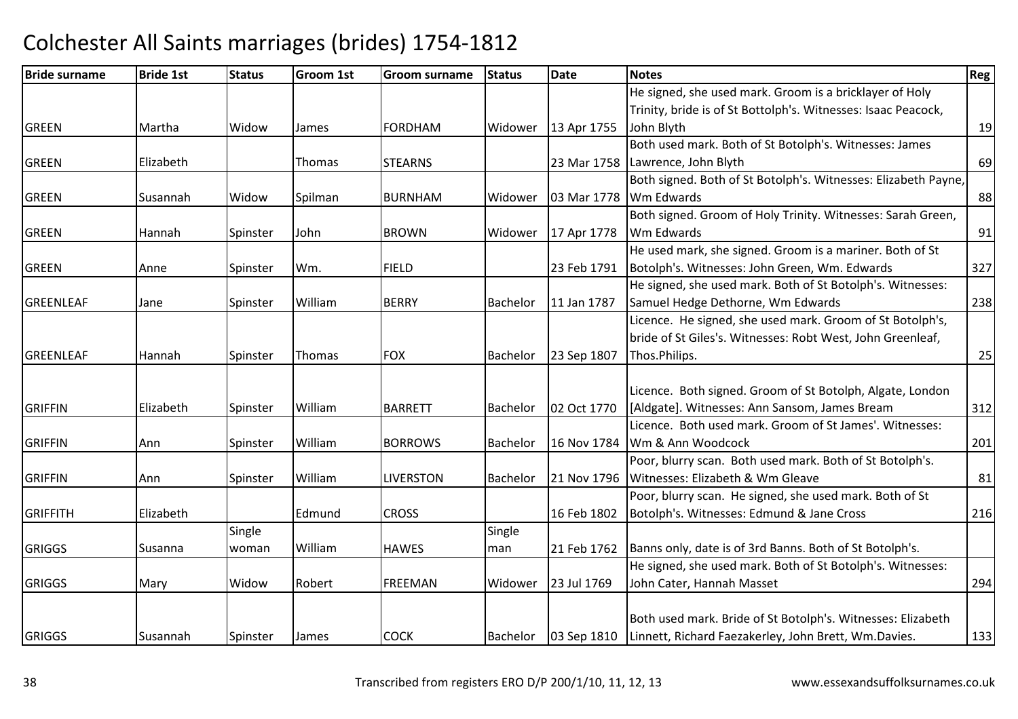| <b>Bride surname</b> | <b>Bride 1st</b> | <b>Status</b> | <b>Groom 1st</b> | <b>Groom surname</b> | <b>Status</b> | <b>Date</b> | <b>Notes</b>                                                       | Reg! |
|----------------------|------------------|---------------|------------------|----------------------|---------------|-------------|--------------------------------------------------------------------|------|
|                      |                  |               |                  |                      |               |             | He signed, she used mark. Groom is a bricklayer of Holy            |      |
|                      |                  |               |                  |                      |               |             | Trinity, bride is of St Bottolph's. Witnesses: Isaac Peacock,      |      |
| <b>GREEN</b>         | Martha           | Widow         | James            | <b>FORDHAM</b>       | Widower       | 13 Apr 1755 | John Blyth                                                         | 19   |
|                      |                  |               |                  |                      |               |             | Both used mark. Both of St Botolph's. Witnesses: James             |      |
| <b>GREEN</b>         | Elizabeth        |               | Thomas           | <b>STEARNS</b>       |               | 23 Mar 1758 | Lawrence, John Blyth                                               | 69   |
|                      |                  |               |                  |                      |               |             | Both signed. Both of St Botolph's. Witnesses: Elizabeth Payne,     |      |
| <b>GREEN</b>         | Susannah         | Widow         | Spilman          | <b>BURNHAM</b>       | Widower       | 03 Mar 1778 | Wm Edwards                                                         | 88   |
|                      |                  |               |                  |                      |               |             | Both signed. Groom of Holy Trinity. Witnesses: Sarah Green,        |      |
| <b>GREEN</b>         | Hannah           | Spinster      | John             | <b>BROWN</b>         | Widower       | 17 Apr 1778 | Wm Edwards                                                         | 91   |
|                      |                  |               |                  |                      |               |             | He used mark, she signed. Groom is a mariner. Both of St           |      |
| <b>GREEN</b>         | Anne             | Spinster      | Wm.              | <b>FIELD</b>         |               | 23 Feb 1791 | Botolph's. Witnesses: John Green, Wm. Edwards                      | 327  |
|                      |                  |               |                  |                      |               |             | He signed, she used mark. Both of St Botolph's. Witnesses:         |      |
| <b>GREENLEAF</b>     | Jane             | Spinster      | William          | <b>BERRY</b>         | Bachelor      | 11 Jan 1787 | Samuel Hedge Dethorne, Wm Edwards                                  | 238  |
|                      |                  |               |                  |                      |               |             | Licence. He signed, she used mark. Groom of St Botolph's,          |      |
|                      |                  |               |                  |                      |               |             | bride of St Giles's. Witnesses: Robt West, John Greenleaf,         |      |
| <b>GREENLEAF</b>     | Hannah           | Spinster      | Thomas           | <b>FOX</b>           | Bachelor      | 23 Sep 1807 | Thos.Philips.                                                      | 25   |
|                      |                  |               |                  |                      |               |             |                                                                    |      |
|                      |                  |               |                  |                      |               |             | Licence. Both signed. Groom of St Botolph, Algate, London          |      |
| <b>GRIFFIN</b>       | Elizabeth        | Spinster      | William          | <b>BARRETT</b>       | Bachelor      | 02 Oct 1770 | [Aldgate]. Witnesses: Ann Sansom, James Bream                      | 312  |
|                      |                  |               |                  |                      |               |             | Licence. Both used mark. Groom of St James'. Witnesses:            |      |
| <b>GRIFFIN</b>       | Ann              | Spinster      | William          | <b>BORROWS</b>       | Bachelor      | 16 Nov 1784 | Wm & Ann Woodcock                                                  | 201  |
|                      |                  |               |                  |                      |               |             | Poor, blurry scan. Both used mark. Both of St Botolph's.           |      |
| <b>GRIFFIN</b>       | Ann              | Spinster      | William          | <b>LIVERSTON</b>     | Bachelor      | 21 Nov 1796 | Witnesses: Elizabeth & Wm Gleave                                   | 81   |
|                      |                  |               |                  |                      |               |             | Poor, blurry scan. He signed, she used mark. Both of St            |      |
| <b>GRIFFITH</b>      | Elizabeth        |               | Edmund           | <b>CROSS</b>         |               | 16 Feb 1802 | Botolph's. Witnesses: Edmund & Jane Cross                          | 216  |
|                      |                  | Single        |                  |                      | Single        |             |                                                                    |      |
| <b>GRIGGS</b>        | Susanna          | woman         | William          | <b>HAWES</b>         | man           | 21 Feb 1762 | Banns only, date is of 3rd Banns. Both of St Botolph's.            |      |
|                      |                  |               |                  |                      |               |             | He signed, she used mark. Both of St Botolph's. Witnesses:         |      |
| <b>GRIGGS</b>        | Mary             | Widow         | Robert           | <b>FREEMAN</b>       | Widower       | 23 Jul 1769 | John Cater, Hannah Masset                                          | 294  |
|                      |                  |               |                  |                      |               |             |                                                                    |      |
|                      |                  |               |                  |                      |               |             | Both used mark. Bride of St Botolph's. Witnesses: Elizabeth        |      |
| <b>GRIGGS</b>        | Susannah         | Spinster      | James            | <b>COCK</b>          | Bachelor      |             | 03 Sep 1810   Linnett, Richard Faezakerley, John Brett, Wm.Davies. | 133  |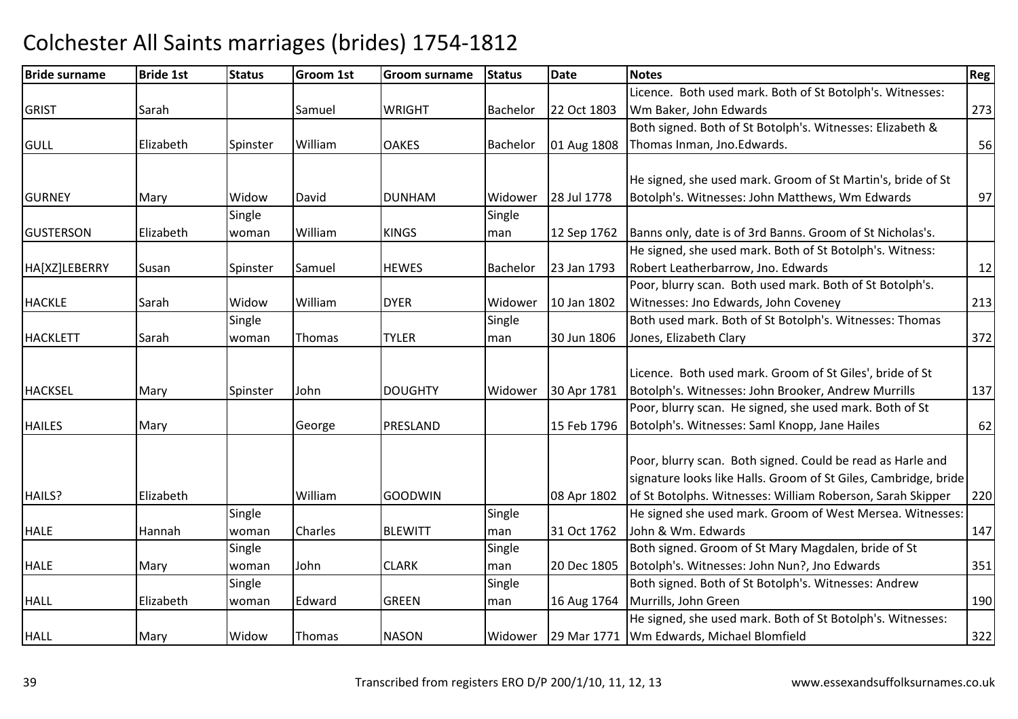| <b>Bride surname</b> | <b>Bride 1st</b> | <b>Status</b> | <b>Groom 1st</b> | Groom surname  | <b>Status</b> | <b>Date</b> | <b>Notes</b>                                                    | Reg |
|----------------------|------------------|---------------|------------------|----------------|---------------|-------------|-----------------------------------------------------------------|-----|
|                      |                  |               |                  |                |               |             | Licence. Both used mark. Both of St Botolph's. Witnesses:       |     |
| <b>GRIST</b>         | Sarah            |               | Samuel           | <b>WRIGHT</b>  | Bachelor      | 22 Oct 1803 | Wm Baker, John Edwards                                          | 273 |
|                      |                  |               |                  |                |               |             | Both signed. Both of St Botolph's. Witnesses: Elizabeth &       |     |
| <b>GULL</b>          | Elizabeth        | Spinster      | William          | <b>OAKES</b>   | Bachelor      | 01 Aug 1808 | Thomas Inman, Jno.Edwards.                                      | 56  |
|                      |                  |               |                  |                |               |             |                                                                 |     |
|                      |                  |               |                  |                |               |             | He signed, she used mark. Groom of St Martin's, bride of St     |     |
| <b>GURNEY</b>        | Mary             | Widow         | David            | <b>DUNHAM</b>  | Widower       | 28 Jul 1778 | Botolph's. Witnesses: John Matthews, Wm Edwards                 | 97  |
|                      |                  | Single        |                  |                | Single        |             |                                                                 |     |
| <b>IGUSTERSON</b>    | Elizabeth        | woman         | William          | <b>KINGS</b>   | man           | 12 Sep 1762 | Banns only, date is of 3rd Banns. Groom of St Nicholas's.       |     |
|                      |                  |               |                  |                |               |             | He signed, she used mark. Both of St Botolph's. Witness:        |     |
| HA[XZ]LEBERRY        | Susan            | Spinster      | Samuel           | <b>HEWES</b>   | Bachelor      | 23 Jan 1793 | Robert Leatherbarrow, Jno. Edwards                              | 12  |
|                      |                  |               |                  |                |               |             | Poor, blurry scan. Both used mark. Both of St Botolph's.        |     |
| <b>HACKLE</b>        | Sarah            | Widow         | William          | <b>DYER</b>    | Widower       | 10 Jan 1802 | Witnesses: Jno Edwards, John Coveney                            | 213 |
|                      |                  | Single        |                  |                | Single        |             | Both used mark. Both of St Botolph's. Witnesses: Thomas         |     |
| <b>HACKLETT</b>      | Sarah            | woman         | Thomas           | <b>TYLER</b>   | man           | 30 Jun 1806 | Jones, Elizabeth Clary                                          | 372 |
|                      |                  |               |                  |                |               |             |                                                                 |     |
|                      |                  |               |                  |                |               |             | Licence. Both used mark. Groom of St Giles', bride of St        |     |
| <b>HACKSEL</b>       | Mary             | Spinster      | John             | <b>DOUGHTY</b> | Widower       | 30 Apr 1781 | Botolph's. Witnesses: John Brooker, Andrew Murrills             | 137 |
|                      |                  |               |                  |                |               |             | Poor, blurry scan. He signed, she used mark. Both of St         |     |
| <b>HAILES</b>        | Mary             |               | George           | PRESLAND       |               | 15 Feb 1796 | Botolph's. Witnesses: Saml Knopp, Jane Hailes                   | 62  |
|                      |                  |               |                  |                |               |             |                                                                 |     |
|                      |                  |               |                  |                |               |             | Poor, blurry scan. Both signed. Could be read as Harle and      |     |
|                      |                  |               |                  |                |               |             | signature looks like Halls. Groom of St Giles, Cambridge, bride |     |
| HAILS?               | Elizabeth        |               | William          | <b>GOODWIN</b> |               | 08 Apr 1802 | of St Botolphs. Witnesses: William Roberson, Sarah Skipper      | 220 |
|                      |                  | Single        |                  |                | Single        |             | He signed she used mark. Groom of West Mersea. Witnesses:       |     |
| <b>HALE</b>          | Hannah           | woman         | Charles          | <b>BLEWITT</b> | man           | 31 Oct 1762 | John & Wm. Edwards                                              | 147 |
|                      |                  | Single        |                  |                | Single        |             | Both signed. Groom of St Mary Magdalen, bride of St             |     |
| <b>HALE</b>          | Mary             | woman         | John             | <b>CLARK</b>   | man           | 20 Dec 1805 | Botolph's. Witnesses: John Nun?, Jno Edwards                    | 351 |
|                      |                  | Single        |                  |                | Single        |             | Both signed. Both of St Botolph's. Witnesses: Andrew            |     |
| <b>HALL</b>          | Elizabeth        | woman         | Edward           | <b>GREEN</b>   | man           | 16 Aug 1764 | Murrills, John Green                                            | 190 |
|                      |                  |               |                  |                |               |             | He signed, she used mark. Both of St Botolph's. Witnesses:      |     |
| <b>HALL</b>          | Mary             | Widow         | Thomas           | <b>NASON</b>   |               |             | Widower   29 Mar 1771   Wm Edwards, Michael Blomfield           | 322 |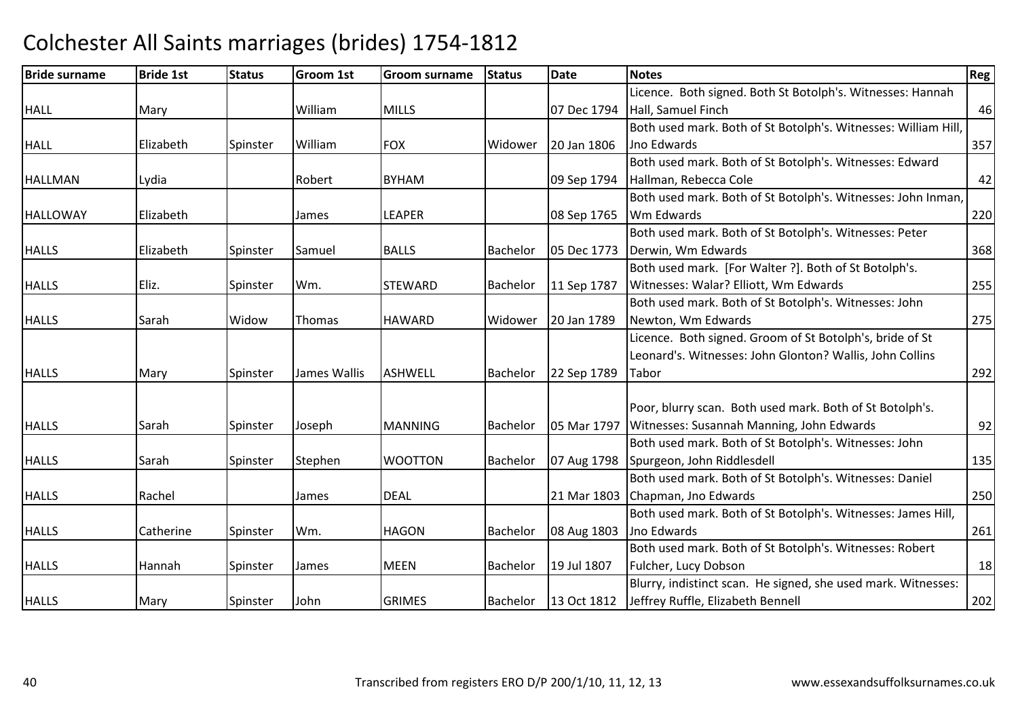### Bride surnamee Bride 1st Status Groom 1st Groom surname Status Date Notes Region Contract Region Regional Region Region Reg HALLL Mary Narth William William MILLS 107 Dec 1794 Licence. Both signed. Both St Botolph's. Witnesses: Hannah Hall, Samuel Finchh 46 HALL Elizabeth Spinster WilliamFOX | Widower 20 Jan 1806 Both used mark. Both of St Botolph's. Witnesses: William Hill, Jno Edwards $\sim$  357 HALLMANN Lydia | Robert BYHAM | 09 Sep 1794 Both used mark. Both of St Botolph's. Witnesses: Edward Hallman, Rebecca Colee 42 HALLOWAYY Elizabeth James LEAPER 08 Sep 1765 Both used mark. Both of St Botolph's. Witnesses: John Inman, Wm Edwards $\sim$  220 HALLS Elizabeth Spinster Samuel BALLS Bachelor 05 Dec 1773Both used mark. Both of St Botolph's. Witnesses: Peter 05 Dec 1773 Derwin, Wm Edwards  $\sim$  368 HALLS Eliz. Spinster Wm. STEWARDSTEWARD | Bachelor | 11 Sep 1787 Both used mark. [For Walter ?]. Both of St Botolph's. Witnesses: Walar? Elliott, Wm Edwardss 255 HALLS Sarah Widow Thomas HAWARDHAWARD Widower 20 Jan 1789 Both used mark. Both of St Botolph's. Witnesses: John Newton, Wm Edwardss 275 HALLSS 1789 Mary Spinster James Wallis ASHWELL Bachelor 22 Sep 1789 Licence. Both signed. Groom of St Botolph's, bride of St Leonard's. Witnesses: John Glonton? Wallis, John Collins **Tabor** r 1292 HALLS Sarah Spinster Joseph MANNING Bachelor 05 Mar 1797 Witnesses: Susannah Manning, John EdwardsPoor, blurry scan. Both used mark. Both of St Botolph's. s  $92$ HALLSSarah Spinster Stephen WOOTTON Bachelor 07 Aug 1798 Both used mark. Both of St Botolph's. Witnesses: John Spurgeon, John Riddlesdell 135**HALLS** S Rachel James DEAL 21 Mar 1803 Both used mark. Both of St Botolph's. Witnesses: Daniel 21 Mar 1803 Chapman, Jno Edwards s 250 HALLSS Catherine Spinster Wm. HAGON HAGON Bachelor 08 Aug 1803 Both used mark. Both of St Botolph's. Witnesses: James Hill, Jno Edwardss and  $\sim$  261 HALLSS 1992 | Hannah Spinster James | MEEN MEEN Bachelor 19 Jul 1807 Both used mark. Both of St Botolph's. Witnesses: Robert Fulcher, Lucy Dobsonn 18 GRIMES Bachelor 13 Oct 1812 Blurry, indistinct scan. He signed, she used mark. Witnesses:

### Colchester All Saints marriages (brides) 1754-1812

Mary Spinster John

202

Jeffrey Ruffle, Elizabeth Bennell

HALLS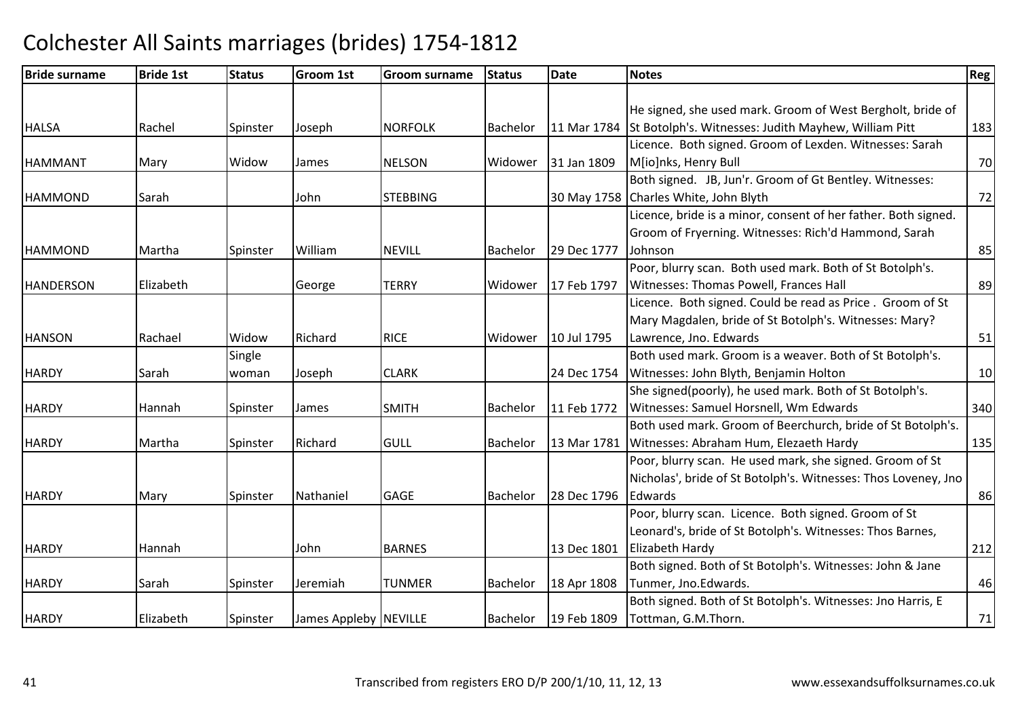| <b>Bride surname</b> | <b>Bride 1st</b> | <b>Status</b> | Groom 1st             | <b>Groom surname</b> | <b>Status</b> | <b>Date</b> | <b>Notes</b>                                                     | <b>Reg</b> |
|----------------------|------------------|---------------|-----------------------|----------------------|---------------|-------------|------------------------------------------------------------------|------------|
|                      |                  |               |                       |                      |               |             |                                                                  |            |
|                      |                  |               |                       |                      |               |             | He signed, she used mark. Groom of West Bergholt, bride of       |            |
| <b>HALSA</b>         | Rachel           | Spinster      | Joseph                | <b>NORFOLK</b>       | Bachelor      |             | 11 Mar 1784 St Botolph's. Witnesses: Judith Mayhew, William Pitt | 183        |
|                      |                  |               |                       |                      |               |             | Licence. Both signed. Groom of Lexden. Witnesses: Sarah          |            |
| <b>HAMMANT</b>       | Mary             | Widow         | James                 | <b>NELSON</b>        | Widower       | 31 Jan 1809 | M[io]nks, Henry Bull                                             | 70         |
|                      |                  |               |                       |                      |               |             | Both signed. JB, Jun'r. Groom of Gt Bentley. Witnesses:          |            |
| <b>HAMMOND</b>       | Sarah            |               | John                  | <b>STEBBING</b>      |               |             | 30 May 1758 Charles White, John Blyth                            | 72         |
|                      |                  |               |                       |                      |               |             | Licence, bride is a minor, consent of her father. Both signed.   |            |
|                      |                  |               |                       |                      |               |             | Groom of Fryerning. Witnesses: Rich'd Hammond, Sarah             |            |
| <b>HAMMOND</b>       | Martha           | Spinster      | William               | <b>NEVILL</b>        | Bachelor      | 29 Dec 1777 | Johnson                                                          | 85         |
|                      |                  |               |                       |                      |               |             | Poor, blurry scan. Both used mark. Both of St Botolph's.         |            |
| <b>HANDERSON</b>     | Elizabeth        |               | George                | <b>TERRY</b>         | Widower       | 17 Feb 1797 | Witnesses: Thomas Powell, Frances Hall                           | 89         |
|                      |                  |               |                       |                      |               |             | Licence. Both signed. Could be read as Price. Groom of St        |            |
|                      |                  |               |                       |                      |               |             | Mary Magdalen, bride of St Botolph's. Witnesses: Mary?           |            |
| <b>HANSON</b>        | Rachael          | Widow         | Richard               | <b>RICE</b>          | Widower       | 10 Jul 1795 | Lawrence, Jno. Edwards                                           | 51         |
|                      |                  | Single        |                       |                      |               |             | Both used mark. Groom is a weaver. Both of St Botolph's.         |            |
| <b>HARDY</b>         | Sarah            | woman         | Joseph                | <b>CLARK</b>         |               | 24 Dec 1754 | Witnesses: John Blyth, Benjamin Holton                           | 10         |
|                      |                  |               |                       |                      |               |             | She signed(poorly), he used mark. Both of St Botolph's.          |            |
| <b>HARDY</b>         | Hannah           | Spinster      | James                 | <b>SMITH</b>         | Bachelor      | 11 Feb 1772 | Witnesses: Samuel Horsnell, Wm Edwards                           | 340        |
|                      |                  |               |                       |                      |               |             | Both used mark. Groom of Beerchurch, bride of St Botolph's.      |            |
| <b>HARDY</b>         | Martha           | Spinster      | Richard               | <b>GULL</b>          | Bachelor      | 13 Mar 1781 | Witnesses: Abraham Hum, Elezaeth Hardy                           | 135        |
|                      |                  |               |                       |                      |               |             | Poor, blurry scan. He used mark, she signed. Groom of St         |            |
|                      |                  |               |                       |                      |               |             | Nicholas', bride of St Botolph's. Witnesses: Thos Loveney, Jno   |            |
| <b>HARDY</b>         | Mary             | Spinster      | Nathaniel             | <b>GAGE</b>          | Bachelor      | 28 Dec 1796 | Edwards                                                          | 86         |
|                      |                  |               |                       |                      |               |             | Poor, blurry scan. Licence. Both signed. Groom of St             |            |
|                      |                  |               |                       |                      |               |             | Leonard's, bride of St Botolph's. Witnesses: Thos Barnes,        |            |
| <b>HARDY</b>         | Hannah           |               | John                  | <b>BARNES</b>        |               | 13 Dec 1801 | Elizabeth Hardy                                                  | 212        |
|                      |                  |               |                       |                      |               |             | Both signed. Both of St Botolph's. Witnesses: John & Jane        |            |
| <b>HARDY</b>         | Sarah            | Spinster      | Jeremiah              | <b>TUNMER</b>        | Bachelor      | 18 Apr 1808 | Tunmer, Jno.Edwards.                                             | 46         |
|                      |                  |               |                       |                      |               |             | Both signed. Both of St Botolph's. Witnesses: Jno Harris, E      |            |
| <b>HARDY</b>         | Elizabeth        | Spinster      | James Appleby NEVILLE |                      | Bachelor      | 19 Feb 1809 | Tottman, G.M.Thorn.                                              | 71         |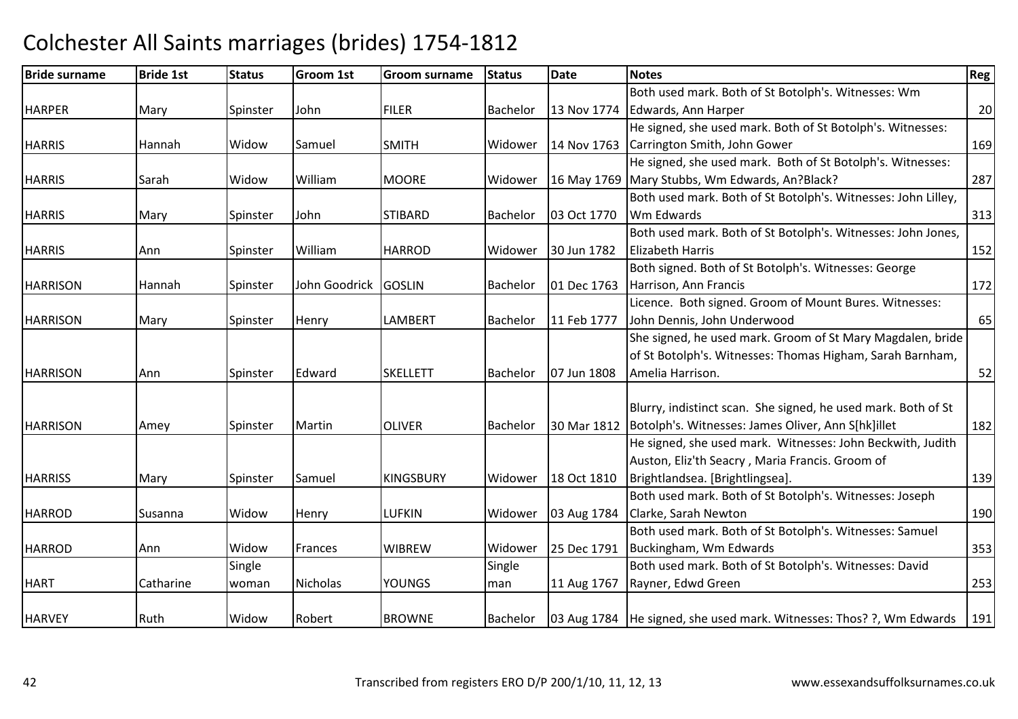### Bride surnamee Bride 1st Status Groom 1st Groom surname Status Date Notes Region Contract Region Regional Region Region Reg HARPERR Mary Spinster John FILER Bachelor 13 Nov 1774 Both used mark. Both of St Botolph's. Witnesses: Wm 13 Nov 1774 Edwards, Ann Harper  $\sim$  20 **HARRIS**  Hannah Widow Samuel SMITH Widower 14 Nov 1763 Carrington Smith, John GowerHe signed, she used mark. Both of St Botolph's. Witnesses:r 169 HARRISSarah | Widow | William | William | William | William | William | William | William | W m MOORE Widower 16 May 1769 Mary Stubbs, Wm Edwards, An?Black? 287 He signed, she used mark. Both of St Botolph's. Witnesses: **HARRIS** IMary Spinster John **STIBARD** Bachelor 103 Oct 1770 Both used mark. Both of St Botolph's. Witnesses: John Lilley, Wm Edwards $\sim$  313 **HARRIS**  Ann Spinster WilliamHARROD Widower 30 Jun 1782 Both used mark. Both of St Botolph's. Witnesses: John Jones, Elizabeth Harriss and  $\boxed{152}$ **HARRISON**  Hannah Spinster John Goodrick GOSLIN Bachelor 01 Dec 1763 Both signed. Both of St Botolph's. Witnesses: George Harrison, Ann Franciss and  $\frac{172}{2}$ **HARRISON** N Mary Spinster Henry LAMBERT Bachelor 11 Feb 1777 Licence. Both signed. Groom of Mount Bures. Witnesses: John Dennis, John Underwoodd 65 **HARRISON** N Ann Spinster Edward SKELLETT Bachelor 07 Jun 1808 She signed, he used mark. Groom of St Mary Magdalen, bride of St Botolph's. Witnesses: Thomas Higham, Sarah Barnham, Amelia Harrison. 52HARRISONN Amey Spinster Martin OLIVER Bachelor 30 Mar 1812 Blurry, indistinct scan. She signed, he used mark. Both of St 30 Mar 1812 | Botolph's. Witnesses: James Oliver, Ann S[hk]illet <sup>182</sup>**HARRISS** S Mary Spinster Samuel KINGSBURY Widower 18 Oct 1810 He signed, she used mark. Witnesses: John Beckwith, Judith Auston, Eliz'th Seacry , Maria Francis. Groom of Brightlandsea. [Brightlingsea]. 139HARRODD Susanna Widow Henry LUFKIN LUFKIN | Widower | 03 Aug 1784 Both used mark. Both of St Botolph's. Witnesses: Joseph Clarke, Sarah Newtonn 190 HARRODD Ann Widow Frances WIBREW WIBREW | Widower | 25 Dec 1791 Both used mark. Both of St Botolph's. Witnesses: Samuel Buckingham, Wm Edwards $\sim$  353 HART**Catharine** Single woman Nicholas YOUNGS Single man 11 Aug 1767 Both used mark. Both of St Botolph's. Witnesses: David Rayner, Edwd Greenn 253 **HARVEY**  Ruth Widow Robert BROWNE Bachelor 03 Aug 1784 $\vert$ 03 Aug 1784  $\vert$ He signed, she used mark. Witnesses: Thos? ?, Wm Edwards  $\vert$  191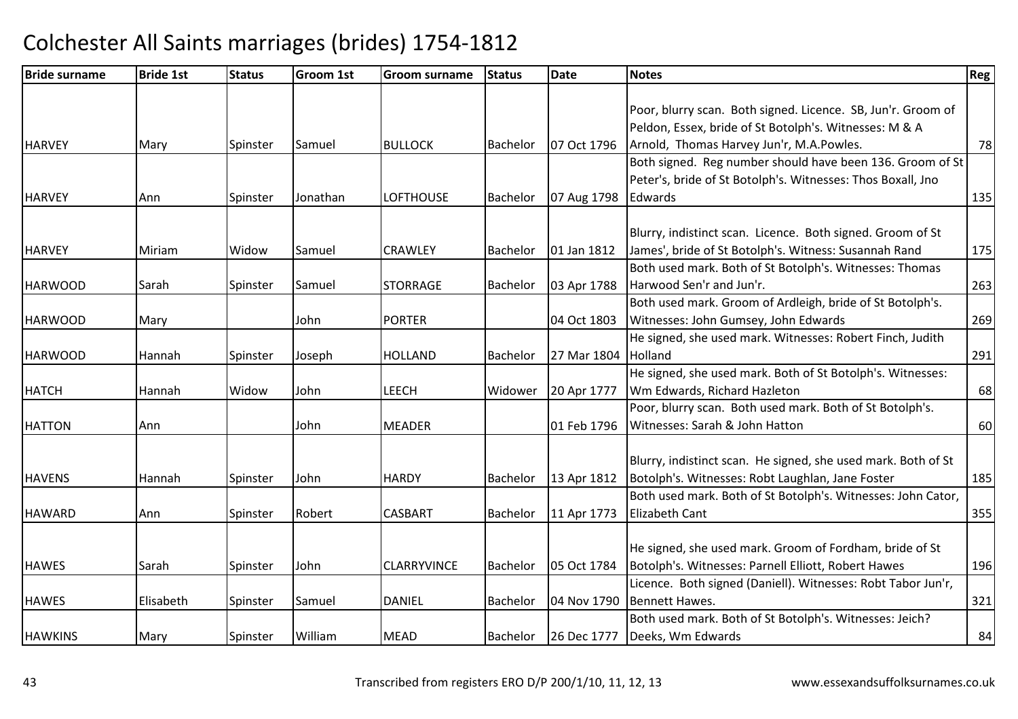| <b>Bride surname</b> | <b>Bride 1st</b> | <b>Status</b> | <b>Groom 1st</b> | Groom surname      | <b>Status</b>   | <b>Date</b> | <b>Notes</b>                                                  | <b>Reg</b> |
|----------------------|------------------|---------------|------------------|--------------------|-----------------|-------------|---------------------------------------------------------------|------------|
|                      |                  |               |                  |                    |                 |             |                                                               |            |
|                      |                  |               |                  |                    |                 |             | Poor, blurry scan. Both signed. Licence. SB, Jun'r. Groom of  |            |
|                      |                  |               |                  |                    |                 |             | Peldon, Essex, bride of St Botolph's. Witnesses: M & A        |            |
| <b>HARVEY</b>        | Mary             | Spinster      | Samuel           | <b>BULLOCK</b>     | Bachelor        | 07 Oct 1796 | Arnold, Thomas Harvey Jun'r, M.A.Powles.                      | 78         |
|                      |                  |               |                  |                    |                 |             | Both signed. Reg number should have been 136. Groom of St     |            |
|                      |                  |               |                  |                    |                 |             | Peter's, bride of St Botolph's. Witnesses: Thos Boxall, Jno   |            |
| <b>HARVEY</b>        | Ann              | Spinster      | Jonathan         | <b>LOFTHOUSE</b>   | Bachelor        | 07 Aug 1798 | Edwards                                                       | 135        |
|                      |                  |               |                  |                    |                 |             |                                                               |            |
|                      |                  |               |                  |                    |                 |             | Blurry, indistinct scan. Licence. Both signed. Groom of St    |            |
| <b>HARVEY</b>        | Miriam           | Widow         | Samuel           | <b>CRAWLEY</b>     | Bachelor        | 01 Jan 1812 | James', bride of St Botolph's. Witness: Susannah Rand         | 175        |
|                      |                  |               |                  |                    |                 |             | Both used mark. Both of St Botolph's. Witnesses: Thomas       |            |
| <b>HARWOOD</b>       | Sarah            | Spinster      | Samuel           | <b>STORRAGE</b>    | Bachelor        | 03 Apr 1788 | Harwood Sen'r and Jun'r.                                      | 263        |
|                      |                  |               |                  |                    |                 |             | Both used mark. Groom of Ardleigh, bride of St Botolph's.     |            |
| <b>HARWOOD</b>       | Mary             |               | John             | <b>PORTER</b>      |                 | 04 Oct 1803 | Witnesses: John Gumsey, John Edwards                          | 269        |
|                      |                  |               |                  |                    |                 |             | He signed, she used mark. Witnesses: Robert Finch, Judith     |            |
| <b>HARWOOD</b>       | l Hannah         | Spinster      | Joseph           | <b>HOLLAND</b>     | Bachelor        | 27 Mar 1804 | Holland                                                       | 291        |
|                      |                  |               |                  |                    |                 |             | He signed, she used mark. Both of St Botolph's. Witnesses:    |            |
| <b>HATCH</b>         | Hannah           | Widow         | John             | <b>LEECH</b>       | Widower         | 20 Apr 1777 | Wm Edwards, Richard Hazleton                                  | 68         |
|                      |                  |               |                  |                    |                 |             | Poor, blurry scan. Both used mark. Both of St Botolph's.      |            |
| <b>HATTON</b>        | Ann              |               | John             | <b>MEADER</b>      |                 | 01 Feb 1796 | Witnesses: Sarah & John Hatton                                | 60         |
|                      |                  |               |                  |                    |                 |             |                                                               |            |
|                      |                  |               |                  |                    |                 |             | Blurry, indistinct scan. He signed, she used mark. Both of St |            |
| <b>HAVENS</b>        | Hannah           | Spinster      | John             | <b>HARDY</b>       | Bachelor        | 13 Apr 1812 | Botolph's. Witnesses: Robt Laughlan, Jane Foster              | 185        |
|                      |                  |               |                  |                    |                 |             | Both used mark. Both of St Botolph's. Witnesses: John Cator,  |            |
| <b>HAWARD</b>        | Ann              | Spinster      | Robert           | <b>CASBART</b>     | Bachelor        | 11 Apr 1773 | <b>Elizabeth Cant</b>                                         | 355        |
|                      |                  |               |                  |                    |                 |             | He signed, she used mark. Groom of Fordham, bride of St       |            |
| <b>HAWES</b>         | Sarah            | Spinster      | John             | <b>CLARRYVINCE</b> | <b>Bachelor</b> | 05 Oct 1784 | Botolph's. Witnesses: Parnell Elliott, Robert Hawes           | 196        |
|                      |                  |               |                  |                    |                 |             | Licence. Both signed (Daniell). Witnesses: Robt Tabor Jun'r,  |            |
| <b>HAWES</b>         | Elisabeth        | Spinster      | Samuel           | <b>DANIEL</b>      | Bachelor        | 04 Nov 1790 | Bennett Hawes.                                                | 321        |
|                      |                  |               |                  |                    |                 |             | Both used mark. Both of St Botolph's. Witnesses: Jeich?       |            |
|                      |                  |               |                  |                    |                 |             |                                                               |            |
| <b>HAWKINS</b>       | Mary             | Spinster      | William          | <b>MEAD</b>        | Bachelor        | 26 Dec 1777 | Deeks, Wm Edwards                                             | 84         |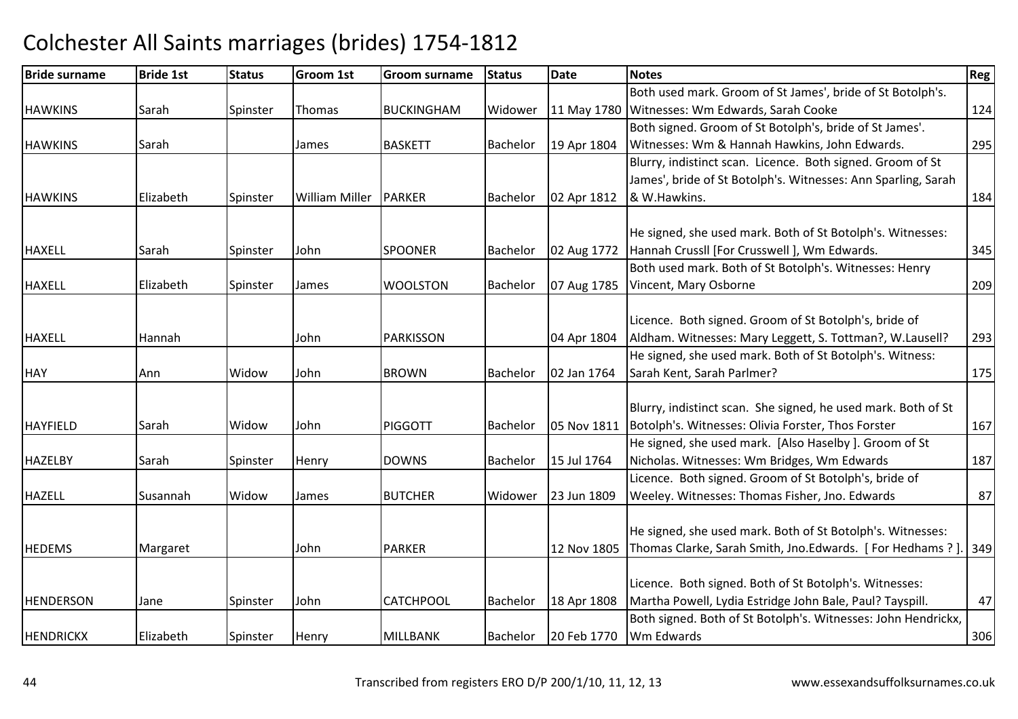| <b>Bride surname</b> | <b>Bride 1st</b> | <b>Status</b> | <b>Groom 1st</b>      | <b>Groom surname</b> | <b>Status</b> | Date        | <b>Notes</b>                                                  | Reg |
|----------------------|------------------|---------------|-----------------------|----------------------|---------------|-------------|---------------------------------------------------------------|-----|
|                      |                  |               |                       |                      |               |             | Both used mark. Groom of St James', bride of St Botolph's.    |     |
| <b>HAWKINS</b>       | Sarah            | Spinster      | Thomas                | <b>BUCKINGHAM</b>    | Widower       | 11 May 1780 | Witnesses: Wm Edwards, Sarah Cooke                            | 124 |
|                      |                  |               |                       |                      |               |             | Both signed. Groom of St Botolph's, bride of St James'.       |     |
| <b>HAWKINS</b>       | Sarah            |               | James                 | <b>BASKETT</b>       | Bachelor      | 19 Apr 1804 | Witnesses: Wm & Hannah Hawkins, John Edwards.                 | 295 |
|                      |                  |               |                       |                      |               |             | Blurry, indistinct scan. Licence. Both signed. Groom of St    |     |
|                      |                  |               |                       |                      |               |             | James', bride of St Botolph's. Witnesses: Ann Sparling, Sarah |     |
| <b>HAWKINS</b>       | Elizabeth        | Spinster      | <b>William Miller</b> | <b>PARKER</b>        | Bachelor      | 02 Apr 1812 | & W.Hawkins.                                                  | 184 |
|                      |                  |               |                       |                      |               |             |                                                               |     |
|                      |                  |               |                       |                      |               |             | He signed, she used mark. Both of St Botolph's. Witnesses:    |     |
| <b>HAXELL</b>        | Sarah            | Spinster      | John                  | <b>SPOONER</b>       | Bachelor      | 02 Aug 1772 | Hannah Crussll [For Crusswell ], Wm Edwards.                  | 345 |
|                      |                  |               |                       |                      |               |             | Both used mark. Both of St Botolph's. Witnesses: Henry        |     |
| <b>HAXELL</b>        | Elizabeth        | Spinster      | James                 | <b>WOOLSTON</b>      | Bachelor      | 07 Aug 1785 | Vincent, Mary Osborne                                         | 209 |
|                      |                  |               |                       |                      |               |             |                                                               |     |
|                      |                  |               |                       |                      |               |             | Licence. Both signed. Groom of St Botolph's, bride of         |     |
| <b>HAXELL</b>        | Hannah           |               | John                  | <b>PARKISSON</b>     |               | 04 Apr 1804 | Aldham. Witnesses: Mary Leggett, S. Tottman?, W.Lausell?      | 293 |
|                      |                  |               |                       |                      |               |             | He signed, she used mark. Both of St Botolph's. Witness:      |     |
| <b>HAY</b>           | Ann              | Widow         | John                  | <b>BROWN</b>         | Bachelor      | 02 Jan 1764 | Sarah Kent, Sarah Parlmer?                                    | 175 |
|                      |                  |               |                       |                      |               |             |                                                               |     |
|                      |                  |               |                       |                      |               |             | Blurry, indistinct scan. She signed, he used mark. Both of St |     |
| <b>HAYFIELD</b>      | Sarah            | Widow         | John                  | <b>PIGGOTT</b>       | Bachelor      | 05 Nov 1811 | Botolph's. Witnesses: Olivia Forster, Thos Forster            | 167 |
|                      |                  |               |                       |                      |               |             | He signed, she used mark. [Also Haselby ]. Groom of St        |     |
| <b>HAZELBY</b>       | Sarah            | Spinster      | <b>Henry</b>          | <b>DOWNS</b>         | Bachelor      | 15 Jul 1764 | Nicholas. Witnesses: Wm Bridges, Wm Edwards                   | 187 |
|                      |                  |               |                       |                      |               |             | Licence. Both signed. Groom of St Botolph's, bride of         |     |
| <b>HAZELL</b>        | Susannah         | Widow         | <b>James</b>          | <b>BUTCHER</b>       | Widower       | 23 Jun 1809 | Weeley. Witnesses: Thomas Fisher, Jno. Edwards                | 87  |
|                      |                  |               |                       |                      |               |             |                                                               |     |
|                      |                  |               |                       |                      |               |             | He signed, she used mark. Both of St Botolph's. Witnesses:    |     |
| <b>HEDEMS</b>        | Margaret         |               | John                  | <b>PARKER</b>        |               | 12 Nov 1805 | Thomas Clarke, Sarah Smith, Jno.Edwards. [For Hedhams ?]      | 349 |
|                      |                  |               |                       |                      |               |             |                                                               |     |
|                      |                  |               |                       |                      |               |             | Licence. Both signed. Both of St Botolph's. Witnesses:        |     |
| <b>HENDERSON</b>     | Jane             | Spinster      | John                  | <b>CATCHPOOL</b>     | Bachelor      | 18 Apr 1808 | Martha Powell, Lydia Estridge John Bale, Paul? Tayspill.      | 47  |
|                      |                  |               |                       |                      |               |             | Both signed. Both of St Botolph's. Witnesses: John Hendrickx, |     |
| <b>HENDRICKX</b>     | Elizabeth        | Spinster      | Henry                 | <b>MILLBANK</b>      | Bachelor      | 20 Feb 1770 | Wm Edwards                                                    | 306 |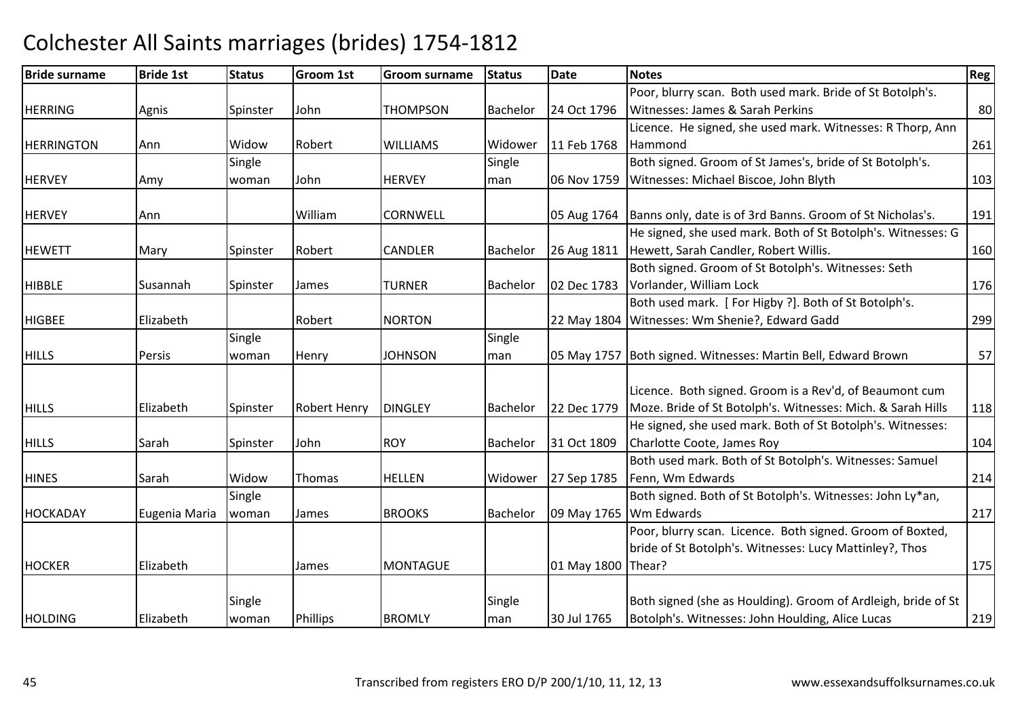### Bride surnamee Bride 1st Status Groom 1st Groom surname Status Date Notes Region Contract Region Regional Region Region Reg HERRINGG Agnis Spinster John THOMPSON THOMPSON Bachelor 24 Oct 1796 Poor, blurry scan. Both used mark. Bride of St Botolph's. Witnesses: James & Sarah Perkinss 80 **HERRINGTON** N Ann Widow Robert WILLIAMS Widower 11 Feb 1768 Licence. He signed, she used mark. Witnesses: R Thorp, Ann Hammondd 261 **HERVEY**  Amy **Single** woman John**HERVEY Single** man 06 Nov 1759 Both signed. Groom of St James's, bride of St Botolph's. Witnesses: Michael Biscoe, John Blythh 103 **HFRVFY** Y Ann Milliam CORNWELL 05 Aug 1764 Banns only, date is of 3rd Banns. Groom of St Nicholas's. <sup>191</sup> **HEWETT** T Mary Spinster Robert CANDLER R Bachelor | 26 Aug 1811 | Hewett, Sarah Candler, Robert Willis. 160 He signed, she used mark. Both of St Botolph's. Witnesses: G HIBBLEE Susannah Spinster James TURNER TURNER Bachelor | 02 Dec 1783 Both signed. Groom of St Botolph's. Witnesses: Seth Vorlander, William Lockk 176 **HIGBFF** Elizabeth Robert NORTON 22 May 1804 Both used mark. [ For Higby ?]. Both of St Botolph's. 22 May 1804 Witnesses: Wm Shenie?, Edward Gadd d 299 **HILLS**  Persis Single woman Henry JJOHNSON Single man 05 May 1757 Both signed. Witnesses: Martin Bell, Edward Brown <sup>57</sup> **HILLS** S 1992 Elizabeth Spinster Robert Henry DINGLEY Bachelor 22 Dec 1779 Licence. Both signed. Groom is a Rev'd, of Beaumont cum Moze. Bride of St Botolph's. Witnesses: Mich. & Sarah Hills <sup>118</sup>**HILLS** Sarah Spinster John John ROY Bachelor 31 Oct 1809 He signed, she used mark. Both of St Botolph's. Witnesses:Charlotte Coote, James Royy 104 **HINES**  Sarah Widow Thomas HELLENHELLEN | Widower | 27 Sep 1785 Both used mark. Both of St Botolph's. Witnesses: Samuel Fenn, Wm Edwards $\sim$  214 HOCKADAY Eugenia Maria **Single** woman James BROOKS Bachelor 09 May 1765 Wm Edwards Both signed. Both of St Botolph's. Witnesses: John Ly\*an, s 217 HOCKERR Elizabeth James MONTAGUE 01 May 1800 Poor, blurry scan. Licence. Both signed. Groom of Boxted, bride of St Botolph's. Witnesses: Lucy Mattinley?, Thos 01 May 1800 Thear? <u>2.</u> 175 **HOLDING Elizabeth Single** |woman | Phillips | BROMLY **Single** man 30 Jul 1765 Both signed (she as Houlding). Groom of Ardleigh, bride of St Botolph's. Witnesses: John Houlding, Alice Lucas<sup>219</sup>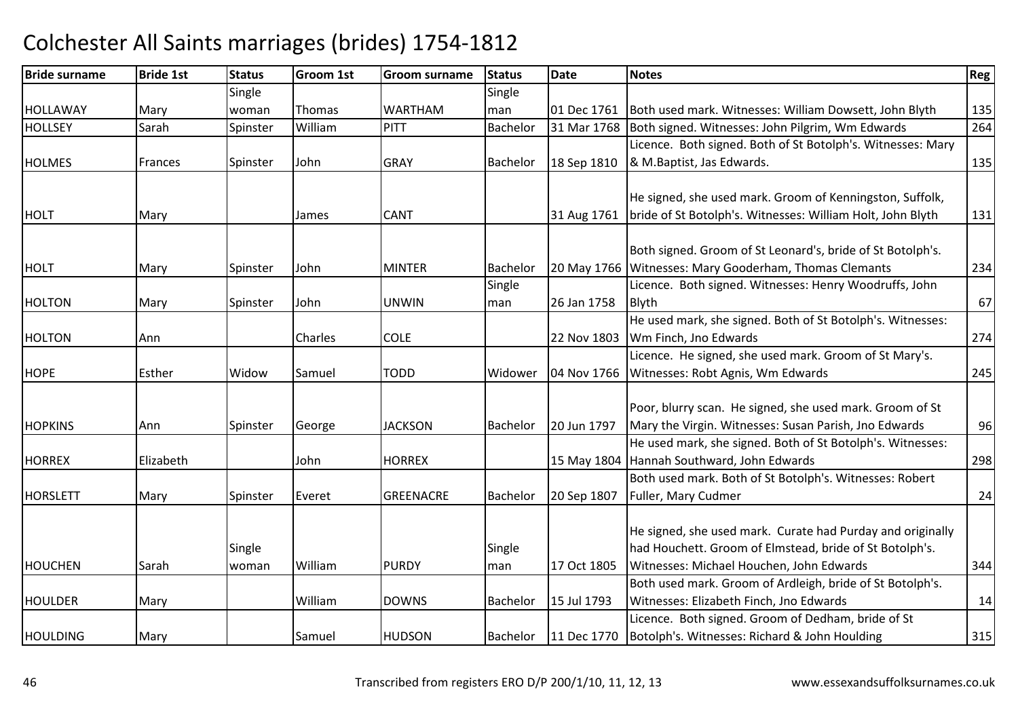### Bride surnamee Bride 1st Status Groom 1st Groom surname Status Date Notes Region Contract Region Regional Region Region Reg HOLLAWAY Mary **Single** woman Thomas WARTHAMSingle man01 Dec 1761 Both used mark. Witnesses: William Dowsett, John Blyth 135<br>31 Mar 1768 Both signed. Witnesses: John Pilgrim. Wm Edwards 264 HOLLSEY Sarah Spinster WilliamPITT Bachelor 31 Mar 1768 Both signed. Witnesses: John Pilgrim, Wm Edwards HOLMES Frances Spinster JohnGRAY Bachelor 18 Sep 1810 Licence. Both signed. Both of St Botolph's. Witnesses: Mary 8 M. Baptist, Jas Edwards. 135 HOLTT Mary James CANT 31 Aug 1761 He signed, she used mark. Groom of Kenningston, Suffolk,  $31$  Aug 1761  $\,$  bride of St Botolph's. Witnesses: William Holt, John Blyth <sup>131</sup> HOLTMary Spinster John MINTERR Bachelor | 20 May 1766 | Witnesses: Mary Gooderham, Thomas Clemants Both signed. Groom of St Leonard's, bride of St Botolph's. <sup>234</sup>HOLTONN Mary Spinster John UNWIN Single man 26 Jan 1758 Licence. Both signed. Witnesses: Henry Woodruffs, John Blythh 67 HOLTON N Ann Charles COLE 22 Nov 1803 He used mark, she signed. Both of St Botolph's. Witnesses:Wm Finch, Jno Edwards s 274 **HOPE** E Esther Widow Samuel TODD D Widower 04 Nov 1766 Witnesses: Robt Agnis, Wm Edwards Licence. He signed, she used mark. Groom of St Mary's.s 245 **HOPKINS**  Ann Spinster George JACKSONJACKSON Bachelor 20 Jun 1797 Poor, blurry scan. He signed, she used mark. Groom of St Mary the Virgin. Witnesses: Susan Parish, Jno Edwards <sup>96</sup>HORREXX Flizabeth John HORREX 15 May 1804 He used mark, she signed. Both of St Botolph's. Witnesses:15 May 1804 Hannah Southward, John Edwards s 298 HORSLETTT Mary Spinster Everet GREENACRE Bachelor 20 Sep 1807 Both used mark. Both of St Botolph's. Witnesses: Robert Fuller, Mary Cudmer $\sim$  24 HOUCHEN Sarah **Single** woman William PURDY **Single** man 17 Oct 1805 He signed, she used mark. Curate had Purday and originally had Houchett. Groom of Elmstead, bride of St Botolph's. Witnesses: Michael Houchen, John Edwards <sup>344</sup>HOULDERR Mary William William DOWNS Bachelor 15 Jul 1793 Both used mark. Groom of Ardleigh, bride of St Botolph's. Witnesses: Elizabeth Finch, Jno Edwardss and  $14$ **HOULDING**  Mary Samuel HUDSON Bachelor 11 Dec 1770 Licence. Both signed. Groom of Dedham, bride of St Botolph's. Witnesses: Richard & John Houlding<sup>315</sup>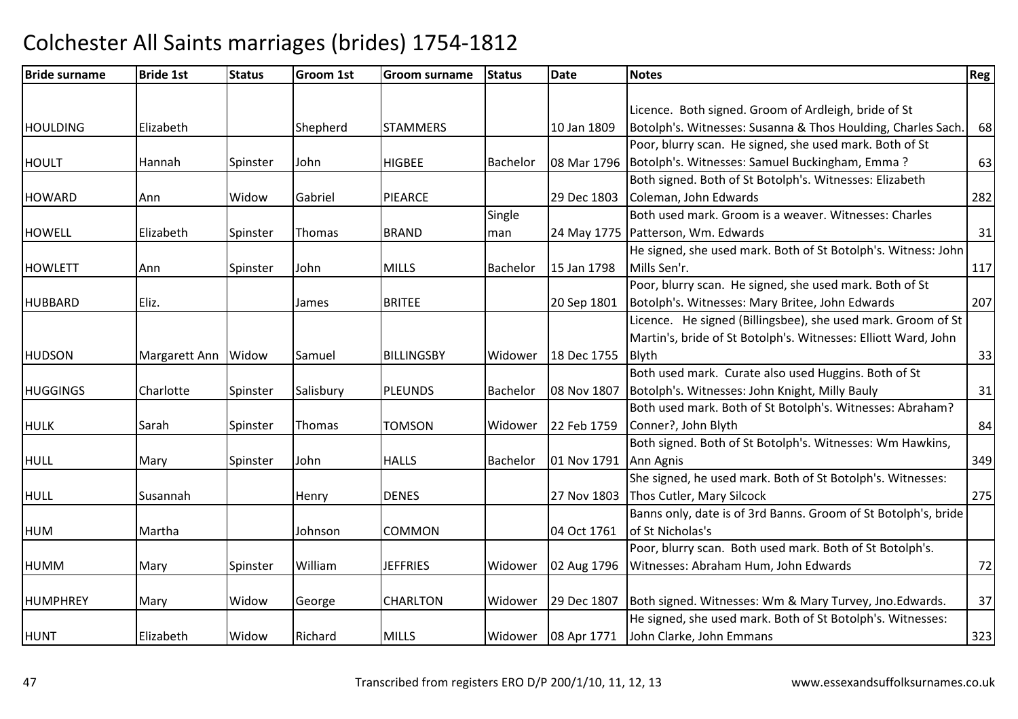| <b>Bride surname</b> | <b>Bride 1st</b>    | <b>Status</b> | <b>Groom 1st</b> | Groom surname     | <b>Status</b> | <b>Date</b>         | <b>Notes</b>                                                   | Reg <sup>1</sup> |
|----------------------|---------------------|---------------|------------------|-------------------|---------------|---------------------|----------------------------------------------------------------|------------------|
|                      |                     |               |                  |                   |               |                     |                                                                |                  |
|                      |                     |               |                  |                   |               |                     | Licence. Both signed. Groom of Ardleigh, bride of St           |                  |
| <b>HOULDING</b>      | Elizabeth           |               | Shepherd         | <b>STAMMERS</b>   |               | 10 Jan 1809         | Botolph's. Witnesses: Susanna & Thos Houlding, Charles Sach.   | 68               |
|                      |                     |               |                  |                   |               |                     | Poor, blurry scan. He signed, she used mark. Both of St        |                  |
| <b>HOULT</b>         | Hannah              | Spinster      | John             | <b>HIGBEE</b>     | Bachelor      | 08 Mar 1796         | Botolph's. Witnesses: Samuel Buckingham, Emma?                 | 63               |
|                      |                     |               |                  |                   |               |                     | Both signed. Both of St Botolph's. Witnesses: Elizabeth        |                  |
| <b>HOWARD</b>        | Ann                 | Widow         | Gabriel          | PIEARCE           |               | 29 Dec 1803         | Coleman, John Edwards                                          | 282              |
|                      |                     |               |                  |                   | Single        |                     | Both used mark. Groom is a weaver. Witnesses: Charles          |                  |
| <b>HOWELL</b>        | Elizabeth           | Spinster      | <b>Thomas</b>    | <b>BRAND</b>      | man           |                     | 24 May 1775   Patterson, Wm. Edwards                           | 31               |
|                      |                     |               |                  |                   |               |                     | He signed, she used mark. Both of St Botolph's. Witness: John  |                  |
| <b>HOWLETT</b>       | Ann                 | Spinster      | John             | <b>MILLS</b>      | Bachelor      | 15 Jan 1798         | Mills Sen'r.                                                   | 117              |
|                      |                     |               |                  |                   |               |                     | Poor, blurry scan. He signed, she used mark. Both of St        |                  |
| <b>HUBBARD</b>       | Eliz.               |               | James            | <b>BRITEE</b>     |               | 20 Sep 1801         | Botolph's. Witnesses: Mary Britee, John Edwards                | 207              |
|                      |                     |               |                  |                   |               |                     | Licence. He signed (Billingsbee), she used mark. Groom of St   |                  |
|                      |                     |               |                  |                   |               |                     | Martin's, bride of St Botolph's. Witnesses: Elliott Ward, John |                  |
| <b>HUDSON</b>        | Margarett Ann Widow |               | Samuel           | <b>BILLINGSBY</b> | Widower       | 18 Dec 1755         | <b>Blyth</b>                                                   | 33               |
|                      |                     |               |                  |                   |               |                     | Both used mark. Curate also used Huggins. Both of St           |                  |
| <b>HUGGINGS</b>      | Charlotte           | Spinster      | Salisbury        | <b>PLEUNDS</b>    | Bachelor      | 08 Nov 1807         | Botolph's. Witnesses: John Knight, Milly Bauly                 | 31               |
|                      |                     |               |                  |                   |               |                     | Both used mark. Both of St Botolph's. Witnesses: Abraham?      |                  |
| <b>HULK</b>          | Sarah               | Spinster      | Thomas           | <b>TOMSON</b>     | Widower       | 22 Feb 1759         | Conner?, John Blyth                                            | 84               |
|                      |                     |               |                  |                   |               |                     | Both signed. Both of St Botolph's. Witnesses: Wm Hawkins,      |                  |
| <b>HULL</b>          | Mary                | Spinster      | John             | <b>HALLS</b>      | Bachelor      | 01 Nov 1791         | Ann Agnis                                                      | 349              |
|                      |                     |               |                  |                   |               |                     | She signed, he used mark. Both of St Botolph's. Witnesses:     |                  |
| <b>HULL</b>          | Susannah            |               | Henry            | <b>DENES</b>      |               | 27 Nov 1803         | Thos Cutler, Mary Silcock                                      | 275              |
|                      |                     |               |                  |                   |               |                     | Banns only, date is of 3rd Banns. Groom of St Botolph's, bride |                  |
| <b>HUM</b>           | Martha              |               | Johnson          | COMMON            |               | 04 Oct 1761         | of St Nicholas's                                               |                  |
|                      |                     |               |                  |                   |               |                     | Poor, blurry scan. Both used mark. Both of St Botolph's.       |                  |
| <b>HUMM</b>          | Mary                | Spinster      | William          | <b>JEFFRIES</b>   | Widower       | 02 Aug 1796         | Witnesses: Abraham Hum, John Edwards                           | 72               |
|                      |                     |               |                  |                   |               |                     |                                                                |                  |
| <b>HUMPHREY</b>      | Mary                | Widow         | George           | <b>CHARLTON</b>   | Widower       | 29 Dec 1807         | Both signed. Witnesses: Wm & Mary Turvey, Jno. Edwards.        | 37               |
|                      |                     |               |                  |                   |               |                     | He signed, she used mark. Both of St Botolph's. Witnesses:     |                  |
| <b>HUNT</b>          | Elizabeth           | Widow         | Richard          | <b>MILLS</b>      |               | Widower 08 Apr 1771 | John Clarke, John Emmans                                       | 323              |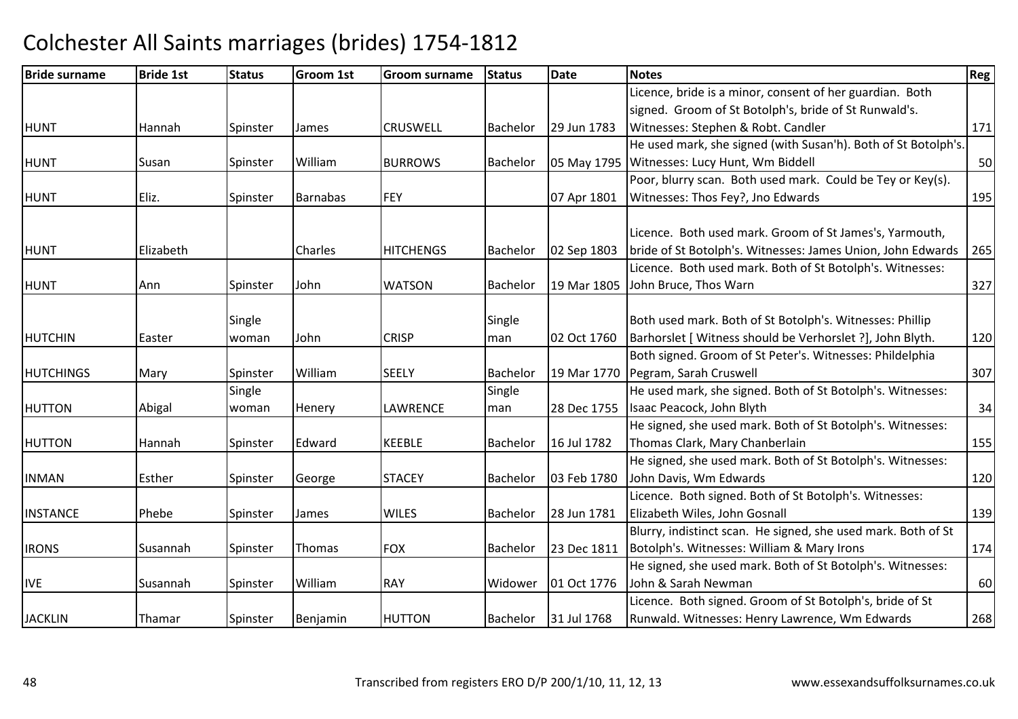| <b>Bride surname</b> | <b>Bride 1st</b> | <b>Status</b> | Groom 1st       | <b>Groom surname</b> | <b>Status</b>   | Date        | <b>Notes</b>                                                   | Reg |
|----------------------|------------------|---------------|-----------------|----------------------|-----------------|-------------|----------------------------------------------------------------|-----|
|                      |                  |               |                 |                      |                 |             | Licence, bride is a minor, consent of her guardian. Both       |     |
|                      |                  |               |                 |                      |                 |             | signed. Groom of St Botolph's, bride of St Runwald's.          |     |
| <b>HUNT</b>          | <b>Hannah</b>    | Spinster      | James           | <b>CRUSWELL</b>      | Bachelor        | 29 Jun 1783 | Witnesses: Stephen & Robt. Candler                             | 171 |
|                      |                  |               |                 |                      |                 |             | He used mark, she signed (with Susan'h). Both of St Botolph's. |     |
| <b>HUNT</b>          | Susan            | Spinster      | William         | <b>BURROWS</b>       | Bachelor        | 05 May 1795 | Witnesses: Lucy Hunt, Wm Biddell                               | 50  |
|                      |                  |               |                 |                      |                 |             | Poor, blurry scan. Both used mark. Could be Tey or Key(s).     |     |
| <b>HUNT</b>          | Eliz.            | Spinster      | <b>Barnabas</b> | <b>FEY</b>           |                 | 07 Apr 1801 | Witnesses: Thos Fey?, Jno Edwards                              | 195 |
|                      |                  |               |                 |                      |                 |             |                                                                |     |
|                      |                  |               |                 |                      |                 |             | Licence. Both used mark. Groom of St James's, Yarmouth,        |     |
| <b>HUNT</b>          | Elizabeth        |               | Charles         | <b>HITCHENGS</b>     | Bachelor        | 02 Sep 1803 | bride of St Botolph's. Witnesses: James Union, John Edwards    | 265 |
|                      |                  |               |                 |                      |                 |             | Licence. Both used mark. Both of St Botolph's. Witnesses:      |     |
| <b>HUNT</b>          | Ann              | Spinster      | John            | <b>WATSON</b>        | <b>Bachelor</b> | 19 Mar 1805 | John Bruce, Thos Warn                                          | 327 |
|                      |                  |               |                 |                      |                 |             |                                                                |     |
|                      |                  | Single        |                 |                      | Single          |             | Both used mark. Both of St Botolph's. Witnesses: Phillip       |     |
| <b>HUTCHIN</b>       | Easter           | woman         | John            | <b>CRISP</b>         | man             | 02 Oct 1760 | Barhorslet [ Witness should be Verhorslet ?], John Blyth.      | 120 |
|                      |                  |               |                 |                      |                 |             | Both signed. Groom of St Peter's. Witnesses: Phildelphia       |     |
| <b>HUTCHINGS</b>     | Mary             | Spinster      | William         | <b>SEELY</b>         | Bachelor        | 19 Mar 1770 | Pegram, Sarah Cruswell                                         | 307 |
|                      |                  | Single        |                 |                      | Single          |             | He used mark, she signed. Both of St Botolph's. Witnesses:     |     |
| <b>HUTTON</b>        | Abigal           | woman         | Henery          | <b>LAWRENCE</b>      | man             | 28 Dec 1755 | Isaac Peacock, John Blyth                                      | 34  |
|                      |                  |               |                 |                      |                 |             | He signed, she used mark. Both of St Botolph's. Witnesses:     |     |
| <b>HUTTON</b>        | Hannah           | Spinster      | Edward          | <b>KEEBLE</b>        | Bachelor        | 16 Jul 1782 | Thomas Clark, Mary Chanberlain                                 | 155 |
|                      |                  |               |                 |                      |                 |             | He signed, she used mark. Both of St Botolph's. Witnesses:     |     |
| <b>INMAN</b>         | Esther           | Spinster      | George          | <b>STACEY</b>        | Bachelor        | 03 Feb 1780 | John Davis, Wm Edwards                                         | 120 |
|                      |                  |               |                 |                      |                 |             | Licence. Both signed. Both of St Botolph's. Witnesses:         |     |
| <b>INSTANCE</b>      | Phebe            | Spinster      | James           | <b>WILES</b>         | Bachelor        | 28 Jun 1781 | Elizabeth Wiles, John Gosnall                                  | 139 |
|                      |                  |               |                 |                      |                 |             | Blurry, indistinct scan. He signed, she used mark. Both of St  |     |
| <b>IRONS</b>         | Susannah         | Spinster      | <b>Thomas</b>   | <b>FOX</b>           | Bachelor        | 23 Dec 1811 | Botolph's. Witnesses: William & Mary Irons                     | 174 |
|                      |                  |               |                 |                      |                 |             | He signed, she used mark. Both of St Botolph's. Witnesses:     |     |
| <b>IVE</b>           | Susannah         | Spinster      | William         | <b>RAY</b>           | Widower         | 01 Oct 1776 | John & Sarah Newman                                            | 60  |
|                      |                  |               |                 |                      |                 |             | Licence. Both signed. Groom of St Botolph's, bride of St       |     |
| <b>JACKLIN</b>       | Thamar           | Spinster      | Benjamin        | <b>HUTTON</b>        | Bachelor        | 31 Jul 1768 | Runwald. Witnesses: Henry Lawrence, Wm Edwards                 | 268 |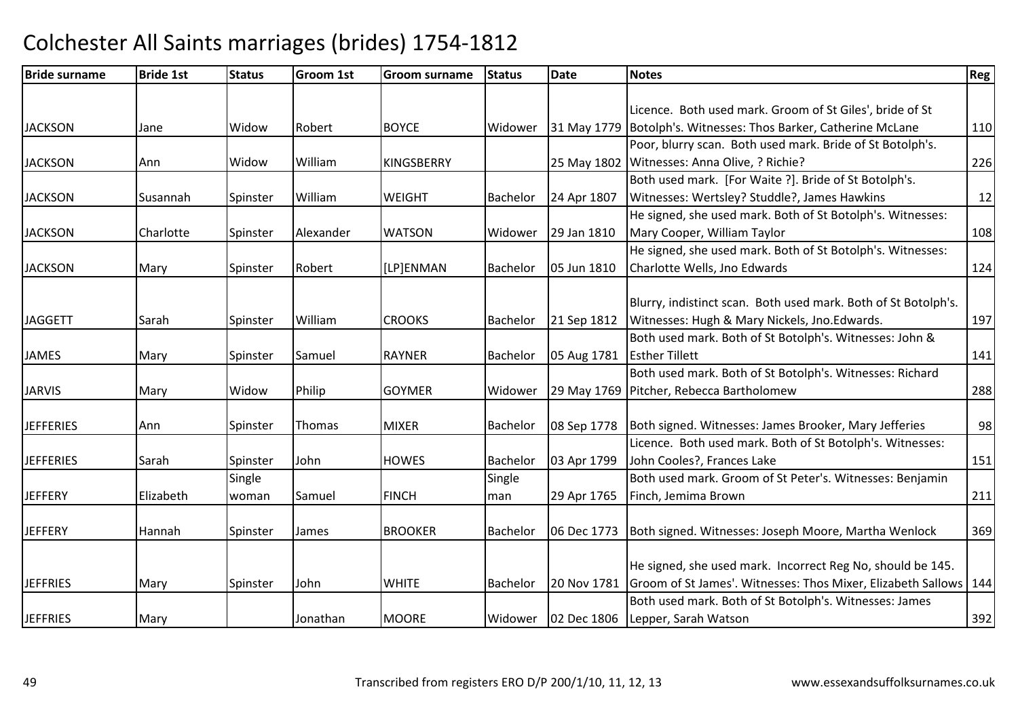| <b>Bride surname</b> | <b>Bride 1st</b> | <b>Status</b> | <b>Groom 1st</b> | <b>Groom surname</b> | <b>Status</b>   | Date        | <b>Notes</b>                                                        | Reg |
|----------------------|------------------|---------------|------------------|----------------------|-----------------|-------------|---------------------------------------------------------------------|-----|
|                      |                  |               |                  |                      |                 |             |                                                                     |     |
|                      |                  |               |                  |                      |                 |             | Licence. Both used mark. Groom of St Giles', bride of St            |     |
| <b>JACKSON</b>       | Jane             | Widow         | Robert           | <b>BOYCE</b>         | Widower         |             | 31 May 1779 Botolph's. Witnesses: Thos Barker, Catherine McLane     | 110 |
|                      |                  |               |                  |                      |                 |             | Poor, blurry scan. Both used mark. Bride of St Botolph's.           |     |
| <b>JACKSON</b>       | Ann              | Widow         | William          | <b>KINGSBERRY</b>    |                 |             | 25 May 1802 Witnesses: Anna Olive, ? Richie?                        | 226 |
|                      |                  |               |                  |                      |                 |             | Both used mark. [For Waite ?]. Bride of St Botolph's.               |     |
| <b>JACKSON</b>       | Susannah         | Spinster      | William          | <b>WEIGHT</b>        | Bachelor        | 24 Apr 1807 | Witnesses: Wertsley? Studdle?, James Hawkins                        | 12  |
|                      |                  |               |                  |                      |                 |             | He signed, she used mark. Both of St Botolph's. Witnesses:          |     |
| <b>JACKSON</b>       | Charlotte        | Spinster      | Alexander        | <b>WATSON</b>        | Widower         | 29 Jan 1810 | Mary Cooper, William Taylor                                         | 108 |
|                      |                  |               |                  |                      |                 |             | He signed, she used mark. Both of St Botolph's. Witnesses:          |     |
| <b>JACKSON</b>       | Mary             | Spinster      | Robert           | [LP]ENMAN            | Bachelor        | 05 Jun 1810 | Charlotte Wells, Jno Edwards                                        | 124 |
|                      |                  |               |                  |                      |                 |             |                                                                     |     |
|                      |                  |               |                  |                      |                 |             | Blurry, indistinct scan. Both used mark. Both of St Botolph's.      |     |
| <b>JAGGETT</b>       | Sarah            | Spinster      | William          | <b>CROOKS</b>        | <b>Bachelor</b> | 21 Sep 1812 | Witnesses: Hugh & Mary Nickels, Jno.Edwards.                        | 197 |
|                      |                  |               |                  |                      |                 |             | Both used mark. Both of St Botolph's. Witnesses: John &             |     |
| <b>JAMES</b>         | Mary             | Spinster      | Samuel           | <b>RAYNER</b>        | Bachelor        | 05 Aug 1781 | <b>Esther Tillett</b>                                               | 141 |
|                      |                  |               |                  |                      |                 |             | Both used mark. Both of St Botolph's. Witnesses: Richard            |     |
| <b>JARVIS</b>        | Mary             | Widow         | Philip           | <b>GOYMER</b>        | Widower         |             | 29 May 1769   Pitcher, Rebecca Bartholomew                          | 288 |
|                      |                  |               |                  |                      |                 |             |                                                                     |     |
| <b>JEFFERIES</b>     | Ann              | Spinster      | Thomas           | <b>MIXER</b>         | <b>Bachelor</b> |             | 08 Sep 1778   Both signed. Witnesses: James Brooker, Mary Jefferies | 98  |
|                      |                  |               |                  |                      |                 |             | Licence. Both used mark. Both of St Botolph's. Witnesses:           |     |
| <b>JEFFERIES</b>     | Sarah            | Spinster      | John             | <b>HOWES</b>         | <b>Bachelor</b> | 03 Apr 1799 | John Cooles?, Frances Lake                                          | 151 |
|                      |                  | Single        |                  |                      | Single          |             | Both used mark. Groom of St Peter's. Witnesses: Benjamin            |     |
| <b>JEFFERY</b>       | Elizabeth        | woman         | Samuel           | <b>FINCH</b>         | man             | 29 Apr 1765 | Finch, Jemima Brown                                                 | 211 |
|                      |                  |               |                  |                      |                 |             |                                                                     |     |
| <b>JEFFERY</b>       | Hannah           | Spinster      | James            | <b>BROOKER</b>       | Bachelor        | 06 Dec 1773 | Both signed. Witnesses: Joseph Moore, Martha Wenlock                | 369 |
|                      |                  |               |                  |                      |                 |             |                                                                     |     |
|                      |                  |               |                  |                      |                 |             | He signed, she used mark. Incorrect Reg No, should be 145.          |     |
| <b>JEFFRIES</b>      | Mary             | Spinster      | John             | <b>WHITE</b>         | <b>Bachelor</b> | 20 Nov 1781 | Groom of St James'. Witnesses: Thos Mixer, Elizabeth Sallows   144  |     |
|                      |                  |               |                  |                      |                 |             | Both used mark. Both of St Botolph's. Witnesses: James              |     |
| <b>JEFFRIES</b>      | Mary             |               | Jonathan         | <b>MOORE</b>         | Widower         |             | 02 Dec 1806 Lepper, Sarah Watson                                    | 392 |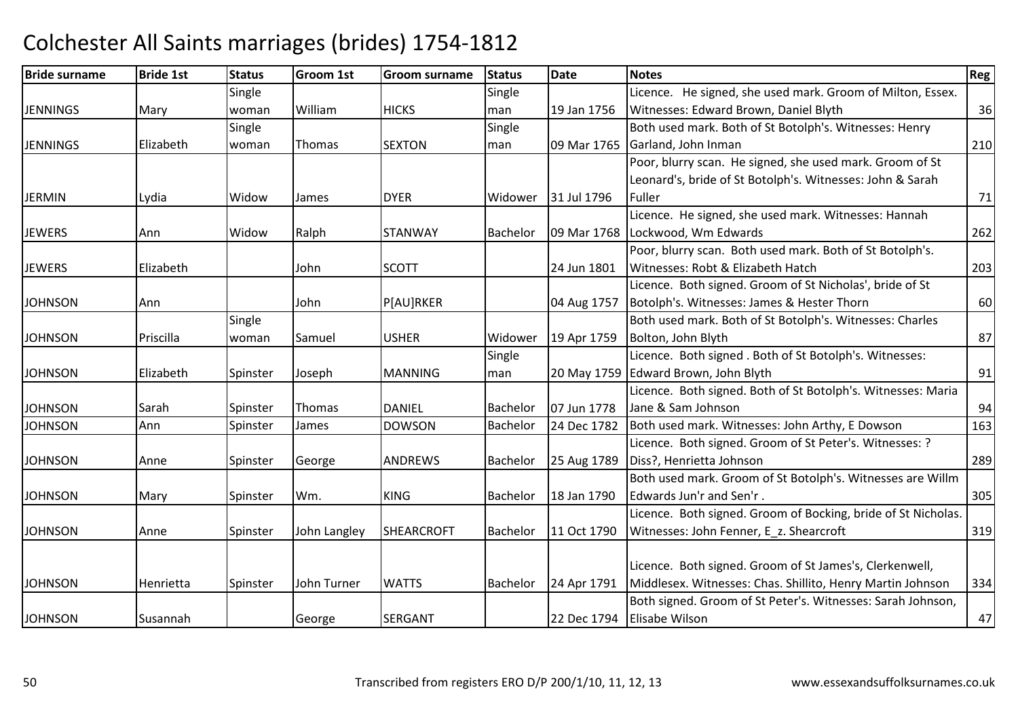| <b>Bride surname</b> | <b>Bride 1st</b> | <b>Status</b> | <b>Groom 1st</b> | <b>Groom surname</b> | <b>Status</b> | <b>Date</b> | <b>Notes</b>                                                  | Reg |
|----------------------|------------------|---------------|------------------|----------------------|---------------|-------------|---------------------------------------------------------------|-----|
|                      |                  | Single        |                  |                      | Single        |             | Licence. He signed, she used mark. Groom of Milton, Essex.    |     |
| <b>JENNINGS</b>      | Mary             | woman         | William          | <b>HICKS</b>         | man           | 19 Jan 1756 | Witnesses: Edward Brown, Daniel Blyth                         | 36  |
|                      |                  | Single        |                  |                      | Single        |             | Both used mark. Both of St Botolph's. Witnesses: Henry        |     |
| <b>JENNINGS</b>      | Elizabeth        | woman         | Thomas           | <b>SEXTON</b>        | man           | 09 Mar 1765 | Garland, John Inman                                           | 210 |
|                      |                  |               |                  |                      |               |             | Poor, blurry scan. He signed, she used mark. Groom of St      |     |
|                      |                  |               |                  |                      |               |             | Leonard's, bride of St Botolph's. Witnesses: John & Sarah     |     |
| <b>JERMIN</b>        | Lydia            | Widow         | James            | <b>DYER</b>          | Widower       | 31 Jul 1796 | Fuller                                                        | 71  |
|                      |                  |               |                  |                      |               |             | Licence. He signed, she used mark. Witnesses: Hannah          |     |
| <b>JEWERS</b>        | Ann              | Widow         | Ralph            | <b>STANWAY</b>       | Bachelor      | 09 Mar 1768 | Lockwood, Wm Edwards                                          | 262 |
|                      |                  |               |                  |                      |               |             | Poor, blurry scan. Both used mark. Both of St Botolph's.      |     |
| <b>JEWERS</b>        | Elizabeth        |               | John             | <b>SCOTT</b>         |               | 24 Jun 1801 | Witnesses: Robt & Elizabeth Hatch                             | 203 |
|                      |                  |               |                  |                      |               |             | Licence. Both signed. Groom of St Nicholas', bride of St      |     |
| <b>JOHNSON</b>       | Ann              |               | John.            | P[AU]RKER            |               | 04 Aug 1757 | Botolph's. Witnesses: James & Hester Thorn                    | 60  |
|                      |                  | Single        |                  |                      |               |             | Both used mark. Both of St Botolph's. Witnesses: Charles      |     |
| <b>JOHNSON</b>       | Priscilla        | woman         | <b>Samuel</b>    | <b>USHER</b>         | Widower       | 19 Apr 1759 | Bolton, John Blyth                                            | 87  |
|                      |                  |               |                  |                      | Single        |             | Licence. Both signed. Both of St Botolph's. Witnesses:        |     |
| <b>JOHNSON</b>       | Elizabeth        | Spinster      | Joseph           | <b>MANNING</b>       | man           | 20 May 1759 | Edward Brown, John Blyth                                      | 91  |
|                      |                  |               |                  |                      |               |             | Licence. Both signed. Both of St Botolph's. Witnesses: Maria  |     |
| <b>JOHNSON</b>       | Sarah            | Spinster      | Thomas           | <b>DANIEL</b>        | Bachelor      | 07 Jun 1778 | Jane & Sam Johnson                                            | 94  |
| <b>JOHNSON</b>       | Ann              | Spinster      | James            | <b>DOWSON</b>        | Bachelor      | 24 Dec 1782 | Both used mark. Witnesses: John Arthy, E Dowson               | 163 |
|                      |                  |               |                  |                      |               |             | Licence. Both signed. Groom of St Peter's. Witnesses: ?       |     |
| <b>JOHNSON</b>       | Anne             | Spinster      | George           | <b>ANDREWS</b>       | Bachelor      | 25 Aug 1789 | Diss?, Henrietta Johnson                                      | 289 |
|                      |                  |               |                  |                      |               |             | Both used mark. Groom of St Botolph's. Witnesses are Willm    |     |
| <b>JOHNSON</b>       | Mary             | Spinster      | Wm.              | <b>KING</b>          | Bachelor      | 18 Jan 1790 | Edwards Jun'r and Sen'r.                                      | 305 |
|                      |                  |               |                  |                      |               |             | Licence. Both signed. Groom of Bocking, bride of St Nicholas. |     |
| <b>JOHNSON</b>       | Anne             | Spinster      | John Langley     | <b>SHEARCROFT</b>    | Bachelor      | 11 Oct 1790 | Witnesses: John Fenner, E_z. Shearcroft                       | 319 |
|                      |                  |               |                  |                      |               |             |                                                               |     |
|                      |                  |               |                  |                      |               |             | Licence. Both signed. Groom of St James's, Clerkenwell,       |     |
| <b>JOHNSON</b>       | Henrietta        | Spinster      | John Turner      | <b>WATTS</b>         | Bachelor      | 24 Apr 1791 | Middlesex. Witnesses: Chas. Shillito, Henry Martin Johnson    | 334 |
|                      |                  |               |                  |                      |               |             | Both signed. Groom of St Peter's. Witnesses: Sarah Johnson,   |     |
| <b>JOHNSON</b>       | Susannah         |               | George           | <b>SERGANT</b>       |               | 22 Dec 1794 | Elisabe Wilson                                                | 47  |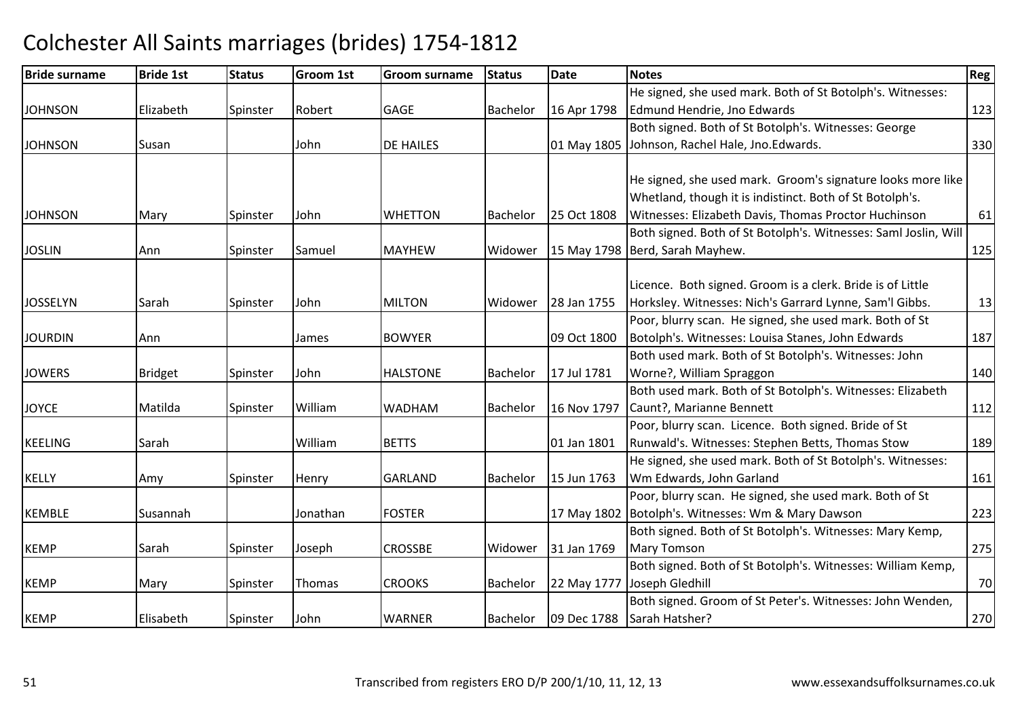| <b>Bride surname</b> | <b>Bride 1st</b> | <b>Status</b> | <b>Groom 1st</b> | <b>Groom surname</b> | <b>Status</b> | Date        | <b>Notes</b>                                                    | Reg |
|----------------------|------------------|---------------|------------------|----------------------|---------------|-------------|-----------------------------------------------------------------|-----|
|                      |                  |               |                  |                      |               |             | He signed, she used mark. Both of St Botolph's. Witnesses:      |     |
| <b>JOHNSON</b>       | Elizabeth        | Spinster      | Robert           | <b>GAGE</b>          | Bachelor      | 16 Apr 1798 | Edmund Hendrie, Jno Edwards                                     | 123 |
|                      |                  |               |                  |                      |               |             | Both signed. Both of St Botolph's. Witnesses: George            |     |
| <b>JOHNSON</b>       | Susan            |               | John             | <b>DE HAILES</b>     |               | 01 May 1805 | Johnson, Rachel Hale, Jno.Edwards.                              | 330 |
|                      |                  |               |                  |                      |               |             |                                                                 |     |
|                      |                  |               |                  |                      |               |             | He signed, she used mark. Groom's signature looks more like     |     |
|                      |                  |               |                  |                      |               |             | Whetland, though it is indistinct. Both of St Botolph's.        |     |
| <b>JOHNSON</b>       | Mary             | Spinster      | John             | <b>WHETTON</b>       | Bachelor      | 25 Oct 1808 | Witnesses: Elizabeth Davis, Thomas Proctor Huchinson            | 61  |
|                      |                  |               |                  |                      |               |             | Both signed. Both of St Botolph's. Witnesses: Saml Joslin, Will |     |
| <b>JOSLIN</b>        | Ann              | Spinster      | Samuel           | <b>MAYHEW</b>        | Widower       | 15 May 1798 | Berd, Sarah Mayhew.                                             | 125 |
|                      |                  |               |                  |                      |               |             |                                                                 |     |
|                      |                  |               |                  |                      |               |             | Licence. Both signed. Groom is a clerk. Bride is of Little      |     |
| <b>JOSSELYN</b>      | Sarah            | Spinster      | John             | <b>MILTON</b>        | Widower       | 28 Jan 1755 | Horksley. Witnesses: Nich's Garrard Lynne, Sam'l Gibbs.         | 13  |
|                      |                  |               |                  |                      |               |             | Poor, blurry scan. He signed, she used mark. Both of St         |     |
| <b>JOURDIN</b>       | Ann              |               | James            | <b>BOWYER</b>        |               | 09 Oct 1800 | Botolph's. Witnesses: Louisa Stanes, John Edwards               | 187 |
|                      |                  |               |                  |                      |               |             | Both used mark. Both of St Botolph's. Witnesses: John           |     |
| <b>JOWERS</b>        | Bridget          | Spinster      | John             | <b>HALSTONE</b>      | Bachelor      | 17 Jul 1781 | Worne?, William Spraggon                                        | 140 |
|                      |                  |               |                  |                      |               |             | Both used mark. Both of St Botolph's. Witnesses: Elizabeth      |     |
| <b>JOYCE</b>         | Matilda          | Spinster      | William          | <b>WADHAM</b>        | Bachelor      | 16 Nov 1797 | Caunt?, Marianne Bennett                                        | 112 |
|                      |                  |               |                  |                      |               |             | Poor, blurry scan. Licence. Both signed. Bride of St            |     |
| <b>KEELING</b>       | Sarah            |               | William          | <b>BETTS</b>         |               | 01 Jan 1801 | Runwald's. Witnesses: Stephen Betts, Thomas Stow                | 189 |
|                      |                  |               |                  |                      |               |             | He signed, she used mark. Both of St Botolph's. Witnesses:      |     |
| <b>KELLY</b>         | Amy              | Spinster      | Henry            | <b>GARLAND</b>       | Bachelor      | 15 Jun 1763 | Wm Edwards, John Garland                                        | 161 |
|                      |                  |               |                  |                      |               |             | Poor, blurry scan. He signed, she used mark. Both of St         |     |
| <b>KEMBLE</b>        | Susannah         |               | Jonathan         | <b>FOSTER</b>        |               |             | 17 May 1802 Botolph's. Witnesses: Wm & Mary Dawson              | 223 |
|                      |                  |               |                  |                      |               |             | Both signed. Both of St Botolph's. Witnesses: Mary Kemp,        |     |
| <b>KEMP</b>          | Sarah            | Spinster      | Joseph           | <b>CROSSBE</b>       | Widower       | 31 Jan 1769 | <b>Mary Tomson</b>                                              | 275 |
|                      |                  |               |                  |                      |               |             | Both signed. Both of St Botolph's. Witnesses: William Kemp,     |     |
| <b>KEMP</b>          | Mary             | Spinster      | Thomas           | <b>CROOKS</b>        | Bachelor      | 22 May 1777 | Joseph Gledhill                                                 | 70  |
|                      |                  |               |                  |                      |               |             | Both signed. Groom of St Peter's. Witnesses: John Wenden,       |     |
| <b>KEMP</b>          | Elisabeth        | Spinster      | John             | <b>WARNER</b>        | Bachelor      | 09 Dec 1788 | Sarah Hatsher?                                                  | 270 |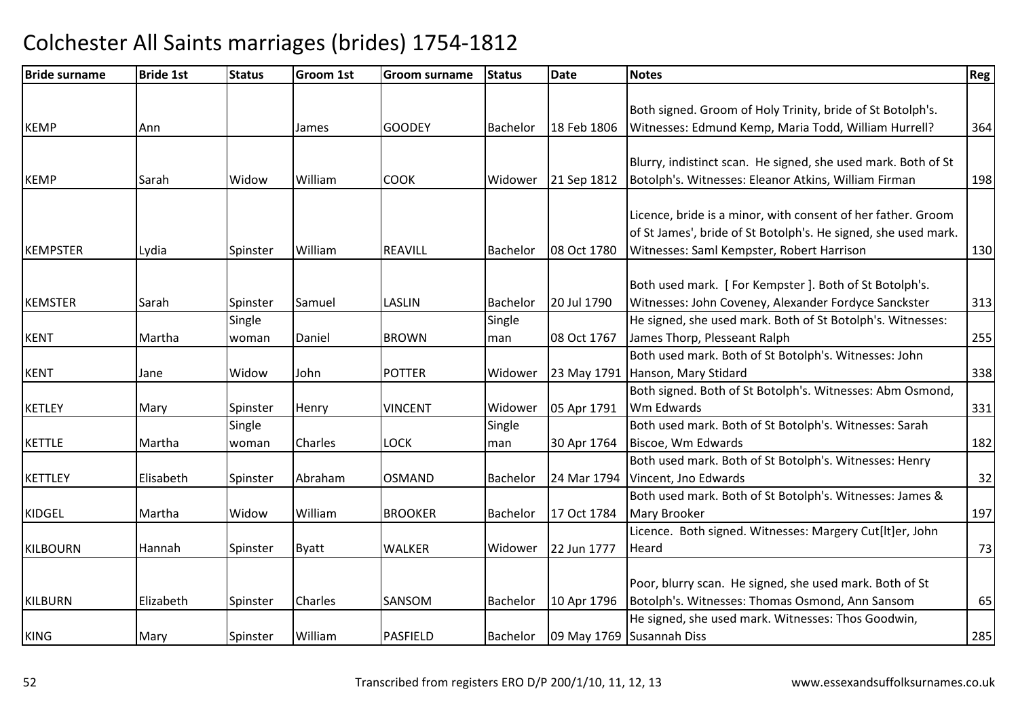| <b>Bride surname</b> | <b>Bride 1st</b> | <b>Status</b> | <b>Groom 1st</b> | <b>Groom surname</b> | <b>Status</b>   | <b>Date</b> | Notes                                                          | Reg |
|----------------------|------------------|---------------|------------------|----------------------|-----------------|-------------|----------------------------------------------------------------|-----|
|                      |                  |               |                  |                      |                 |             |                                                                |     |
|                      |                  |               |                  |                      |                 |             | Both signed. Groom of Holy Trinity, bride of St Botolph's.     |     |
| <b>KEMP</b>          | Ann              |               | James            | <b>GOODEY</b>        | Bachelor        | 18 Feb 1806 | Witnesses: Edmund Kemp, Maria Todd, William Hurrell?           | 364 |
|                      |                  |               |                  |                      |                 |             |                                                                |     |
|                      |                  |               |                  |                      |                 |             | Blurry, indistinct scan. He signed, she used mark. Both of St  |     |
| <b>KEMP</b>          | Sarah            | Widow         | William          | <b>COOK</b>          | Widower         | 21 Sep 1812 | Botolph's. Witnesses: Eleanor Atkins, William Firman           | 198 |
|                      |                  |               |                  |                      |                 |             |                                                                |     |
|                      |                  |               |                  |                      |                 |             | Licence, bride is a minor, with consent of her father. Groom   |     |
|                      |                  |               |                  |                      |                 |             | of St James', bride of St Botolph's. He signed, she used mark. |     |
| <b>KEMPSTER</b>      | Lydia            | Spinster      | William          | <b>REAVILL</b>       | Bachelor        | 08 Oct 1780 | Witnesses: Saml Kempster, Robert Harrison                      | 130 |
|                      |                  |               |                  |                      |                 |             |                                                                |     |
|                      |                  |               |                  |                      |                 |             | Both used mark. [For Kempster]. Both of St Botolph's.          |     |
| <b>KEMSTER</b>       | Sarah            | Spinster      | Samuel           | <b>LASLIN</b>        | <b>Bachelor</b> | 20 Jul 1790 | Witnesses: John Coveney, Alexander Fordyce Sanckster           | 313 |
|                      |                  | Single        |                  |                      | Single          |             | He signed, she used mark. Both of St Botolph's. Witnesses:     |     |
| <b>KENT</b>          | Martha           | woman         | Daniel           | <b>BROWN</b>         | man             | 08 Oct 1767 | James Thorp, Plesseant Ralph                                   | 255 |
|                      |                  |               |                  |                      |                 |             | Both used mark. Both of St Botolph's. Witnesses: John          |     |
| <b>KENT</b>          | Jane             | Widow         | John             | <b>POTTER</b>        | Widower         | 23 May 1791 | Hanson, Mary Stidard                                           | 338 |
|                      |                  |               |                  |                      |                 |             | Both signed. Both of St Botolph's. Witnesses: Abm Osmond,      |     |
| <b>KETLEY</b>        | Mary             | Spinster      | Henry            | <b>VINCENT</b>       | Widower         | 05 Apr 1791 | Wm Edwards                                                     | 331 |
|                      |                  | Single        |                  |                      | Single          |             | Both used mark. Both of St Botolph's. Witnesses: Sarah         |     |
| <b>KETTLE</b>        | Martha           | woman         | Charles          | <b>LOCK</b>          | man             | 30 Apr 1764 | Biscoe, Wm Edwards                                             | 182 |
|                      |                  |               |                  |                      |                 |             | Both used mark. Both of St Botolph's. Witnesses: Henry         |     |
| <b>KETTLEY</b>       | Elisabeth        | Spinster      | Abraham          | <b>OSMAND</b>        | Bachelor        | 24 Mar 1794 | Vincent, Jno Edwards                                           | 32  |
|                      |                  |               |                  |                      |                 |             | Both used mark. Both of St Botolph's. Witnesses: James &       |     |
| <b>KIDGEL</b>        | Martha           | Widow         | William          | <b>BROOKER</b>       | Bachelor        | 17 Oct 1784 | Mary Brooker                                                   | 197 |
|                      |                  |               |                  |                      |                 |             | Licence. Both signed. Witnesses: Margery Cut[lt]er, John       |     |
| <b>KILBOURN</b>      | Hannah           | Spinster      | <b>Byatt</b>     | <b>WALKER</b>        | Widower         | 22 Jun 1777 | Heard                                                          | 73  |
|                      |                  |               |                  |                      |                 |             |                                                                |     |
|                      |                  |               |                  |                      |                 |             | Poor, blurry scan. He signed, she used mark. Both of St        |     |
| <b>KILBURN</b>       | Elizabeth        | Spinster      | Charles          | SANSOM               | Bachelor        | 10 Apr 1796 | Botolph's. Witnesses: Thomas Osmond, Ann Sansom                | 65  |
|                      |                  |               |                  |                      |                 |             | He signed, she used mark. Witnesses: Thos Goodwin,             |     |
| <b>KING</b>          | Mary             | Spinster      | William          | <b>PASFIELD</b>      | Bachelor        |             | 09 May 1769 Susannah Diss                                      | 285 |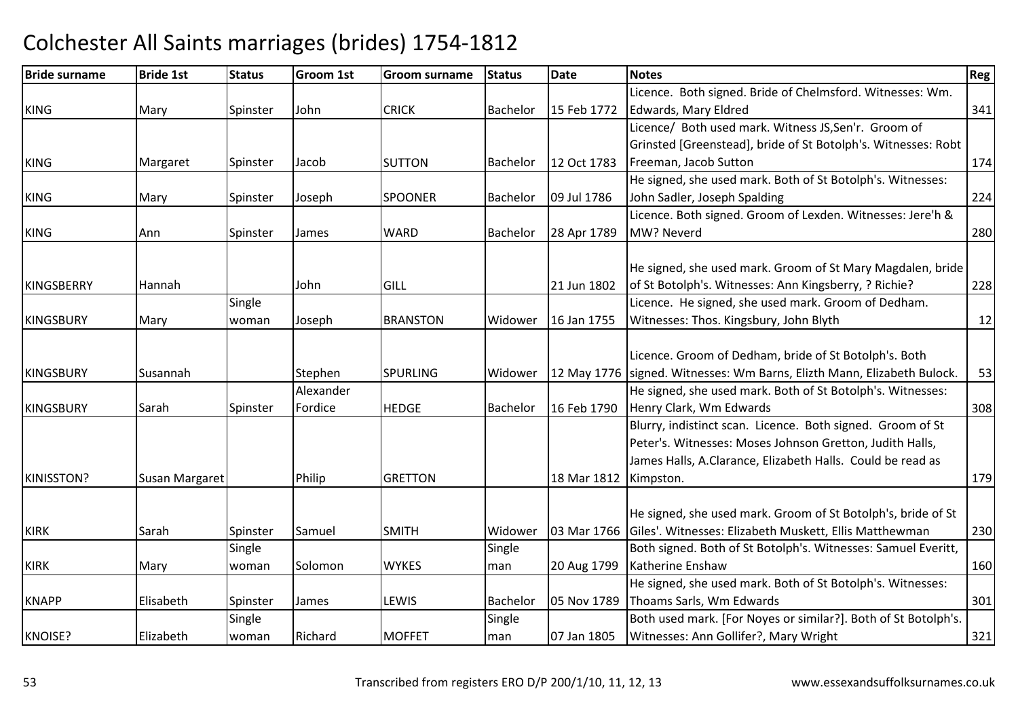### Bride surnamee Bride 1st Status Groom 1st Groom surname Status Date Notes Region Contract Region Regional Region Region Reg KINGG Mary Spinster John CRICK Bachelor 15 Feb 1772 Licence. Both signed. Bride of Chelmsford. Witnesses: Wm. Edwards, Mary Eldredd 341 KINGG Margaret Spinster Jacob SUTTON Bachelor 12 Oct 1783 Licence/ Both used mark. Witness JS,Sen'r. Groom of Grinsted [Greenstead], bride of St Botolph's. Witnesses: Robt **Freeman, Jacob Sutton 174** KINGG Mary Spinster Joseph SPOONER Bachelor 09 Jul 1786 He signed, she used mark. Both of St Botolph's. Witnesses:John Sadler, Joseph Spaldingg 224 KINGG 1991 Ann Spinster James WARD Bachelor 28 Apr 1789 Licence. Both signed. Groom of Lexden. Witnesses: Jere'h & MW? Neverdd 280 KINGSBERRY Hannah JohnGILL 121 Jun 1802 He signed, she used mark. Groom of St Mary Magdalen, bride of St Botolph's. Witnesses: Ann Kingsberry, ? Richie? <sup>228</sup>KINGSBURY Mary Single woman Joseph BRANSTONWidower 16 Jan 1755 Licence. He signed, she used mark. Groom of Dedham. Witnesses: Thos. Kingsbury, John Blythh 12 KINGSBURY Susannah Stephen SPURLINGG Midower 12 May 1776 Signed. Witnesses: Wm Barns, Elizth Mann, Elizabeth Bulock. 153 Licence. Groom of Dedham, bride of St Botolph's. Both KINGSBURY Sarah Spinster Alexander Fordice**HEDGE** Bachelor 16 Feb 1790 He signed, she used mark. Both of St Botolph's. Witnesses:Henry Clark, Wm Edwardss 308 KINISSTON?Susan Margaret **Philip** p GRETTON 18 Mar 1812 | Kimpston. 179 Blurry, indistinct scan. Licence. Both signed. Groom of St Peter's. Witnesses: Moses Johnson Gretton, Judith Halls, James Halls, A.Clarance, Elizabeth Halls. Could be read as KIRKK Sarah Sarah Spinster Samuel SMITH H Midower 103 Mar 1766 Giles'. Witnesses: Elizabeth Muskett, Ellis Matthewman He signed, she used mark. Groom of St Botolph's, bride of St <sup>230</sup> KIRK Mary **Single** woman Solomon **WYKES Single** man 20 Aug 1799 Both signed. Both of St Botolph's. Witnesses: Samuel Everitt, Katherine Enshaw<u>w 160</u> KNAPP Elisabeth Spinster James LEWIS Bachelor 05 Nov 1789 He signed, she used mark. Both of St Botolph's. Witnesses:Thoams Sarls, Wm Edwardss 301 KNOISE? ElizabethSingle woman Richard MOFFET Single man 07 Jan 1805 Both used mark. [For Noyes or similar?]. Both of St Botolph's. Witnesses: Ann Gollifer?, Mary Wrightt 321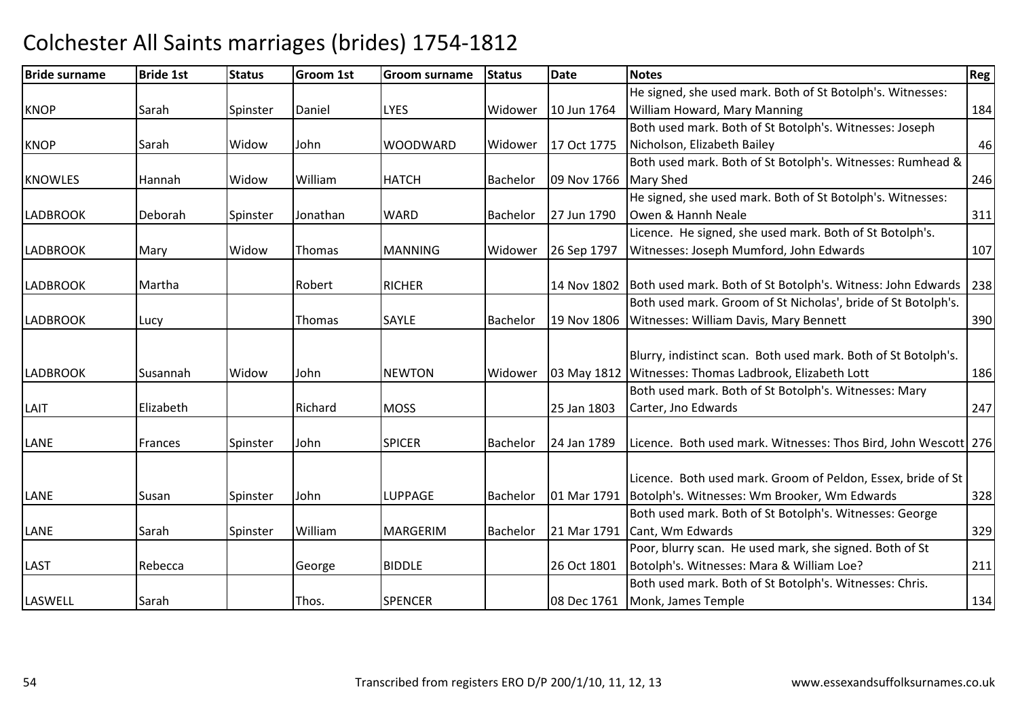| <b>Bride surname</b> | <b>Bride 1st</b> | <b>Status</b> | <b>Groom 1st</b> | <b>Groom surname</b> | <b>Status</b>   | <b>Date</b>           | <b>Notes</b>                                                            | Reg |
|----------------------|------------------|---------------|------------------|----------------------|-----------------|-----------------------|-------------------------------------------------------------------------|-----|
|                      |                  |               |                  |                      |                 |                       | He signed, she used mark. Both of St Botolph's. Witnesses:              |     |
| <b>KNOP</b>          | Sarah            | Spinster      | Daniel           | <b>LYES</b>          | Widower         | 10 Jun 1764           | <b>William Howard, Mary Manning</b>                                     | 184 |
|                      |                  |               |                  |                      |                 |                       | Both used mark. Both of St Botolph's. Witnesses: Joseph                 |     |
| <b>KNOP</b>          | Sarah            | Widow         | John             | <b>WOODWARD</b>      | Widower         | 17 Oct 1775           | Nicholson, Elizabeth Bailey                                             | 46  |
|                      |                  |               |                  |                      |                 |                       | Both used mark. Both of St Botolph's. Witnesses: Rumhead &              |     |
| <b>KNOWLES</b>       | Hannah           | Widow         | William          | <b>HATCH</b>         | Bachelor        | 09 Nov 1766 Mary Shed |                                                                         | 246 |
|                      |                  |               |                  |                      |                 |                       | He signed, she used mark. Both of St Botolph's. Witnesses:              |     |
| <b>LADBROOK</b>      | Deborah          | Spinster      | Jonathan         | <b>WARD</b>          | <b>Bachelor</b> | 27 Jun 1790           | Owen & Hannh Neale                                                      | 311 |
|                      |                  |               |                  |                      |                 |                       | Licence. He signed, she used mark. Both of St Botolph's.                |     |
| <b>LADBROOK</b>      | Mary             | Widow         | Thomas           | <b>MANNING</b>       | Widower         | 26 Sep 1797           | Witnesses: Joseph Mumford, John Edwards                                 | 107 |
|                      |                  |               |                  |                      |                 |                       |                                                                         |     |
| <b>LADBROOK</b>      | Martha           |               | Robert           | <b>RICHER</b>        |                 |                       | 14 Nov 1802 Both used mark. Both of St Botolph's. Witness: John Edwards | 238 |
|                      |                  |               |                  |                      |                 |                       | Both used mark. Groom of St Nicholas', bride of St Botolph's.           |     |
| <b>LADBROOK</b>      | Lucy             |               | <b>Thomas</b>    | <b>SAYLE</b>         | Bachelor        | 19 Nov 1806           | Witnesses: William Davis, Mary Bennett                                  | 390 |
|                      |                  |               |                  |                      |                 |                       |                                                                         |     |
|                      |                  |               |                  |                      |                 |                       | Blurry, indistinct scan. Both used mark. Both of St Botolph's.          |     |
| <b>LADBROOK</b>      | Susannah         | Widow         | John             | <b>NEWTON</b>        | Widower         |                       | 03 May 1812 Witnesses: Thomas Ladbrook, Elizabeth Lott                  | 186 |
|                      |                  |               |                  |                      |                 |                       | Both used mark. Both of St Botolph's. Witnesses: Mary                   |     |
| LAIT                 | Elizabeth        |               | Richard          | <b>MOSS</b>          |                 | 25 Jan 1803           | Carter, Jno Edwards                                                     | 247 |
|                      |                  |               |                  |                      |                 |                       |                                                                         |     |
| LANE                 | Frances          | Spinster      | John             | <b>SPICER</b>        | Bachelor        | 24 Jan 1789           | Licence. Both used mark. Witnesses: Thos Bird, John Wescott 276         |     |
|                      |                  |               |                  |                      |                 |                       |                                                                         |     |
|                      |                  |               |                  |                      |                 |                       | Licence. Both used mark. Groom of Peldon, Essex, bride of St            |     |
| LANE                 | Susan            | Spinster      | John             | LUPPAGE              | Bachelor        |                       | 01 Mar 1791   Botolph's. Witnesses: Wm Brooker, Wm Edwards              | 328 |
|                      |                  |               |                  |                      |                 |                       | Both used mark. Both of St Botolph's. Witnesses: George                 |     |
| LANE                 | Sarah            | Spinster      | William          | <b>MARGERIM</b>      | Bachelor        |                       | 21 Mar 1791 Cant, Wm Edwards                                            | 329 |
|                      |                  |               |                  |                      |                 |                       | Poor, blurry scan. He used mark, she signed. Both of St                 |     |
| LAST                 | Rebecca          |               | George           | <b>BIDDLE</b>        |                 | 26 Oct 1801           | Botolph's. Witnesses: Mara & William Loe?                               | 211 |
|                      |                  |               |                  |                      |                 |                       | Both used mark. Both of St Botolph's. Witnesses: Chris.                 |     |
| LASWELL              | Sarah            |               | Thos.            | <b>SPENCER</b>       |                 |                       | 08 Dec 1761 Monk, James Temple                                          | 134 |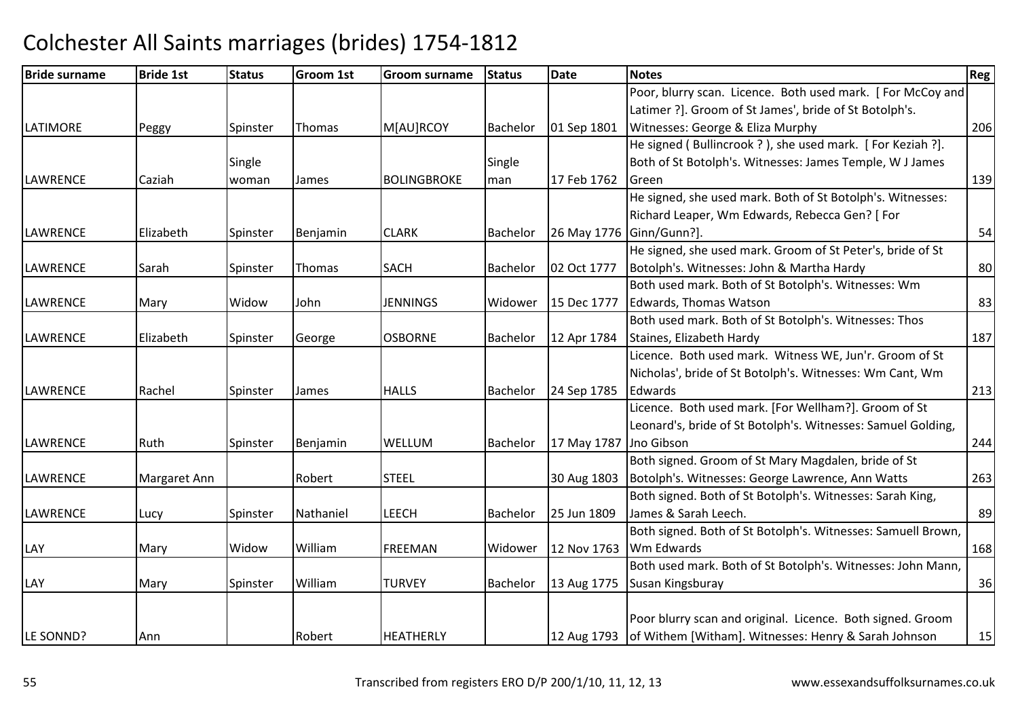| <b>Bride surname</b> | <b>Bride 1st</b> | <b>Status</b> | <b>Groom 1st</b> | <b>Groom surname</b> | <b>Status</b>   | Date                   | <b>Notes</b>                                                     | <b>Reg</b> |
|----------------------|------------------|---------------|------------------|----------------------|-----------------|------------------------|------------------------------------------------------------------|------------|
|                      |                  |               |                  |                      |                 |                        | Poor, blurry scan. Licence. Both used mark. [For McCoy and       |            |
|                      |                  |               |                  |                      |                 |                        | Latimer ?]. Groom of St James', bride of St Botolph's.           |            |
| <b>LATIMORE</b>      | Peggy            | Spinster      | Thomas           | M[AU]RCOY            | <b>Bachelor</b> | 01 Sep 1801            | Witnesses: George & Eliza Murphy                                 | 206        |
|                      |                  |               |                  |                      |                 |                        | He signed (Bullincrook ?), she used mark. [For Keziah ?].        |            |
|                      |                  | Single        |                  |                      | Single          |                        | Both of St Botolph's. Witnesses: James Temple, W J James         |            |
| <b>LAWRENCE</b>      | Caziah           | woman         | <b>James</b>     | <b>BOLINGBROKE</b>   | man             | 17 Feb 1762            | Green                                                            | 139        |
|                      |                  |               |                  |                      |                 |                        | He signed, she used mark. Both of St Botolph's. Witnesses:       |            |
|                      |                  |               |                  |                      |                 |                        | Richard Leaper, Wm Edwards, Rebecca Gen? [ For                   |            |
| <b>LAWRENCE</b>      | Elizabeth        | Spinster      | Benjamin         | <b>CLARK</b>         | Bachelor        |                        | 26 May 1776 Ginn/Gunn?].                                         | 54         |
|                      |                  |               |                  |                      |                 |                        | He signed, she used mark. Groom of St Peter's, bride of St       |            |
| <b>LAWRENCE</b>      | Sarah            | Spinster      | Thomas           | <b>SACH</b>          | Bachelor        | 02 Oct 1777            | Botolph's. Witnesses: John & Martha Hardy                        | 80         |
|                      |                  |               |                  |                      |                 |                        | Both used mark. Both of St Botolph's. Witnesses: Wm              |            |
| <b>LAWRENCE</b>      | Mary             | Widow         | John             | <b>JENNINGS</b>      | Widower         | 15 Dec 1777            | Edwards, Thomas Watson                                           | 83         |
|                      |                  |               |                  |                      |                 |                        | Both used mark. Both of St Botolph's. Witnesses: Thos            |            |
| <b>LAWRENCE</b>      | Elizabeth        | Spinster      | George           | <b>OSBORNE</b>       | Bachelor        | 12 Apr 1784            | Staines, Elizabeth Hardy                                         | 187        |
|                      |                  |               |                  |                      |                 |                        | Licence. Both used mark. Witness WE, Jun'r. Groom of St          |            |
|                      |                  |               |                  |                      |                 |                        | Nicholas', bride of St Botolph's. Witnesses: Wm Cant, Wm         |            |
| <b>LAWRENCE</b>      | Rachel           | Spinster      | James            | <b>HALLS</b>         | <b>Bachelor</b> | 24 Sep 1785            | Edwards                                                          | 213        |
|                      |                  |               |                  |                      |                 |                        | Licence. Both used mark. [For Wellham?]. Groom of St             |            |
|                      |                  |               |                  |                      |                 |                        | Leonard's, bride of St Botolph's. Witnesses: Samuel Golding,     |            |
| <b>LAWRENCE</b>      | Ruth             | Spinster      | Benjamin         | WELLUM               | <b>Bachelor</b> | 17 May 1787 Jno Gibson |                                                                  | 244        |
|                      |                  |               |                  |                      |                 |                        | Both signed. Groom of St Mary Magdalen, bride of St              |            |
| <b>LAWRENCE</b>      | Margaret Ann     |               | Robert           | <b>STEEL</b>         |                 | 30 Aug 1803            | Botolph's. Witnesses: George Lawrence, Ann Watts                 | 263        |
|                      |                  |               |                  |                      |                 |                        | Both signed. Both of St Botolph's. Witnesses: Sarah King,        |            |
| <b>LAWRENCE</b>      | Lucy             | Spinster      | Nathaniel        | <b>LEECH</b>         | Bachelor        | 25 Jun 1809            | James & Sarah Leech.                                             | 89         |
|                      |                  |               |                  |                      |                 |                        | Both signed. Both of St Botolph's. Witnesses: Samuell Brown,     |            |
| LAY                  | Mary             | Widow         | William          | <b>FREEMAN</b>       | Widower         | 12 Nov 1763            | Wm Edwards                                                       | 168        |
|                      |                  |               |                  |                      |                 |                        | Both used mark. Both of St Botolph's. Witnesses: John Mann,      |            |
| LAY                  | Mary             | Spinster      | William          | <b>TURVEY</b>        | Bachelor        | 13 Aug 1775            | Susan Kingsburay                                                 | 36         |
|                      |                  |               |                  |                      |                 |                        |                                                                  |            |
|                      |                  |               |                  |                      |                 |                        | Poor blurry scan and original. Licence. Both signed. Groom       |            |
| LE SONND?            | Ann              |               | Robert           | <b>HEATHERLY</b>     |                 |                        | 12 Aug 1793 of Withem [Witham]. Witnesses: Henry & Sarah Johnson | 15         |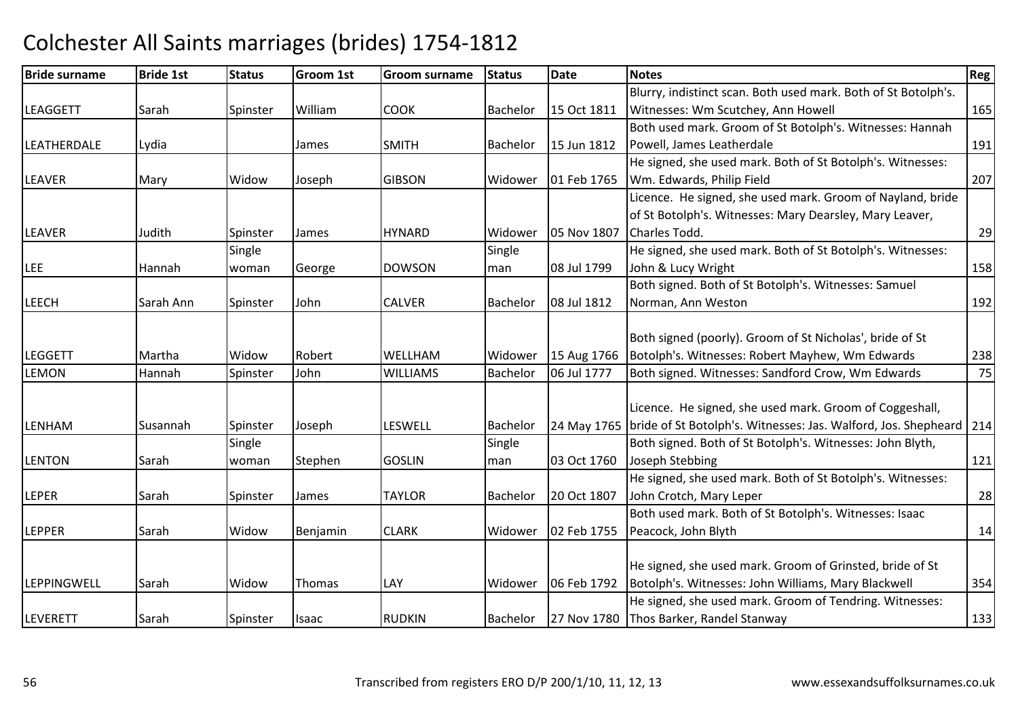### Bride surnamee Bride 1st Status Groom 1st Groom surname Status Date Notes Region Contract Region Regional Region Region Reg LEAGGETTSarah Spinster William COOK Bachelor 15 Oct 1811 Blurry, indistinct scan. Both used mark. Both of St Botolph's. Witnesses: Wm Scutchey, Ann Howell 165LEATHERDALEE Lydia James SMITH SMITH Bachelor 15 Jun 1812 Both used mark. Groom of St Botolph's. Witnesses: HannahPowell, James Leatherdalee 191 LEAVERR Mary Widow Joseph GIBSON GIBSON Widower 01 Feb 1765 He signed, she used mark. Both of St Botolph's. Witnesses:Wm. Edwards, Philip Fieldd 207 LEAVERR 1991 | Mudith Spinster James | HYNARD HYNARD | Widower | 05 Nov 1807 Licence. He signed, she used mark. Groom of Nayland, bride of St Botolph's. Witnesses: Mary Dearsley, Mary Leaver, Charles Todd. 29LEE Hannah**Single** woman George DOWSON Single man 08 Jul 1799 He signed, she used mark. Both of St Botolph's. Witnesses:John & Lucy Wrightt and the contract of  $\sim$  158 LEECHH Sarah Ann Spinster John CALVER Bachelor 08 Jul 1812 Both signed. Both of St Botolph's. Witnesses: Samuel Norman, Ann Westonn 192 LEGGETT Martha Widow Robert WELLHAMWELLHAM Widower 15 Aug 1766<br>WILLIAMS Bachelor 06 Jul 1777 Both signed (poorly). Groom of St Nicholas', bride of St Botolph's. Witnesses: Robert Mayhew, Wm Edwards <sup>238</sup>75 LEMONHannah Spinster John | WILLIAMS | Bachelor | 06 Jul 1777 | Both signed. Witnesses: Sandford Crow, Wm Edwards LENHAMM Susannah Spinster Joseph LESWELL Bachelor 24 May 1765<br>Albert Gital Citatum Citatum Citatum Citatum Citatum Citatum Citatum Citatum Citatum Citatum Citatum Citatum C Licence. He signed, she used mark. Groom of Coggeshall, bride of St Botolph's. Witnesses: Jas. Walford, Jos. Shepheard 214 LENTON Sarah **Single** woman Stephen **GOSLIN** Single man 03 Oct 1760 Both signed. Both of St Botolph's. Witnesses: John Blyth, Joseph Stebbingg 121 LEPERR Sarah Spinster James TAYLOR Bachelor 20 Oct 1807 He signed, she used mark. Both of St Botolph's. Witnesses:John Crotch, Mary Leperr 28 LEPPERR 1755 Sarah Widow Benjamin CLARK Widower 02 Feb 1755 Both used mark. Both of St Botolph's. Witnesses: Isaac Peacock, John Blythh 14 LEPPINGWELLL Sarah Widow Thomas LAY Widower 06 Feb 1792 He signed, she used mark. Groom of Grinsted, bride of St Botolph's. Witnesses: John Williams, Mary Blackwell 354LEVERETT Sarah Spinster Isaac RUDKINRUDKIN Bachelor 127 Nov 1780 He signed, she used mark. Groom of Tendring. Witnesses: Thos Barker, Randel Stanwayy 133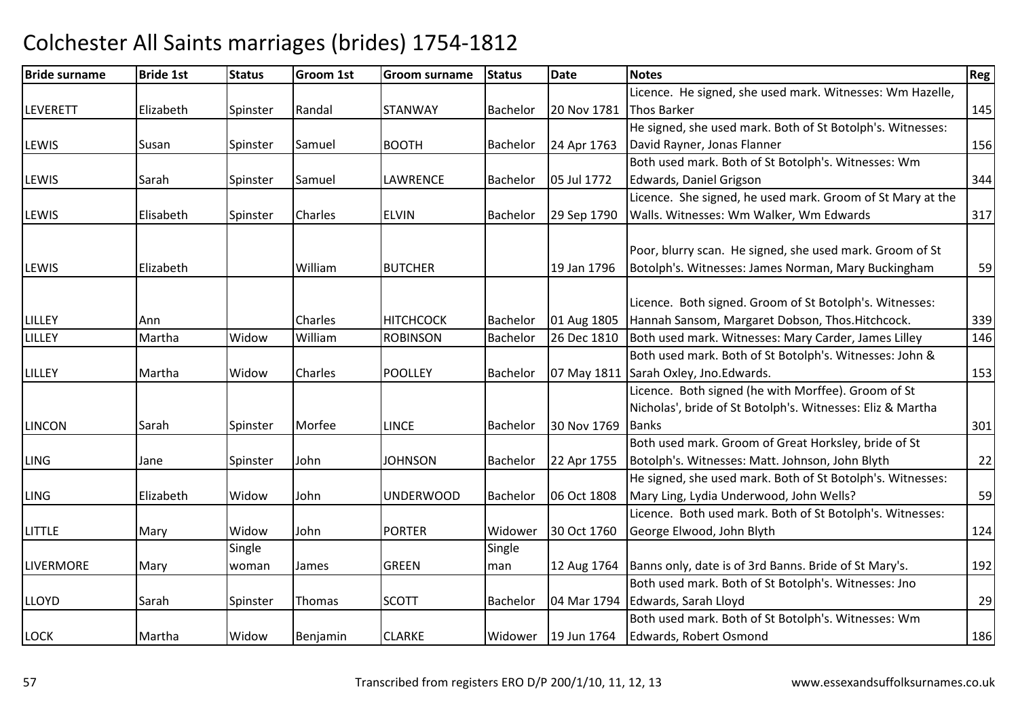### Bride surnamee Bride 1st Status Groom 1st Groom surname Status Date Notes Region Contract Region Regional Region Region Reg LEVERETT Elizabeth Spinster Randal STANWAY Bachelor 20 Nov 1781Licence. He signed, she used mark. Witnesses: Wm Hazelle, 20 Nov 1781 Thos Barker 20 Nov 1781 145 LEWISS Susan Susan Spinster Samuel BOOTH BOOTH Bachelor 24 Apr 1763 He signed, she used mark. Both of St Botolph's. Witnesses:David Rayner, Jonas Flannerr 156 LEWIS Sarah Spinster Samuel LAWRENCE Bachelor 05 Jul 1772Both used mark. Both of St Botolph's. Witnesses: Wm Edwards, Daniel Grigsonn 344 LEWISS **Elisabeth Spinster Charles** ELVIN Bachelor 29 Sep 1790 Licence. She signed, he used mark. Groom of St Mary at the Walls. Witnesses: Wm Walker, Wm Edwards <sup>317</sup>LEWIS Elizabeth WilliamBUTCHER 19 Jan 1796 Poor, blurry scan. He signed, she used mark. Groom of St Botolph's. Witnesses: James Norman, Mary Buckingham <sup>59</sup> LILLEYY Ann Ann Charles HITCHCOCK HITCHCOCK |Bachelor |01 Aug 1805 Licence. Both signed. Groom of St Botolph's. Witnesses:Hannah Sansom, Margaret Dobson, Thos.Hitchcock. 1339 146 LILLEY Martha Widow WilliamROBINSON Bachelor 26 Dec 1810 Both used mark. Witnesses: Mary Carder, James Lilley LILLEYY 1990 Martha Nidow Charles POOLLEY Bachelor 07 May 1811 Both used mark. Both of St Botolph's. Witnesses: John & O7 May 1811 Sarah Oxley, Jno.Edwards. 153 LINCONN Sarah Spinster Morfee LINCE Bachelor 30 Nov 1769 Licence. Both signed (he with Morffee). Groom of St Nicholas', bride of St Botolph's. Witnesses: Eliz & Martha **Banks**  $\sim$  301 LINGG 3 Jane Spinster John JOHNSON JOHNSON |Bachelor | 22 Apr 1755 Both used mark. Groom of Great Horksley, bride of St Botolph's. Witnesses: Matt. Johnson, John Blythh 22 LING Elizabeth Widow John UNDERWOOD Bachelor 06 Oct 1808 He signed, she used mark. Both of St Botolph's. Witnesses:Mary Ling, Lydia Underwood, John Wells? 59LITTLEE Mary Widow John John **PORTER** Widower 30 Oct 1760 Licence. Both used mark. Both of St Botolph's. Witnesses: George Elwood, John Blythh 124 LIVERMORE Mary **Single** woman James GREEN **Single** man 12 Aug 1764 Banns only, date is of 3rd Banns. Bride of St Mary's. <sup>192</sup> LLOYDD Sarah Spinster Thomas SCOTT Bachelor 04 Mar 1794 Both used mark. Both of St Botolph's. Witnesses: Jno Edwards, Sarah Lloydd 29 LOCK Martha Widow Benjamin CLARKE Widower 19 Jun 1764 Both used mark. Both of St Botolph's. Witnesses: Wm Edwards, Robert Osmondd 186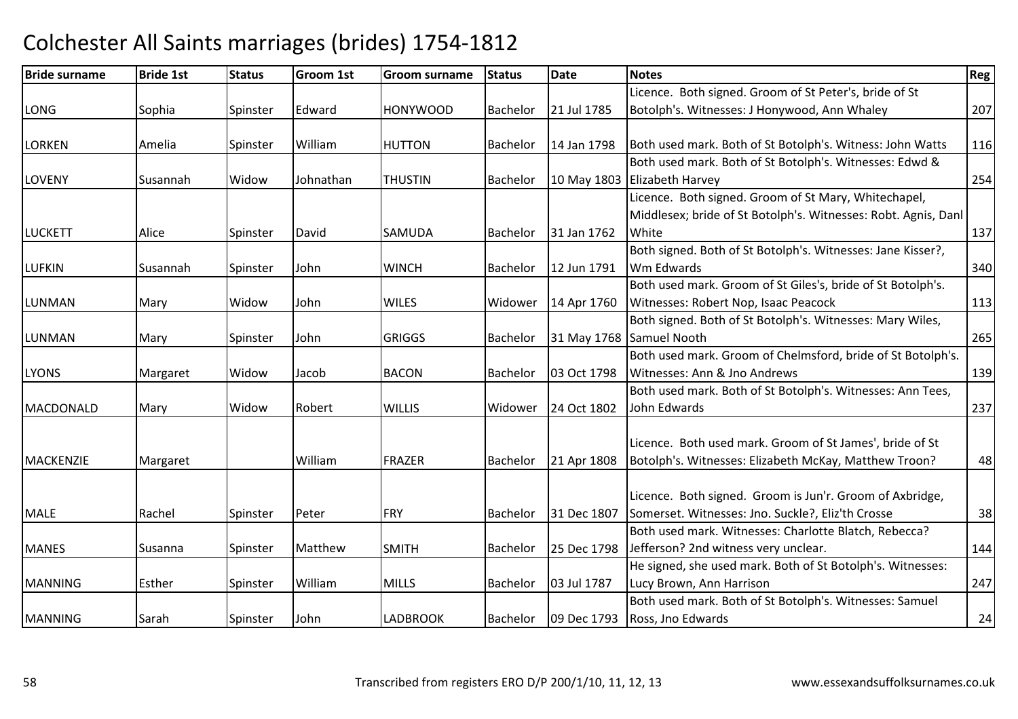### Bride surnamee Bride 1st Status Groom 1st Groom surname Status Date Notes Region Contract Region Regional Region Region Reg LONG Sophia Spinster Edward HONYWOOD Bachelor 21 Jul 1785 Licence. Both signed. Groom of St Peter's, bride of St Botolph's. Witnesses: J Honywood, Ann Whaley <sup>207</sup>LORKENN Amelia Spinster William William HUTTON Bachelor 14 Jan 1798 Both used mark. Both of St Botolph's. Witness: John Watts 116 LOVENY Susannah Widow Johnathan THUSTIN Bachelor 10 May 1803 Elizabeth HarveyBoth used mark. Both of St Botolph's. Witnesses: Edwd & y 254 LUCKETTAlice Spinster David SAMUDABachelor 131 Jan 1762 Licence. Both signed. Groom of St Mary, Whitechapel, Middlesex; bride of St Botolph's. Witnesses: Robt. Agnis, Danl **White** e 137 LUFKINN Susannah Spinster John WINCH Bachelor 12 Jun 1791 Both signed. Both of St Botolph's. Witnesses: Jane Kisser?, Wm Edwards $\sim$  340 LUNMANN Mary Widow John WILES Widower 14 Apr 1760 Both used mark. Groom of St Giles's, bride of St Botolph's. Witnesses: Robert Nop, Isaac Peacock 113 LUNMANN Mary Spinster John GRIGGS Bachelor 31 May 1768 Both signed. Both of St Botolph's. Witnesses: Mary Wiles,31 May 1768 Samuel Nooth <sup>265</sup> LYONS Margaret Widow Jacob BACONBachelor | 03 Oct 1798 Both used mark. Groom of Chelmsford, bride of St Botolph's. Witnesses: Ann & Jno Andrewss 139 MACDONALDD Mary Widow Robert WILLIS Widower 24 Oct 1802 Both used mark. Both of St Botolph's. Witnesses: Ann Tees, John Edwardss and  $\sim$  237 MACKENZIE Margaret WilliamFRAZER Bachelor 21 Apr 1808 Licence. Both used mark. Groom of St James', bride of St Botolph's. Witnesses: Elizabeth McKay, Matthew Troon? <sup>48</sup>MALEE Rachel Spinster Peter FRY Bachelor 31 Dec 1807 Licence. Both signed. Groom is Jun'r. Groom of Axbridge, Somerset. Witnesses: Jno. Suckle?, Eliz'th Crossee 38 MANESSusanna Spinster Matthew SMITH Bachelor 25 Dec 1798 Both used mark. Witnesses: Charlotte Blatch, Rebecca? Jefferson? 2nd witness very unclear. 144 MANNINGG Esther Spinster William William MILLS Bachelor 03 Jul 1787 He signed, she used mark. Both of St Botolph's. Witnesses:Lucy Brown, Ann Harrisonn 247 MANNINGG Sarah Spinster John LADBROOK Bachelor 09 Dec 1793 Both used mark. Both of St Botolph's. Witnesses: Samuel Ross, Jno Edwards $\sim$  24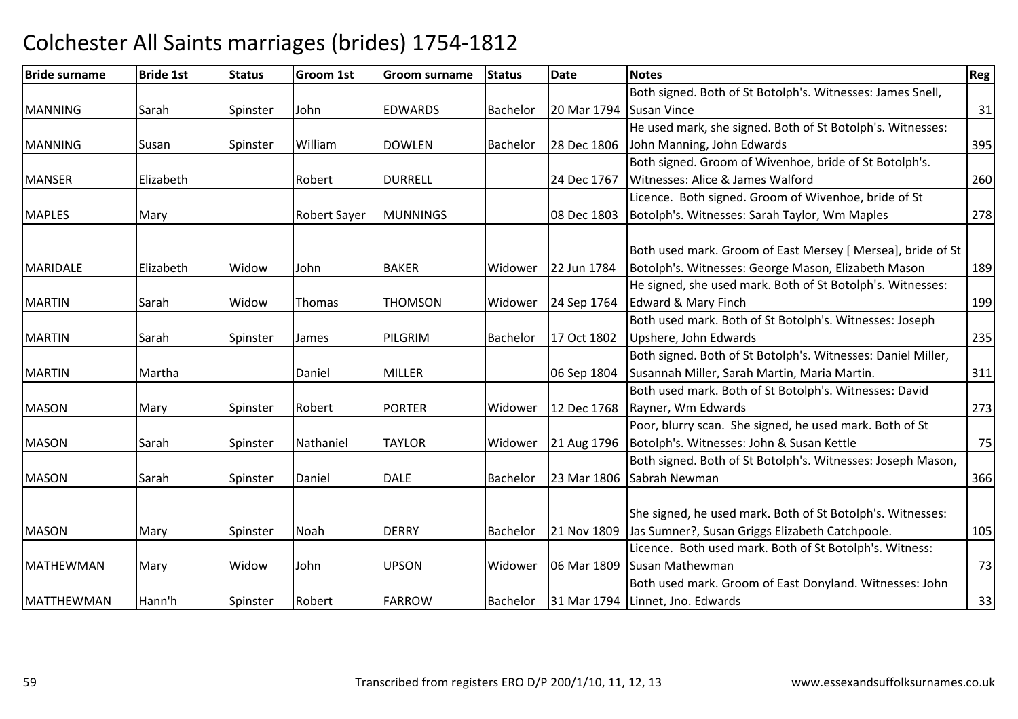# Colchester All Saints marriages (brides) 1754-1812Bride surname

| <b>Bride surname</b> | <b>Bride 1st</b> | <b>Status</b> | <b>Groom 1st</b>    | <b>Groom surname</b> | <b>Status</b>   | Date        | <b>Notes</b>                                                 | Reg |
|----------------------|------------------|---------------|---------------------|----------------------|-----------------|-------------|--------------------------------------------------------------|-----|
|                      |                  |               |                     |                      |                 |             | Both signed. Both of St Botolph's. Witnesses: James Snell,   |     |
| <b>MANNING</b>       | Sarah            | Spinster      | John                | <b>EDWARDS</b>       | <b>Bachelor</b> | 20 Mar 1794 | <b>Susan Vince</b>                                           | 31  |
|                      |                  |               |                     |                      |                 |             | He used mark, she signed. Both of St Botolph's. Witnesses:   |     |
| <b>MANNING</b>       | Susan            | Spinster      | William             | <b>DOWLEN</b>        | <b>Bachelor</b> | 28 Dec 1806 | John Manning, John Edwards                                   | 395 |
|                      |                  |               |                     |                      |                 |             | Both signed. Groom of Wivenhoe, bride of St Botolph's.       |     |
| <b>MANSER</b>        | Elizabeth        |               | Robert              | <b>DURRELL</b>       |                 | 24 Dec 1767 | Witnesses: Alice & James Walford                             | 260 |
|                      |                  |               |                     |                      |                 |             | Licence. Both signed. Groom of Wivenhoe, bride of St         |     |
| <b>MAPLES</b>        | Mary             |               | <b>Robert Sayer</b> | <b>MUNNINGS</b>      |                 | 08 Dec 1803 | Botolph's. Witnesses: Sarah Taylor, Wm Maples                | 278 |
|                      |                  |               |                     |                      |                 |             | Both used mark. Groom of East Mersey [ Mersea], bride of St  |     |
| <b>MARIDALE</b>      | Elizabeth        | Widow         | John                | <b>BAKER</b>         | Widower         | 22 Jun 1784 | Botolph's. Witnesses: George Mason, Elizabeth Mason          | 189 |
|                      |                  |               |                     |                      |                 |             | He signed, she used mark. Both of St Botolph's. Witnesses:   |     |
| <b>MARTIN</b>        | Sarah            | Widow         | Thomas              | <b>THOMSON</b>       | Widower         | 24 Sep 1764 | Edward & Mary Finch                                          | 199 |
|                      |                  |               |                     |                      |                 |             | Both used mark. Both of St Botolph's. Witnesses: Joseph      |     |
| <b>MARTIN</b>        | Sarah            | Spinster      | James               | PILGRIM              | <b>Bachelor</b> | 17 Oct 1802 | Upshere, John Edwards                                        | 235 |
|                      |                  |               |                     |                      |                 |             | Both signed. Both of St Botolph's. Witnesses: Daniel Miller, |     |
| <b>MARTIN</b>        | Martha           |               | Daniel              | <b>MILLER</b>        |                 | 06 Sep 1804 | Susannah Miller, Sarah Martin, Maria Martin.                 | 311 |
|                      |                  |               |                     |                      |                 |             | Both used mark. Both of St Botolph's. Witnesses: David       |     |
| <b>MASON</b>         | Mary             | Spinster      | Robert              | <b>PORTER</b>        | Widower         | 12 Dec 1768 | Rayner, Wm Edwards                                           | 273 |
|                      |                  |               |                     |                      |                 |             | Poor, blurry scan. She signed, he used mark. Both of St      |     |
| <b>MASON</b>         | Sarah            | Spinster      | Nathaniel           | TAYLOR               | Widower         | 21 Aug 1796 | Botolph's. Witnesses: John & Susan Kettle                    | 75  |
|                      |                  |               |                     |                      |                 |             | Both signed. Both of St Botolph's. Witnesses: Joseph Mason,  |     |
| <b>MASON</b>         | Sarah            | Spinster      | Daniel              | <b>DALE</b>          | <b>Bachelor</b> |             | 23 Mar 1806 Sabrah Newman                                    | 366 |
|                      |                  |               |                     |                      |                 |             | She signed, he used mark. Both of St Botolph's. Witnesses:   |     |
| <b>MASON</b>         | Mary             | Spinster      | Noah                | <b>DERRY</b>         | Bachelor        | 21 Nov 1809 | Jas Sumner?, Susan Griggs Elizabeth Catchpoole.              | 105 |
|                      |                  |               |                     |                      |                 |             | Licence. Both used mark. Both of St Botolph's. Witness:      |     |
| <b>MATHEWMAN</b>     | Mary             | Widow         | John                | <b>UPSON</b>         | Widower         |             | 06 Mar 1809 Susan Mathewman                                  | 73  |
|                      |                  |               |                     |                      |                 |             | Both used mark. Groom of East Donyland. Witnesses: John      |     |
| <b>MATTHEWMAN</b>    | Hann'h           | Spinster      | Robert              | <b>FARROW</b>        | <b>Bachelor</b> |             | 31 Mar 1794 Linnet, Jno. Edwards                             | 33  |
|                      |                  |               |                     |                      |                 |             |                                                              |     |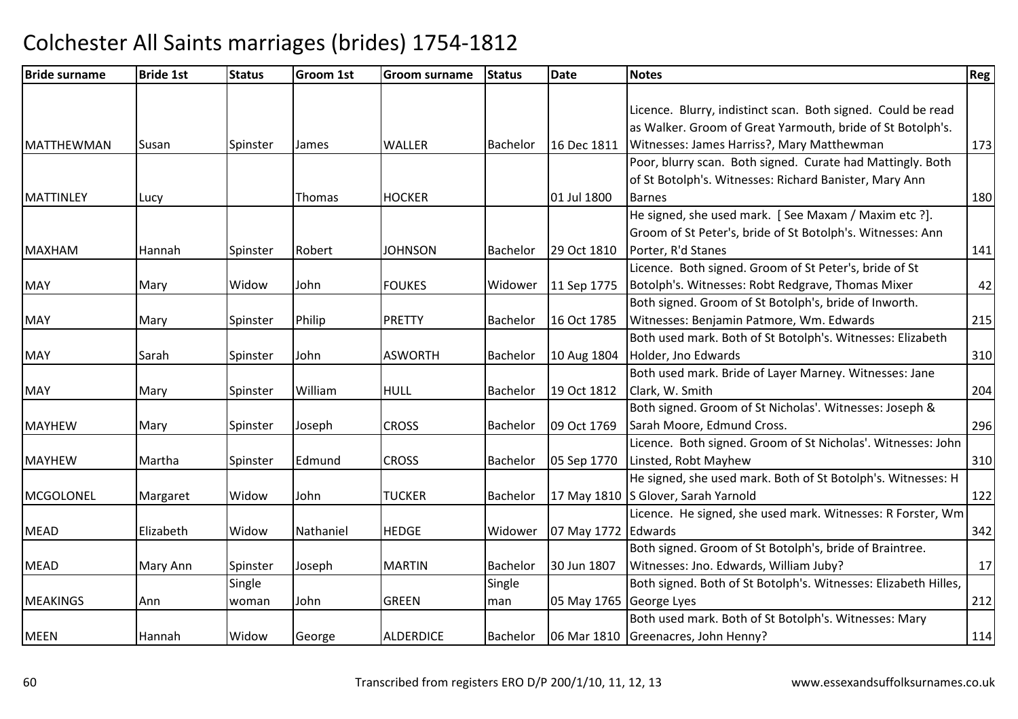| <b>Bride surname</b> | <b>Bride 1st</b> | <b>Status</b> | <b>Groom 1st</b> | <b>Groom surname</b> | <b>Status</b> | <b>Date</b>             | <b>Notes</b>                                                    | Reg |
|----------------------|------------------|---------------|------------------|----------------------|---------------|-------------------------|-----------------------------------------------------------------|-----|
|                      |                  |               |                  |                      |               |                         |                                                                 |     |
|                      |                  |               |                  |                      |               |                         | Licence. Blurry, indistinct scan. Both signed. Could be read    |     |
|                      |                  |               |                  |                      |               |                         | as Walker. Groom of Great Yarmouth, bride of St Botolph's.      |     |
| <b>MATTHEWMAN</b>    | Susan            | Spinster      | James            | <b>WALLER</b>        | Bachelor      | 16 Dec 1811             | Witnesses: James Harriss?, Mary Matthewman                      | 173 |
|                      |                  |               |                  |                      |               |                         | Poor, blurry scan. Both signed. Curate had Mattingly. Both      |     |
|                      |                  |               |                  |                      |               |                         | of St Botolph's. Witnesses: Richard Banister, Mary Ann          |     |
| <b>MATTINLEY</b>     | Lucy             |               | Thomas           | <b>HOCKER</b>        |               | 01 Jul 1800             | <b>Barnes</b>                                                   | 180 |
|                      |                  |               |                  |                      |               |                         | He signed, she used mark. [See Maxam / Maxim etc ?].            |     |
|                      |                  |               |                  |                      |               |                         | Groom of St Peter's, bride of St Botolph's. Witnesses: Ann      |     |
| <b>MAXHAM</b>        | Hannah           | Spinster      | Robert           | <b>JOHNSON</b>       | Bachelor      | 29 Oct 1810             | Porter, R'd Stanes                                              | 141 |
|                      |                  |               |                  |                      |               |                         | Licence. Both signed. Groom of St Peter's, bride of St          |     |
| <b>MAY</b>           | Mary             | Widow         | John             | <b>FOUKES</b>        | Widower       | 11 Sep 1775             | Botolph's. Witnesses: Robt Redgrave, Thomas Mixer               | 42  |
|                      |                  |               |                  |                      |               |                         | Both signed. Groom of St Botolph's, bride of Inworth.           |     |
| <b>MAY</b>           | Mary             | Spinster      | Philip           | <b>PRETTY</b>        | Bachelor      | 16 Oct 1785             | Witnesses: Benjamin Patmore, Wm. Edwards                        | 215 |
|                      |                  |               |                  |                      |               |                         | Both used mark. Both of St Botolph's. Witnesses: Elizabeth      |     |
| <b>MAY</b>           | Sarah            | Spinster      | John             | <b>ASWORTH</b>       | Bachelor      | 10 Aug 1804             | Holder, Jno Edwards                                             | 310 |
|                      |                  |               |                  |                      |               |                         | Both used mark. Bride of Layer Marney. Witnesses: Jane          |     |
| <b>MAY</b>           | Mary             | Spinster      | William          | <b>HULL</b>          | Bachelor      | 19 Oct 1812             | Clark, W. Smith                                                 | 204 |
|                      |                  |               |                  |                      |               |                         | Both signed. Groom of St Nicholas'. Witnesses: Joseph &         |     |
| <b>MAYHEW</b>        | Mary             | Spinster      | Joseph           | <b>CROSS</b>         | Bachelor      | 09 Oct 1769             | Sarah Moore, Edmund Cross.                                      | 296 |
|                      |                  |               |                  |                      |               |                         | Licence. Both signed. Groom of St Nicholas'. Witnesses: John    |     |
| <b>MAYHEW</b>        | Martha           | Spinster      | Edmund           | <b>CROSS</b>         | Bachelor      | 05 Sep 1770             | Linsted, Robt Mayhew                                            | 310 |
|                      |                  |               |                  |                      |               |                         | He signed, she used mark. Both of St Botolph's. Witnesses: H    |     |
| MCGOLONEL            | Margaret         | Widow         | John             | <b>TUCKER</b>        | Bachelor      |                         | 17 May 1810 S Glover, Sarah Yarnold                             | 122 |
|                      |                  |               |                  |                      |               |                         | Licence. He signed, she used mark. Witnesses: R Forster, Wm     |     |
| <b>MEAD</b>          | Elizabeth        | Widow         | Nathaniel        | <b>HEDGE</b>         | Widower       | 07 May 1772             | Edwards                                                         | 342 |
|                      |                  |               |                  |                      |               |                         | Both signed. Groom of St Botolph's, bride of Braintree.         |     |
| <b>MEAD</b>          | Mary Ann         | Spinster      | Joseph           | <b>MARTIN</b>        | Bachelor      | 30 Jun 1807             | Witnesses: Jno. Edwards, William Juby?                          | 17  |
|                      |                  | Single        |                  |                      | Single        |                         | Both signed. Both of St Botolph's. Witnesses: Elizabeth Hilles, |     |
| <b>MEAKINGS</b>      | Ann              | woman         | John             | <b>GREEN</b>         | man           | 05 May 1765 George Lyes |                                                                 | 212 |
|                      |                  |               |                  |                      |               |                         | Both used mark. Both of St Botolph's. Witnesses: Mary           |     |
| <b>MEEN</b>          | Hannah           | Widow         | George           | <b>ALDERDICE</b>     | Bachelor      |                         | 06 Mar 1810 Greenacres, John Henny?                             | 114 |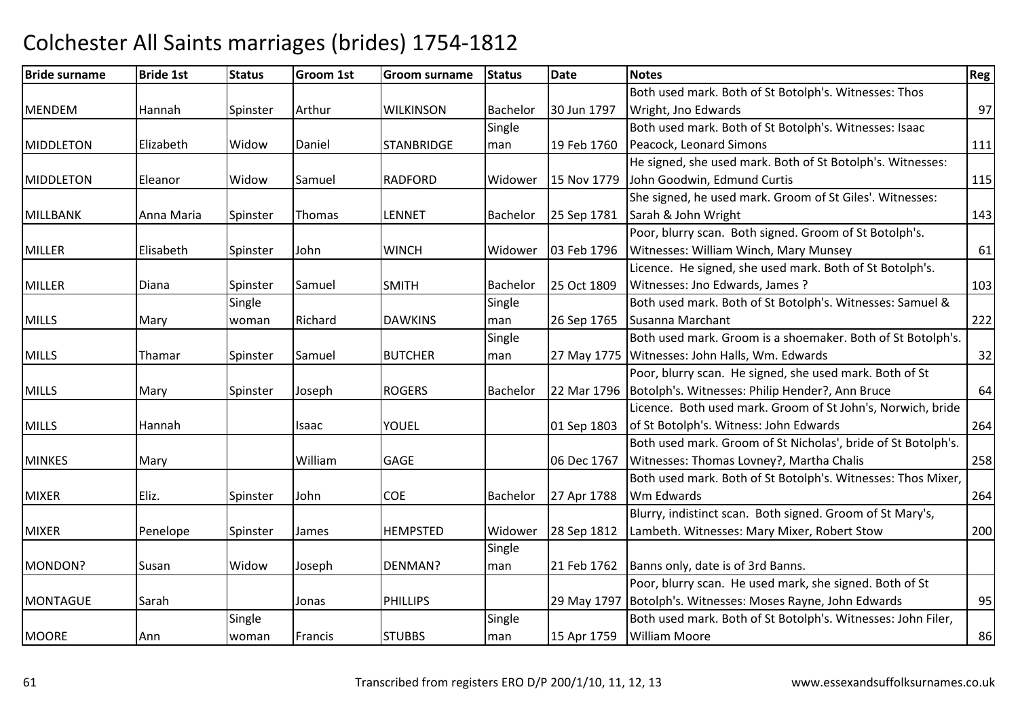### Bride surnamee Bride 1st Status Groom 1st Groom surname Status Date Notes Region Contract Region Regional Region Region Reg MENDEM Hannah Spinster Arthur WILKINSON Bachelor 30 Jun 1797 Both used mark. Both of St Botolph's. Witnesses: Thos Wright, Jno Edwardss and  $\overline{97}$ MIDDLETONN Elizabeth Widow Daniel STANBRIDGE Single man 19 Feb 1760 Both used mark. Both of St Botolph's. Witnesses: Isaac Peacock, Leonard Simonss 111 MIDDLETONN Eleanor Widow Samuel RADFORD Widower 15 Nov 1779 He signed, she used mark. Both of St Botolph's. Witnesses:John Goodwin, Edmund Curtiss 115 MILLBANKK 1990 Anna Maria Spinster Thomas LENNET Bachelor 25 Sep 1781 She signed, he used mark. Groom of St Giles'. Witnesses: Sarah & John Wrightt and  $\frac{143}{2}$ MILLERR Flisabeth Spinster John WINCH WINCH Widower 03 Feb 1796 Poor, blurry scan. Both signed. Groom of St Botolph's. Witnesses: William Winch, Mary Munseyy 61 MILLERR Diana Spinster Samuel SMITH SMITH Bachelor 25 Oct 1809 Licence. He signed, she used mark. Both of St Botolph's. Witnesses: Jno Edwards, James ?<u>.</u> 103 MILLS Mary Single woman Richard DAWKINS Single man 26 Sep 1765 Susanna MarchantBoth used mark. Both of St Botolph's. Witnesses: Samuel & t 222 MILLSS 1991 Thamar Spinster Samuel BUTCHER Single man 27 May 1775 Witnesses: John Halls, Wm. EdwardsBoth used mark. Groom is a shoemaker. Both of St Botolph's.  $\sim$  32 MILLSMary Spinster Joseph h ROGERS Bachelor | 22 Mar 1796 | Botolph's. Witnesses: Philip Hender?, Ann Bruce Poor, blurry scan. He signed, she used mark. Both of St e 64 MILLS Hannah Isaac YOUEL 01 Sep 1803Licence. Both used mark. Groom of St John's, Norwich, bride of St Botolph's. Witness: John Edwardss 264 MINKESS Mary Nilliam William IGAGE I 106 Dec 1767 Both used mark. Groom of St Nicholas', bride of St Botolph's. Witnesses: Thomas Lovney?, Martha Chalis <sup>258</sup>**MIXFR** R Filiz. Spinster John COE Bachelor 27 Apr 1788 Both used mark. Both of St Botolph's. Witnesses: Thos Mixer, Wm Edwardss and  $\sim$  264 MIXERR Penelope Spinster James HEMPSTED HEMPSTED Widower 28 Sep 1812 Blurry, indistinct scan. Both signed. Groom of St Mary's, Lambeth. Witnesses: Mary Mixer, Robert Stow 200MONDON?P Susan Widow Joseph Joseph DENMAN? Single man21 Feb 1762 | Banns only, date is of 3rd Banns. **MONTAGUE** E Sarah Jonas PHILLIPS 29 May 1797 Poor, blurry scan. He used mark, she signed. Both of St Botolph's. Witnesses: Moses Rayne, John Edwards <sup>95</sup>**MOORE**  AnnSingle woman **Francis** ISTUBBS Single man 15 Apr 1759 Both used mark. Both of St Botolph's. Witnesses: John Filer, William Mooree 86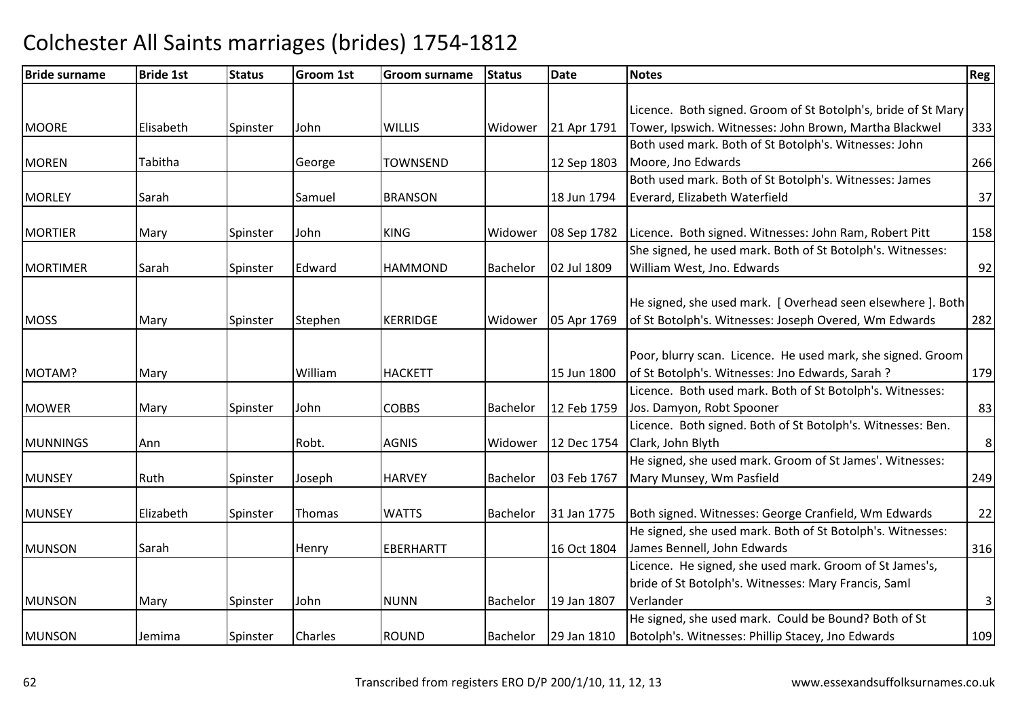| <b>Bride surname</b> | <b>Bride 1st</b> | <b>Status</b> | <b>Groom 1st</b> | <b>Groom surname</b> | <b>Status</b> | Date        | <b>Notes</b>                                                  | Reg            |
|----------------------|------------------|---------------|------------------|----------------------|---------------|-------------|---------------------------------------------------------------|----------------|
|                      |                  |               |                  |                      |               |             |                                                               |                |
|                      |                  |               |                  |                      |               |             | Licence. Both signed. Groom of St Botolph's, bride of St Mary |                |
| <b>MOORE</b>         | Elisabeth        | Spinster      | John             | <b>WILLIS</b>        | Widower       | 21 Apr 1791 | Tower, Ipswich. Witnesses: John Brown, Martha Blackwel        | 333            |
|                      |                  |               |                  |                      |               |             | Both used mark. Both of St Botolph's. Witnesses: John         |                |
| <b>MOREN</b>         | Tabitha          |               | George           | <b>TOWNSEND</b>      |               | 12 Sep 1803 | Moore, Jno Edwards                                            | 266            |
|                      |                  |               |                  |                      |               |             | Both used mark. Both of St Botolph's. Witnesses: James        |                |
| <b>MORLEY</b>        | Sarah            |               | Samuel           | <b>BRANSON</b>       |               | 18 Jun 1794 | Everard, Elizabeth Waterfield                                 | 37             |
| <b>MORTIER</b>       | Mary             | Spinster      | John             | <b>KING</b>          | Widower       | 08 Sep 1782 | Licence. Both signed. Witnesses: John Ram, Robert Pitt        | 158            |
|                      |                  |               |                  |                      |               |             | She signed, he used mark. Both of St Botolph's. Witnesses:    |                |
| <b>MORTIMER</b>      | Sarah            | Spinster      | Edward           | <b>HAMMOND</b>       | Bachelor      | 02 Jul 1809 | William West, Jno. Edwards                                    | 92             |
|                      |                  |               |                  |                      |               |             |                                                               |                |
|                      |                  |               |                  |                      |               |             | He signed, she used mark. [ Overhead seen elsewhere ]. Both   |                |
| <b>MOSS</b>          | Mary             | Spinster      | Stephen          | <b>KERRIDGE</b>      | Widower       | 05 Apr 1769 | of St Botolph's. Witnesses: Joseph Overed, Wm Edwards         | 282            |
|                      |                  |               |                  |                      |               |             | Poor, blurry scan. Licence. He used mark, she signed. Groom   |                |
| MOTAM?               | Mary             |               | William          | <b>HACKETT</b>       |               | 15 Jun 1800 | of St Botolph's. Witnesses: Jno Edwards, Sarah ?              | 179            |
|                      |                  |               |                  |                      |               |             | Licence. Both used mark. Both of St Botolph's. Witnesses:     |                |
| <b>MOWER</b>         | Mary             | Spinster      | John             | <b>COBBS</b>         | Bachelor      | 12 Feb 1759 | Jos. Damyon, Robt Spooner                                     | 83             |
|                      |                  |               |                  |                      |               |             | Licence. Both signed. Both of St Botolph's. Witnesses: Ben.   |                |
| <b>MUNNINGS</b>      | Ann              |               | Robt.            | <b>AGNIS</b>         | Widower       | 12 Dec 1754 | Clark, John Blyth                                             | $\,8\,$        |
|                      |                  |               |                  |                      |               |             | He signed, she used mark. Groom of St James'. Witnesses:      |                |
| <b>MUNSEY</b>        | Ruth             | Spinster      | Joseph           | <b>HARVEY</b>        | Bachelor      | 03 Feb 1767 | Mary Munsey, Wm Pasfield                                      | 249            |
|                      |                  |               |                  |                      |               |             |                                                               |                |
| <b>MUNSEY</b>        | Elizabeth        | Spinster      | Thomas           | <b>WATTS</b>         | Bachelor      | 31 Jan 1775 | Both signed. Witnesses: George Cranfield, Wm Edwards          | 22             |
|                      |                  |               |                  |                      |               |             | He signed, she used mark. Both of St Botolph's. Witnesses:    |                |
| <b>MUNSON</b>        | Sarah            |               | Henry            | <b>EBERHARTT</b>     |               | 16 Oct 1804 | James Bennell, John Edwards                                   | 316            |
|                      |                  |               |                  |                      |               |             | Licence. He signed, she used mark. Groom of St James's,       |                |
|                      |                  |               |                  |                      |               |             | bride of St Botolph's. Witnesses: Mary Francis, Saml          |                |
| <b>MUNSON</b>        | Mary             | Spinster      | John             | <b>NUNN</b>          | Bachelor      | 19 Jan 1807 | Verlander                                                     | $\overline{3}$ |
|                      |                  |               |                  |                      |               |             | He signed, she used mark. Could be Bound? Both of St          |                |
| <b>MUNSON</b>        | Jemima           | Spinster      | <b>Charles</b>   | <b>ROUND</b>         | Bachelor      | 29 Jan 1810 | Botolph's. Witnesses: Phillip Stacey, Jno Edwards             | 109            |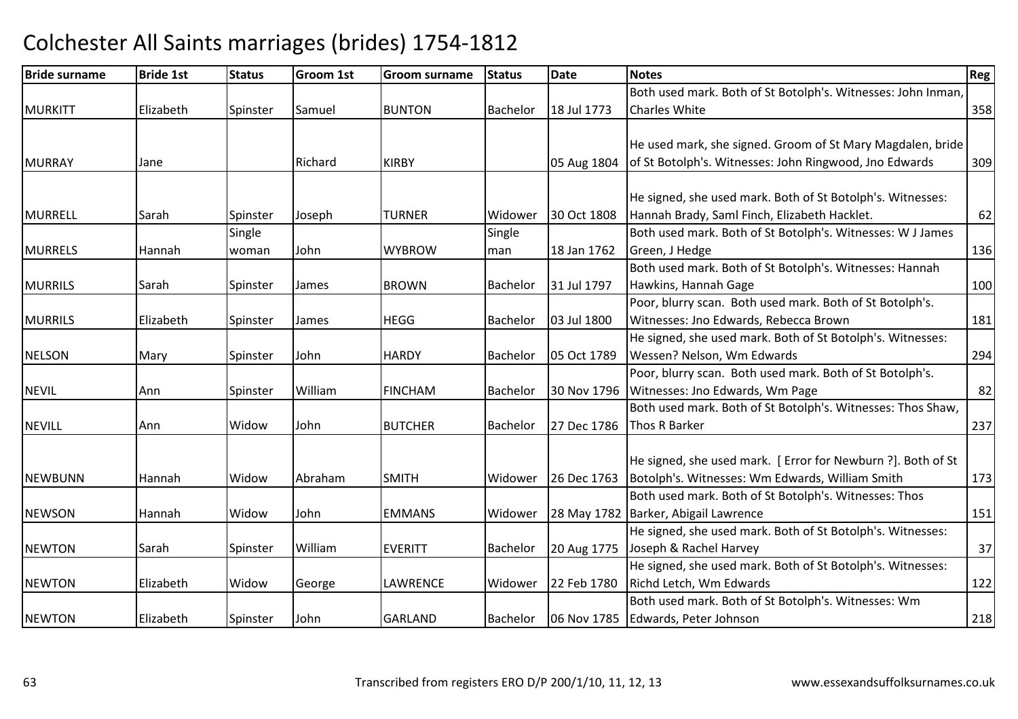| <b>Bride surname</b> | <b>Bride 1st</b> | <b>Status</b> | <b>Groom 1st</b> | Groom surname  | <b>Status</b>   | Date        | <b>Notes</b>                                                 | Reg |
|----------------------|------------------|---------------|------------------|----------------|-----------------|-------------|--------------------------------------------------------------|-----|
|                      |                  |               |                  |                |                 |             | Both used mark. Both of St Botolph's. Witnesses: John Inman, |     |
| <b>MURKITT</b>       | Elizabeth        | Spinster      | Samuel           | <b>BUNTON</b>  | <b>Bachelor</b> | 18 Jul 1773 | <b>Charles White</b>                                         | 358 |
|                      |                  |               |                  |                |                 |             |                                                              |     |
|                      |                  |               |                  |                |                 |             | He used mark, she signed. Groom of St Mary Magdalen, bride   |     |
| <b>MURRAY</b>        | Jane             |               | Richard          | <b>KIRBY</b>   |                 | 05 Aug 1804 | of St Botolph's. Witnesses: John Ringwood, Jno Edwards       | 309 |
|                      |                  |               |                  |                |                 |             |                                                              |     |
|                      |                  |               |                  |                |                 |             | He signed, she used mark. Both of St Botolph's. Witnesses:   |     |
| <b>MURRELL</b>       | Sarah            | Spinster      | Joseph           | <b>TURNER</b>  | Widower         | 30 Oct 1808 | Hannah Brady, Saml Finch, Elizabeth Hacklet.                 | 62  |
|                      |                  | Single        |                  |                | Single          |             | Both used mark. Both of St Botolph's. Witnesses: W J James   |     |
| <b>MURRELS</b>       | Hannah           | woman         | John             | <b>WYBROW</b>  | man             | 18 Jan 1762 | Green, J Hedge                                               | 136 |
|                      |                  |               |                  |                |                 |             | Both used mark. Both of St Botolph's. Witnesses: Hannah      |     |
| <b>MURRILS</b>       | Sarah            | Spinster      | James            | <b>BROWN</b>   | Bachelor        | 31 Jul 1797 | Hawkins, Hannah Gage                                         | 100 |
|                      |                  |               |                  |                |                 |             | Poor, blurry scan. Both used mark. Both of St Botolph's.     |     |
| <b>MURRILS</b>       | Elizabeth        | Spinster      | James            | <b>HEGG</b>    | <b>Bachelor</b> | 03 Jul 1800 | Witnesses: Jno Edwards, Rebecca Brown                        | 181 |
|                      |                  |               |                  |                |                 |             | He signed, she used mark. Both of St Botolph's. Witnesses:   |     |
| <b>NELSON</b>        | Mary             | Spinster      | John             | <b>HARDY</b>   | Bachelor        | 05 Oct 1789 | Wessen? Nelson, Wm Edwards                                   | 294 |
|                      |                  |               |                  |                |                 |             | Poor, blurry scan. Both used mark. Both of St Botolph's.     |     |
| <b>NEVIL</b>         | Ann              | Spinster      | William          | <b>FINCHAM</b> | Bachelor        | 30 Nov 1796 | Witnesses: Jno Edwards, Wm Page                              | 82  |
|                      |                  |               |                  |                |                 |             | Both used mark. Both of St Botolph's. Witnesses: Thos Shaw,  |     |
| <b>NEVILL</b>        | Ann              | Widow         | John             | <b>BUTCHER</b> | Bachelor        | 27 Dec 1786 | Thos R Barker                                                | 237 |
|                      |                  |               |                  |                |                 |             |                                                              |     |
|                      |                  |               |                  |                |                 |             | He signed, she used mark. [Error for Newburn ?]. Both of St  |     |
| NEWBUNN              | Hannah           | Widow         | Abraham          | <b>SMITH</b>   | Widower         | 26 Dec 1763 | Botolph's. Witnesses: Wm Edwards, William Smith              | 173 |
|                      |                  |               |                  |                |                 |             | Both used mark. Both of St Botolph's. Witnesses: Thos        |     |
| <b>NEWSON</b>        | Hannah           | Widow         | John             | <b>EMMANS</b>  | Widower         |             | 28 May 1782 Barker, Abigail Lawrence                         | 151 |
|                      |                  |               |                  |                |                 |             | He signed, she used mark. Both of St Botolph's. Witnesses:   |     |
| <b>NEWTON</b>        | Sarah            | Spinster      | William          | <b>EVERITT</b> | Bachelor        | 20 Aug 1775 | Joseph & Rachel Harvey                                       | 37  |
|                      |                  |               |                  |                |                 |             | He signed, she used mark. Both of St Botolph's. Witnesses:   |     |
| <b>NEWTON</b>        | Elizabeth        | Widow         | George           | LAWRENCE       | Widower         | 22 Feb 1780 | Richd Letch, Wm Edwards                                      | 122 |
|                      |                  |               |                  |                |                 |             | Both used mark. Both of St Botolph's. Witnesses: Wm          |     |
| <b>NEWTON</b>        | Elizabeth        | Spinster      | John             | <b>GARLAND</b> | Bachelor        |             | 06 Nov 1785 Edwards, Peter Johnson                           | 218 |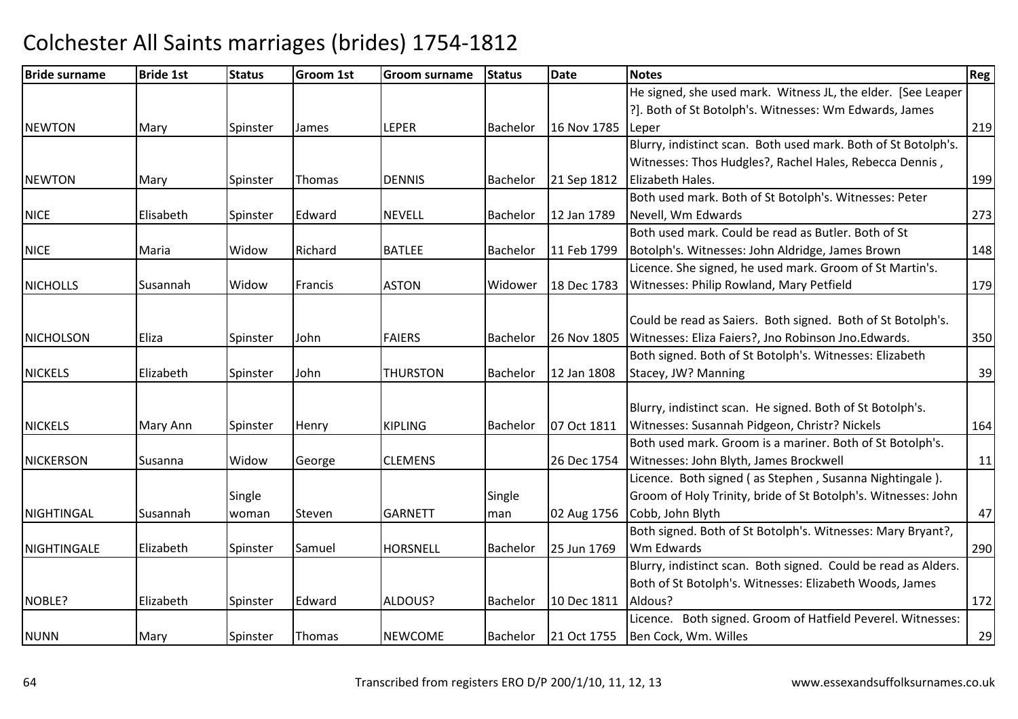| <b>Bride surname</b> | <b>Bride 1st</b> | <b>Status</b> | <b>Groom 1st</b> | Groom surname   | <b>Status</b> | <b>Date</b> | <b>Notes</b>                                                   | Reg |
|----------------------|------------------|---------------|------------------|-----------------|---------------|-------------|----------------------------------------------------------------|-----|
|                      |                  |               |                  |                 |               |             | He signed, she used mark. Witness JL, the elder. [See Leaper   |     |
|                      |                  |               |                  |                 |               |             | ?]. Both of St Botolph's. Witnesses: Wm Edwards, James         |     |
| <b>NEWTON</b>        | Mary             | Spinster      | James            | <b>LEPER</b>    | Bachelor      | 16 Nov 1785 | Leper                                                          | 219 |
|                      |                  |               |                  |                 |               |             | Blurry, indistinct scan. Both used mark. Both of St Botolph's. |     |
|                      |                  |               |                  |                 |               |             | Witnesses: Thos Hudgles?, Rachel Hales, Rebecca Dennis,        |     |
| <b>NEWTON</b>        | Mary             | Spinster      | Thomas           | <b>DENNIS</b>   | Bachelor      | 21 Sep 1812 | Elizabeth Hales.                                               | 199 |
|                      |                  |               |                  |                 |               |             | Both used mark. Both of St Botolph's. Witnesses: Peter         |     |
| <b>NICE</b>          | Elisabeth        | Spinster      | Edward           | <b>NEVELL</b>   | Bachelor      | 12 Jan 1789 | Nevell, Wm Edwards                                             | 273 |
|                      |                  |               |                  |                 |               |             | Both used mark. Could be read as Butler. Both of St            |     |
| <b>NICE</b>          | Maria            | Widow         | Richard          | <b>BATLEE</b>   | Bachelor      | 11 Feb 1799 | Botolph's. Witnesses: John Aldridge, James Brown               | 148 |
|                      |                  |               |                  |                 |               |             | Licence. She signed, he used mark. Groom of St Martin's.       |     |
| <b>NICHOLLS</b>      | Susannah         | Widow         | Francis          | <b>ASTON</b>    | Widower       | 18 Dec 1783 | Witnesses: Philip Rowland, Mary Petfield                       | 179 |
|                      |                  |               |                  |                 |               |             |                                                                |     |
|                      |                  |               |                  |                 |               |             | Could be read as Saiers. Both signed. Both of St Botolph's.    |     |
| <b>NICHOLSON</b>     | Eliza            | Spinster      | John             | <b>FAIERS</b>   | Bachelor      | 26 Nov 1805 | Witnesses: Eliza Faiers?, Jno Robinson Jno.Edwards.            | 350 |
|                      |                  |               |                  |                 |               |             | Both signed. Both of St Botolph's. Witnesses: Elizabeth        |     |
| <b>NICKELS</b>       | Elizabeth        | Spinster      | John             | <b>THURSTON</b> | Bachelor      | 12 Jan 1808 | Stacey, JW? Manning                                            | 39  |
|                      |                  |               |                  |                 |               |             |                                                                |     |
|                      |                  |               |                  |                 |               |             | Blurry, indistinct scan. He signed. Both of St Botolph's.      |     |
| <b>NICKELS</b>       | Mary Ann         | Spinster      | Henry            | <b>KIPLING</b>  | Bachelor      | 07 Oct 1811 | Witnesses: Susannah Pidgeon, Christr? Nickels                  | 164 |
|                      |                  |               |                  |                 |               |             | Both used mark. Groom is a mariner. Both of St Botolph's.      |     |
| <b>NICKERSON</b>     | Susanna          | Widow         | George           | <b>CLEMENS</b>  |               | 26 Dec 1754 | Witnesses: John Blyth, James Brockwell                         | 11  |
|                      |                  |               |                  |                 |               |             | Licence. Both signed (as Stephen, Susanna Nightingale).        |     |
|                      |                  | Single        |                  |                 | Single        |             | Groom of Holy Trinity, bride of St Botolph's. Witnesses: John  |     |
| NIGHTINGAL           | Susannah         | woman         | Steven           | <b>GARNETT</b>  | man           | 02 Aug 1756 | Cobb, John Blyth                                               | 47  |
|                      |                  |               |                  |                 |               |             | Both signed. Both of St Botolph's. Witnesses: Mary Bryant?,    |     |
| NIGHTINGALE          | Elizabeth        | Spinster      | Samuel           | <b>HORSNELL</b> | Bachelor      | 25 Jun 1769 | Wm Edwards                                                     | 290 |
|                      |                  |               |                  |                 |               |             | Blurry, indistinct scan. Both signed. Could be read as Alders. |     |
|                      |                  |               |                  |                 |               |             | Both of St Botolph's. Witnesses: Elizabeth Woods, James        |     |
| NOBLE?               | Elizabeth        | Spinster      | Edward           | ALDOUS?         | Bachelor      | 10 Dec 1811 | Aldous?                                                        | 172 |
|                      |                  |               |                  |                 |               |             | Licence. Both signed. Groom of Hatfield Peverel. Witnesses:    |     |
| <b>NUNN</b>          | Mary             | Spinster      | Thomas           | <b>NEWCOME</b>  | Bachelor      | 21 Oct 1755 | Ben Cock, Wm. Willes                                           | 29  |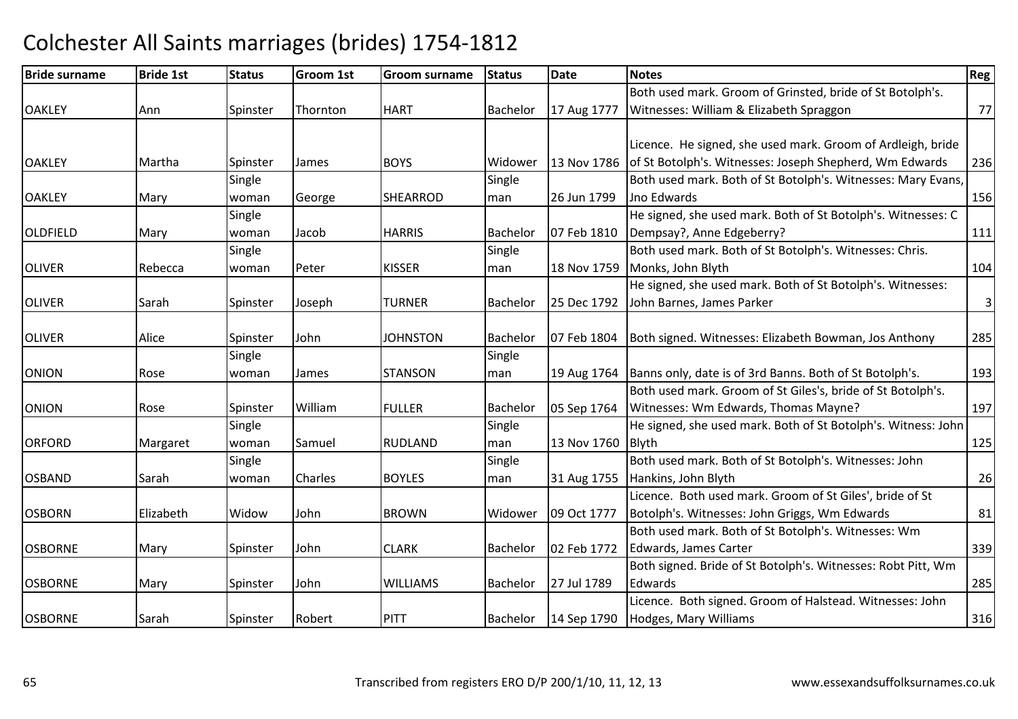### Bride surnamee Bride 1st Status Groom 1st Groom surname Status Date Notes Region Contract Region Regional Region Region Reg OAKI FY Ann Spinster Thornton HART Bachelor 17 Aug 1777 Both used mark. Groom of Grinsted, bride of St Botolph's. Witnesses: William & Elizabeth Spraggonn 77 OAKI FY Y 13 Nartha Spinster James BOYS Widower 13 Nov 1786 Licence. He signed, she used mark. Groom of Ardleigh, bride 13 Nov 1786 of St Botolph's. Witnesses: Joseph Shepherd, Wm Edwards <sup>236</sup>**OAKLEY**  Mary Single woman George SHEARROD Single man 26 Jun 1799 Both used mark. Both of St Botolph's. Witnesses: Mary Evans, Jno Edwardss and  $\boxed{156}$ OLDFIELD Mary **Single** woman Jacob HARRIS Bachelor 07 Feb 1810 He signed, she used mark. Both of St Botolph's. Witnesses: C Dempsay?, Anne Edgeberry?<u>2.</u> 111 OLIVER Rebecca **Single** woman Peter KISSER Single man 18 Nov 1759 Both used mark. Both of St Botolph's. Witnesses: Chris. Monks, John Blyth <sup>104</sup> OLIVERR Sarah Spinster Joseph TURNER Bachelor 25 Dec 1792 He signed, she used mark. Both of St Botolph's. Witnesses:25 Dec 1792 John Barnes, James Parker  $\sim$  3 OLIVERR Alice Spinster John JOHNSTON Bachelor 07 Feb 1804 Both signed. Witnesses: Elizabeth Bowman, Jos Anthony <sup>285</sup> ONION Rose **Single** woman James STANSON **Single** man 19 Aug 1764 Banns only, date is of 3rd Banns. Both of St Botolph's. <sup>193</sup> ONIONN Rose Spinster William William FULLER Bachelor 05 Sep 1764 Both used mark. Groom of St Giles's, bride of St Botolph's. Witnesses: Wm Edwards, Thomas Mayne? <sup>197</sup>**ORFORD**  Margaret **Single** woman Samuel RUDLANDSingle man 13 Nov 1760 He signed, she used mark. Both of St Botolph's. Witness: John Blyth 125**OSBAND**  Sarah **Single** woman Charles BOYLES Single man 31 Aug 1755 Both used mark. Both of St Botolph's. Witnesses: John Hankins, John Blythh 26 OSBORNN Elizabeth Widow John BROWN Widower 09 Oct 1777 Licence. Both used mark. Groom of St Giles', bride of St Botolph's. Witnesses: John Griggs, Wm Edwardss 81 OSBORNEMary Spinster John CLARKBachelor | 02 Feb 1772 Both used mark. Both of St Botolph's. Witnesses: Wm Edwards, James Carter<u>and the set of the set of the set of the set of the set of the set of the set of the set of the set of the set o</u> **OSBORNE** Mary Spinster John WILLIAMS Bachelor 27 Jul 1789 Both signed. Bride of St Botolph's. Witnesses: Robt Pitt, Wm **Edwards** s and the contract of the contract of the contract of the contract of the contract of the contract of the contract of the contract of the contract of the contract of the contract of the contract of the contract of the cont OSBORNEE Sarah Spinster Robert PITT Bachelor 14 Sep 1790 Licence. Both signed. Groom of Halstead. Witnesses: John Hodges, Mary Williams $\sim$  316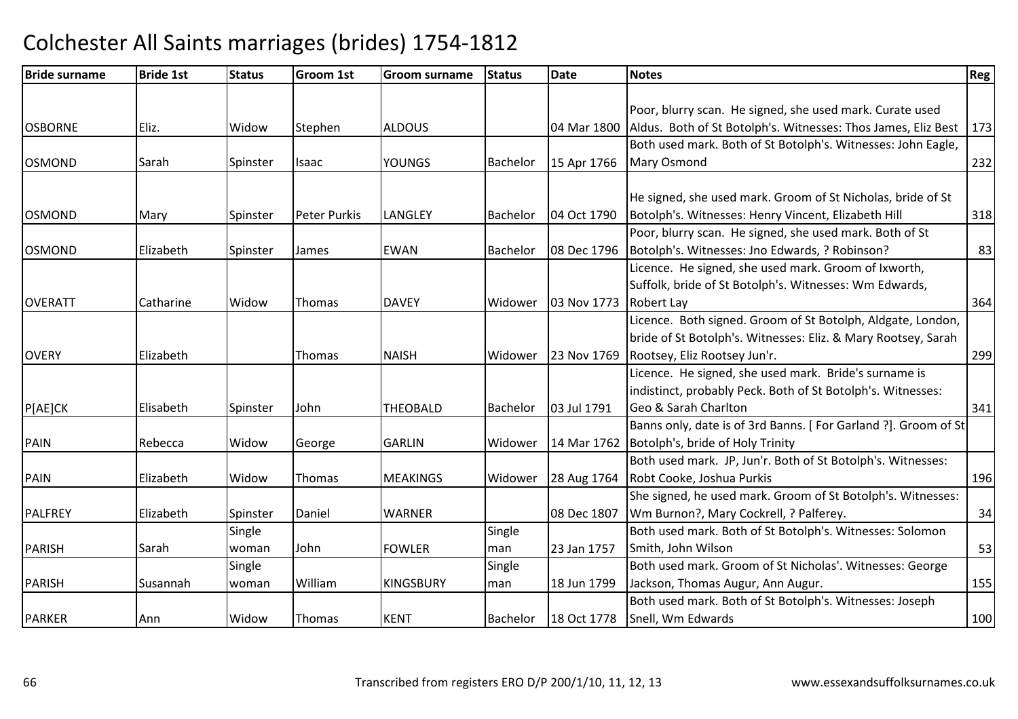| <b>Bride surname</b> | <b>Bride 1st</b> | <b>Status</b> | <b>Groom 1st</b>    | Groom surname    | <b>Status</b> | <b>Date</b> | <b>Notes</b>                                                   | Reg <sup>1</sup> |
|----------------------|------------------|---------------|---------------------|------------------|---------------|-------------|----------------------------------------------------------------|------------------|
|                      |                  |               |                     |                  |               |             |                                                                |                  |
|                      |                  |               |                     |                  |               |             | Poor, blurry scan. He signed, she used mark. Curate used       |                  |
| <b>OSBORNE</b>       | Eliz.            | Widow         | Stephen             | <b>ALDOUS</b>    |               | 04 Mar 1800 | Aldus. Both of St Botolph's. Witnesses: Thos James, Eliz Best  | 173              |
|                      |                  |               |                     |                  |               |             | Both used mark. Both of St Botolph's. Witnesses: John Eagle,   |                  |
| <b>OSMOND</b>        | Sarah            | Spinster      | <b>Isaac</b>        | <b>YOUNGS</b>    | Bachelor      | 15 Apr 1766 | Mary Osmond                                                    | 232              |
|                      |                  |               |                     |                  |               |             |                                                                |                  |
|                      |                  |               |                     |                  |               |             | He signed, she used mark. Groom of St Nicholas, bride of St    |                  |
| <b>OSMOND</b>        | Mary             | Spinster      | <b>Peter Purkis</b> | <b>LANGLEY</b>   | Bachelor      | 04 Oct 1790 | Botolph's. Witnesses: Henry Vincent, Elizabeth Hill            | 318              |
|                      |                  |               |                     |                  |               |             | Poor, blurry scan. He signed, she used mark. Both of St        |                  |
| <b>OSMOND</b>        | Elizabeth        | Spinster      | James               | <b>EWAN</b>      | Bachelor      | 08 Dec 1796 | Botolph's. Witnesses: Jno Edwards, ? Robinson?                 | 83               |
|                      |                  |               |                     |                  |               |             | Licence. He signed, she used mark. Groom of Ixworth,           |                  |
|                      |                  |               |                     |                  |               |             | Suffolk, bride of St Botolph's. Witnesses: Wm Edwards,         |                  |
| <b>OVERATT</b>       | Catharine        | Widow         | Thomas              | <b>DAVEY</b>     | Widower       | 03 Nov 1773 | <b>Robert Lay</b>                                              | 364              |
|                      |                  |               |                     |                  |               |             | Licence. Both signed. Groom of St Botolph, Aldgate, London,    |                  |
|                      |                  |               |                     |                  |               |             | bride of St Botolph's. Witnesses: Eliz. & Mary Rootsey, Sarah  |                  |
| <b>OVERY</b>         | Elizabeth        |               | Thomas              | <b>NAISH</b>     | Widower       | 23 Nov 1769 | Rootsey, Eliz Rootsey Jun'r.                                   | 299              |
|                      |                  |               |                     |                  |               |             | Licence. He signed, she used mark. Bride's surname is          |                  |
|                      |                  |               |                     |                  |               |             | indistinct, probably Peck. Both of St Botolph's. Witnesses:    |                  |
| P[AE]CK              | Elisabeth        | Spinster      | John                | <b>THEOBALD</b>  | Bachelor      | 03 Jul 1791 | Geo & Sarah Charlton                                           | 341              |
|                      |                  |               |                     |                  |               |             | Banns only, date is of 3rd Banns. [For Garland ?]. Groom of St |                  |
| PAIN                 | Rebecca          | Widow         | George              | <b>GARLIN</b>    | Widower       | 14 Mar 1762 | Botolph's, bride of Holy Trinity                               |                  |
|                      |                  |               |                     |                  |               |             | Both used mark. JP, Jun'r. Both of St Botolph's. Witnesses:    |                  |
| <b>PAIN</b>          | Elizabeth        | Widow         | Thomas              | <b>MEAKINGS</b>  | Widower       | 28 Aug 1764 | Robt Cooke, Joshua Purkis                                      | 196              |
|                      |                  |               |                     |                  |               |             | She signed, he used mark. Groom of St Botolph's. Witnesses:    |                  |
| PALFREY              | Elizabeth        | Spinster      | Daniel              | <b>WARNER</b>    |               | 08 Dec 1807 | Wm Burnon?, Mary Cockrell, ? Palferey.                         | 34               |
|                      |                  | Single        |                     |                  | Single        |             | Both used mark. Both of St Botolph's. Witnesses: Solomon       |                  |
| <b>PARISH</b>        | Sarah            | woman         | John                | <b>FOWLER</b>    | man           | 23 Jan 1757 | Smith, John Wilson                                             | 53               |
|                      |                  | Single        |                     |                  | Single        |             | Both used mark. Groom of St Nicholas'. Witnesses: George       |                  |
| <b>PARISH</b>        | Susannah         | woman         | William             | <b>KINGSBURY</b> | man           | 18 Jun 1799 | Jackson, Thomas Augur, Ann Augur.                              | 155              |
|                      |                  |               |                     |                  |               |             | Both used mark. Both of St Botolph's. Witnesses: Joseph        |                  |
| <b>PARKER</b>        | Ann              | Widow         | Thomas              | <b>KENT</b>      | Bachelor      | 18 Oct 1778 | Snell, Wm Edwards                                              | 100              |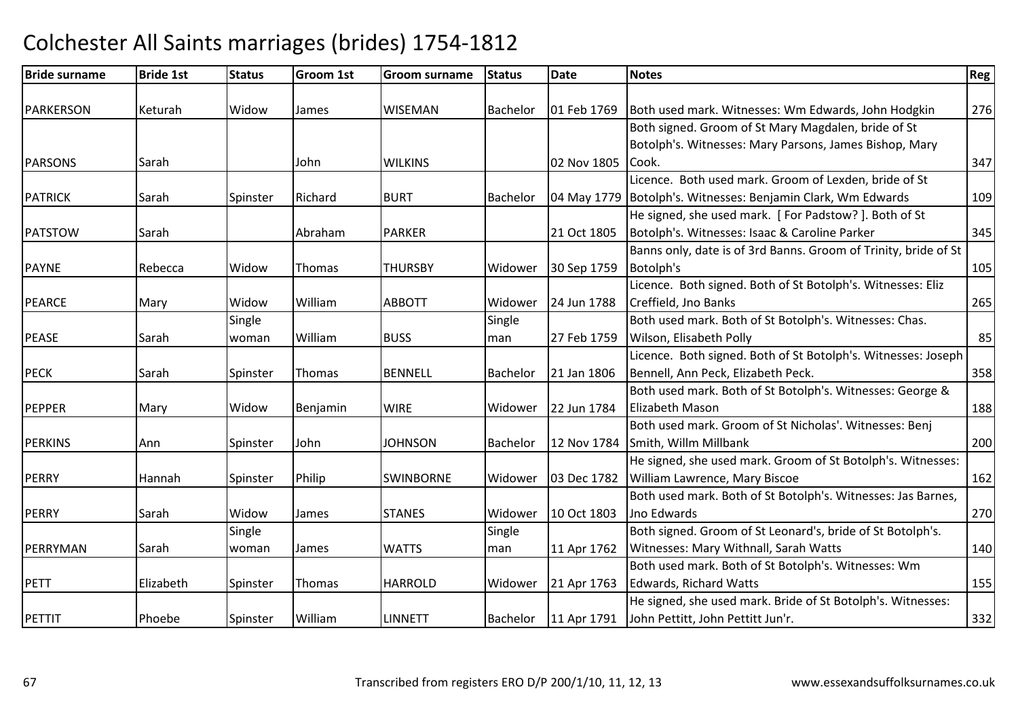### Bride surnamee Bride 1st Status Groom 1st Groom surname Status Date Notes Region Contract Region Regional Region Region Reg PARKERSON Keturah Widow James WISEMAN Bachelor 01 Feb 1769 Both used mark. Witnesses: Wm Edwards, John Hodgkin <sup>276</sup> **PARSONS**  Sarah JohnJohn WILKINS | 02 Nov 1805 Both signed. Groom of St Mary Magdalen, bride of St Botolph's. Witnesses: Mary Parsons, James Bishop, Mary Cook. 347PATRICKK Sarah Spinster Richard BURT Bachelor 04 May 1779 Licence. Both used mark. Groom of Lexden, bride of St 04 May 1779 Botolph's. Witnesses: Benjamin Clark, Wm Edwards <sup>109</sup>PATSTOWW Sarah Abraham PARKER 21 Oct 1805 He signed, she used mark. [ For Padstow? ]. Both of StBotolph's. Witnesses: Isaac & Caroline Parker <sup>345</sup>PAYNE Rebecca Widow Thomas THURSBY Widower 30 Sep 1759Banns only, date is of 3rd Banns. Groom of Trinity, bride of St Botolph'ss and the contract of the contract of the contract of the contract of the contract of the contract of the contract of the contract of the contract of the contract of the contract of the contract of the contract of the cont PEARCEE Mary Widow William ABBOTT Widower 24 Jun 1788 Licence. Both signed. Both of St Botolph's. Witnesses: Eliz Creffield, Jno Banks $\sim$  265 PEASE Sarah**Single** woman William BUSS Single man 27 Feb 1759 Both used mark. Both of St Botolph's. Witnesses: Chas. Wilson, Elisabeth Pollyy 85 PECKK 1991 Sarah Spinster Thomas BENNELL Bachelor 21 Jan 1806 Licence. Both signed. Both of St Botolph's. Witnesses: Joseph Bennell, Ann Peck, Elizabeth Peck. **358** PEPPERR Mary Widow Benjamin WIRE Widower 22 Jun 1784 Both used mark. Both of St Botolph's. Witnesses: George & Elizabeth Masonn 188 PERKINS Ann Spinster John**JOHNSON** Bachelor 12 Nov 1784 Both used mark. Groom of St Nicholas'. Witnesses: Benj Smith, Willm Millbankk 200 PERRYHannah ISpinster Philip SWINBORNE | Widower | 03 Dec 1782 He signed, she used mark. Groom of St Botolph's. Witnesses: William Lawrence, Mary Biscoee 162 PERRY Sarah Widow James STANES Widower 10 Oct 1803Both used mark. Both of St Botolph's. Witnesses: Jas Barnes, Jno Edwardss and  $\sim$  270 PERRYMAN Sarah Single woman James WATTS Single man 11 Apr 1762 Both signed. Groom of St Leonard's, bride of St Botolph's. Witnesses: Mary Withnall, Sarah Watts <sup>140</sup>PETT Elizabeth Spinster Thomas HARROLDHARROLD Widower 21 Apr 1763 Both used mark. Both of St Botolph's. Witnesses: Wm Edwards, Richard Wattss 155 PETTITPhoebe | Spinster | William LINNETT Bachelor 11 Apr 1791 He signed, she used mark. Bride of St Botolph's. Witnesses: John Pettitt, John Pettitt Jun'r. 332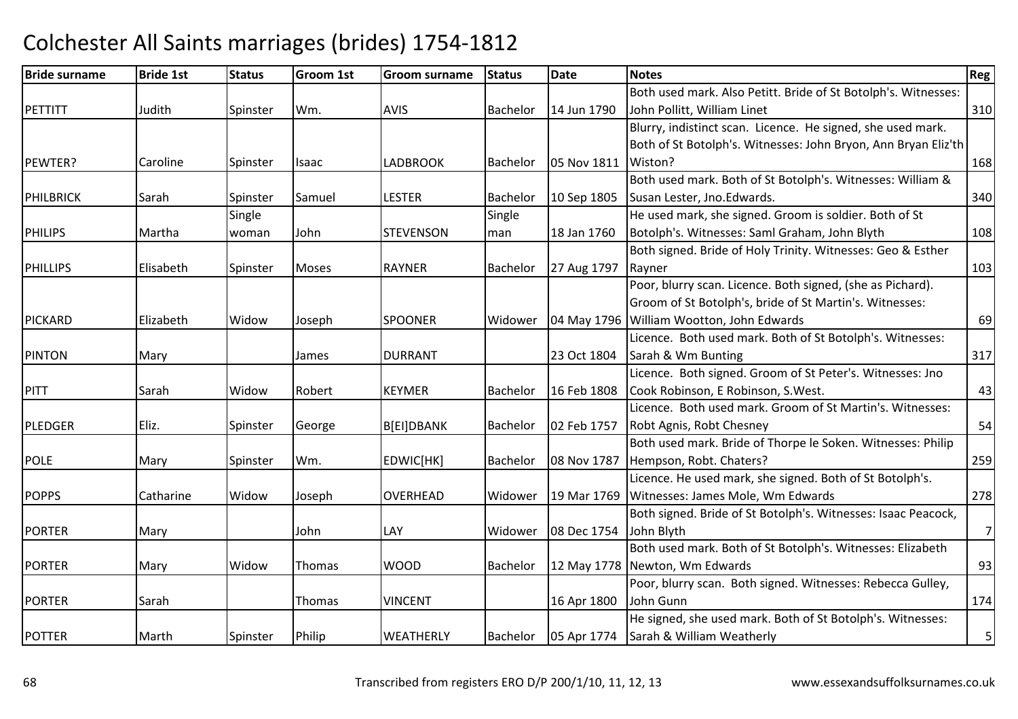### Bride surnamee Bride 1st Status Groom 1st Groom surname Status Date Notes Region Contract Region Regional Region Region Reg PETTITTT 14 Judith Spinster Wm. AVIS Bachelor 14 Jun 1790 Both used mark. Also Petitt. Bride of St Botolph's. Witnesses: John Pollitt, William Linett 310 PEWTER?? Caroline Spinster Isaac LADBROOK K Bachelor 05 Nov 1811 Wiston? 168 Blurry, indistinct scan. Licence. He signed, she used mark. Both of St Botolph's. Witnesses: John Bryon, Ann Bryan Eliz'th PHILBRICKK Sarah Spinster Samuel LESTER LESTER Bachelor 10 Sep 1805 Both used mark. Both of St Botolph's. Witnesses: William & Susan Lester, Jno.Edwards. 340PHILIPS Martha**Single** woman John**STEVENSON** Single man 18 Jan 1760 He used mark, she signed. Groom is soldier. Both of St Botolph's. Witnesses: Saml Graham, John Blyth <sup>108</sup> PHILLIPS Elisabeth Spinster Moses RAYNERRAYNER Bachelor 27 Aug 1797 Both signed. Bride of Holy Trinity. Witnesses: Geo & Esther Raynerr 103 PICKARD Elizabeth Widow Joseph SPOONER Widower 04 May 1796 Poor, blurry scan. Licence. Both signed, (she as Pichard). Groom of St Botolph's, bride of St Martin's. Witnesses: 04 May 1796 William Wootton, John Edwards s 69 PINTONN Mary James DURRANT 23 Oct 1804 Licence. Both used mark. Both of St Botolph's. Witnesses: Sarah & Wm Buntingg 317 PITTT Sarah Widow Robert KEYMER KEYMER Bachelor 16 Feb 1808 Licence. Both signed. Groom of St Peter's. Witnesses: Jno Cook Robinson, E Robinson, S.West. 43PLEDGERR Eliz. Spinster George B[EI]DBANK Bachelor 02 Feb 1757 Licence. Both used mark. Groom of St Martin's. Witnesses: Robt Agnis, Robt Chesneyy 54 POLEE Mary Spinster Wm. EDWIC[HK] Bachelor 08 Nov 1787 Both used mark. Bride of Thorpe le Soken. Witnesses: Philip Hempson, Robt. Chaters?<u>259 Parameters</u> **POPPS**  Catharine Widow Joseph OVERHEADD Widower 19 Mar 1769 Witnesses: James Mole, Wm Edwards Licence. He used mark, she signed. Both of St Botolph's. s 278 PORTERR Mary John LAY Widower 08 Dec 1754 Both signed. Bride of St Botolph's. Witnesses: Isaac Peacock, 08 Dec 1754 John Blyth Both used mark. Both of St Botolph's. Witnesses: Elizabeth 7PORTERR Mary Widow Thomas WOOD Bachelor 12 May 1778 Newton, Wm Edwardss and  $\overline{93}$ PORTERR Sarah Thomas VINCENT 16 Apr 1800 Poor, blurry scan. Both signed. Witnesses: Rebecca Gulley, John Gunnn 174 POTTERR Marth Spinster Philip WEATHERLY Bachelor 05 Apr 1774 He signed, she used mark. Both of St Botolph's. Witnesses:Sarah & William Weatherly $\gamma$  5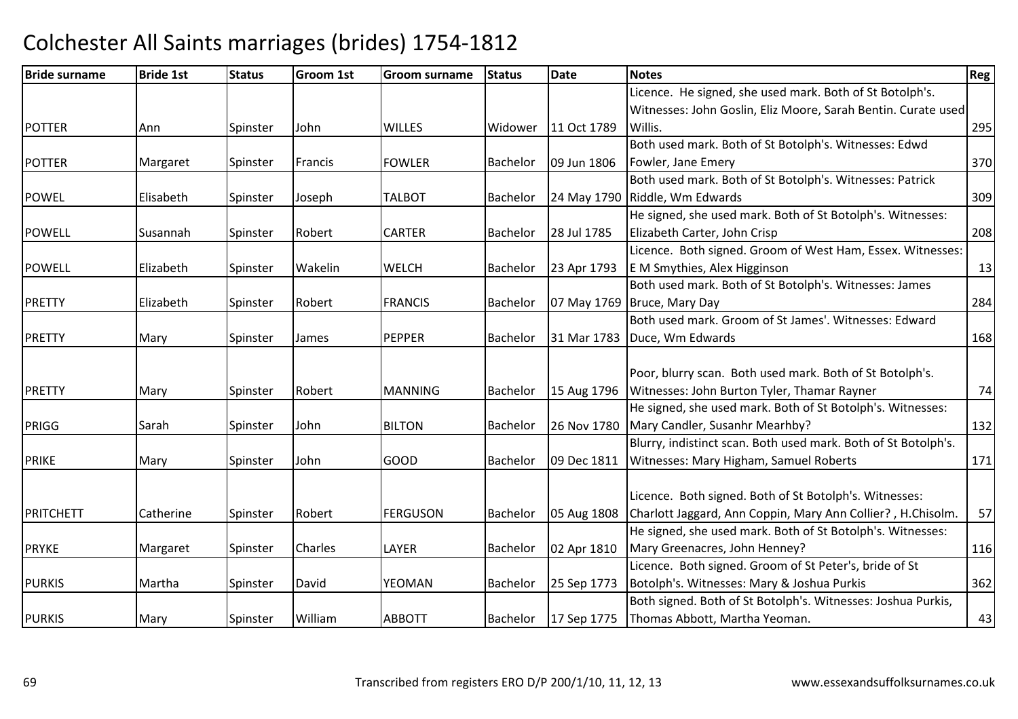| <b>Bride surname</b> | <b>Bride 1st</b> | <b>Status</b> | Groom 1st | <b>Groom surname</b> | <b>Status</b>   | <b>Date</b> | <b>Notes</b>                                                   | Reg |
|----------------------|------------------|---------------|-----------|----------------------|-----------------|-------------|----------------------------------------------------------------|-----|
|                      |                  |               |           |                      |                 |             | Licence. He signed, she used mark. Both of St Botolph's.       |     |
|                      |                  |               |           |                      |                 |             | Witnesses: John Goslin, Eliz Moore, Sarah Bentin. Curate used  |     |
| <b>POTTER</b>        | Ann              | Spinster      | John      | <b>WILLES</b>        | Widower         | 11 Oct 1789 | Willis.                                                        | 295 |
|                      |                  |               |           |                      |                 |             | Both used mark. Both of St Botolph's. Witnesses: Edwd          |     |
| <b>POTTER</b>        | Margaret         | Spinster      | Francis   | <b>FOWLER</b>        | Bachelor        | 09 Jun 1806 | Fowler, Jane Emery                                             | 370 |
|                      |                  |               |           |                      |                 |             | Both used mark. Both of St Botolph's. Witnesses: Patrick       |     |
| <b>POWEL</b>         | Elisabeth        | Spinster      | Joseph    | <b>TALBOT</b>        | Bachelor        |             | 24 May 1790 Riddle, Wm Edwards                                 | 309 |
|                      |                  |               |           |                      |                 |             | He signed, she used mark. Both of St Botolph's. Witnesses:     |     |
| <b>POWELL</b>        | Susannah         | Spinster      | Robert    | <b>CARTER</b>        | Bachelor        | 28 Jul 1785 | Elizabeth Carter, John Crisp                                   | 208 |
|                      |                  |               |           |                      |                 |             | Licence. Both signed. Groom of West Ham, Essex. Witnesses:     |     |
| <b>POWELL</b>        | Elizabeth        | Spinster      | Wakelin   | <b>WELCH</b>         | Bachelor        | 23 Apr 1793 | E M Smythies, Alex Higginson                                   | 13  |
|                      |                  |               |           |                      |                 |             | Both used mark. Both of St Botolph's. Witnesses: James         |     |
| <b>PRETTY</b>        | Elizabeth        | Spinster      | Robert    | <b>FRANCIS</b>       | <b>Bachelor</b> |             | 07 May 1769 Bruce, Mary Day                                    | 284 |
|                      |                  |               |           |                      |                 |             | Both used mark. Groom of St James'. Witnesses: Edward          |     |
| <b>PRETTY</b>        | Mary             | Spinster      | James     | <b>PEPPER</b>        | <b>Bachelor</b> |             | 31 Mar 1783 Duce, Wm Edwards                                   | 168 |
|                      |                  |               |           |                      |                 |             |                                                                |     |
|                      |                  |               |           |                      |                 |             | Poor, blurry scan. Both used mark. Both of St Botolph's.       |     |
| <b>PRETTY</b>        | Mary             | Spinster      | Robert    | <b>MANNING</b>       | Bachelor        | 15 Aug 1796 | Witnesses: John Burton Tyler, Thamar Rayner                    | 74  |
|                      |                  |               |           |                      |                 |             | He signed, she used mark. Both of St Botolph's. Witnesses:     |     |
| <b>PRIGG</b>         | Sarah            | Spinster      | John      | <b>BILTON</b>        | Bachelor        | 26 Nov 1780 | Mary Candler, Susanhr Mearhby?                                 | 132 |
|                      |                  |               |           |                      |                 |             | Blurry, indistinct scan. Both used mark. Both of St Botolph's. |     |
| <b>PRIKE</b>         | Mary             | Spinster      | John      | GOOD                 | Bachelor        | 09 Dec 1811 | Witnesses: Mary Higham, Samuel Roberts                         | 171 |
|                      |                  |               |           |                      |                 |             |                                                                |     |
|                      |                  |               |           |                      |                 |             | Licence. Both signed. Both of St Botolph's. Witnesses:         |     |
| PRITCHETT            | Catherine        | Spinster      | Robert    | <b>FERGUSON</b>      | Bachelor        | 05 Aug 1808 | Charlott Jaggard, Ann Coppin, Mary Ann Collier?, H.Chisolm.    | 57  |
|                      |                  |               |           |                      |                 |             | He signed, she used mark. Both of St Botolph's. Witnesses:     |     |
| PRYKE                | Margaret         | Spinster      | Charles   | LAYER                | Bachelor        | 02 Apr 1810 | Mary Greenacres, John Henney?                                  | 116 |
|                      |                  |               |           |                      |                 |             | Licence. Both signed. Groom of St Peter's, bride of St         |     |
| <b>PURKIS</b>        | Martha           | Spinster      | David     | YEOMAN               | Bachelor        | 25 Sep 1773 | Botolph's. Witnesses: Mary & Joshua Purkis                     | 362 |
|                      |                  |               |           |                      |                 |             | Both signed. Both of St Botolph's. Witnesses: Joshua Purkis,   |     |
| <b>PURKIS</b>        | Mary             | Spinster      | William   | <b>ABBOTT</b>        | Bachelor        | 17 Sep 1775 | Thomas Abbott, Martha Yeoman.                                  | 43  |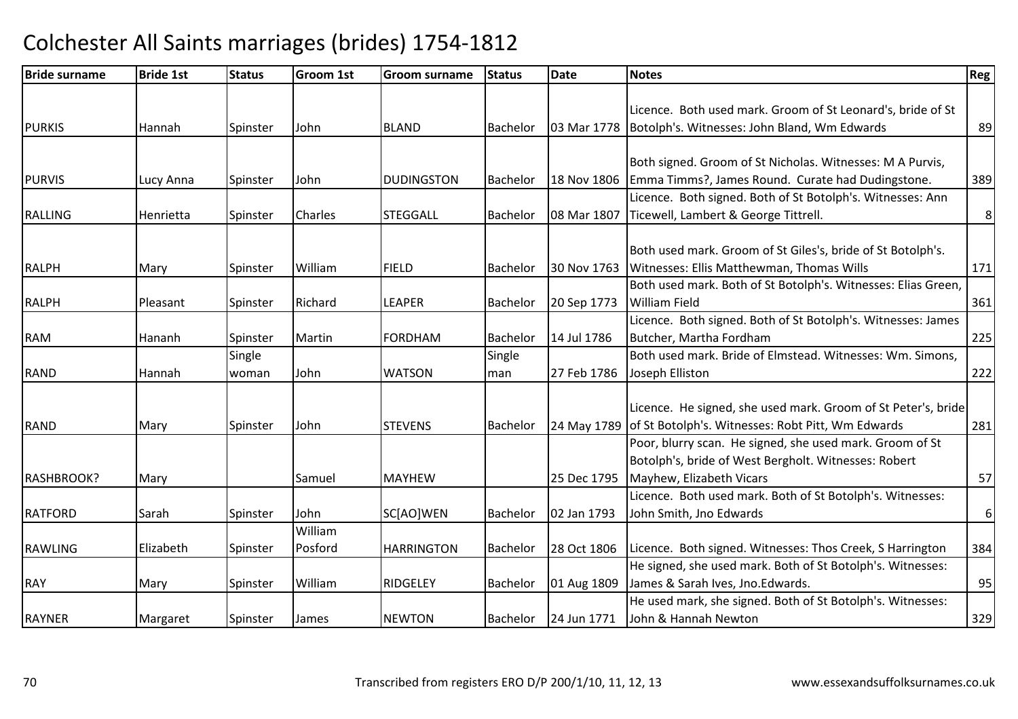| <b>Bride surname</b> | <b>Bride 1st</b> | <b>Status</b> | Groom 1st | <b>Groom surname</b> | <b>Status</b>   | <b>Date</b> | <b>Notes</b>                                                  | Reg <sup>1</sup> |
|----------------------|------------------|---------------|-----------|----------------------|-----------------|-------------|---------------------------------------------------------------|------------------|
|                      |                  |               |           |                      |                 |             |                                                               |                  |
|                      |                  |               |           |                      |                 |             | Licence. Both used mark. Groom of St Leonard's, bride of St   |                  |
| <b>PURKIS</b>        | Hannah           | Spinster      | John      | <b>BLAND</b>         | <b>Bachelor</b> | 03 Mar 1778 | Botolph's. Witnesses: John Bland, Wm Edwards                  | 89               |
|                      |                  |               |           |                      |                 |             |                                                               |                  |
|                      |                  |               |           |                      |                 |             | Both signed. Groom of St Nicholas. Witnesses: M A Purvis,     |                  |
| <b>PURVIS</b>        | Lucy Anna        | Spinster      | John      | <b>DUDINGSTON</b>    | Bachelor        | 18 Nov 1806 | Emma Timms?, James Round. Curate had Dudingstone.             | 389              |
|                      |                  |               |           |                      |                 |             | Licence. Both signed. Both of St Botolph's. Witnesses: Ann    |                  |
| <b>RALLING</b>       | Henrietta        | Spinster      | Charles   | <b>STEGGALL</b>      | <b>Bachelor</b> | 08 Mar 1807 | Ticewell, Lambert & George Tittrell.                          | 8 <sup>1</sup>   |
|                      |                  |               |           |                      |                 |             |                                                               |                  |
|                      |                  |               |           |                      |                 |             | Both used mark. Groom of St Giles's, bride of St Botolph's.   |                  |
| <b>RALPH</b>         | Mary             | Spinster      | William   | <b>FIELD</b>         | Bachelor        | 30 Nov 1763 | Witnesses: Ellis Matthewman, Thomas Wills                     | 171              |
|                      |                  |               |           |                      |                 |             | Both used mark. Both of St Botolph's. Witnesses: Elias Green, |                  |
| <b>RALPH</b>         | Pleasant         | Spinster      | Richard   | <b>LEAPER</b>        | Bachelor        | 20 Sep 1773 | <b>William Field</b>                                          | 361              |
|                      |                  |               |           |                      |                 |             | Licence. Both signed. Both of St Botolph's. Witnesses: James  |                  |
| <b>RAM</b>           | Hananh           | Spinster      | Martin    | <b>FORDHAM</b>       | Bachelor        | 14 Jul 1786 | Butcher, Martha Fordham                                       | 225              |
|                      |                  | Single        |           |                      | Single          |             | Both used mark. Bride of Elmstead. Witnesses: Wm. Simons,     |                  |
| <b>RAND</b>          | Hannah           | woman         | John      | <b>WATSON</b>        | man             | 27 Feb 1786 | Joseph Elliston                                               | 222              |
|                      |                  |               |           |                      |                 |             |                                                               |                  |
|                      |                  |               |           |                      |                 |             | Licence. He signed, she used mark. Groom of St Peter's, bride |                  |
| RAND                 | Mary             | Spinster      | John      | <b>STEVENS</b>       | <b>Bachelor</b> | 24 May 1789 | of St Botolph's. Witnesses: Robt Pitt, Wm Edwards             | 281              |
|                      |                  |               |           |                      |                 |             | Poor, blurry scan. He signed, she used mark. Groom of St      |                  |
|                      |                  |               |           |                      |                 |             | Botolph's, bride of West Bergholt. Witnesses: Robert          |                  |
| RASHBROOK?           | Mary             |               | Samuel    | <b>MAYHEW</b>        |                 | 25 Dec 1795 | Mayhew, Elizabeth Vicars                                      | 57               |
|                      |                  |               |           |                      |                 |             | Licence. Both used mark. Both of St Botolph's. Witnesses:     |                  |
| <b>RATFORD</b>       | Sarah            | Spinster      | John      | SC[AO]WEN            | <b>Bachelor</b> | 02 Jan 1793 | John Smith, Jno Edwards                                       | $6 \mid$         |
|                      |                  |               | William   |                      |                 |             |                                                               |                  |
| <b>RAWLING</b>       | Elizabeth        | Spinster      | Posford   | <b>HARRINGTON</b>    | Bachelor        | 28 Oct 1806 | Licence. Both signed. Witnesses: Thos Creek, S Harrington     | 384              |
|                      |                  |               |           |                      |                 |             | He signed, she used mark. Both of St Botolph's. Witnesses:    |                  |
| <b>RAY</b>           | Mary             | Spinster      | William   | <b>RIDGELEY</b>      | Bachelor        | 01 Aug 1809 | James & Sarah Ives, Jno.Edwards.                              | 95               |
|                      |                  |               |           |                      |                 |             | He used mark, she signed. Both of St Botolph's. Witnesses:    |                  |
| <b>RAYNER</b>        | Margaret         | Spinster      | James     | <b>NEWTON</b>        | <b>Bachelor</b> | 24 Jun 1771 | John & Hannah Newton                                          | 329              |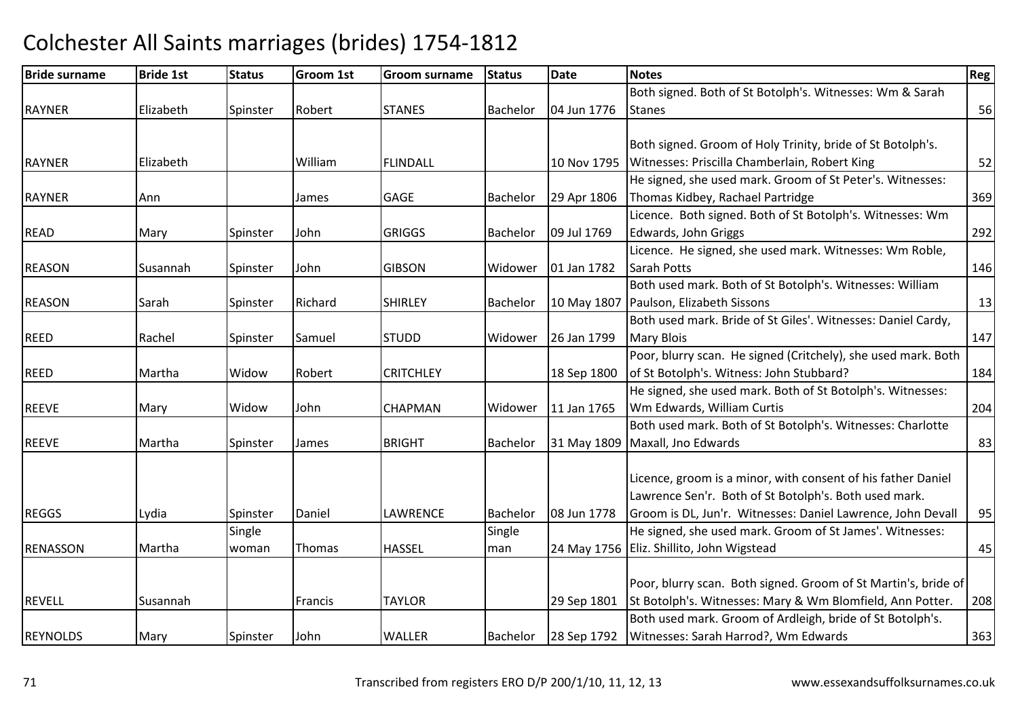### Bride surnamee Bride 1st Status Groom 1st Groom surname Status Date Notes Region Contract Region Regional Region Region Reg RAYNERR Bachelor Elizabeth Spinster Robert STANES Bachelor 04 Jun 1776 Both signed. Both of St Botolph's. Witnesses: Wm & Sarah**Stanes**  $\sim$  56 RAYNERR Elizabeth William m FLINDALL 10 Nov 1795 Witnesses: Priscilla Chamberlain, Robert King<br>Mithelia Chamberlain, Robert King Both signed. Groom of Holy Trinity, bride of St Botolph's. <sup>52</sup>RAYNERR MANN Ann James GAGE Bachelor 29 Apr 1806 He signed, she used mark. Groom of St Peter's. Witnesses: Thomas Kidbey, Rachael Partridgee 369 READD Mary Spinster John GRIGGS Bachelor 09 Jul 1769 Licence. Both signed. Both of St Botolph's. Witnesses: Wm Edwards, John Griggss 292 REASONN Susannah Spinster John GIBSON Widower 01 Jan 1782 Licence. He signed, she used mark. Witnesses: Wm Roble, Sarah Pottss and  $\boxed{146}$ REASONN Sarah Spinster Richard SHIRLEY Bachelor 10 May 1807 Both used mark. Both of St Botolph's. Witnesses: William10 May 1807 | Paulson, Elizabeth Sissons s and  $\vert$  13 REED Rachel Spinster Samuel STUDD Widower 26 Jan 1799 Both used mark. Bride of St Giles'. Witnesses: Daniel Cardy, Mary Bloiss and  $\boxed{147}$ REEDD Martha Widow Robert CRITCHLEY 18 Sep 1800 Poor, blurry scan. He signed (Critchely), she used mark. Both of St Botolph's. Witness: John Stubbard? <sup>184</sup>REEVEE Mary Widow John John **CHAPMAN** Widower 11 Jan 1765 He signed, she used mark. Both of St Botolph's. Witnesses:Wm Edwards, William Curtiss 204 REEVEE 1991 Martha Spinster James BRIGHT Bachelor 31 May 1809 Both used mark. Both of St Botolph's. Witnesses: Charlotte Maxall, Jno Edwards $\sim$  83 REGGSS 1989 Lydia 1978 Spinster Daniel LAWRENCE Bachelor 08 Jun 1778 Licence, groom is a minor, with consent of his father Daniel Lawrence Sen'r. Both of St Botolph's. Both used mark. Groom is DL, Jun'r. Witnesses: Daniel Lawrence, John Devall 95RENASSON Martha **Single** woman Thomas HASSEL Single man 24 May 1756 Eliz. Shillito, John WigsteadHe signed, she used mark. Groom of St James'. Witnesses: d 45 REVELLL Susannah Francis TAYLOR 29 Sep 1801 Poor, blurry scan. Both signed. Groom of St Martin's, bride of St Botolph's. Witnesses: Mary & Wm Blomfield, Ann Potter. 208REYNOLDS Mary Spinster John WALLERBachelor 28 Sep 1792 Both used mark. Groom of Ardleigh, bride of St Botolph's. Witnesses: Sarah Harrod?, Wm Edwardss | 363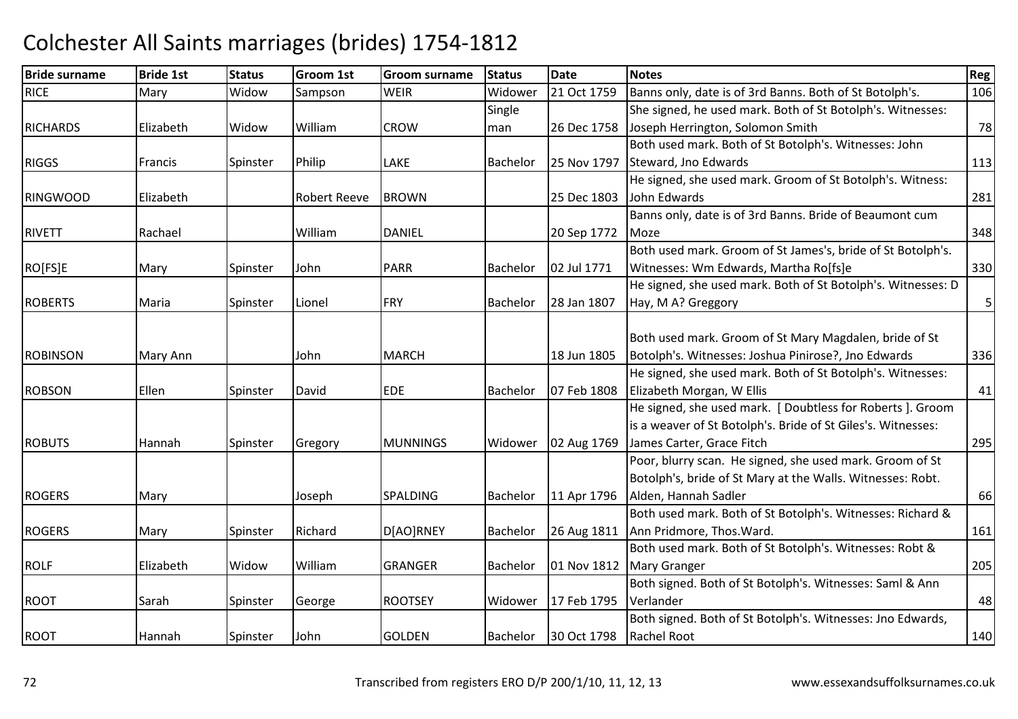| <b>Bride surname</b> | <b>Bride 1st</b> | <b>Status</b> | <b>Groom 1st</b>    | Groom surname   | <b>Status</b> | <b>Date</b> | <b>Notes</b>                                                 | Reg |
|----------------------|------------------|---------------|---------------------|-----------------|---------------|-------------|--------------------------------------------------------------|-----|
| <b>RICE</b>          | Mary             | Widow         | Sampson             | <b>WEIR</b>     | Widower       | 21 Oct 1759 | Banns only, date is of 3rd Banns. Both of St Botolph's.      | 106 |
|                      |                  |               |                     |                 | Single        |             | She signed, he used mark. Both of St Botolph's. Witnesses:   |     |
| <b>RICHARDS</b>      | Elizabeth        | Widow         | William             | <b>CROW</b>     | man           | 26 Dec 1758 | Joseph Herrington, Solomon Smith                             | 78  |
|                      |                  |               |                     |                 |               |             | Both used mark. Both of St Botolph's. Witnesses: John        |     |
| <b>RIGGS</b>         | Francis          | Spinster      | Philip              | <b>LAKE</b>     | Bachelor      | 25 Nov 1797 | Steward, Jno Edwards                                         | 113 |
|                      |                  |               |                     |                 |               |             | He signed, she used mark. Groom of St Botolph's. Witness:    |     |
| <b>RINGWOOD</b>      | Elizabeth        |               | <b>Robert Reeve</b> | <b>BROWN</b>    |               | 25 Dec 1803 | John Edwards                                                 | 281 |
|                      |                  |               |                     |                 |               |             | Banns only, date is of 3rd Banns. Bride of Beaumont cum      |     |
| <b>RIVETT</b>        | Rachael          |               | William             | <b>DANIEL</b>   |               | 20 Sep 1772 | Moze                                                         | 348 |
|                      |                  |               |                     |                 |               |             | Both used mark. Groom of St James's, bride of St Botolph's.  |     |
| RO[FS]E              | Mary             | Spinster      | John                | <b>PARR</b>     | Bachelor      | 02 Jul 1771 | Witnesses: Wm Edwards, Martha Ro[fs]e                        | 330 |
|                      |                  |               |                     |                 |               |             | He signed, she used mark. Both of St Botolph's. Witnesses: D |     |
| <b>ROBERTS</b>       | Maria            | Spinster      | Lionel              | FRY             | Bachelor      | 28 Jan 1807 | Hay, M A? Greggory                                           | 5   |
|                      |                  |               |                     |                 |               |             |                                                              |     |
|                      |                  |               |                     |                 |               |             | Both used mark. Groom of St Mary Magdalen, bride of St       |     |
| <b>ROBINSON</b>      | Mary Ann         |               | John                | <b>MARCH</b>    |               | 18 Jun 1805 | Botolph's. Witnesses: Joshua Pinirose?, Jno Edwards          | 336 |
|                      |                  |               |                     |                 |               |             | He signed, she used mark. Both of St Botolph's. Witnesses:   |     |
| <b>ROBSON</b>        | Ellen            | Spinster      | David               | <b>EDE</b>      | Bachelor      | 07 Feb 1808 | Elizabeth Morgan, W Ellis                                    | 41  |
|                      |                  |               |                     |                 |               |             | He signed, she used mark. [ Doubtless for Roberts ]. Groom   |     |
|                      |                  |               |                     |                 |               |             | is a weaver of St Botolph's. Bride of St Giles's. Witnesses: |     |
| <b>ROBUTS</b>        | Hannah           | Spinster      | Gregory             | <b>MUNNINGS</b> | Widower       | 02 Aug 1769 | James Carter, Grace Fitch                                    | 295 |
|                      |                  |               |                     |                 |               |             | Poor, blurry scan. He signed, she used mark. Groom of St     |     |
|                      |                  |               |                     |                 |               |             | Botolph's, bride of St Mary at the Walls. Witnesses: Robt.   |     |
| <b>ROGERS</b>        | Mary             |               | Joseph              | SPALDING        | Bachelor      | 11 Apr 1796 | Alden, Hannah Sadler                                         | 66  |
|                      |                  |               |                     |                 |               |             | Both used mark. Both of St Botolph's. Witnesses: Richard &   |     |
| <b>ROGERS</b>        | Mary             | Spinster      | Richard             | D[AO]RNEY       | Bachelor      | 26 Aug 1811 | Ann Pridmore, Thos. Ward.                                    | 161 |
|                      |                  |               |                     |                 |               |             | Both used mark. Both of St Botolph's. Witnesses: Robt &      |     |
| <b>ROLF</b>          | Elizabeth        | Widow         | William             | <b>GRANGER</b>  | Bachelor      | 01 Nov 1812 | <b>Mary Granger</b>                                          | 205 |
|                      |                  |               |                     |                 |               |             | Both signed. Both of St Botolph's. Witnesses: Saml & Ann     |     |
| <b>ROOT</b>          | Sarah            | Spinster      | George              | <b>ROOTSEY</b>  | Widower       | 17 Feb 1795 | Verlander                                                    | 48  |
|                      |                  |               |                     |                 |               |             | Both signed. Both of St Botolph's. Witnesses: Jno Edwards,   |     |
| <b>ROOT</b>          | Hannah           | Spinster      | John                | <b>GOLDEN</b>   | Bachelor      | 30 Oct 1798 | <b>Rachel Root</b>                                           | 140 |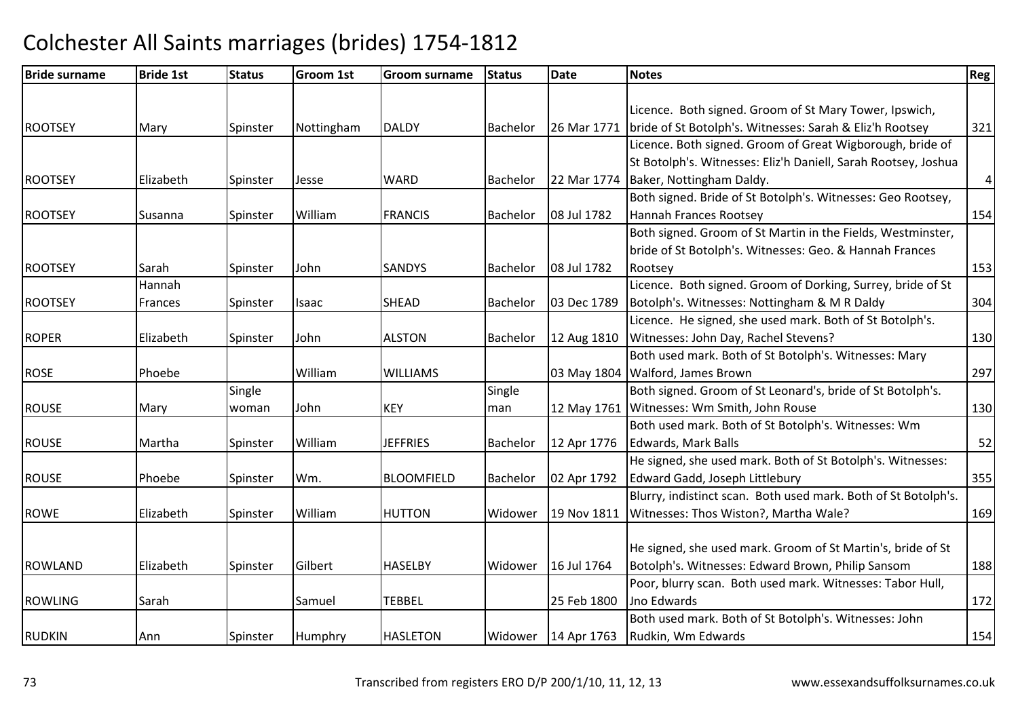| <b>Bride surname</b> | <b>Bride 1st</b> | <b>Status</b> | <b>Groom 1st</b> | <b>Groom surname</b> | <b>Status</b>   | <b>Date</b>           | <b>Notes</b>                                                   | Reg       |
|----------------------|------------------|---------------|------------------|----------------------|-----------------|-----------------------|----------------------------------------------------------------|-----------|
|                      |                  |               |                  |                      |                 |                       |                                                                |           |
|                      |                  |               |                  |                      |                 |                       | Licence. Both signed. Groom of St Mary Tower, Ipswich,         |           |
| <b>ROOTSEY</b>       | Mary             | Spinster      | Nottingham       | <b>DALDY</b>         | <b>Bachelor</b> | 26 Mar 1771           | bride of St Botolph's. Witnesses: Sarah & Eliz'h Rootsey       | 321       |
|                      |                  |               |                  |                      |                 |                       | Licence. Both signed. Groom of Great Wigborough, bride of      |           |
|                      |                  |               |                  |                      |                 |                       | St Botolph's. Witnesses: Eliz'h Daniell, Sarah Rootsey, Joshua |           |
| <b>ROOTSEY</b>       | Elizabeth        | Spinster      | Jesse            | <b>WARD</b>          | <b>Bachelor</b> | 22 Mar 1774           | Baker, Nottingham Daldy.                                       | $\pmb{4}$ |
|                      |                  |               |                  |                      |                 |                       | Both signed. Bride of St Botolph's. Witnesses: Geo Rootsey,    |           |
| <b>ROOTSEY</b>       | <b>Susanna</b>   | Spinster      | William          | <b>FRANCIS</b>       | Bachelor        | 08 Jul 1782           | Hannah Frances Rootsey                                         | 154       |
|                      |                  |               |                  |                      |                 |                       | Both signed. Groom of St Martin in the Fields, Westminster,    |           |
|                      |                  |               |                  |                      |                 |                       | bride of St Botolph's. Witnesses: Geo. & Hannah Frances        |           |
| <b>ROOTSEY</b>       | Sarah            | Spinster      | John             | <b>SANDYS</b>        | Bachelor        | 08 Jul 1782           | Rootsey                                                        | 153       |
|                      | Hannah           |               |                  |                      |                 |                       | Licence. Both signed. Groom of Dorking, Surrey, bride of St    |           |
| <b>ROOTSEY</b>       | Frances          | Spinster      | Isaac            | <b>SHEAD</b>         | Bachelor        | 03 Dec 1789           | Botolph's. Witnesses: Nottingham & M R Daldy                   | 304       |
|                      |                  |               |                  |                      |                 |                       | Licence. He signed, she used mark. Both of St Botolph's.       |           |
| <b>ROPER</b>         | Elizabeth        | Spinster      | John             | <b>ALSTON</b>        | Bachelor        | 12 Aug 1810           | Witnesses: John Day, Rachel Stevens?                           | 130       |
|                      |                  |               |                  |                      |                 |                       | Both used mark. Both of St Botolph's. Witnesses: Mary          |           |
| <b>ROSE</b>          | Phoebe           |               | William          | <b>WILLIAMS</b>      |                 | 03 May 1804           | Walford, James Brown                                           | 297       |
|                      |                  | Single        |                  |                      | Single          |                       | Both signed. Groom of St Leonard's, bride of St Botolph's.     |           |
| <b>ROUSE</b>         | Mary             | woman         | John             | <b>KEY</b>           | man             | 12 May 1761           | Witnesses: Wm Smith, John Rouse                                | 130       |
|                      |                  |               |                  |                      |                 |                       | Both used mark. Both of St Botolph's. Witnesses: Wm            |           |
| <b>ROUSE</b>         | Martha           | Spinster      | William          | <b>JEFFRIES</b>      | Bachelor        | 12 Apr 1776           | <b>Edwards, Mark Balls</b>                                     | 52        |
|                      |                  |               |                  |                      |                 |                       | He signed, she used mark. Both of St Botolph's. Witnesses:     |           |
| <b>ROUSE</b>         | Phoebe           | Spinster      | Wm.              | <b>BLOOMFIELD</b>    | Bachelor        | 02 Apr 1792           | Edward Gadd, Joseph Littlebury                                 | 355       |
|                      |                  |               |                  |                      |                 |                       | Blurry, indistinct scan. Both used mark. Both of St Botolph's. |           |
| <b>ROWE</b>          | Elizabeth        | Spinster      | William          | <b>HUTTON</b>        | Widower         | 19 Nov 1811           | Witnesses: Thos Wiston?, Martha Wale?                          | 169       |
|                      |                  |               |                  |                      |                 |                       |                                                                |           |
|                      |                  |               |                  |                      |                 |                       | He signed, she used mark. Groom of St Martin's, bride of St    |           |
| <b>ROWLAND</b>       | Elizabeth        | Spinster      | Gilbert          | <b>HASELBY</b>       | Widower         | 16 Jul 1764           | Botolph's. Witnesses: Edward Brown, Philip Sansom              | 188       |
|                      |                  |               |                  |                      |                 |                       | Poor, blurry scan. Both used mark. Witnesses: Tabor Hull,      |           |
| <b>ROWLING</b>       | Sarah            |               | Samuel           | <b>TEBBEL</b>        |                 | 25 Feb 1800           | Jno Edwards                                                    | 172       |
|                      |                  |               |                  |                      |                 |                       | Both used mark. Both of St Botolph's. Witnesses: John          |           |
| <b>RUDKIN</b>        | Ann              | Spinster      | Humphry          | <b>HASLETON</b>      |                 | Widower   14 Apr 1763 | Rudkin, Wm Edwards                                             | 154       |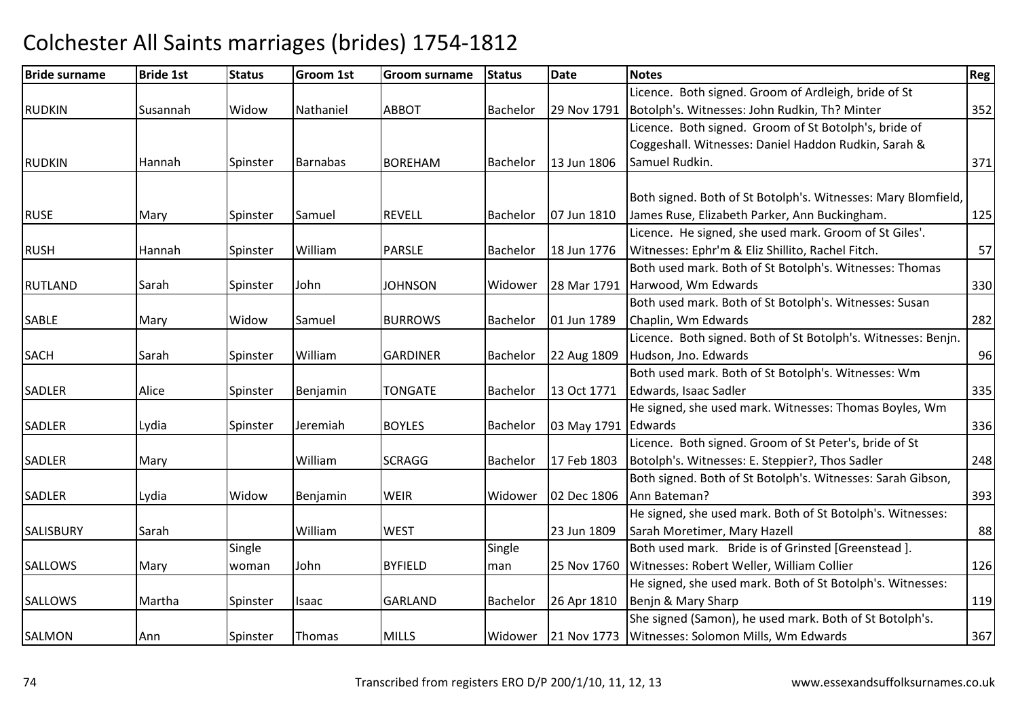### Bride surnamee Bride 1st Status Groom 1st Groom surname Status Date Notes Region Contract Region Regional Region Region Reg RUDKINN Susannah Widow Nathaniel ABBOT Bachelor 29 Nov 1791 Licence. Both signed. Groom of Ardleigh, bride of St 29 Nov 1791 Botolph's. Witnesses: John Rudkin, Th? Minter RUDKINN MHannah Spinster Barnabas BOREHAM BOREHAM Bachelor 13 Jun 1806 Licence. Both signed. Groom of St Botolph's, bride of Coggeshall. Witnesses: Daniel Haddon Rudkin, Sarah & Samuel Rudkin. 271 RUSEE 1997 Mary Spinster Samuel REVELL Bachelor 07 Jun 1810 Both signed. Both of St Botolph's. Witnesses: Mary Blomfield, James Ruse, Elizabeth Parker, Ann Buckingham. 125RUSH Hannah Spinster WilliamWilliam PARSLE Bachelor 18 Jun 1776 Licence. He signed, she used mark. Groom of St Giles'.Witnesses: Ephr'm & Eliz Shillito, Rachel Fitch. 57RUTLANDD Sarah Spinster John JOHNSON JOHNSON Widower 28 Mar 1791 Both used mark. Both of St Botolph's. Witnesses: Thomas Harwood, Wm Edwards $\sim$  330 SABLEE Mary Widow Samuel BURROWS Bachelor 01 Jun 1789 Both used mark. Both of St Botolph's. Witnesses: Susan Chaplin, Wm Edwardss 282 **SACH** H Sarah Spinster William William | GARDINER | Bachelor | 22 Aug 1809 Licence. Both signed. Both of St Botolph's. Witnesses: Benjn. Hudson, Jno. Edwards $\sim$  96 SADLERR 13 Oct 1771 Alice Spinster Benjamin TONGATE Bachelor 13 Oct 1771 Both used mark. Both of St Botolph's. Witnesses: Wm Edwards, Isaac Sadler<u>and the set of the set of the set of the set of the set of the set of the set of the set of the set of the set of the set of the set of the set of the set of the set of the set of the set of the set of the set of the set </u> SADLERR 1931 Lydia 19 Spinster Jeremiah BOYLES Bachelor 103 May 1791 He signed, she used mark. Witnesses: Thomas Boyles, Wm 03 May 1791 Edwards  $\sim$  336 SADLERR Mary Narth William William SCRAGG Bachelor | 17 Feb 1803 Licence. Both signed. Groom of St Peter's, bride of St Botolph's. Witnesses: E. Steppier?, Thos SadlerSADLERR 1992 Lydia 19 Widow Benjamin WEIR Widower 02 Dec 1806 Both signed. Both of St Botolph's. Witnesses: Sarah Gibson, Ann Bateman?<u>393 | مصطلح المستخدم المستخدم المستخدم المستخدم المستخدم المستخدم المستخدم المستخدم المستخدم المستخدم المستخدم ا</u> SALISBURYY Sarah William William WEST | 23 Jun 1809 He signed, she used mark. Both of St Botolph's. Witnesses:Sarah Moretimer, Mary Hazell 88**SALLOWS**  Mary **Single** woman John BYFIELD**Single** man 25 Nov 1760 Both used mark. Bride is of Grinsted [Greenstead ]. Witnesses: Robert Weller, William Collier 126 **SALLOWS** S Martha Spinster Isaac GARLAND GARLAND | Bachelor | 26 Apr 1810 He signed, she used mark. Both of St Botolph's. Witnesses:Benjn & Mary Sharpp 119 She signed (Samon), he used mark. Both of St Botolph's.

# Colchester All Saints marriages (brides) 1754-1812

N 1991 Ann Spinster Thomas MILLS Nidower 21 Nov 1773

s | 367

Witnesses: Solomon Mills, Wm Edwards

<sup>352</sup>

<sup>248</sup>

SALMON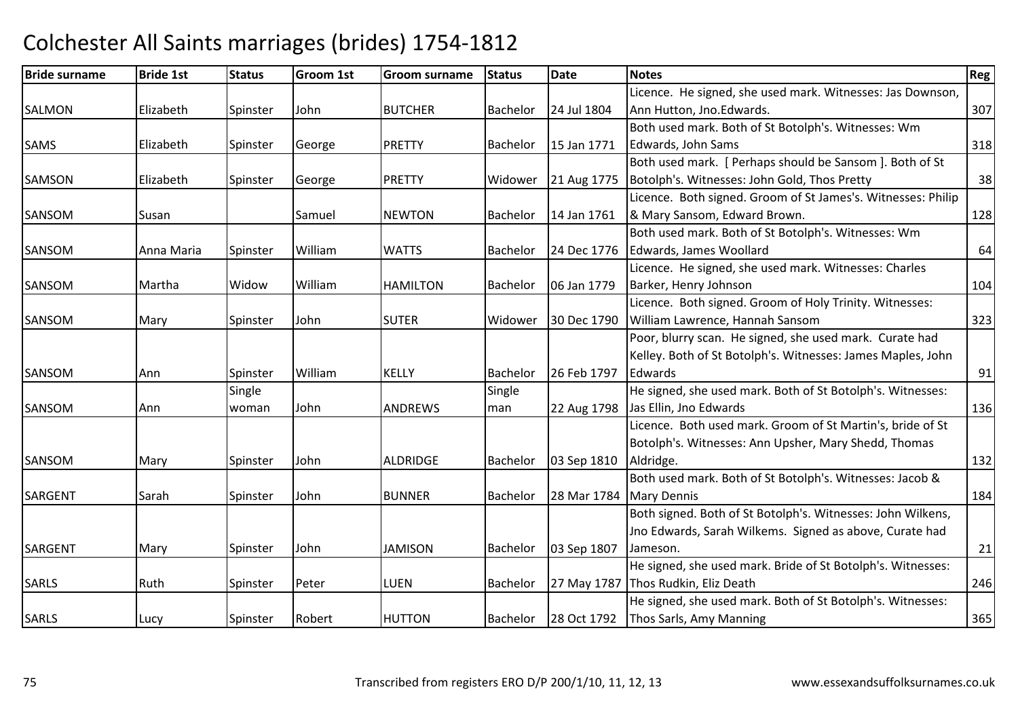### Bride surnamee Bride 1st Status Groom 1st Groom surname Status Date Notes Region Contract Region Regional Region Region Reg SALMONN Elizabeth Spinster John BUTCHER Bachelor 24 Jul 1804 Licence. He signed, she used mark. Witnesses: Jas Downson,Ann Hutton, Jno.Edwards. 2007 SAMSS 15 Elizabeth Spinster George PRETTY Bachelor 15 Jan 1771 Both used mark. Both of St Botolph's. Witnesses: Wm Edwards, John Sams $\sim$  318 SAMSONN Elizabeth Spinster George PRETTY Widower 21 Aug 1775 Both used mark. [ Perhaps should be Sansom ]. Both of St Botolph's. Witnesses: John Gold, Thos Prettyy 38 SANSOMM Susan Susan Samuel NEWTON Bachelor 14 Jan 1761 Licence. Both signed. Groom of St James's. Witnesses: Philip 8 Mary Sansom, Edward Brown. 128 SANSOMM M Anna Maria Spinster William WATTS Bachelor 24 Dec 1776 Both used mark. Both of St Botolph's. Witnesses: Wm Edwards, James Woollardd 64 SANSOM Martha Widow William HAMILTON Bachelor 06 Jan 1779 Licence. He signed, she used mark. Witnesses: Charles Barker, Henry Johnsonn 104 SANSOMM Mary Spinster John SUTER Widower 30 Dec 1790 Licence. Both signed. Groom of Holy Trinity. Witnesses: 30 Dec 1790 William Lawrence, Hannah Sansom <sup>323</sup> Poor, blurry scan. He signed, she used mark. Curate had SANSOMM M Ann Spinster William KELLY Bachelor 26 Feb 1797 Kelley. Both of St Botolph's. Witnesses: James Maples, John **Edwards** s and  $\frac{91}{2}$ SANSOMM Ann **Single** woman John ANDREWS **Single** man 22 Aug 1798 Jas Ellin, Jno EdwardsHe signed, she used mark. Both of St Botolph's. Witnesses:s and  $\overline{136}$ SANSOMM Mary Spinster John ALDRIDGE Bachelor 03 Sep 1810 Licence. Both used mark. Groom of St Martin's, bride of St Botolph's. Witnesses: Ann Upsher, Mary Shedd, Thomas Aldridge. 132SARGENTSarah **Spinster** John BUNNERR Bachelor 28 Mar 1784 Mary Dennis Both used mark. Both of St Botolph's. Witnesses: Jacob &s and  $\boxed{184}$ SARGENTMary Spinster John JAMISONBachelor | 03 Sep 1807 Both signed. Both of St Botolph's. Witnesses: John Wilkens, Jno Edwards, Sarah Wilkems. Signed as above, Curate had Jameson. 21SARLSS Ruth Spinster Peter LUEN N Bachelor 27 May 1787 Thos Rudkin, Eliz Death He signed, she used mark. Bride of St Botolph's. Witnesses: h 246 SARLS Lucy Spinster Robert HUTTONHUTTON Bachelor 28 Oct 1792 He signed, she used mark. Both of St Botolph's. Witnesses:Thos Sarls, Amy Manningg 365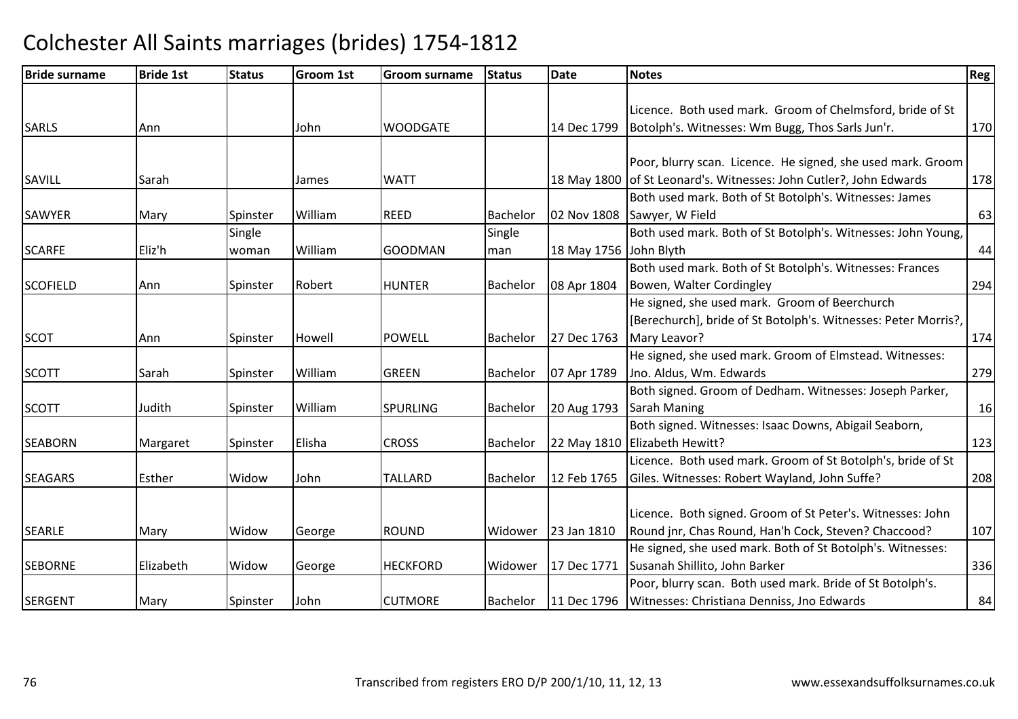| <b>Bride surname</b> | <b>Bride 1st</b> | <b>Status</b> | <b>Groom 1st</b> | <b>Groom surname</b> | <b>Status</b>   | Date                   | <b>Notes</b>                                                       | <b>Reg</b> |
|----------------------|------------------|---------------|------------------|----------------------|-----------------|------------------------|--------------------------------------------------------------------|------------|
|                      |                  |               |                  |                      |                 |                        |                                                                    |            |
|                      |                  |               |                  |                      |                 |                        | Licence. Both used mark. Groom of Chelmsford, bride of St          |            |
| <b>SARLS</b>         | Ann              |               | John             | <b>WOODGATE</b>      |                 | 14 Dec 1799            | Botolph's. Witnesses: Wm Bugg, Thos Sarls Jun'r.                   | 170        |
|                      |                  |               |                  |                      |                 |                        |                                                                    |            |
|                      |                  |               |                  |                      |                 |                        | Poor, blurry scan. Licence. He signed, she used mark. Groom        |            |
| SAVILL               | Sarah            |               | James            | <b>WATT</b>          |                 |                        | 18 May 1800 of St Leonard's. Witnesses: John Cutler?, John Edwards | 178        |
|                      |                  |               |                  |                      |                 |                        | Both used mark. Both of St Botolph's. Witnesses: James             |            |
| <b>SAWYER</b>        | Mary             | Spinster      | William          | <b>REED</b>          | <b>Bachelor</b> | 02 Nov 1808            | Sawyer, W Field                                                    | 63         |
|                      |                  | Single        |                  |                      | Single          |                        | Both used mark. Both of St Botolph's. Witnesses: John Young,       |            |
| <b>SCARFE</b>        | Eliz'h           | woman         | William          | <b>GOODMAN</b>       | man             | 18 May 1756 John Blyth |                                                                    | 44         |
|                      |                  |               |                  |                      |                 |                        | Both used mark. Both of St Botolph's. Witnesses: Frances           |            |
| <b>SCOFIELD</b>      | Ann              | Spinster      | Robert           | <b>HUNTER</b>        | <b>Bachelor</b> | 08 Apr 1804            | Bowen, Walter Cordingley                                           | 294        |
|                      |                  |               |                  |                      |                 |                        | He signed, she used mark. Groom of Beerchurch                      |            |
|                      |                  |               |                  |                      |                 |                        | [Berechurch], bride of St Botolph's. Witnesses: Peter Morris?,     |            |
| <b>SCOT</b>          | Ann              | Spinster      | Howell           | <b>POWELL</b>        | <b>Bachelor</b> | 27 Dec 1763            | Mary Leavor?                                                       | 174        |
|                      |                  |               |                  |                      |                 |                        | He signed, she used mark. Groom of Elmstead. Witnesses:            |            |
| <b>SCOTT</b>         | Sarah            | Spinster      | William          | <b>GREEN</b>         | Bachelor        | 07 Apr 1789            | Jno. Aldus, Wm. Edwards                                            | 279        |
|                      |                  |               |                  |                      |                 |                        | Both signed. Groom of Dedham. Witnesses: Joseph Parker,            |            |
| <b>SCOTT</b>         | Judith           | Spinster      | William          | <b>SPURLING</b>      | Bachelor        | 20 Aug 1793            | Sarah Maning                                                       | 16         |
|                      |                  |               |                  |                      |                 |                        | Both signed. Witnesses: Isaac Downs, Abigail Seaborn,              |            |
| <b>SEABORN</b>       | Margaret         | Spinster      | Elisha           | <b>CROSS</b>         | Bachelor        |                        | 22 May 1810 Elizabeth Hewitt?                                      | 123        |
|                      |                  |               |                  |                      |                 |                        | Licence. Both used mark. Groom of St Botolph's, bride of St        |            |
| <b>SEAGARS</b>       | Esther           | Widow         | John             | <b>TALLARD</b>       | <b>Bachelor</b> | 12 Feb 1765            | Giles. Witnesses: Robert Wayland, John Suffe?                      | 208        |
|                      |                  |               |                  |                      |                 |                        |                                                                    |            |
|                      |                  |               |                  |                      |                 |                        | Licence. Both signed. Groom of St Peter's. Witnesses: John         |            |
| <b>SEARLE</b>        | Mary             | Widow         | George           | <b>ROUND</b>         | Widower         | 23 Jan 1810            | Round jnr, Chas Round, Han'h Cock, Steven? Chaccood?               | 107        |
|                      |                  |               |                  |                      |                 |                        | He signed, she used mark. Both of St Botolph's. Witnesses:         |            |
| <b>SEBORNE</b>       | Elizabeth        | Widow         | George           | <b>HECKFORD</b>      | Widower         | 17 Dec 1771            | Susanah Shillito, John Barker                                      | 336        |
|                      |                  |               |                  |                      |                 |                        | Poor, blurry scan. Both used mark. Bride of St Botolph's.          |            |
| <b>SERGENT</b>       | Mary             | Spinster      | John             | <b>CUTMORE</b>       | Bachelor        | 11 Dec 1796            | Witnesses: Christiana Denniss, Jno Edwards                         | 84         |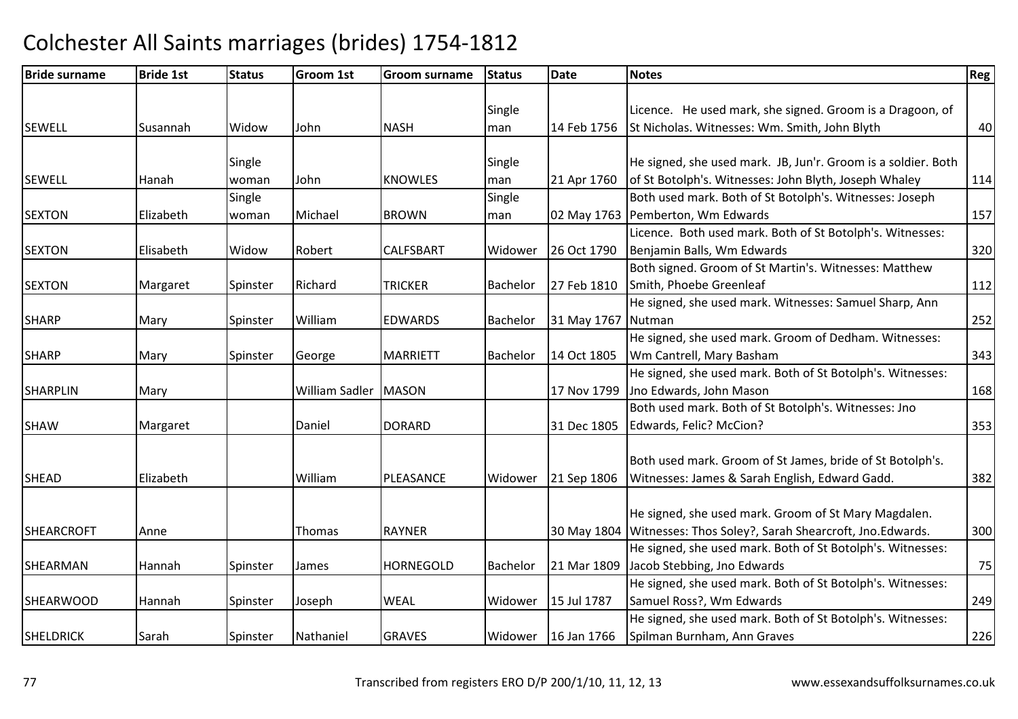| <b>Bride surname</b> | <b>Bride 1st</b> | <b>Status</b> | <b>Groom 1st</b> | Groom surname    | <b>Status</b>   | <b>Date</b>        | <b>Notes</b>                                                        | Reg |
|----------------------|------------------|---------------|------------------|------------------|-----------------|--------------------|---------------------------------------------------------------------|-----|
|                      |                  |               |                  |                  |                 |                    |                                                                     |     |
|                      |                  |               |                  |                  | Single          |                    | Licence. He used mark, she signed. Groom is a Dragoon, of           |     |
| <b>SEWELL</b>        | Susannah         | Widow         | John             | <b>NASH</b>      | man             | 14 Feb 1756        | St Nicholas. Witnesses: Wm. Smith, John Blyth                       | 40  |
|                      |                  |               |                  |                  |                 |                    |                                                                     |     |
|                      |                  | Single        |                  |                  | Single          |                    | He signed, she used mark. JB, Jun'r. Groom is a soldier. Both       |     |
| <b>SEWELL</b>        | Hanah            | woman         | John             | <b>KNOWLES</b>   | man             | 21 Apr 1760        | of St Botolph's. Witnesses: John Blyth, Joseph Whaley               | 114 |
|                      |                  | Single        |                  |                  | Single          |                    | Both used mark. Both of St Botolph's. Witnesses: Joseph             |     |
| <b>SEXTON</b>        | Elizabeth        | woman         | Michael          | <b>BROWN</b>     | man             |                    | 02 May 1763 Pemberton, Wm Edwards                                   | 157 |
|                      |                  |               |                  |                  |                 |                    | Licence. Both used mark. Both of St Botolph's. Witnesses:           |     |
| <b>SEXTON</b>        | Elisabeth        | Widow         | Robert           | <b>CALFSBART</b> | Widower         | 26 Oct 1790        | Benjamin Balls, Wm Edwards                                          | 320 |
|                      |                  |               |                  |                  |                 |                    | Both signed. Groom of St Martin's. Witnesses: Matthew               |     |
| <b>SEXTON</b>        | Margaret         | Spinster      | Richard          | <b>TRICKER</b>   | <b>Bachelor</b> | 27 Feb 1810        | Smith, Phoebe Greenleaf                                             | 112 |
|                      |                  |               |                  |                  |                 |                    | He signed, she used mark. Witnesses: Samuel Sharp, Ann              |     |
| <b>SHARP</b>         | Mary             | Spinster      | William          | <b>EDWARDS</b>   | Bachelor        | 31 May 1767 Nutman |                                                                     | 252 |
|                      |                  |               |                  |                  |                 |                    | He signed, she used mark. Groom of Dedham. Witnesses:               |     |
| <b>SHARP</b>         | Mary             | Spinster      | George           | <b>MARRIETT</b>  | Bachelor        | 14 Oct 1805        | Wm Cantrell, Mary Basham                                            | 343 |
|                      |                  |               |                  |                  |                 |                    | He signed, she used mark. Both of St Botolph's. Witnesses:          |     |
| <b>SHARPLIN</b>      | Mary             |               | William Sadler   | <b>MASON</b>     |                 | 17 Nov 1799        | Jno Edwards, John Mason                                             | 168 |
|                      |                  |               |                  |                  |                 |                    | Both used mark. Both of St Botolph's. Witnesses: Jno                |     |
| <b>SHAW</b>          | Margaret         |               | Daniel           | <b>DORARD</b>    |                 | 31 Dec 1805        | Edwards, Felic? McCion?                                             | 353 |
|                      |                  |               |                  |                  |                 |                    |                                                                     |     |
|                      |                  |               |                  |                  |                 |                    | Both used mark. Groom of St James, bride of St Botolph's.           |     |
| <b>SHEAD</b>         | Elizabeth        |               | William          | PLEASANCE        | Widower         | 21 Sep 1806        | Witnesses: James & Sarah English, Edward Gadd.                      | 382 |
|                      |                  |               |                  |                  |                 |                    |                                                                     |     |
|                      |                  |               |                  |                  |                 |                    | He signed, she used mark. Groom of St Mary Magdalen.                |     |
| <b>SHEARCROFT</b>    | Anne             |               | Thomas           | <b>RAYNER</b>    |                 |                    | 30 May 1804 Witnesses: Thos Soley?, Sarah Shearcroft, Jno. Edwards. | 300 |
|                      |                  |               |                  |                  |                 |                    | He signed, she used mark. Both of St Botolph's. Witnesses:          |     |
| SHEARMAN             | Hannah           | Spinster      | James            | <b>HORNEGOLD</b> | Bachelor        | 21 Mar 1809        | Jacob Stebbing, Jno Edwards                                         | 75  |
|                      |                  |               |                  |                  |                 |                    | He signed, she used mark. Both of St Botolph's. Witnesses:          |     |
| <b>SHEARWOOD</b>     | Hannah           | Spinster      | Joseph           | <b>WEAL</b>      | Widower         | 15 Jul 1787        | Samuel Ross?, Wm Edwards                                            | 249 |
|                      |                  |               |                  |                  |                 |                    | He signed, she used mark. Both of St Botolph's. Witnesses:          |     |
| <b>SHELDRICK</b>     | Sarah            | Spinster      | Nathaniel        | <b>GRAVES</b>    | Widower         | 16 Jan 1766        | Spilman Burnham, Ann Graves                                         | 226 |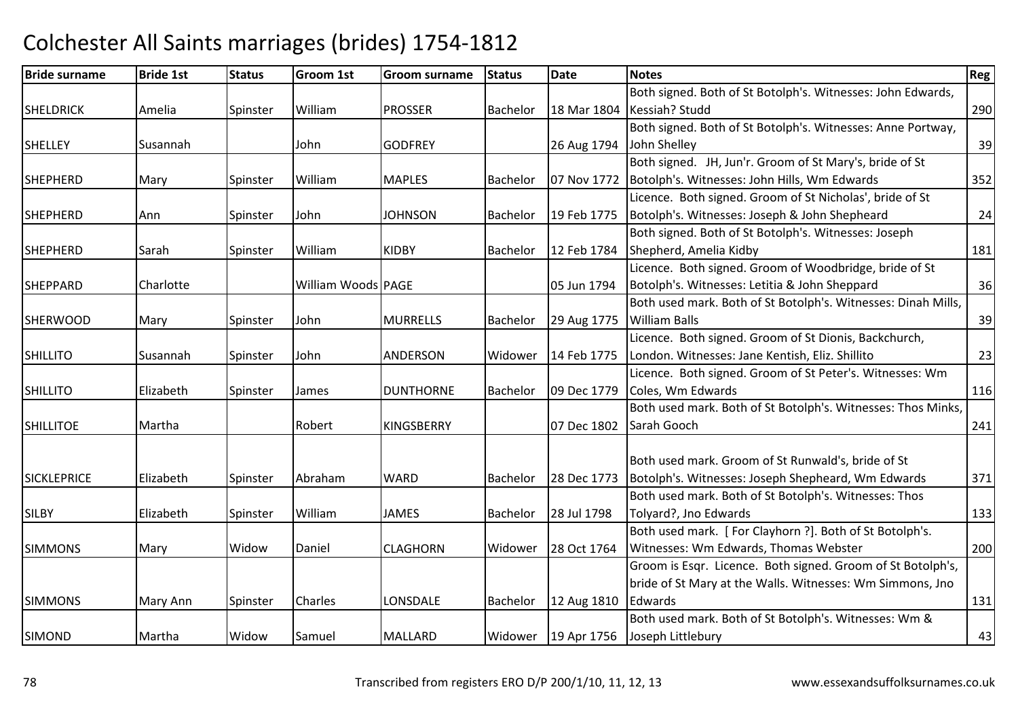### Bride surnamee Bride 1st Status Groom 1st Groom surname Status Date Notes Region Contract Region Regional Region Region Reg SHELDRICKAmelia | Spinster William m PROSSER Bachelor 18 Mar 1804 Kessiah? Studd Both signed. Both of St Botolph's. Witnesses: John Edwards, d 290 SHELLEY Susannah Johnn GODFREY 126 Aug 1794 | John Shelley Both signed. Both of St Botolph's. Witnesses: Anne Portway,  $y \sim 39$ SHEPHERDMary Spinster William MAPLES **Bachelor** 07 Nov 1772 Both signed. JH, Jun'r. Groom of St Mary's, bride of St Botolph's. Witnesses: John Hills, Wm Edwards <sup>352</sup>**SHEPHERD** D Ann Spinster John JOHNSON Bachelor 19 Feb 1775 Licence. Both signed. Groom of St Nicholas', bride of St Botolph's. Witnesses: Joseph & John Shepheardd 24 SHEPHERDD Sarah Spinster William William KIDBY Bachelor 12 Feb 1784 Both signed. Both of St Botolph's. Witnesses: Joseph Shepherd, Amelia Kidbyy 181 **SHEPPARD**  Charlotte William Woods PAGE 05 Jun 1794 Licence. Both signed. Groom of Woodbridge, bride of St Botolph's. Witnesses: Letitia & John Sheppardd 36 SHERWOODD Mary Spinster John MURRELLS Bachelor 29 Aug 1775 Both used mark. Both of St Botolph's. Witnesses: Dinah Mills, 29 Aug 1775 | William Balls  $\sim$  39 SHILLITOO Susannah Spinster John ANDERSON Widower 14 Feb 1775 Licence. Both signed. Groom of St Dionis, Backchurch, London. Witnesses: Jane Kentish, Eliz. Shillito0 23 **SHILLITO** O Elizabeth Spinster James DUNTHORNE Bachelor 09 Dec 1779 Licence. Both signed. Groom of St Peter's. Witnesses: Wm Coles, Wm Edwardss and  $116$ **SHILLITOE** E Martha | Robert KINGSBERRY | 07 Dec 1802 Both used mark. Both of St Botolph's. Witnesses: Thos Minks, Sarah Gooch <sup>241</sup> **SICKLEPRICE**  Elizabeth Spinster AbrahamWARD Bachelor 28 Dec 1773 Both used mark. Groom of St Runwald's, bride of St Botolph's. Witnesses: Joseph Shepheard, Wm Edwards <sup>371</sup>SILBY Elizabeth Spinster WilliamJAMES Bachelor 28 Jul 1798 Both used mark. Both of St Botolph's. Witnesses: Thos Tolyard?, Jno Edwardss 133 SIMMONS Mary Widow Daniel CLAGHORNWidower | 28 Oct 1764 Both used mark. [ For Clayhorn ?]. Both of St Botolph's. Witnesses: Wm Edwards, Thomas Webster <sup>200</sup>SIMMONSS Mary Ann Spinster Charles LONSDALE Bachelor 12 Aug 1810 Groom is Esqr. Licence. Both signed. Groom of St Botolph's, bride of St Mary at the Walls. Witnesses: Wm Simmons, Jno **Edwards** s and a set of the set of the set of the set of the set of the set of the set of the set of the set of the set of the set of the set of the set of the set of the set of the set of the set of the set of the set of the set o SIMONDD Martha Widow Samuel MALLARD Widower 19 Apr 1756 Both used mark. Both of St Botolph's. Witnesses: Wm & Joseph Littlebury $\gamma$  43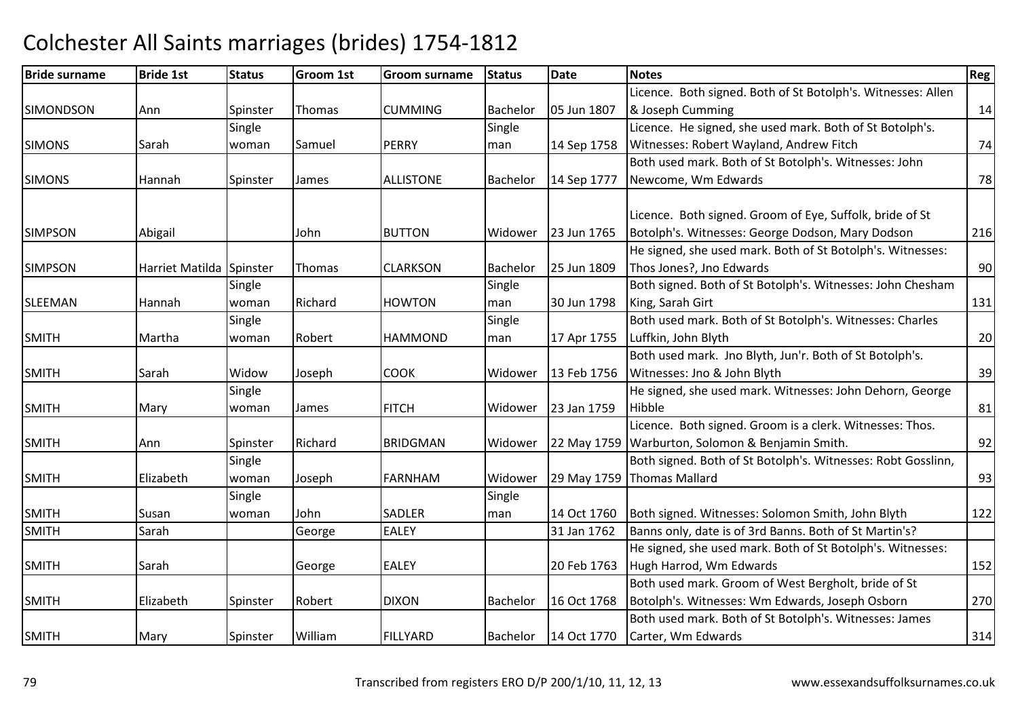#### Bride surnamee Bride 1st Status Groom 1st Groom surname Status Date Notes Region Contract Region Regional Region Region Reg **SIMONDSON** N Ann Spinster Thomas CUMMING Bachelor 05 Jun 1807 Licence. Both signed. Both of St Botolph's. Witnesses: Allen & Joseph Cummingg 14 SIMONS Sarah**Single** woman Samuel PERRY **Single** man 14 Sep 1758 Licence. He signed, she used mark. Both of St Botolph's. Witnesses: Robert Wayland, Andrew Fitchh 74 SIMONSS 14 Hannah Spinster James ALLISTONE Bachelor 14 Sep 1777 Both used mark. Both of St Botolph's. Witnesses: John Newcome, Wm Edwardss and  $\frac{1}{28}$ SIMPSONN Abigail John BUTTON Widower 23 Jun 1765 Licence. Both signed. Groom of Eye, Suffolk, bride of St Botolph's. Witnesses: George Dodson, Mary Dodson <sup>216</sup> SIMPSON Harriet Matilda Spinster Thomas CLARKSON Bachelor 25 Jun 1809 He signed, she used mark. Both of St Botolph's. Witnesses:Thos Jones?, Jno Edwardss 90 SLEEMAN Hannah **Single** woman Richard HOWTON**Single** man 30 Jun 1798 Both signed. Both of St Botolph's. Witnesses: John Chesham King, Sarah Girtt 131 SMITH Martha Single woman Robert HAMMONDSingle man 17 Apr 1755 Both used mark. Both of St Botolph's. Witnesses: Charles Luffkin, John Blythh 20 SMITHH Sarah Widow Joseph COOK Widower 13 Feb 1756 Both used mark. Jno Blyth, Jun'r. Both of St Botolph's. 13 Feb 1756 | Witnesses: Jno & John Blyth h 39 SMITH Mary **Single** woman James FITCH Widower 123 Jan 1759 He signed, she used mark. Witnesses: John Dehorn, George **Hibble** e 81 SMITHH Ann Spinster Richard BRIDGMAN N Widower 22 May 1759 Warburton, Solomon & Benjamin Smith. 2022 92 Licence. Both signed. Groom is a clerk. Witnesses: Thos.SMITH Elizabeth **Single** woman Joseph FARNHAM Widower 29 May 1759 Thomas MallardBoth signed. Both of St Botolph's. Witnesses: Robt Gosslinn, d 93 SMITHSusan<br>Sarah Single woman John SADLER**EALEY** Single man14 Oct 1760 Both signed. Witnesses: Solomon Smith, John Blyth 122<br>
31 Jan 1762 Banns only, date is of 3rd Banns. Both of St Martin's? SMITHGeorge EALEY 131 Jan 1762 Banns only, date is of 3rd Banns. Both of St Martin's? SMITHH Sarah George EALEY 20 Feb 1763 He signed, she used mark. Both of St Botolph's. Witnesses:Hugh Harrod, Wm Edwardss 152 SMITH Elizabeth Spinster Robert DIXONDIXON Bachelor 16 Oct 1768 Both used mark. Groom of West Bergholt, bride of St Botolph's. Witnesses: Wm Edwards, Joseph Osborn <sup>270</sup> SMITHH Mary Spinster William William IFILLYARD Bachelor 14 Oct 1770 Both used mark. Both of St Botolph's. Witnesses: James Carter, Wm Edwards $\sim$  314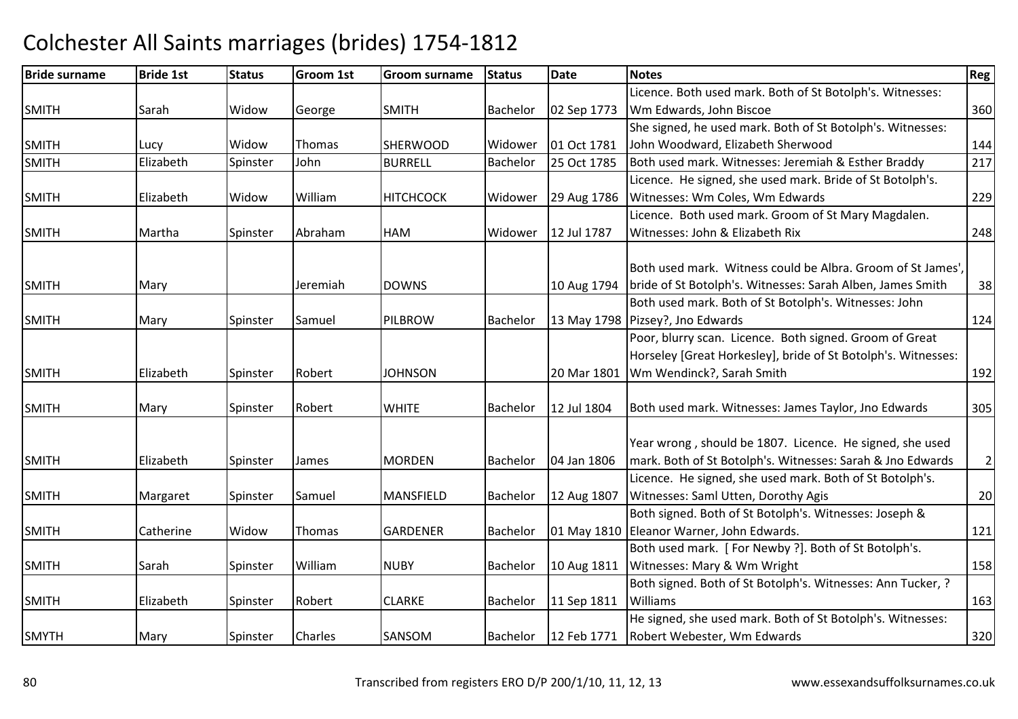### Bride surnamee Bride 1st Status Groom 1st Groom surname Status Date Notes Region Contract Region Regional Region Region Reg SMITHH Sarah Widow George SMITH Bachelor 02 Sep 1773 Licence. Both used mark. Both of St Botolph's. Witnesses: Wm Edwards, John Biscoee 360 SMITHH Lucy Widow Thomas SHERWOOD Widower 01 Oct 1781 She signed, he used mark. Both of St Botolph's. Witnesses: John Woodward, Elizabeth Sherwoodd 144 SMITH Elizabeth Spinster John BURRELL Bachelor 25 Oct 1785 Both used mark. Witnesses: Jeremiah & Esther Braddy <sup>217</sup> SMITHH Elizabeth Widow William William | HITCHCOCK | Widower | 29 Aug 1786 Licence. He signed, she used mark. Bride of St Botolph's. Witnesses: Wm Coles, Wm Edwardss 229 SMITH Martha Spinster AbrahamAbraham **IHAM**  Widower 12 Jul 1787 Licence. Both used mark. Groom of St Mary Magdalen.Witnesses: John & Elizabeth Rixx 248 SMITHH Mary Jeremiah DOWNS 10 Aug 1794 Both used mark. Witness could be Albra. Groom of St James', 10 Aug 1794 | bride of St Botolph's. Witnesses: Sarah Alben, James Smith <sup>38</sup> SMITHH Mary Spinster Samuel PILBROW W Bachelor 13 May 1798 Pizsey?, Jno Edwards<br>Pear blurry seen, Lit Both used mark. Both of St Botolph's. Witnesses: John s and  $124$ SMITH Elizabeth Spinster Robert JOHNSON 20 Mar 1801 Poor, blurry scan. Licence. Both signed. Groom of Great Horseley [Great Horkesley], bride of St Botolph's. Witnesses: 20 Mar 1801 Wm Wendinck?, Sarah Smith 192 SMITH Mary Spinster Robert WHITE Bachelor 12 Jul 1804 Both used mark. Witnesses: James Taylor, Jno Edwards <sup>305</sup> SMITHH Elizabeth Spinster James MORDEN MORDEN Bachelor 104 Jan 1806 Year wrong , should be 1807. Licence. He signed, she used mark. Both of St Botolph's. Witnesses: Sarah & Jno Edwards <sup>2</sup>SMITHH Margaret Spinster Samuel MANSFIELD Bachelor 12 Aug 1807 Licence. He signed, she used mark. Both of St Botolph's. Witnesses: Saml Utten, Dorothy Agiss 20 SMITHH Catherine Widow Thomas GARDENER Bachelor 01 May 1810 Both signed. Both of St Botolph's. Witnesses: Joseph & 01 May 1810 Eleanor Warner, John Edwards. 121 SMITHH Sarah Spinster William William NUBY Bachelor 10 Aug 1811 Both used mark. [ For Newby ?]. Both of St Botolph's. Witnesses: Mary & Wm Wrightt 158 SMITHH Flizabeth Spinster Robert CLARKE Bachelor 11 Sep 1811 Both signed. Both of St Botolph's. Witnesses: Ann Tucker, ? Williamss and the contract of the contract of the contract of the contract of the contract of the contract of the contract of the contract of the contract of the contract of the contract of the contract of the contract of the cont SMYTHH Mary Spinster Charles SANSOM SANSOM Bachelor 12 Feb 1771 He signed, she used mark. Both of St Botolph's. Witnesses:Robert Webester, Wm Edwardss 320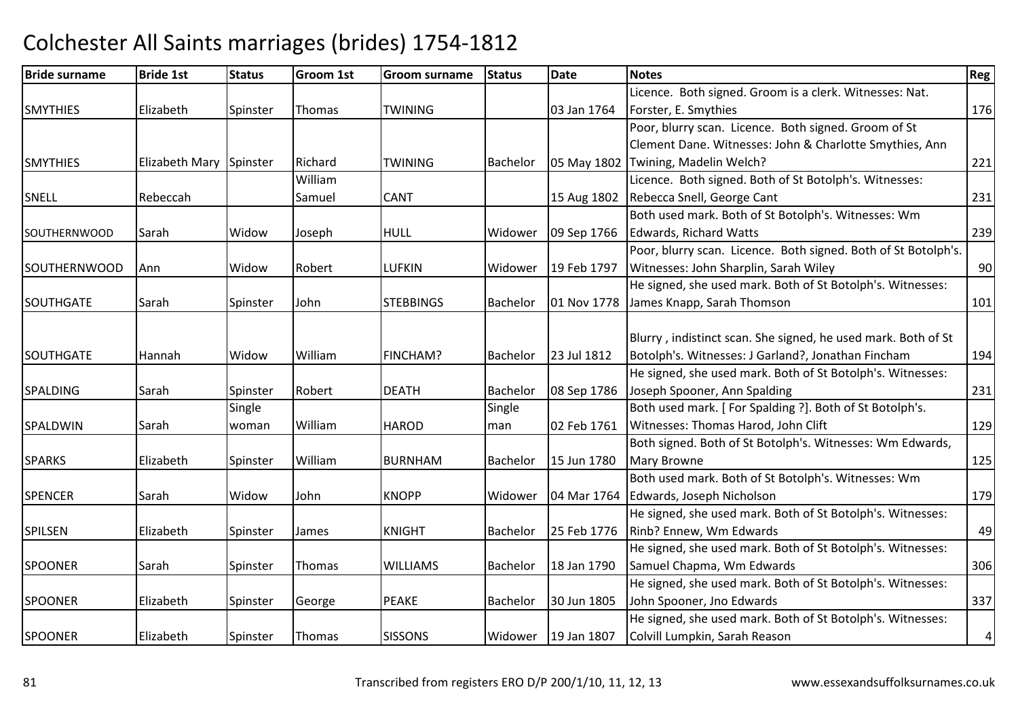| <b>Bride surname</b> | <b>Bride 1st</b>        | <b>Status</b> | <b>Groom 1st</b> | <b>Groom surname</b> | <b>Status</b> | <b>Date</b>           | <b>Notes</b>                                                   | Reg       |
|----------------------|-------------------------|---------------|------------------|----------------------|---------------|-----------------------|----------------------------------------------------------------|-----------|
|                      |                         |               |                  |                      |               |                       | Licence. Both signed. Groom is a clerk. Witnesses: Nat.        |           |
| <b>SMYTHIES</b>      | Elizabeth               | Spinster      | Thomas           | <b>TWINING</b>       |               | 03 Jan 1764           | Forster, E. Smythies                                           | 176       |
|                      |                         |               |                  |                      |               |                       | Poor, blurry scan. Licence. Both signed. Groom of St           |           |
|                      |                         |               |                  |                      |               |                       | Clement Dane. Witnesses: John & Charlotte Smythies, Ann        |           |
| <b>SMYTHIES</b>      | Elizabeth Mary Spinster |               | Richard          | <b>TWINING</b>       | Bachelor      | 05 May 1802           | Twining, Madelin Welch?                                        | 221       |
|                      |                         |               | William          |                      |               |                       | Licence. Both signed. Both of St Botolph's. Witnesses:         |           |
| SNELL                | Rebeccah                |               | Samuel           | <b>CANT</b>          |               | 15 Aug 1802           | Rebecca Snell, George Cant                                     | 231       |
|                      |                         |               |                  |                      |               |                       | Both used mark. Both of St Botolph's. Witnesses: Wm            |           |
| <b>SOUTHERNWOOD</b>  | Sarah                   | Widow         | Joseph           | <b>HULL</b>          | Widower       | 09 Sep 1766           | Edwards, Richard Watts                                         | 239       |
|                      |                         |               |                  |                      |               |                       | Poor, blurry scan. Licence. Both signed. Both of St Botolph's. |           |
| <b>SOUTHERNWOOD</b>  | <b>Ann</b>              | Widow         | Robert           | LUFKIN               | Widower       | 19 Feb 1797           | Witnesses: John Sharplin, Sarah Wiley                          | 90        |
|                      |                         |               |                  |                      |               |                       | He signed, she used mark. Both of St Botolph's. Witnesses:     |           |
| <b>SOUTHGATE</b>     | Sarah                   | Spinster      | John             | <b>STEBBINGS</b>     | Bachelor      | 01 Nov 1778           | James Knapp, Sarah Thomson                                     | 101       |
|                      |                         |               |                  |                      |               |                       |                                                                |           |
|                      |                         |               |                  |                      |               |                       | Blurry, indistinct scan. She signed, he used mark. Both of St  |           |
| <b>SOUTHGATE</b>     | Hannah                  | Widow         | William          | FINCHAM?             | Bachelor      | 23 Jul 1812           | Botolph's. Witnesses: J Garland?, Jonathan Fincham             | 194       |
|                      |                         |               |                  |                      |               |                       | He signed, she used mark. Both of St Botolph's. Witnesses:     |           |
| <b>SPALDING</b>      | Sarah                   | Spinster      | Robert           | <b>DEATH</b>         | Bachelor      | 08 Sep 1786           | Joseph Spooner, Ann Spalding                                   | 231       |
|                      |                         | Single        |                  |                      | Single        |                       | Both used mark. [For Spalding ?]. Both of St Botolph's.        |           |
| SPALDWIN             | Sarah                   | woman         | William          | <b>HAROD</b>         | man           | 02 Feb 1761           | Witnesses: Thomas Harod, John Clift                            | 129       |
|                      |                         |               |                  |                      |               |                       | Both signed. Both of St Botolph's. Witnesses: Wm Edwards,      |           |
| <b>SPARKS</b>        | Elizabeth               | Spinster      | William          | <b>BURNHAM</b>       | Bachelor      | 15 Jun 1780           | Mary Browne                                                    | 125       |
|                      |                         |               |                  |                      |               |                       | Both used mark. Both of St Botolph's. Witnesses: Wm            |           |
| <b>SPENCER</b>       | Sarah                   | Widow         | John             | <b>KNOPP</b>         | Widower       | 04 Mar 1764           | Edwards, Joseph Nicholson                                      | 179       |
|                      |                         |               |                  |                      |               |                       | He signed, she used mark. Both of St Botolph's. Witnesses:     |           |
| <b>SPILSEN</b>       | Elizabeth               | Spinster      | James            | <b>KNIGHT</b>        | Bachelor      | 25 Feb 1776           | Rinb? Ennew, Wm Edwards                                        | 49        |
|                      |                         |               |                  |                      |               |                       | He signed, she used mark. Both of St Botolph's. Witnesses:     |           |
| <b>SPOONER</b>       | Sarah                   | Spinster      | Thomas           | <b>WILLIAMS</b>      | Bachelor      | 18 Jan 1790           | Samuel Chapma, Wm Edwards                                      | 306       |
|                      |                         |               |                  |                      |               |                       | He signed, she used mark. Both of St Botolph's. Witnesses:     |           |
| <b>SPOONER</b>       | Elizabeth               | Spinster      | George           | <b>PEAKE</b>         | Bachelor      | 30 Jun 1805           | John Spooner, Jno Edwards                                      | 337       |
|                      |                         |               |                  |                      |               |                       | He signed, she used mark. Both of St Botolph's. Witnesses:     |           |
| <b>SPOONER</b>       | Elizabeth               | Spinster      | Thomas           | <b>SISSONS</b>       |               | Widower   19 Jan 1807 | Colvill Lumpkin, Sarah Reason                                  | $\pmb{4}$ |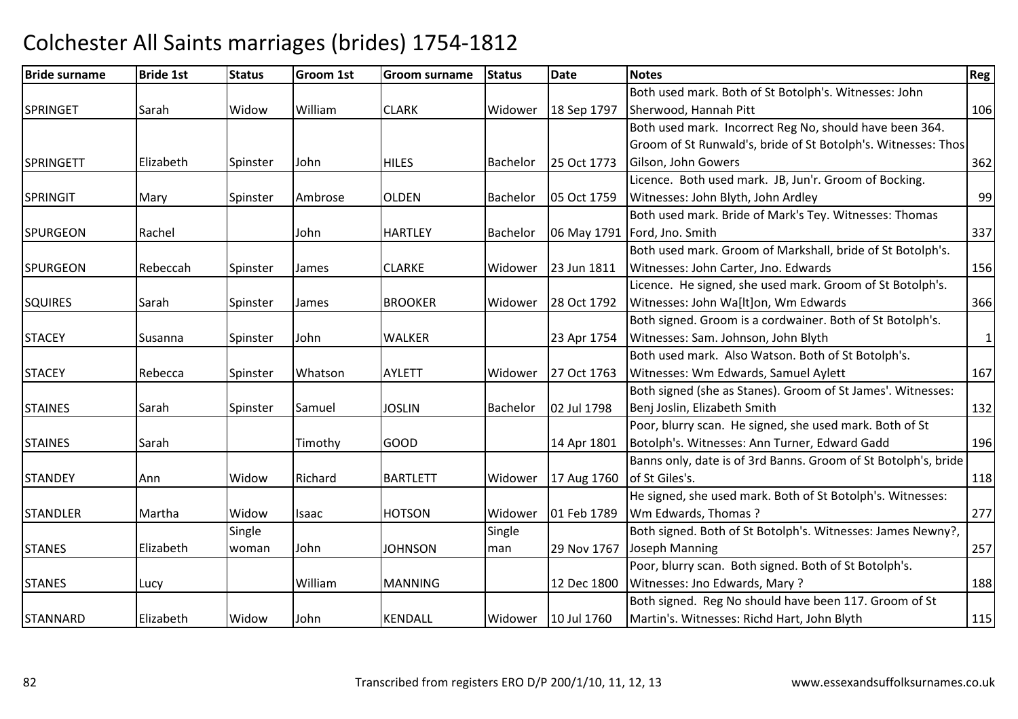#### Bride surnamee Bride 1st Status Groom 1st Groom surname Status Date Notes Region Contract Region Regional Region Region Reg SPRINGET Sarah Widow WilliamWilliam **CLARK** Widower 18 Sep 1797 Both used mark. Both of St Botolph's. Witnesses: John Sherwood, Hannah Pittt 106 SPRINGETT Elizabeth Spinster JohnHILES **Bachelor** 25 Oct 1773 Both used mark. Incorrect Reg No, should have been 364. Groom of St Runwald's, bride of St Botolph's. Witnesses: Thos Gilson, John Gowers $\sim$  362 SPRINGITT Mary Spinster Ambrose OLDEN Bachelor 05 Oct 1759 Licence. Both used mark. JB, Jun'r. Groom of Bocking. Witnesses: John Blyth, John Ardleyy 99 SPURGEONN Rachel John HARTLEY Bachelor 06 May 1791 Both used mark. Bride of Mark's Tey. Witnesses: Thomas 06 May 1791 Ford, Jno. Smith <sup>337</sup> SPURGEONN Rebeccah Spinster James CLARKE Widower 23 Jun 1811 Both used mark. Groom of Markshall, bride of St Botolph's. Witnesses: John Carter, Jno. Edwardss 156 **SQUIRES** S Sarah Spinster James BROOKER BROOKER Widower 28 Oct 1792 Licence. He signed, she used mark. Groom of St Botolph's. Witnesses: John Wa[lt]on, Wm Edwardss 366 **STACEY** Susanna Spinster John WALKER 123 Apr 1754 Both signed. Groom is a cordwainer. Both of St Botolph's. Witnesses: Sam. Johnson, John Blythh 1 **STACEY** Rebecca | Spinster | Whatson AYLETT | Widower 27 Oct 1763 Both used mark. Also Watson. Both of St Botolph's. Witnesses: Wm Edwards, Samuel Aylettt 167 STAINESS Sarah Spinster Samuel JOSLIN Bachelor 02 Jul 1798 Both signed (she as Stanes). Groom of St James'. Witnesses:Benj Joslin, Elizabeth Smithh 132 **STAINES** S Sarah Timothy GOOD 14 Apr 1801 Poor, blurry scan. He signed, she used mark. Both of St Botolph's. Witnesses: Ann Turner, Edward Gadd <sup>196</sup> **STANDEY** Y Midow Richard Richard | BARTLETT | Widower | 17 Aug 1760 Banns only, date is of 3rd Banns. Groom of St Botolph's, bride lof St Giles's. . **118 STANDLER** R Martha Widow Isaac HOTSON HOTSON Widower 01 Feb 1789 He signed, she used mark. Both of St Botolph's. Witnesses:Wm Edwards, Thomas ?<u>277 | 277 | 277 | 288 | 277 | 277 | 289 | 289 | 289 | 289 | 289 | 289 | 289 | 289 | 289 | 289 | 289 | 289 | 2</u> STANES Elizabeth**Single** woman John JOHNSONSingle man 29 Nov 1767 Joseph ManningBoth signed. Both of St Botolph's. Witnesses: James Newny?, g 257 STANESS Lucy William William MANNING 1 12 Dec 1800 Poor, blurry scan. Both signed. Both of St Botolph's.Witnesses: Jno Edwards, Mary ? <sup>188</sup>STANNARDD Elizabeth Widow John KENDALL Widower 10 Jul 1760 Both signed. Reg No should have been 117. Groom of St Martin's. Witnesses: Richd Hart, John Blythh | 115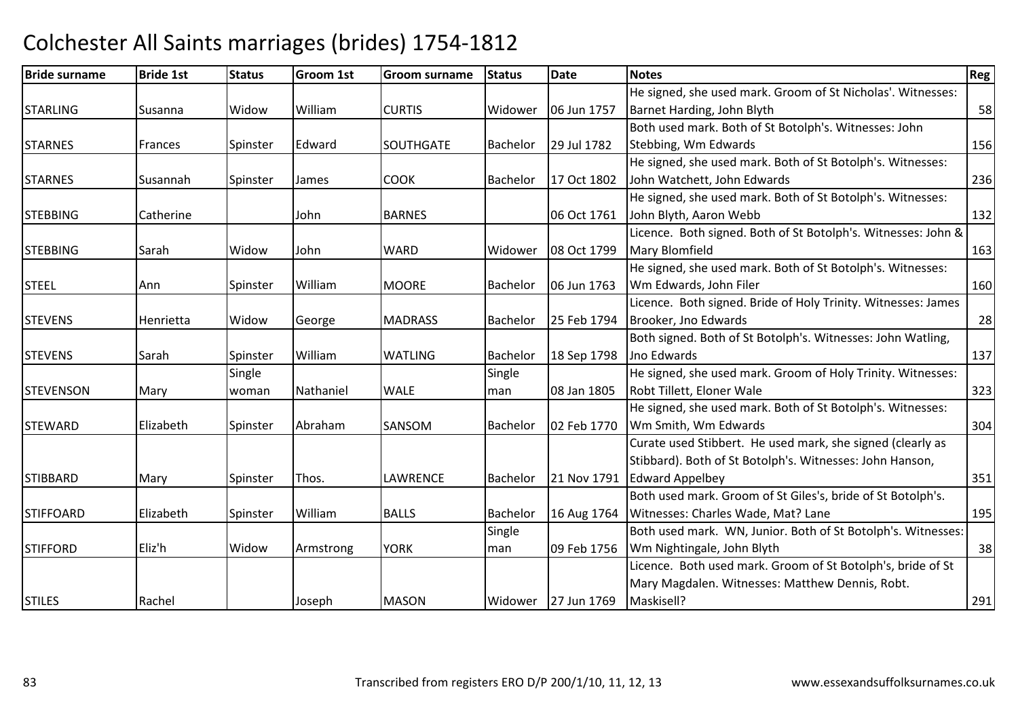#### Bride surnamee Bride 1st Status Groom 1st Groom surname Status Date Notes Region Contract Region Regional Region Region Reg STARLING Susanna Widow WilliamWilliam CURTIS Widower 06 Jun 1757 He signed, she used mark. Groom of St Nicholas'. Witnesses: Barnet Harding, John Blythh 58 STARNESFrances Spinster Edward SOUTHGATE Bachelor 29 Jul 1782 Both used mark. Both of St Botolph's. Witnesses: John Stebbing, Wm Edwardss and the set of the set of the set of the set of the set of the set of the set of the set of the set of the set of the set of the set of the set of the set of the set of the set of the set of the set of the set of the set STARNESSusannah Spinster James COOK Bachelor | 17 Oct 1802 He signed, she used mark. Both of St Botolph's. Witnesses:John Watchett, John Edwardss and  $\sim$  236 **STEBBING** G Catherine John BARNES 06 Oct 1761 He signed, she used mark. Both of St Botolph's. Witnesses:John Blyth, Aaron Webbb 132 **STEBBING**  Sarah Widow John WARD Widower 08 Oct 1799 Licence. Both signed. Both of St Botolph's. Witnesses: John & Mary Blomfieldd 163 STEELAnn Spinster William MOORE Bachelor 06 Jun 1763 He signed, she used mark. Both of St Botolph's. Witnesses:Wm Edwards, John Filerr 160 **STEVENS** S 1994 | Henrietta | Widow | George | MADRASS | Bachelor | 25 Feb 1794 Licence. Both signed. Bride of Holy Trinity. Witnesses: James Brooker, Jno Edwards $\sim$  28 **STEVENS** Sarah Spinster William WATLING Bachelor 18 Sep 1798 Both signed. Both of St Botolph's. Witnesses: John Watling, Jno Edwardss and  $\boxed{137}$ **STEVENSON**  Mary **Single** woman Nathaniel WALE Single man 08 Jan 1805 He signed, she used mark. Groom of Holy Trinity. Witnesses: Robt Tillett, Eloner Walee 323 STEWARD Elizabeth Spinster Abraham SANSOMBachelor 102 Feb 1770 He signed, she used mark. Both of St Botolph's. Witnesses:Wm Smith, Wm Edwards $\sim$  304 **STIBBARD** D Mary Spinster Thos. LAWRENCE Bachelor 21 Nov 1791 Curate used Stibbert. He used mark, she signed (clearly as Stibbard). Both of St Botolph's. Witnesses: John Hanson,21 Nov 1791 Edward Appelbey y 351 STIFFOARD Elizabeth Spinster WilliamBALLS | Bachelor | 16 Aug 1764 Both used mark. Groom of St Giles's, bride of St Botolph's. Witnesses: Charles Wade, Mat? Lanee 195 STIFFORD Eliz'h Widow Armstrong YORK Single man 09 Feb 1756 Wm Nightingale, John BlythBoth used mark. WN, Junior. Both of St Botolph's. Witnesses: h 38 STILESS | Rachel | Joseph Joseph MASON Widower | 27 Jun 1769 Licence. Both used mark. Groom of St Botolph's, bride of St Mary Magdalen. Witnesses: Matthew Dennis, Robt. Maskisell? 291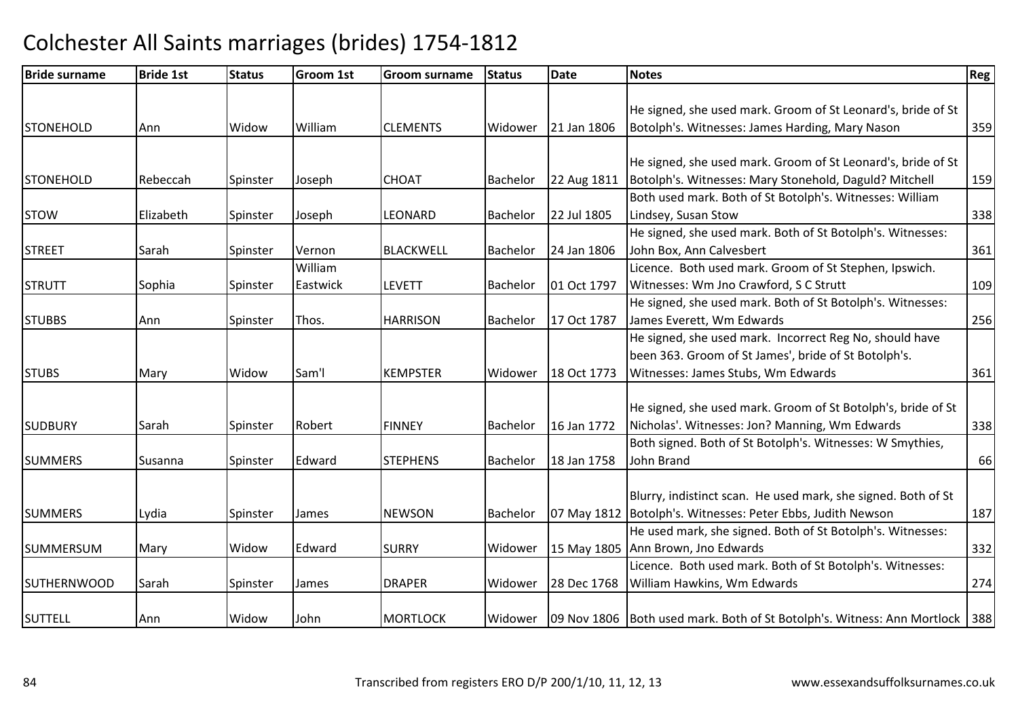| <b>Bride surname</b> | <b>Bride 1st</b> | <b>Status</b> | <b>Groom 1st</b> | Groom surname    | <b>Status</b> | <b>Date</b> | <b>Notes</b>                                                                  | Reg |
|----------------------|------------------|---------------|------------------|------------------|---------------|-------------|-------------------------------------------------------------------------------|-----|
|                      |                  |               |                  |                  |               |             |                                                                               |     |
|                      |                  |               |                  |                  |               |             | He signed, she used mark. Groom of St Leonard's, bride of St                  |     |
| <b>STONEHOLD</b>     | Ann              | Widow         | William          | <b>CLEMENTS</b>  | Widower       | 21 Jan 1806 | Botolph's. Witnesses: James Harding, Mary Nason                               | 359 |
|                      |                  |               |                  |                  |               |             |                                                                               |     |
|                      |                  |               |                  |                  |               |             | He signed, she used mark. Groom of St Leonard's, bride of St                  |     |
| <b>STONEHOLD</b>     | Rebeccah         | Spinster      | Joseph           | <b>CHOAT</b>     | Bachelor      | 22 Aug 1811 | Botolph's. Witnesses: Mary Stonehold, Daguld? Mitchell                        | 159 |
|                      |                  |               |                  |                  |               |             | Both used mark. Both of St Botolph's. Witnesses: William                      |     |
| <b>STOW</b>          | Elizabeth        | Spinster      | Joseph           | LEONARD          | Bachelor      | 22 Jul 1805 | Lindsey, Susan Stow                                                           | 338 |
|                      |                  |               |                  |                  |               |             | He signed, she used mark. Both of St Botolph's. Witnesses:                    |     |
| <b>STREET</b>        | Sarah            | Spinster      | Vernon           | <b>BLACKWELL</b> | Bachelor      | 24 Jan 1806 | John Box, Ann Calvesbert                                                      | 361 |
|                      |                  |               | William          |                  |               |             | Licence. Both used mark. Groom of St Stephen, Ipswich.                        |     |
| <b>STRUTT</b>        | Sophia           | Spinster      | Eastwick         | <b>LEVETT</b>    | Bachelor      | 01 Oct 1797 | Witnesses: Wm Jno Crawford, S C Strutt                                        | 109 |
|                      |                  |               |                  |                  |               |             | He signed, she used mark. Both of St Botolph's. Witnesses:                    |     |
| <b>STUBBS</b>        | Ann              | Spinster      | Thos.            | <b>HARRISON</b>  | Bachelor      | 17 Oct 1787 | James Everett, Wm Edwards                                                     | 256 |
|                      |                  |               |                  |                  |               |             | He signed, she used mark. Incorrect Reg No, should have                       |     |
|                      |                  |               |                  |                  |               |             | been 363. Groom of St James', bride of St Botolph's.                          |     |
| <b>STUBS</b>         | Mary             | Widow         | Sam'l            | <b>KEMPSTER</b>  | Widower       | 18 Oct 1773 | Witnesses: James Stubs, Wm Edwards                                            | 361 |
|                      |                  |               |                  |                  |               |             |                                                                               |     |
|                      |                  |               |                  |                  |               |             | He signed, she used mark. Groom of St Botolph's, bride of St                  |     |
| <b>SUDBURY</b>       | Sarah            | Spinster      | Robert           | <b>FINNEY</b>    | Bachelor      | 16 Jan 1772 | Nicholas'. Witnesses: Jon? Manning, Wm Edwards                                | 338 |
|                      |                  |               |                  |                  |               |             | Both signed. Both of St Botolph's. Witnesses: W Smythies,                     |     |
| <b>SUMMERS</b>       | Susanna          | Spinster      | Edward           | <b>STEPHENS</b>  | Bachelor      | 18 Jan 1758 | John Brand                                                                    | 66  |
|                      |                  |               |                  |                  |               |             |                                                                               |     |
|                      |                  |               |                  |                  |               |             | Blurry, indistinct scan. He used mark, she signed. Both of St                 |     |
| <b>SUMMERS</b>       | Lydia            | Spinster      | James            | <b>NEWSON</b>    | Bachelor      |             | 07 May 1812   Botolph's. Witnesses: Peter Ebbs, Judith Newson                 | 187 |
|                      |                  |               |                  |                  |               |             | He used mark, she signed. Both of St Botolph's. Witnesses:                    |     |
| <b>SUMMERSUM</b>     | Mary             | Widow         | Edward           | <b>SURRY</b>     | Widower       |             | 15 May 1805 Ann Brown, Jno Edwards                                            | 332 |
|                      |                  |               |                  |                  |               |             | Licence. Both used mark. Both of St Botolph's. Witnesses:                     |     |
| <b>SUTHERNWOOD</b>   | Sarah            | Spinster      | James            | <b>DRAPER</b>    | Widower       | 28 Dec 1768 | William Hawkins, Wm Edwards                                                   | 274 |
|                      |                  |               |                  |                  |               |             |                                                                               |     |
| <b>SUTTELL</b>       | Ann              | Widow         | John             | <b>MORTLOCK</b>  | Widower       |             | 09 Nov 1806 Both used mark. Both of St Botolph's. Witness: Ann Mortlock   388 |     |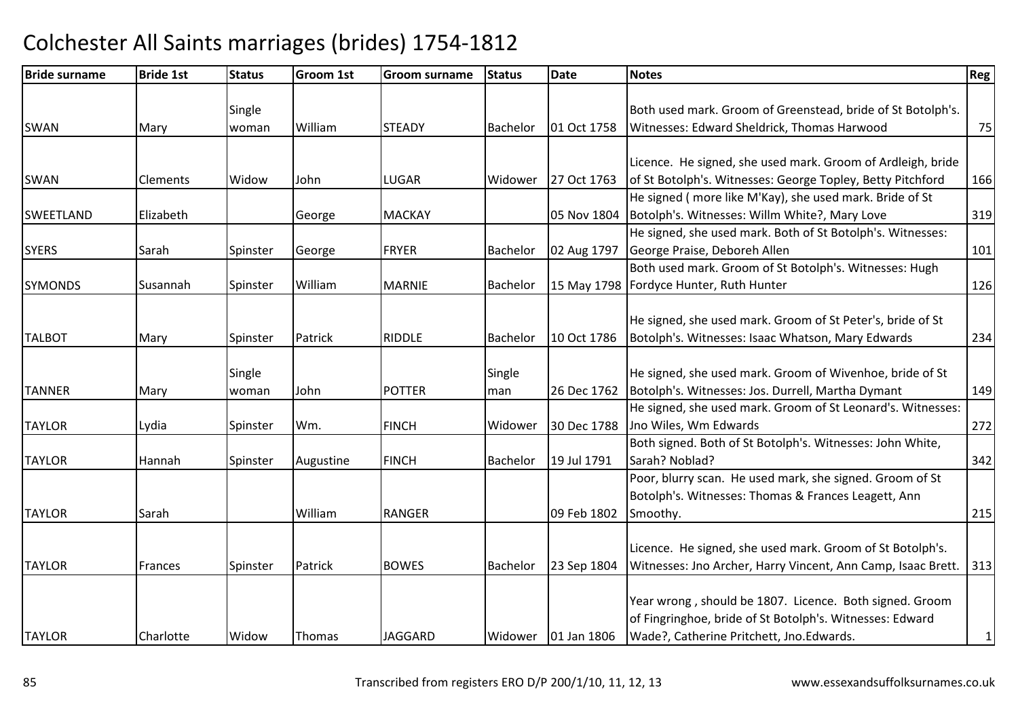| <b>Bride surname</b> | <b>Bride 1st</b> | <b>Status</b> | <b>Groom 1st</b> | <b>Groom surname</b> | <b>Status</b>   | <b>Date</b> | <b>Notes</b>                                                 | Reg       |
|----------------------|------------------|---------------|------------------|----------------------|-----------------|-------------|--------------------------------------------------------------|-----------|
|                      |                  |               |                  |                      |                 |             |                                                              |           |
|                      |                  | Single        |                  |                      |                 |             | Both used mark. Groom of Greenstead, bride of St Botolph's.  |           |
| <b>SWAN</b>          | Mary             | woman         | William          | <b>STEADY</b>        | <b>Bachelor</b> | 01 Oct 1758 | Witnesses: Edward Sheldrick, Thomas Harwood                  | 75        |
|                      |                  |               |                  |                      |                 |             |                                                              |           |
|                      |                  |               |                  |                      |                 |             | Licence. He signed, she used mark. Groom of Ardleigh, bride  |           |
| SWAN                 | <b>Clements</b>  | Widow         | John             | <b>LUGAR</b>         | Widower         | 27 Oct 1763 | of St Botolph's. Witnesses: George Topley, Betty Pitchford   | 166       |
|                      |                  |               |                  |                      |                 |             | He signed (more like M'Kay), she used mark. Bride of St      |           |
| <b>SWEETLAND</b>     | Elizabeth        |               | George           | <b>MACKAY</b>        |                 | 05 Nov 1804 | Botolph's. Witnesses: Willm White?, Mary Love                | 319       |
|                      |                  |               |                  |                      |                 |             | He signed, she used mark. Both of St Botolph's. Witnesses:   |           |
| <b>SYERS</b>         | Sarah            | Spinster      | George           | <b>FRYER</b>         | Bachelor        | 02 Aug 1797 | George Praise, Deboreh Allen                                 | 101       |
|                      |                  |               |                  |                      |                 |             | Both used mark. Groom of St Botolph's. Witnesses: Hugh       |           |
| <b>SYMONDS</b>       | Susannah         | Spinster      | William          | <b>MARNIE</b>        | Bachelor        |             | 15 May 1798   Fordyce Hunter, Ruth Hunter                    | 126       |
|                      |                  |               |                  |                      |                 |             |                                                              |           |
|                      |                  |               |                  |                      |                 |             | He signed, she used mark. Groom of St Peter's, bride of St   |           |
| <b>TALBOT</b>        | Mary             | Spinster      | Patrick          | <b>RIDDLE</b>        | Bachelor        | 10 Oct 1786 | Botolph's. Witnesses: Isaac Whatson, Mary Edwards            | 234       |
|                      |                  |               |                  |                      |                 |             |                                                              |           |
|                      |                  | Single        |                  |                      | Single          |             | He signed, she used mark. Groom of Wivenhoe, bride of St     |           |
| <b>TANNER</b>        | Mary             | woman         | John             | <b>POTTER</b>        | man             | 26 Dec 1762 | Botolph's. Witnesses: Jos. Durrell, Martha Dymant            | 149       |
|                      |                  |               |                  |                      |                 |             | He signed, she used mark. Groom of St Leonard's. Witnesses:  |           |
| <b>TAYLOR</b>        | Lydia            | Spinster      | Wm.              | <b>FINCH</b>         | Widower         | 30 Dec 1788 | Jno Wiles, Wm Edwards                                        | 272       |
|                      |                  |               |                  |                      |                 |             | Both signed. Both of St Botolph's. Witnesses: John White,    |           |
| <b>TAYLOR</b>        | Hannah           | Spinster      | Augustine        | <b>FINCH</b>         | Bachelor        | 19 Jul 1791 | Sarah? Noblad?                                               | 342       |
|                      |                  |               |                  |                      |                 |             | Poor, blurry scan. He used mark, she signed. Groom of St     |           |
|                      |                  |               |                  |                      |                 |             | Botolph's. Witnesses: Thomas & Frances Leagett, Ann          |           |
| <b>TAYLOR</b>        | Sarah            |               | William          | <b>RANGER</b>        |                 | 09 Feb 1802 | Smoothy.                                                     | 215       |
|                      |                  |               |                  |                      |                 |             |                                                              |           |
|                      |                  |               |                  |                      |                 |             | Licence. He signed, she used mark. Groom of St Botolph's.    |           |
| <b>TAYLOR</b>        | Frances          | Spinster      | Patrick          | <b>BOWES</b>         | Bachelor        | 23 Sep 1804 | Witnesses: Jno Archer, Harry Vincent, Ann Camp, Isaac Brett. | 313       |
|                      |                  |               |                  |                      |                 |             |                                                              |           |
|                      |                  |               |                  |                      |                 |             | Year wrong, should be 1807. Licence. Both signed. Groom      |           |
|                      |                  |               |                  |                      |                 |             | of Fingringhoe, bride of St Botolph's. Witnesses: Edward     |           |
| <b>TAYLOR</b>        | Charlotte        | Widow         | <b>Thomas</b>    | <b>JAGGARD</b>       | Widower         | 01 Jan 1806 | Wade?, Catherine Pritchett, Jno.Edwards.                     | $\vert$ 1 |
|                      |                  |               |                  |                      |                 |             |                                                              |           |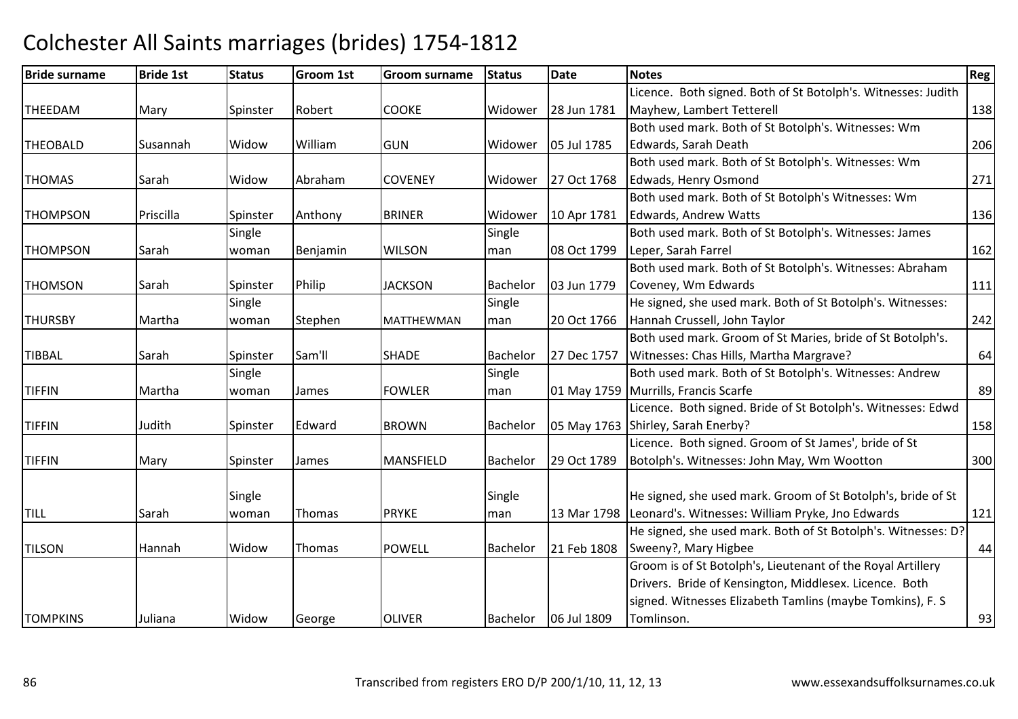#### Bride surnamee Bride 1st Status Groom 1st Groom surname Status Date Notes Region Contract Region Regional Region Region Reg THEEDAMM Mary Spinster Robert COOKE Widower 28 Jun 1781 Licence. Both signed. Both of St Botolph's. Witnesses: Judith Mayhew, Lambert Tetterell 138THEOBALD Susannah Widow William GUN Widower 05 Jul 1785 Both used mark. Both of St Botolph's. Witnesses: Wm Edwards, Sarah Deathh 206 THOMAS Sarah Widow AbrahamCOVENEY | Widower 27 Oct 1768 Both used mark. Both of St Botolph's. Witnesses: Wm Edwads, Henry Osmondd 271 THOMPSONN Priscilla Spinster Anthony BRINER Widower 10 Apr 1781 Both used mark. Both of St Botolph's Witnesses: Wm Edwards, Andrew Wattss 136 THOMPSON Sarah **Single** woman Benjamin WILSONSingle man 08 Oct 1799 Both used mark. Both of St Botolph's. Witnesses: James Leper, Sarah Farrel162 **THOMSON** N Sarah Spinster Philip JACKSON Bachelor 03 Jun 1779 Both used mark. Both of St Botolph's. Witnesses: AbrahamCoveney, Wm Edwardss 111 THURSBY**Martha** Single woman IStephen MATTHEWMANSingle man 20 Oct 1766 He signed, she used mark. Both of St Botolph's. Witnesses:Hannah Crussell, John Taylorr 242 TIBBAL Sarah Spinster Sam'll SHADE Bachelor 27 Dec 1757Both used mark. Groom of St Maries, bride of St Botolph's. Witnesses: Chas Hills, Martha Margrave?? 64 TIFFIN Martha **Single** woman James FOWLERSingle man 01 May 1759 Murrills, Francis ScarfeBoth used mark. Both of St Botolph's. Witnesses: Andrew e 89 TIFFINN 31 Judith Spinster Edward BROWN Bachelor 05 May 1763 Licence. Both signed. Bride of St Botolph's. Witnesses: Edwd 05 May 1763 Shirley, Sarah Enerby? <sup>158</sup>TIFFINN Mary Spinster James MANSFIELD Bachelor 29 Oct 1789 Licence. Both signed. Groom of St James', bride of St Botolph's. Witnesses: John May, Wm Wootton <sup>300</sup> TILL SarahSingle woman Thomas **PRYKE Single** man 13 Mar 1798 Leonard's. Witnesses: William Pryke, Jno EdwardsHe signed, she used mark. Groom of St Botolph's, bride of St <sup>121</sup>TILSONN Mannah Widow Thomas POWELL Bachelor 21 Feb 1808 He signed, she used mark. Both of St Botolph's. Witnesses: D? 21 Feb 1808 Sweeny?, Mary Higbee e 44 **TOMPKINS** S Juliana Widow George OLIVER OLIVER Bachelor 06 Jul 1809 Groom is of St Botolph's, Lieutenant of the Royal Artillery Drivers. Bride of Kensington, Middlesex. Licence. Both signed. Witnesses Elizabeth Tamlins (maybe Tomkins), F. STomlinson. 2008 2012 12:30 13:30 13:30 13:30 13:30 14:30 14:30 14:30 14:30 14:30 14:30 14:30 14:30 14:30 14:30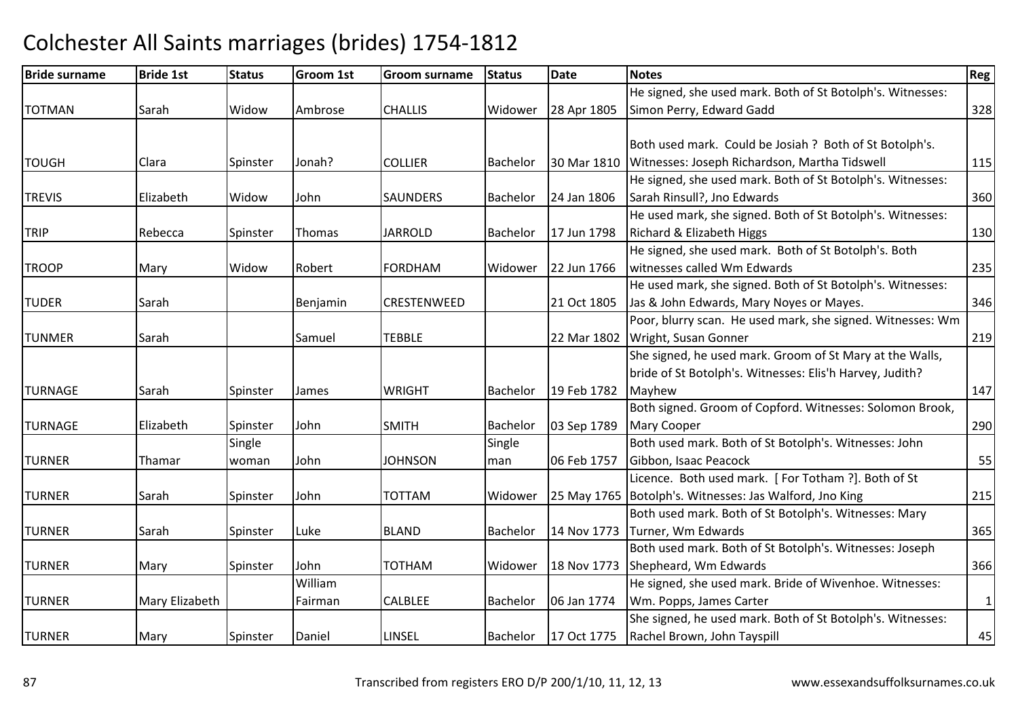#### Bride surnamee Bride 1st Status Groom 1st Groom surname Status Date Notes Region Contract Region Regional Region Region Reg TOTMANN Sarah Widow Ambrose CHALLIS Widower 28 Apr 1805 He signed, she used mark. Both of St Botolph's. Witnesses:Simon Perry, Edward Gaddd 328 TOUGHH Clara Spinster Jonah? COLLIER Bachelor 30 Mar 1810 Both used mark. Could be Josiah ? Both of St Botolph's. I30 Mar 1810 Witnesses: Joseph Richardson, Martha Tidswell 115TREVIS Elizabeth Widow JohnSAUNDERS Bachelor 24 Jan 1806 He signed, she used mark. Both of St Botolph's. Witnesses:Sarah Rinsull?, Jno Edwardss 360 TRIPP Rebecca Spinster Thomas JARROLD JARROLD **Bachelor** 17 Jun 1798 He used mark, she signed. Both of St Botolph's. Witnesses:Richard & Elizabeth Higgss 130 TROOPP Mary Widow Robert FORDHAM FORDHAM Widower 22 Jun 1766 He signed, she used mark. Both of St Botolph's. Both witnesses called Wm Edwardss 235 TUDERR Sarah | Benjamin CRESTENWEED | 21 Oct 1805 He used mark, she signed. Both of St Botolph's. Witnesses:Jas & John Edwards, Mary Noyes or Mayes. 346TUNMERR Sarah Samuel TEBBLE 22 Mar 1802 Poor, blurry scan. He used mark, she signed. Witnesses: Wm 22 Mar 1802 | Wright, Susan Gonner r 219 TURNAGEE Sarah Spinster James WRIGHT Bachelor 19 Feb 1782 She signed, he used mark. Groom of St Mary at the Walls. bride of St Botolph's. Witnesses: Elis'h Harvey, Judith?Mayhew<u>w 147</u> TURNAGE Elizabeth Spinster John SMITHBachelor | 03 Sep 1789 Both signed. Groom of Copford. Witnesses: Solomon Brook, Mary Cooperr 1290 TURNER Thamar **Single** woman John**JOHNSON** Single man 06 Feb 1757 Both used mark. Both of St Botolph's. Witnesses: John Gibbon, Isaac Peacockk 55 TURNERR Sarah Spinster John TOTTAM Widower 25 May 1765 Botolph's. Witnesses: Jas Walford, Jno KingLicence. Both used mark. [ For Totham ?]. Both of St g 215 TURNERR Sarah Spinster Luke BLAND Bachelor 14 Nov 1773 Turner, Wm EdwardsBoth used mark. Both of St Botolph's. Witnesses: Mary s 365 TURNERR Mary Spinster John TOTHAM TOTHAM Widower | 18 Nov 1773 Both used mark. Both of St Botolph's. Witnesses: Joseph Shepheard, Wm Edwards $\sim$  366 TURNER Mary Elizabeth William FairmanCALBLEE |Bachelor | 06 Jan 1774 He signed, she used mark. Bride of Wivenhoe. Witnesses: Wm. Popps, James Carter $\sim$  1 TURNERR Mary Spinster Daniel | LINSEL | Bachelor | 17 Oct 1775 She signed, he used mark. Both of St Botolph's. Witnesses: Rachel Brown, John Tayspill $\sim$  45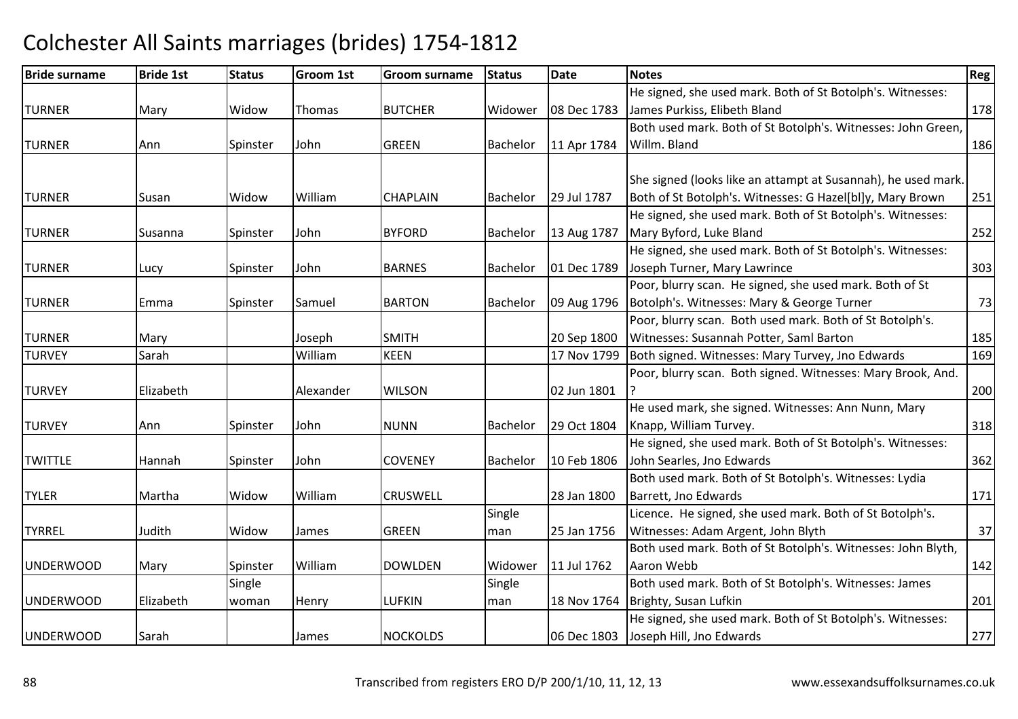#### Bride surnamee Bride 1st Status Groom 1st Groom surname Status Date Notes Region Contract Region Regional Region Region Reg TURNERR Mary Widow Thomas BUTCHER Widower 08 Dec 1783 He signed, she used mark. Both of St Botolph's. Witnesses:James Purkiss, Elibeth Blandd 178 TURNER Ann Spinster John GREENGREEN Bachelor 11 Apr 1784 Both used mark. Both of St Botolph's. Witnesses: John Green, Willm. Blandd 186 TURNER Susan Widow William CHAPLAIN Bachelor 29 Jul 1787 She signed (looks like an attampt at Susannah), he used mark. Both of St Botolph's. Witnesses: G Hazel[bl]y, Mary Brown <sup>251</sup> TURNERR Susanna Spinster John BYFORD BYFORD Bachelor 13 Aug 1787 He signed, she used mark. Both of St Botolph's. Witnesses:Mary Byford, Luke Blandd 252 TURNER Lucy Spinster John BARNES Bachelor 01 Dec 1789 He signed, she used mark. Both of St Botolph's. Witnesses:Joseph Turner, Mary Lawrince <sup>303</sup>TURNERR Emma Spinster Samuel BARTON BARTON Bachelor 09 Aug 1796 Poor, blurry scan. He signed, she used mark. Both of St Botolph's. Witnesses: Mary & George Turnerr 73 TURNERR Mary Joseph SMITH 20 Sep 1800 Poor, blurry scan. Both used mark. Both of St Botolph's. Witnesses: Susannah Potter, Saml Bartonn 185 TURVEY Sarah WilliamKEEN 17 Nov 1799 Both signed. Witnesses: Mary Turvey, Jno Edwards 169 **TURVEY** Y Blizabeth Alexander WILSON 1801 Poor, blurry scan. Both signed. Witnesses: Mary Brook, And. ?<u>200</u> TURVEY Ann Spinster John NUNNBachelor 129 Oct 1804 He used mark, she signed. Witnesses: Ann Nunn, Mary Knapp, William Turvey. 318TWITTLE Hannah Spinster JohnCOVENEY |Bachelor | 10 Feb 1806 He signed, she used mark. Both of St Botolph's. Witnesses:John Searles, Jno Edwards $\sim$  362 TYLERR Martha Widow William m CRUSWELL 28 Jan 1800 Both used mark. Both of St Botolph's. Witnesses: Lydia Barrett, Jno Edwardss and the contract of the contract of the contract of the contract of the contract of the contract of the contract of the contract of the contract of the contract of the contract of the contract of the contract of the cont TYRREL Judith Widow James GREENSingle man 25 Jan 1756 Licence. He signed, she used mark. Both of St Botolph's. Witnesses: Adam Argent, John Blythh 37 UNDERWOODMary Spinster William DOWLDEN Widower 11 Jul 1762 Both used mark. Both of St Botolph's. Witnesses: John Blyth, Aaron Webbb 142 UNDERWOOD Elizabeth **Single** woman Henry LUFKINSingle man 18 Nov 1764 Both used mark. Both of St Botolph's. Witnesses: James Brighty, Susan Lufkinn 201 UNDERWOODD Sarah **James** NOCKOLDS 06 Dec 1803 He signed, she used mark. Both of St Botolph's. Witnesses:Joseph Hill, Jno Edwardss 277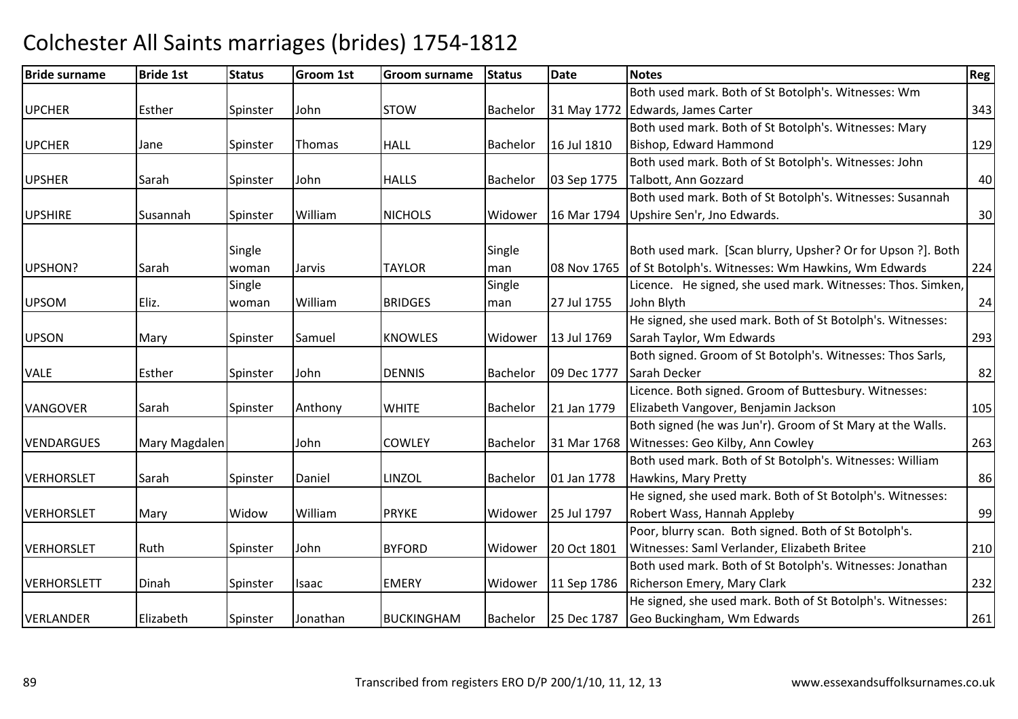| <b>Bride surname</b> | <b>Bride 1st</b> | <b>Status</b> | <b>Groom 1st</b> | Groom surname     | <b>Status</b>   | <b>Date</b> | <b>Notes</b>                                                | Reg |
|----------------------|------------------|---------------|------------------|-------------------|-----------------|-------------|-------------------------------------------------------------|-----|
|                      |                  |               |                  |                   |                 |             | Both used mark. Both of St Botolph's. Witnesses: Wm         |     |
| <b>UPCHER</b>        | Esther           | Spinster      | John             | <b>STOW</b>       | Bachelor        |             | 31 May 1772 Edwards, James Carter                           | 343 |
|                      |                  |               |                  |                   |                 |             | Both used mark. Both of St Botolph's. Witnesses: Mary       |     |
| <b>UPCHER</b>        | Jane             | Spinster      | Thomas           | <b>HALL</b>       | Bachelor        | 16 Jul 1810 | Bishop, Edward Hammond                                      | 129 |
|                      |                  |               |                  |                   |                 |             | Both used mark. Both of St Botolph's. Witnesses: John       |     |
| <b>UPSHER</b>        | Sarah            | Spinster      | John             | <b>HALLS</b>      | <b>Bachelor</b> | 03 Sep 1775 | Talbott, Ann Gozzard                                        | 40  |
|                      |                  |               |                  |                   |                 |             | Both used mark. Both of St Botolph's. Witnesses: Susannah   |     |
| <b>UPSHIRE</b>       | Susannah         | Spinster      | William          | <b>NICHOLS</b>    | Widower         | 16 Mar 1794 | Upshire Sen'r, Jno Edwards.                                 | 30  |
|                      |                  | Single        |                  |                   | Single          |             | Both used mark. [Scan blurry, Upsher? Or for Upson ?]. Both |     |
| UPSHON?              | Sarah            | woman         | Jarvis           | <b>TAYLOR</b>     | man             | 08 Nov 1765 | of St Botolph's. Witnesses: Wm Hawkins, Wm Edwards          | 224 |
|                      |                  | Single        |                  |                   | Single          |             | Licence. He signed, she used mark. Witnesses: Thos. Simken, |     |
| <b>UPSOM</b>         | Eliz.            | woman         | William          | <b>BRIDGES</b>    | man             | 27 Jul 1755 | John Blyth                                                  | 24  |
|                      |                  |               |                  |                   |                 |             | He signed, she used mark. Both of St Botolph's. Witnesses:  |     |
| <b>UPSON</b>         | Mary             | Spinster      | Samuel           | <b>KNOWLES</b>    | Widower         | 13 Jul 1769 | Sarah Taylor, Wm Edwards                                    | 293 |
|                      |                  |               |                  |                   |                 |             | Both signed. Groom of St Botolph's. Witnesses: Thos Sarls,  |     |
| <b>VALE</b>          | Esther           | Spinster      | John             | <b>DENNIS</b>     | Bachelor        | 09 Dec 1777 | Sarah Decker                                                | 82  |
|                      |                  |               |                  |                   |                 |             | Licence. Both signed. Groom of Buttesbury. Witnesses:       |     |
| <b>VANGOVER</b>      | Sarah            | Spinster      | Anthony          | <b>WHITE</b>      | Bachelor        | 21 Jan 1779 | Elizabeth Vangover, Benjamin Jackson                        | 105 |
|                      |                  |               |                  |                   |                 |             | Both signed (he was Jun'r). Groom of St Mary at the Walls.  |     |
| <b>VENDARGUES</b>    | Mary Magdalen    |               | John             | <b>COWLEY</b>     | <b>Bachelor</b> | 31 Mar 1768 | Witnesses: Geo Kilby, Ann Cowley                            | 263 |
|                      |                  |               |                  |                   |                 |             | Both used mark. Both of St Botolph's. Witnesses: William    |     |
| <b>VERHORSLET</b>    | Sarah            | Spinster      | Daniel           | LINZOL            | Bachelor        | 01 Jan 1778 | Hawkins, Mary Pretty                                        | 86  |
|                      |                  |               |                  |                   |                 |             | He signed, she used mark. Both of St Botolph's. Witnesses:  |     |
| <b>VERHORSLET</b>    | Mary             | Widow         | William          | <b>PRYKE</b>      | Widower         | 25 Jul 1797 | Robert Wass, Hannah Appleby                                 | 99  |
|                      |                  |               |                  |                   |                 |             | Poor, blurry scan. Both signed. Both of St Botolph's.       |     |
| <b>VERHORSLET</b>    | Ruth             | Spinster      | John             | <b>BYFORD</b>     | Widower         | 20 Oct 1801 | Witnesses: Saml Verlander, Elizabeth Britee                 | 210 |
|                      |                  |               |                  |                   |                 |             | Both used mark. Both of St Botolph's. Witnesses: Jonathan   |     |
| <b>VERHORSLETT</b>   | Dinah            | Spinster      | <b>Isaac</b>     | <b>EMERY</b>      | Widower         | 11 Sep 1786 | Richerson Emery, Mary Clark                                 | 232 |
|                      |                  |               |                  |                   |                 |             | He signed, she used mark. Both of St Botolph's. Witnesses:  |     |
| <b>VERLANDER</b>     | Elizabeth        | Spinster      | Jonathan         | <b>BUCKINGHAM</b> | Bachelor        | 25 Dec 1787 | Geo Buckingham, Wm Edwards                                  | 261 |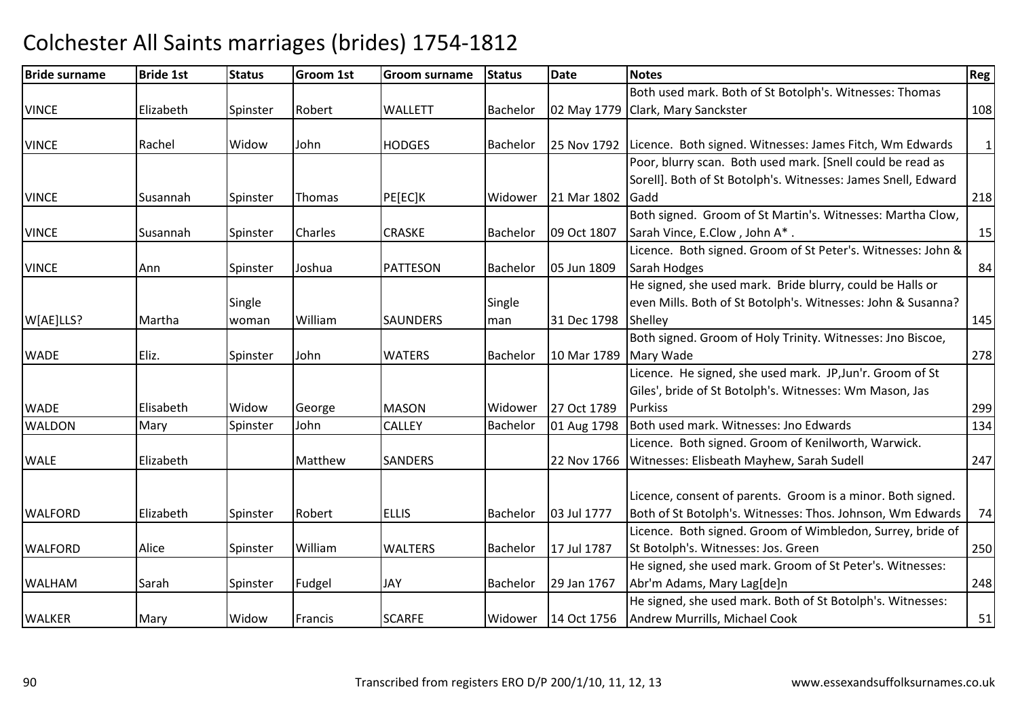### Bride surnamee Bride 1st Status Groom 1st Groom surname Status Date Notes Region Contract Region Regional Region Region Reg **VINCF**  Elizabeth Spinster Robert WALLETT Bachelor 02 May 1779Both used mark. Both of St Botolph's. Witnesses: Thomas 02 May 1779 Clark, Mary Sanckster <u>r</u> 108 VINCE Rachel Widow JohnHODGES Bachelor 25 Nov 1792 Licence. Both signed. Witnesses: James Fitch, Wm Edwards 1 VINCEE Susannah Spinster Thomas PE[EC]K K Widower 21 Mar 1802 Gadd Poor, blurry scan. Both used mark. [Snell could be read as Sorell]. Both of St Botolph's. Witnesses: James Snell, Edward d 218 VINCEE Susannah Spinster Charles CRASKE Bachelor 09 Oct 1807 Both signed. Groom of St Martin's. Witnesses: Martha Clow, Sarah Vince, E.Clow, John A<sup>\*</sup> . 15 VINCEE 1990 Ann Spinster Joshua PATTESON PATTESON Bachelor 05 Jun 1809 Licence. Both signed. Groom of St Peter's. Witnesses: John & Sarah Hodgess and  $\begin{array}{|c|c|c|c|c|}\n\hline\n84\n\end{array}$ W[AE]LLS? **Martha** Single woman William**SAUNDERS** Single man 31 Dec 1798 ShelleyHe signed, she used mark. Bride blurry, could be Halls or even Mills. Both of St Botolph's. Witnesses: John & Susanna? y 145 WADEEliz. Spinster John WATERS Bachelor 10 Mar 1789 Mary WadeBoth signed. Groom of Holy Trinity. Witnesses: Jno Biscoe, e 278 WADEE **Elisabeth Widow George MASON** MASON Widower 27 Oct 1789<br>CALLEY Bachelor 01 Aug 1798 Licence. He signed, she used mark. JP,Jun'r. Groom of St Giles', bride of St Botolph's. Witnesses: Wm Mason, Jas **Purkiss** s and the contract of the contract of the contract of the contract of the contract of the contract of the contract of the contract of the contract of the contract of the contract of the contract of the contract of the cont 134 WALDONMary Spinster John CALLEY Bachelor 01 Aug 1798 Both used mark. Witnesses: Jno Edwards 1344 WALE Elizabeth MatthewSANDERS | 22 Nov 1766 Licence. Both signed. Groom of Kenilworth, Warwick.Witnesses: Elisbeath Mayhew, Sarah Sudell 247WALFORD Elizabeth Spinster Robert ELLIS Bachelor 03 Jul 1777 Licence, consent of parents. Groom is a minor. Both signed. Both of St Botolph's. Witnesses: Thos. Johnson, Wm Edwards | 74 WALFORDAlice Spinster William WALTERS Bachelor 17 Jul 1787 Licence. Both signed. Groom of Wimbledon, Surrey, bride of St Botolph's. Witnesses: Jos. Greenn 250 WALHAMM Sarah Spinster Fudgel JJAY Bachelor 29 Jan 1767<br>1991 - Johann Bachelor Bachelor Bachelor Bachelor (1995) He signed, she used mark. Groom of St Peter's. Witnesses: Abr'm Adams, Mary Lag[de]nn 248 WALKER Mary Widow Francis SCARFE Widower 14 Oct 1756 He signed, she used mark. Both of St Botolph's. Witnesses:Andrew Murrills, Michael Cookk 51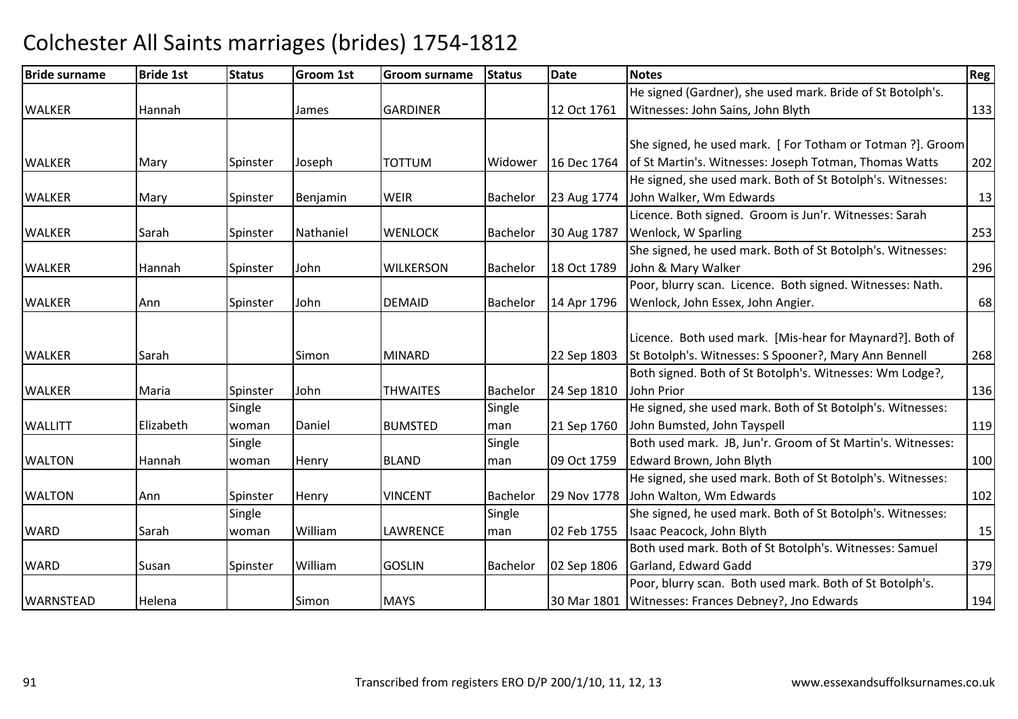| <b>Bride surname</b> | <b>Bride 1st</b> | <b>Status</b> | <b>Groom 1st</b> | Groom surname    | <b>Status</b> | <b>Date</b> | <b>Notes</b>                                                | Reg |
|----------------------|------------------|---------------|------------------|------------------|---------------|-------------|-------------------------------------------------------------|-----|
|                      |                  |               |                  |                  |               |             | He signed (Gardner), she used mark. Bride of St Botolph's.  |     |
| <b>WALKER</b>        | Hannah           |               | James            | <b>GARDINER</b>  |               | 12 Oct 1761 | Witnesses: John Sains, John Blyth                           | 133 |
|                      |                  |               |                  |                  |               |             | She signed, he used mark. [For Totham or Totman ?]. Groom   |     |
| <b>WALKER</b>        | Mary             | Spinster      | Joseph           | <b>TOTTUM</b>    | Widower       | 16 Dec 1764 | of St Martin's. Witnesses: Joseph Totman, Thomas Watts      | 202 |
|                      |                  |               |                  |                  |               |             | He signed, she used mark. Both of St Botolph's. Witnesses:  |     |
| <b>WALKER</b>        | Mary             | Spinster      | Benjamin         | <b>WEIR</b>      | Bachelor      | 23 Aug 1774 | John Walker, Wm Edwards                                     | 13  |
|                      |                  |               |                  |                  |               |             | Licence. Both signed. Groom is Jun'r. Witnesses: Sarah      |     |
| <b>WALKER</b>        | Sarah            | Spinster      | Nathaniel        | <b>WENLOCK</b>   | Bachelor      | 30 Aug 1787 | Wenlock, W Sparling                                         | 253 |
|                      |                  |               |                  |                  |               |             | She signed, he used mark. Both of St Botolph's. Witnesses:  |     |
| <b>WALKER</b>        | Hannah           | Spinster      | John             | <b>WILKERSON</b> | Bachelor      | 18 Oct 1789 | John & Mary Walker                                          | 296 |
|                      |                  |               |                  |                  |               |             | Poor, blurry scan. Licence. Both signed. Witnesses: Nath.   |     |
| <b>WALKER</b>        | Ann              | Spinster      | John             | <b>DEMAID</b>    | Bachelor      | 14 Apr 1796 | Wenlock, John Essex, John Angier.                           | 68  |
|                      |                  |               |                  |                  |               |             |                                                             |     |
|                      |                  |               |                  |                  |               |             | Licence. Both used mark. [Mis-hear for Maynard?]. Both of   |     |
| <b>WALKER</b>        | Sarah            |               | Simon            | <b>MINARD</b>    |               | 22 Sep 1803 | St Botolph's. Witnesses: S Spooner?, Mary Ann Bennell       | 268 |
|                      |                  |               |                  |                  |               |             | Both signed. Both of St Botolph's. Witnesses: Wm Lodge?,    |     |
| <b>WALKER</b>        | Maria            | Spinster      | John             | <b>THWAITES</b>  | Bachelor      | 24 Sep 1810 | John Prior                                                  | 136 |
|                      |                  | Single        |                  |                  | Single        |             | He signed, she used mark. Both of St Botolph's. Witnesses:  |     |
| <b>WALLITT</b>       | Elizabeth        | woman         | Daniel           | <b>BUMSTED</b>   | man           | 21 Sep 1760 | John Bumsted, John Tayspell                                 | 119 |
|                      |                  | Single        |                  |                  | Single        |             | Both used mark. JB, Jun'r. Groom of St Martin's. Witnesses: |     |
| <b>WALTON</b>        | Hannah           | woman         | Henry            | <b>BLAND</b>     | man           | 09 Oct 1759 | Edward Brown, John Blyth                                    | 100 |
|                      |                  |               |                  |                  |               |             | He signed, she used mark. Both of St Botolph's. Witnesses:  |     |
| <b>WALTON</b>        | Ann              | Spinster      | Henry            | <b>VINCENT</b>   | Bachelor      | 29 Nov 1778 | John Walton, Wm Edwards                                     | 102 |
|                      |                  | Single        |                  |                  | Single        |             | She signed, he used mark. Both of St Botolph's. Witnesses:  |     |
| <b>WARD</b>          | Sarah            | woman         | William          | LAWRENCE         | man           | 02 Feb 1755 | Isaac Peacock, John Blyth                                   | 15  |
|                      |                  |               |                  |                  |               |             | Both used mark. Both of St Botolph's. Witnesses: Samuel     |     |
| <b>WARD</b>          | Susan            | Spinster      | William          | <b>GOSLIN</b>    | Bachelor      | 02 Sep 1806 | Garland, Edward Gadd                                        | 379 |
|                      |                  |               |                  |                  |               |             | Poor, blurry scan. Both used mark. Both of St Botolph's.    |     |
| <b>WARNSTEAD</b>     | Helena           |               | Simon            | <b>MAYS</b>      |               | 30 Mar 1801 | Witnesses: Frances Debney?, Jno Edwards                     | 194 |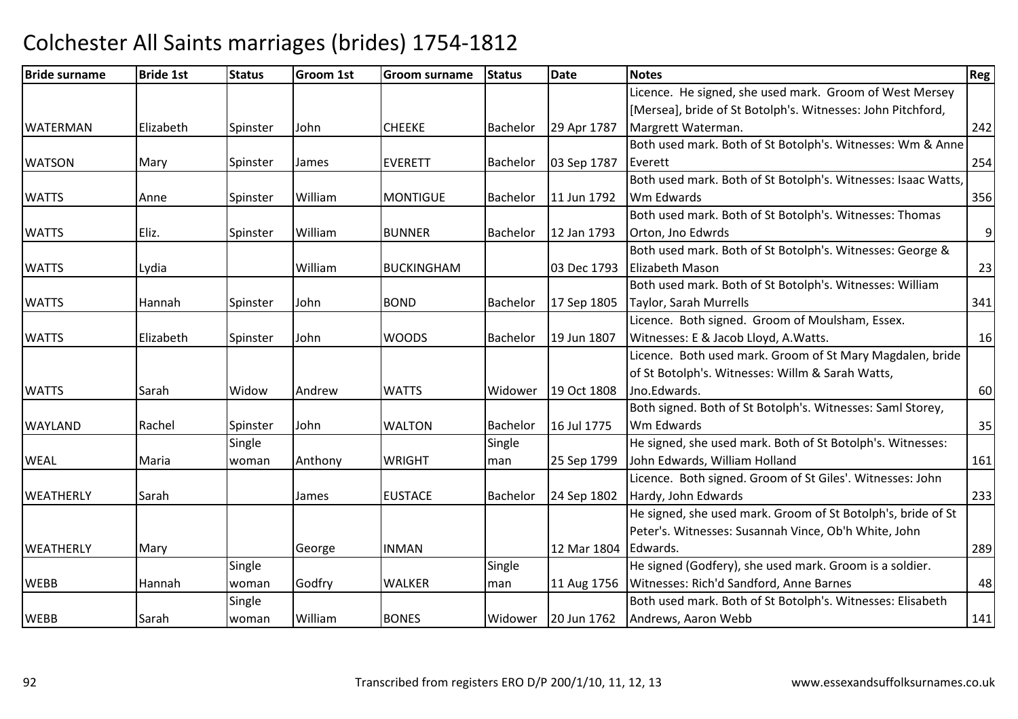| <b>Bride surname</b> | <b>Bride 1st</b> | <b>Status</b> | <b>Groom 1st</b> | Groom surname     | <b>Status</b> | <b>Date</b> | <b>Notes</b>                                                  | <b>Reg</b> |
|----------------------|------------------|---------------|------------------|-------------------|---------------|-------------|---------------------------------------------------------------|------------|
|                      |                  |               |                  |                   |               |             | Licence. He signed, she used mark. Groom of West Mersey       |            |
|                      |                  |               |                  |                   |               |             | [Mersea], bride of St Botolph's. Witnesses: John Pitchford,   |            |
| <b>WATERMAN</b>      | Elizabeth        | Spinster      | John             | <b>CHEEKE</b>     | Bachelor      | 29 Apr 1787 | Margrett Waterman.                                            | 242        |
|                      |                  |               |                  |                   |               |             | Both used mark. Both of St Botolph's. Witnesses: Wm & Anne    |            |
| <b>WATSON</b>        | Mary             | Spinster      | James            | <b>EVERETT</b>    | Bachelor      | 03 Sep 1787 | Everett                                                       | 254        |
|                      |                  |               |                  |                   |               |             | Both used mark. Both of St Botolph's. Witnesses: Isaac Watts, |            |
| <b>WATTS</b>         | Anne             | Spinster      | William          | <b>MONTIGUE</b>   | Bachelor      | 11 Jun 1792 | Wm Edwards                                                    | 356        |
|                      |                  |               |                  |                   |               |             | Both used mark. Both of St Botolph's. Witnesses: Thomas       |            |
| <b>WATTS</b>         | Eliz.            | Spinster      | William          | <b>BUNNER</b>     | Bachelor      | 12 Jan 1793 | Orton, Jno Edwrds                                             | 9          |
|                      |                  |               |                  |                   |               |             | Both used mark. Both of St Botolph's. Witnesses: George &     |            |
| <b>WATTS</b>         | Lydia            |               | William          | <b>BUCKINGHAM</b> |               | 03 Dec 1793 | <b>Elizabeth Mason</b>                                        | 23         |
|                      |                  |               |                  |                   |               |             | Both used mark. Both of St Botolph's. Witnesses: William      |            |
| <b>WATTS</b>         | <b>Hannah</b>    | Spinster      | John             | <b>BOND</b>       | Bachelor      | 17 Sep 1805 | Taylor, Sarah Murrells                                        | 341        |
|                      |                  |               |                  |                   |               |             | Licence. Both signed. Groom of Moulsham, Essex.               |            |
| <b>WATTS</b>         | Elizabeth        | Spinster      | John             | <b>WOODS</b>      | Bachelor      | 19 Jun 1807 | Witnesses: E & Jacob Lloyd, A. Watts.                         | 16         |
|                      |                  |               |                  |                   |               |             | Licence. Both used mark. Groom of St Mary Magdalen, bride     |            |
|                      |                  |               |                  |                   |               |             | of St Botolph's. Witnesses: Willm & Sarah Watts,              |            |
| <b>WATTS</b>         | Sarah            | Widow         | Andrew           | <b>WATTS</b>      | Widower       | 19 Oct 1808 | Jno.Edwards.                                                  | 60         |
|                      |                  |               |                  |                   |               |             | Both signed. Both of St Botolph's. Witnesses: Saml Storey,    |            |
| <b>WAYLAND</b>       | Rachel           | Spinster      | John             | <b>WALTON</b>     | Bachelor      | 16 Jul 1775 | Wm Edwards                                                    | 35         |
|                      |                  | Single        |                  |                   | Single        |             | He signed, she used mark. Both of St Botolph's. Witnesses:    |            |
| <b>WEAL</b>          | Maria            | woman         | Anthony          | <b>WRIGHT</b>     | man           | 25 Sep 1799 | John Edwards, William Holland                                 | 161        |
|                      |                  |               |                  |                   |               |             | Licence. Both signed. Groom of St Giles'. Witnesses: John     |            |
| <b>WEATHERLY</b>     | Sarah            |               | James            | <b>EUSTACE</b>    | Bachelor      | 24 Sep 1802 | Hardy, John Edwards                                           | 233        |
|                      |                  |               |                  |                   |               |             | He signed, she used mark. Groom of St Botolph's, bride of St  |            |
|                      |                  |               |                  |                   |               |             | Peter's. Witnesses: Susannah Vince, Ob'h White, John          |            |
| <b>WEATHERLY</b>     | Mary             |               | George           | <b>INMAN</b>      |               | 12 Mar 1804 | Edwards.                                                      | 289        |
|                      |                  | Single        |                  |                   | Single        |             | He signed (Godfery), she used mark. Groom is a soldier.       |            |
| <b>WEBB</b>          | Hannah           | woman         | Godfry           | <b>WALKER</b>     | man           | 11 Aug 1756 | Witnesses: Rich'd Sandford, Anne Barnes                       | 48         |
|                      |                  | Single        |                  |                   |               |             | Both used mark. Both of St Botolph's. Witnesses: Elisabeth    |            |
| <b>WEBB</b>          | Sarah            | woman         | William          | <b>BONES</b>      | Widower       | 20 Jun 1762 | Andrews, Aaron Webb                                           | 141        |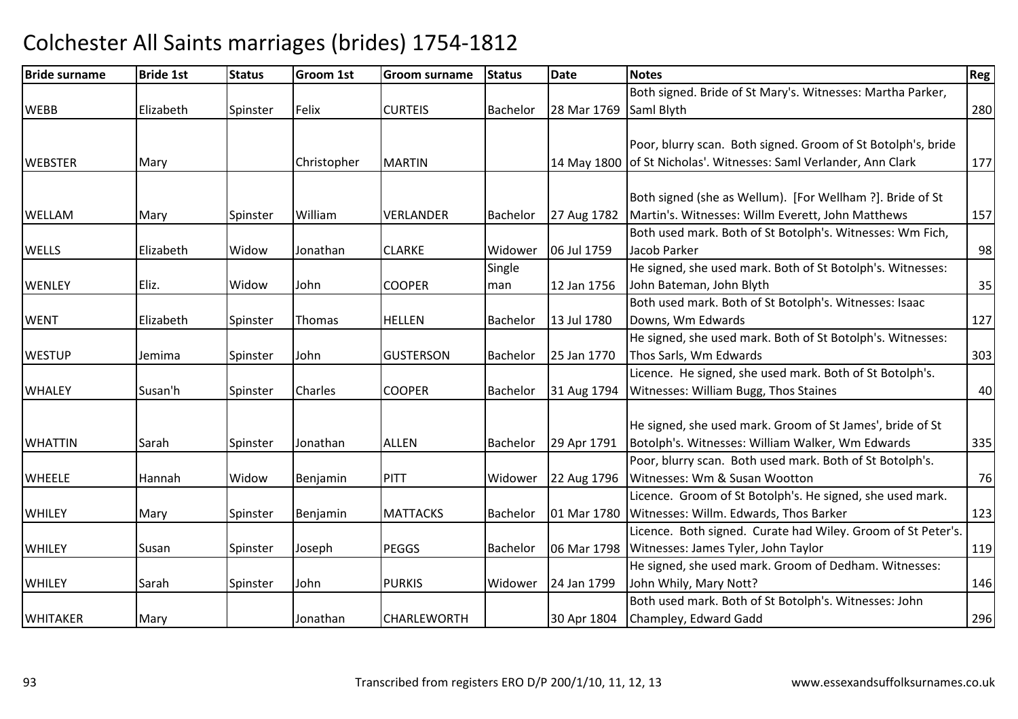| <b>Bride surname</b> | <b>Bride 1st</b> | <b>Status</b> | <b>Groom 1st</b> | Groom surname    | <b>Status</b>   | <b>Date</b> | <b>Notes</b>                                                      | Reg |
|----------------------|------------------|---------------|------------------|------------------|-----------------|-------------|-------------------------------------------------------------------|-----|
|                      |                  |               |                  |                  |                 |             | Both signed. Bride of St Mary's. Witnesses: Martha Parker,        |     |
| <b>WEBB</b>          | Elizabeth        | Spinster      | Felix            | <b>CURTEIS</b>   | <b>Bachelor</b> | 28 Mar 1769 | Saml Blyth                                                        | 280 |
|                      |                  |               |                  |                  |                 |             |                                                                   |     |
|                      |                  |               |                  |                  |                 |             | Poor, blurry scan. Both signed. Groom of St Botolph's, bride      |     |
| <b>WEBSTER</b>       | Mary             |               | Christopher      | <b>MARTIN</b>    |                 |             | 14 May 1800 of St Nicholas'. Witnesses: Saml Verlander, Ann Clark | 177 |
|                      |                  |               |                  |                  |                 |             |                                                                   |     |
|                      |                  |               |                  |                  |                 |             | Both signed (she as Wellum). [For Wellham ?]. Bride of St         |     |
| <b>WELLAM</b>        | Mary             | Spinster      | William          | <b>VERLANDER</b> | Bachelor        | 27 Aug 1782 | Martin's. Witnesses: Willm Everett, John Matthews                 | 157 |
|                      |                  |               |                  |                  |                 |             | Both used mark. Both of St Botolph's. Witnesses: Wm Fich,         |     |
| <b>WELLS</b>         | Elizabeth        | Widow         | Jonathan         | <b>CLARKE</b>    | Widower         | 06 Jul 1759 | Jacob Parker                                                      | 98  |
|                      |                  |               |                  |                  | Single          |             | He signed, she used mark. Both of St Botolph's. Witnesses:        |     |
| <b>WENLEY</b>        | Eliz.            | Widow         | John             | <b>COOPER</b>    | man             | 12 Jan 1756 | John Bateman, John Blyth                                          | 35  |
|                      |                  |               |                  |                  |                 |             | Both used mark. Both of St Botolph's. Witnesses: Isaac            |     |
| <b>WENT</b>          | Elizabeth        | Spinster      | Thomas           | <b>HELLEN</b>    | Bachelor        | 13 Jul 1780 | Downs, Wm Edwards                                                 | 127 |
|                      |                  |               |                  |                  |                 |             | He signed, she used mark. Both of St Botolph's. Witnesses:        |     |
| <b>WESTUP</b>        | Jemima           | Spinster      | John             | <b>GUSTERSON</b> | Bachelor        | 25 Jan 1770 | Thos Sarls, Wm Edwards                                            | 303 |
|                      |                  |               |                  |                  |                 |             | Licence. He signed, she used mark. Both of St Botolph's.          |     |
| <b>WHALEY</b>        | Susan'h          | Spinster      | <b>Charles</b>   | <b>COOPER</b>    | Bachelor        | 31 Aug 1794 | Witnesses: William Bugg, Thos Staines                             | 40  |
|                      |                  |               |                  |                  |                 |             |                                                                   |     |
|                      |                  |               |                  |                  |                 |             | He signed, she used mark. Groom of St James', bride of St         |     |
| <b>WHATTIN</b>       | Sarah            | Spinster      | Jonathan         | <b>ALLEN</b>     | Bachelor        | 29 Apr 1791 | Botolph's. Witnesses: William Walker, Wm Edwards                  | 335 |
|                      |                  |               |                  |                  |                 |             | Poor, blurry scan. Both used mark. Both of St Botolph's.          |     |
| <b>WHEELE</b>        | Hannah           | Widow         | Benjamin         | PITT             | Widower         | 22 Aug 1796 | Witnesses: Wm & Susan Wootton                                     | 76  |
|                      |                  |               |                  |                  |                 |             | Licence. Groom of St Botolph's. He signed, she used mark.         |     |
| <b>WHILEY</b>        | Mary             | Spinster      | Benjamin         | <b>MATTACKS</b>  | Bachelor        | 01 Mar 1780 | Witnesses: Willm. Edwards, Thos Barker                            | 123 |
|                      |                  |               |                  |                  |                 |             | Licence. Both signed. Curate had Wiley. Groom of St Peter's.      |     |
| <b>WHILEY</b>        | Susan            | Spinster      | Joseph           | <b>PEGGS</b>     | <b>Bachelor</b> | 06 Mar 1798 | Witnesses: James Tyler, John Taylor                               | 119 |
|                      |                  |               |                  |                  |                 |             | He signed, she used mark. Groom of Dedham. Witnesses:             |     |
| <b>WHILEY</b>        | Sarah            | Spinster      | John             | <b>PURKIS</b>    | Widower         | 24 Jan 1799 | John Whily, Mary Nott?                                            | 146 |
|                      |                  |               |                  |                  |                 |             | Both used mark. Both of St Botolph's. Witnesses: John             |     |
| <b>WHITAKER</b>      | Mary             |               | Jonathan         | CHARLEWORTH      |                 | 30 Apr 1804 | Champley, Edward Gadd                                             | 296 |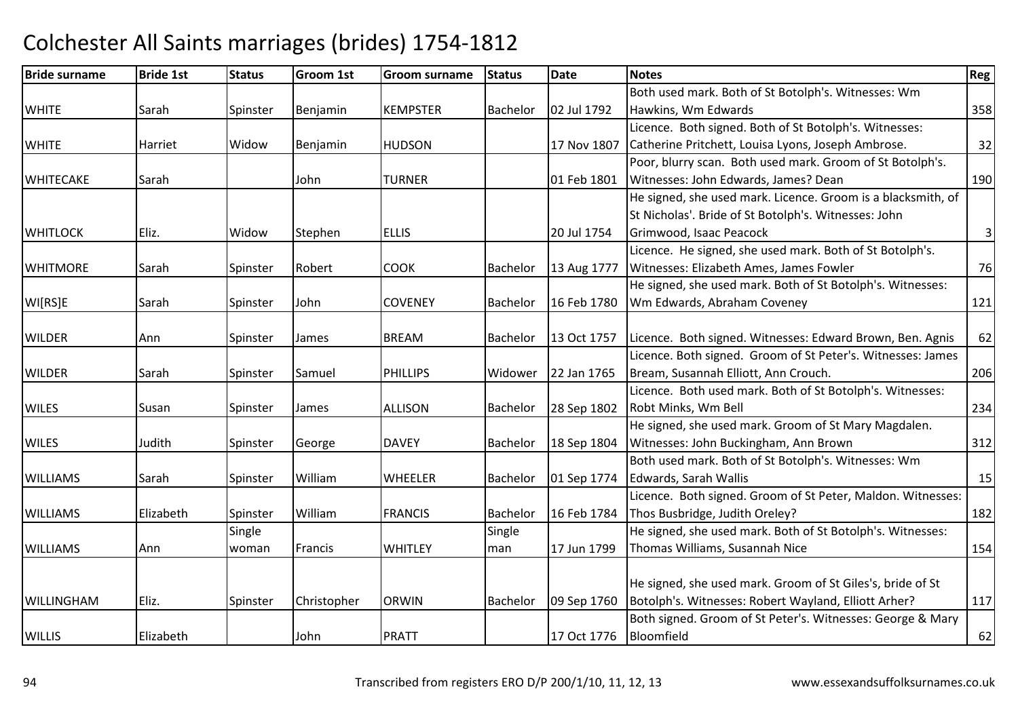| <b>Bride surname</b> | <b>Bride 1st</b> | <b>Status</b> | <b>Groom 1st</b> | <b>Groom surname</b> | <b>Status</b> | <b>Date</b> | <b>Notes</b>                                                 | Reg            |
|----------------------|------------------|---------------|------------------|----------------------|---------------|-------------|--------------------------------------------------------------|----------------|
|                      |                  |               |                  |                      |               |             | Both used mark. Both of St Botolph's. Witnesses: Wm          |                |
| <b>WHITE</b>         | Sarah            | Spinster      | Benjamin         | <b>KEMPSTER</b>      | Bachelor      | 02 Jul 1792 | Hawkins, Wm Edwards                                          | 358            |
|                      |                  |               |                  |                      |               |             | Licence. Both signed. Both of St Botolph's. Witnesses:       |                |
| <b>WHITE</b>         | Harriet          | Widow         | Benjamin         | <b>HUDSON</b>        |               | 17 Nov 1807 | Catherine Pritchett, Louisa Lyons, Joseph Ambrose.           | 32             |
|                      |                  |               |                  |                      |               |             | Poor, blurry scan. Both used mark. Groom of St Botolph's.    |                |
| <b>WHITECAKE</b>     | Sarah            |               | John             | <b>TURNER</b>        |               | 01 Feb 1801 | Witnesses: John Edwards, James? Dean                         | 190            |
|                      |                  |               |                  |                      |               |             | He signed, she used mark. Licence. Groom is a blacksmith, of |                |
|                      |                  |               |                  |                      |               |             | St Nicholas'. Bride of St Botolph's. Witnesses: John         |                |
| <b>WHITLOCK</b>      | Eliz.            | Widow         | Stephen          | <b>ELLIS</b>         |               | 20 Jul 1754 | Grimwood, Isaac Peacock                                      | $\overline{3}$ |
|                      |                  |               |                  |                      |               |             | Licence. He signed, she used mark. Both of St Botolph's.     |                |
| <b>WHITMORE</b>      | Sarah            | Spinster      | Robert           | <b>COOK</b>          | Bachelor      | 13 Aug 1777 | Witnesses: Elizabeth Ames, James Fowler                      | 76             |
|                      |                  |               |                  |                      |               |             | He signed, she used mark. Both of St Botolph's. Witnesses:   |                |
| WI[RS]E              | Sarah            | Spinster      | John             | <b>COVENEY</b>       | Bachelor      | 16 Feb 1780 | Wm Edwards, Abraham Coveney                                  | 121            |
|                      |                  |               |                  |                      |               |             |                                                              |                |
| <b>WILDER</b>        | Ann              | Spinster      | James            | <b>BREAM</b>         | Bachelor      | 13 Oct 1757 | Licence. Both signed. Witnesses: Edward Brown, Ben. Agnis    | 62             |
|                      |                  |               |                  |                      |               |             | Licence. Both signed. Groom of St Peter's. Witnesses: James  |                |
| <b>WILDER</b>        | Sarah            | Spinster      | Samuel           | <b>PHILLIPS</b>      | Widower       | 22 Jan 1765 | Bream, Susannah Elliott, Ann Crouch.                         | 206            |
|                      |                  |               |                  |                      |               |             | Licence. Both used mark. Both of St Botolph's. Witnesses:    |                |
| <b>WILES</b>         | Susan            | Spinster      | James            | <b>ALLISON</b>       | Bachelor      | 28 Sep 1802 | Robt Minks, Wm Bell                                          | 234            |
|                      |                  |               |                  |                      |               |             | He signed, she used mark. Groom of St Mary Magdalen.         |                |
| <b>WILES</b>         | Judith           | Spinster      | George           | <b>DAVEY</b>         | Bachelor      | 18 Sep 1804 | Witnesses: John Buckingham, Ann Brown                        | 312            |
|                      |                  |               |                  |                      |               |             | Both used mark. Both of St Botolph's. Witnesses: Wm          |                |
| <b>WILLIAMS</b>      | Sarah            | Spinster      | William          | <b>WHEELER</b>       | Bachelor      | 01 Sep 1774 | Edwards, Sarah Wallis                                        | 15             |
|                      |                  |               |                  |                      |               |             | Licence. Both signed. Groom of St Peter, Maldon. Witnesses:  |                |
| <b>WILLIAMS</b>      | Elizabeth        | Spinster      | William          | <b>FRANCIS</b>       | Bachelor      | 16 Feb 1784 | Thos Busbridge, Judith Oreley?                               | 182            |
|                      |                  | Single        |                  |                      | Single        |             | He signed, she used mark. Both of St Botolph's. Witnesses:   |                |
| <b>WILLIAMS</b>      | Ann              | woman         | Francis          | <b>WHITLEY</b>       | man           | 17 Jun 1799 | Thomas Williams, Susannah Nice                               | 154            |
|                      |                  |               |                  |                      |               |             |                                                              |                |
|                      |                  |               |                  |                      |               |             | He signed, she used mark. Groom of St Giles's, bride of St   |                |
| <b>WILLINGHAM</b>    | Eliz.            | Spinster      | Christopher      | <b>ORWIN</b>         | Bachelor      | 09 Sep 1760 | Botolph's. Witnesses: Robert Wayland, Elliott Arher?         | 117            |
|                      |                  |               |                  |                      |               |             | Both signed. Groom of St Peter's. Witnesses: George & Mary   |                |
| <b>WILLIS</b>        | Elizabeth        |               | John             | <b>PRATT</b>         |               | 17 Oct 1776 | Bloomfield                                                   | 62             |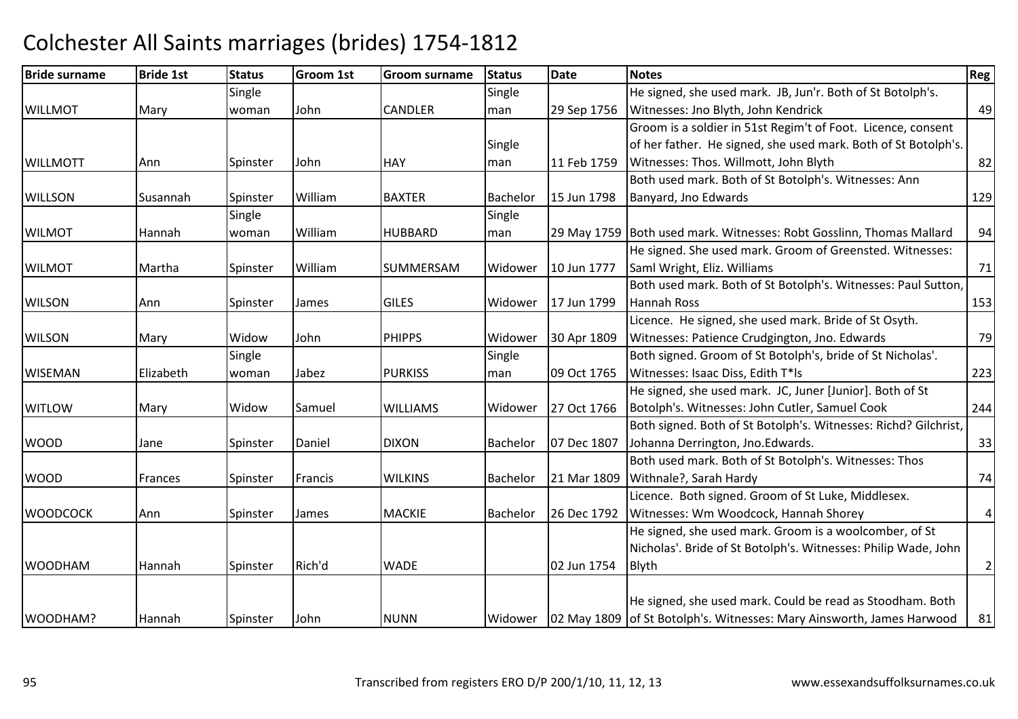#### Bride surnamee Bride 1st Status Groom 1st Groom surname Status Date Notes Region Contract Region Regional Region Region Reg **WILLMOT**  Mary **Single** woman John CANDLER**Single** man 29 Sep 1756 He signed, she used mark. JB, Jun'r. Both of St Botolph's. Witnesses: Jno Blyth, John Kendrickk 49 WILL MOTT Ann Spinster John**HAY Single** man 11 Feb 1759 Groom is a soldier in 51st Regim't of Foot. Licence, consent of her father. He signed, she used mark. Both of St Botolph's. Witnesses: Thos. Willmott, John Blyth 82 WILLSON Susannah Spinster WilliamBAXTER Bachelor 15 Jun 1798 Both used mark. Both of St Botolph's. Witnesses: Ann Banyard, Jno Edwardss and the contract of the contract of the contract of the contract of the contract of the contract of the contract of the contract of the contract of the contract of the contract of the contract of the contract of the cont WILMOT Hannah**Single** woman William HUBBARD Single man29 May 1759 Both used mark. Witnesses: Robt Gosslinn, Thomas Mallard | 94 WILMOT Martha Spinster William SUMMERSAMWidower | 10 Jun 1777 He signed. She used mark. Groom of Greensted. Witnesses: Saml Wright, Eliz. Williamss 71 WILSONN 17 Jun 1799 Both used mark. Both of St Botolph's. Witnesses: Paul Sutton, Hannah Rosss and  $\boxed{153}$ **WILSON** N Mary Widow John PHIPPS Widower 30 Apr 1809 Licence. He signed, she used mark. Bride of St Osyth. Witnesses: Patience Crudgington, Jno. Edwardss 79 WISEMAN Elizabeth Single woman Jabez PURKISS **Single** man 09 Oct 1765 Both signed. Groom of St Botolph's, bride of St Nicholas'. Witnesses: Isaac Diss, Edith T\*lss 223 **WITLOW** W Mary Widow Samuel WILLIAMS Widower 27 Oct 1766 He signed, she used mark. JC, Juner [Junior]. Both of St Botolph's. Witnesses: John Cutler, Samuel Cook <sup>244</sup>WOODD Jane Spinster Daniel DIXON DIXON Bachelor 07 Dec 1807 Both signed. Both of St Botolph's. Witnesses: Richd? Gilchrist, Johanna Derrington, Jno.Edwards. 33WOODD Frances Spinster Francis WILKINS Bachelor 21 Mar 1809 Both used mark. Both of St Botolph's. Witnesses: Thos Withnale?, Sarah Hardyy 74 WOODCOCKK Ann Spinster James MACKIE Bachelor 26 Dec 1792 Licence. Both signed. Groom of St Luke, Middlesex. Witnesses: Wm Woodcock, Hannah Shorey He signed, she used mark. Groom is a woolcomber, of St 4WOODHAMM Hannah Spinster Rich'd WADE 102 Jun 1754 Nicholas'. Bride of St Botolph's. Witnesses: Philip Wade, John Blythh 2 WOODHAM? Hannah Spinster John NUNN Widower 02 May 1809 of St Botolph's. Witnesses: Mary Ainsworth, James HarwoodHe signed, she used mark. Could be read as Stoodham. Both <sup>81</sup>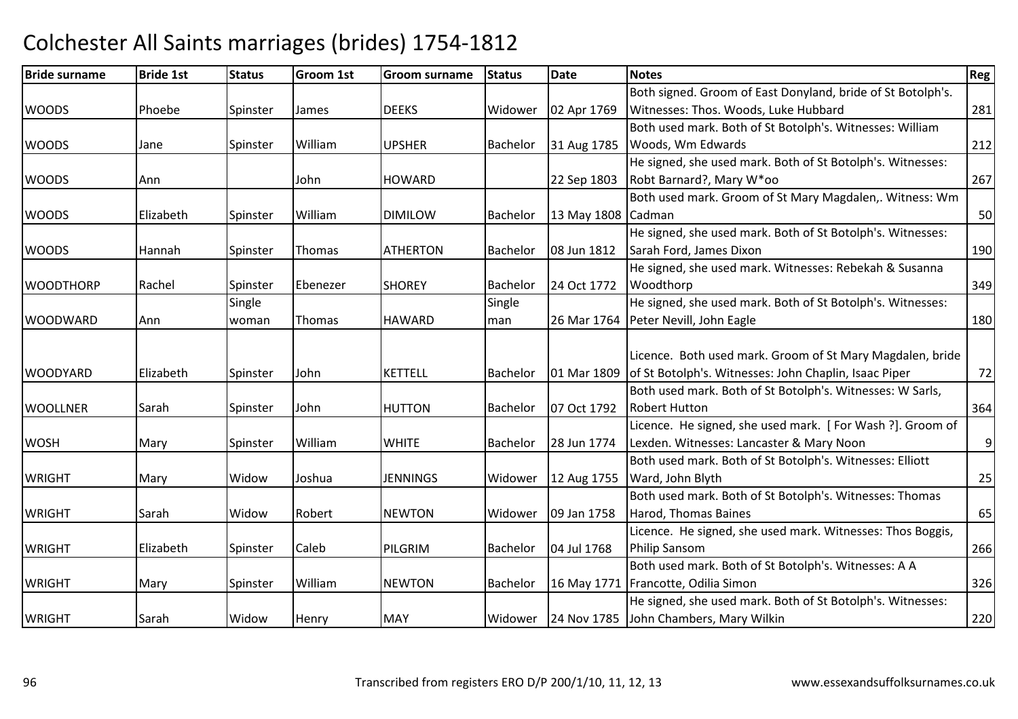| <b>Bride surname</b> | <b>Bride 1st</b> | <b>Status</b> | <b>Groom 1st</b> | Groom surname   | <b>Status</b>   | <b>Date</b>        | <b>Notes</b>                                                | Reg |
|----------------------|------------------|---------------|------------------|-----------------|-----------------|--------------------|-------------------------------------------------------------|-----|
|                      |                  |               |                  |                 |                 |                    | Both signed. Groom of East Donyland, bride of St Botolph's. |     |
| <b>WOODS</b>         | Phoebe           | Spinster      | James            | <b>DEEKS</b>    | Widower         | 02 Apr 1769        | Witnesses: Thos. Woods, Luke Hubbard                        | 281 |
|                      |                  |               |                  |                 |                 |                    | Both used mark. Both of St Botolph's. Witnesses: William    |     |
| <b>WOODS</b>         | Jane             | Spinster      | William          | <b>UPSHER</b>   | Bachelor        | 31 Aug 1785        | Woods, Wm Edwards                                           | 212 |
|                      |                  |               |                  |                 |                 |                    | He signed, she used mark. Both of St Botolph's. Witnesses:  |     |
| <b>WOODS</b>         | Ann              |               | John             | <b>HOWARD</b>   |                 | 22 Sep 1803        | Robt Barnard?, Mary W*oo                                    | 267 |
|                      |                  |               |                  |                 |                 |                    | Both used mark. Groom of St Mary Magdalen,. Witness: Wm     |     |
| <b>WOODS</b>         | Elizabeth        | Spinster      | William          | <b>DIMILOW</b>  | Bachelor        | 13 May 1808 Cadman |                                                             | 50  |
|                      |                  |               |                  |                 |                 |                    | He signed, she used mark. Both of St Botolph's. Witnesses:  |     |
| <b>WOODS</b>         | Hannah           | Spinster      | Thomas           | <b>ATHERTON</b> | Bachelor        | 08 Jun 1812        | Sarah Ford, James Dixon                                     | 190 |
|                      |                  |               |                  |                 |                 |                    | He signed, she used mark. Witnesses: Rebekah & Susanna      |     |
| <b>WOODTHORP</b>     | Rachel           | Spinster      | Ebenezer         | <b>SHOREY</b>   | <b>Bachelor</b> | 24 Oct 1772        | Woodthorp                                                   | 349 |
|                      |                  | Single        |                  |                 | Single          |                    | He signed, she used mark. Both of St Botolph's. Witnesses:  |     |
| <b>WOODWARD</b>      | Ann              | woman         | Thomas           | <b>HAWARD</b>   | man             |                    | 26 Mar 1764   Peter Nevill, John Eagle                      | 180 |
|                      |                  |               |                  |                 |                 |                    |                                                             |     |
|                      |                  |               |                  |                 |                 |                    | Licence. Both used mark. Groom of St Mary Magdalen, bride   |     |
| <b>WOODYARD</b>      | Elizabeth        | Spinster      | John             | <b>KETTELL</b>  | Bachelor        | 01 Mar 1809        | of St Botolph's. Witnesses: John Chaplin, Isaac Piper       | 72  |
|                      |                  |               |                  |                 |                 |                    | Both used mark. Both of St Botolph's. Witnesses: W Sarls,   |     |
| <b>WOOLLNER</b>      | Sarah            | Spinster      | John             | <b>HUTTON</b>   | Bachelor        | 07 Oct 1792        | <b>Robert Hutton</b>                                        | 364 |
|                      |                  |               |                  |                 |                 |                    | Licence. He signed, she used mark. [For Wash ?]. Groom of   |     |
| <b>WOSH</b>          | Mary             | Spinster      | William          | <b>WHITE</b>    | Bachelor        | 28 Jun 1774        | Lexden. Witnesses: Lancaster & Mary Noon                    | 9   |
|                      |                  |               |                  |                 |                 |                    | Both used mark. Both of St Botolph's. Witnesses: Elliott    |     |
| <b>WRIGHT</b>        | Mary             | Widow         | Joshua           | <b>JENNINGS</b> | Widower         | 12 Aug 1755        | Ward, John Blyth                                            | 25  |
|                      |                  |               |                  |                 |                 |                    | Both used mark. Both of St Botolph's. Witnesses: Thomas     |     |
| <b>WRIGHT</b>        | Sarah            | Widow         | Robert           | <b>NEWTON</b>   | Widower         | 09 Jan 1758        | Harod, Thomas Baines                                        | 65  |
|                      |                  |               |                  |                 |                 |                    | Licence. He signed, she used mark. Witnesses: Thos Boggis,  |     |
| <b>WRIGHT</b>        | Elizabeth        | Spinster      | Caleb            | PILGRIM         | Bachelor        | 04 Jul 1768        | <b>Philip Sansom</b>                                        | 266 |
|                      |                  |               |                  |                 |                 |                    | Both used mark. Both of St Botolph's. Witnesses: A A        |     |
| <b>WRIGHT</b>        | Mary             | Spinster      | William          | <b>NEWTON</b>   | Bachelor        | 16 May 1771        | Francotte, Odilia Simon                                     | 326 |
|                      |                  |               |                  |                 |                 |                    | He signed, she used mark. Both of St Botolph's. Witnesses:  |     |
| <b>WRIGHT</b>        | Sarah            | Widow         | Henry            | <b>MAY</b>      | Widower         |                    | 24 Nov 1785 John Chambers, Mary Wilkin                      | 220 |